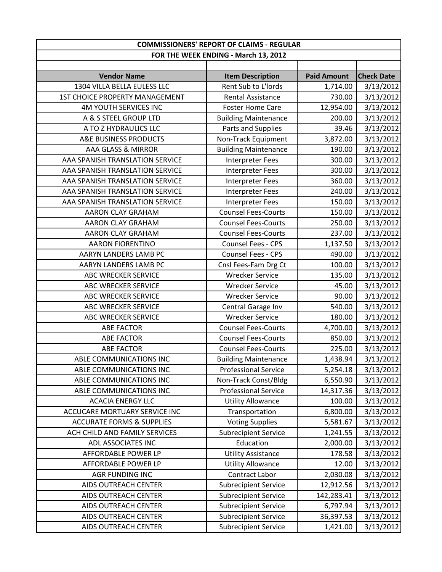| <b>COMMISSIONERS' REPORT OF CLAIMS - REGULAR</b> |                                      |                    |                   |
|--------------------------------------------------|--------------------------------------|--------------------|-------------------|
|                                                  | FOR THE WEEK ENDING - March 13, 2012 |                    |                   |
|                                                  |                                      |                    |                   |
| <b>Vendor Name</b>                               | <b>Item Description</b>              | <b>Paid Amount</b> | <b>Check Date</b> |
| 1304 VILLA BELLA EULESS LLC                      | Rent Sub to L'Iords                  | 1,714.00           | 3/13/2012         |
| <b>1ST CHOICE PROPERTY MANAGEMENT</b>            | <b>Rental Assistance</b>             | 730.00             | 3/13/2012         |
| <b>4M YOUTH SERVICES INC</b>                     | <b>Foster Home Care</b>              | 12,954.00          | 3/13/2012         |
| A & S STEEL GROUP LTD                            | <b>Building Maintenance</b>          | 200.00             | 3/13/2012         |
| A TO Z HYDRAULICS LLC                            | Parts and Supplies                   | 39.46              | 3/13/2012         |
| A&E BUSINESS PRODUCTS                            | Non-Track Equipment                  | 3,872.00           | 3/13/2012         |
| AAA GLASS & MIRROR                               | <b>Building Maintenance</b>          | 190.00             | 3/13/2012         |
| AAA SPANISH TRANSLATION SERVICE                  | <b>Interpreter Fees</b>              | 300.00             | 3/13/2012         |
| AAA SPANISH TRANSLATION SERVICE                  | Interpreter Fees                     | 300.00             | 3/13/2012         |
| AAA SPANISH TRANSLATION SERVICE                  | <b>Interpreter Fees</b>              | 360.00             | 3/13/2012         |
| AAA SPANISH TRANSLATION SERVICE                  | Interpreter Fees                     | 240.00             | 3/13/2012         |
| AAA SPANISH TRANSLATION SERVICE                  | Interpreter Fees                     | 150.00             | 3/13/2012         |
| AARON CLAY GRAHAM                                | <b>Counsel Fees-Courts</b>           | 150.00             | 3/13/2012         |
| AARON CLAY GRAHAM                                | <b>Counsel Fees-Courts</b>           | 250.00             | 3/13/2012         |
| AARON CLAY GRAHAM                                | <b>Counsel Fees-Courts</b>           | 237.00             | 3/13/2012         |
| <b>AARON FIORENTINO</b>                          | <b>Counsel Fees - CPS</b>            | 1,137.50           | 3/13/2012         |
| AARYN LANDERS LAMB PC                            | Counsel Fees - CPS                   | 490.00             | 3/13/2012         |
| AARYN LANDERS LAMB PC                            | Cnsl Fees-Fam Drg Ct                 | 100.00             | 3/13/2012         |
| <b>ABC WRECKER SERVICE</b>                       | <b>Wrecker Service</b>               | 135.00             | 3/13/2012         |
| <b>ABC WRECKER SERVICE</b>                       | <b>Wrecker Service</b>               | 45.00              | 3/13/2012         |
| <b>ABC WRECKER SERVICE</b>                       | <b>Wrecker Service</b>               | 90.00              | 3/13/2012         |
| ABC WRECKER SERVICE                              | Central Garage Inv                   | 540.00             | 3/13/2012         |
| ABC WRECKER SERVICE                              | <b>Wrecker Service</b>               | 180.00             | 3/13/2012         |
| <b>ABE FACTOR</b>                                | <b>Counsel Fees-Courts</b>           | 4,700.00           | 3/13/2012         |
| <b>ABE FACTOR</b>                                | <b>Counsel Fees-Courts</b>           | 850.00             | 3/13/2012         |
| <b>ABE FACTOR</b>                                | <b>Counsel Fees-Courts</b>           | 225.00             | 3/13/2012         |
| ABLE COMMUNICATIONS INC                          | <b>Building Maintenance</b>          | 1,438.94           | 3/13/2012         |
| ABLE COMMUNICATIONS INC                          | <b>Professional Service</b>          | 5,254.18           | 3/13/2012         |
| ABLE COMMUNICATIONS INC                          | Non-Track Const/Bldg                 | 6,550.90           | 3/13/2012         |
| ABLE COMMUNICATIONS INC                          | <b>Professional Service</b>          | 14,317.36          | 3/13/2012         |
| <b>ACACIA ENERGY LLC</b>                         | <b>Utility Allowance</b>             | 100.00             | 3/13/2012         |
| ACCUCARE MORTUARY SERVICE INC                    | Transportation                       | 6,800.00           | 3/13/2012         |
| <b>ACCURATE FORMS &amp; SUPPLIES</b>             | <b>Voting Supplies</b>               | 5,581.67           | 3/13/2012         |
| ACH CHILD AND FAMILY SERVICES                    | <b>Subrecipient Service</b>          | 1,241.55           | 3/13/2012         |
| ADL ASSOCIATES INC                               | Education                            | 2,000.00           | 3/13/2012         |
| AFFORDABLE POWER LP                              | <b>Utility Assistance</b>            | 178.58             | 3/13/2012         |
| AFFORDABLE POWER LP                              | <b>Utility Allowance</b>             | 12.00              | 3/13/2012         |
| <b>AGR FUNDING INC</b>                           | Contract Labor                       | 2,030.08           | 3/13/2012         |
| AIDS OUTREACH CENTER                             | <b>Subrecipient Service</b>          | 12,912.56          | 3/13/2012         |
| <b>AIDS OUTREACH CENTER</b>                      | <b>Subrecipient Service</b>          | 142,283.41         | 3/13/2012         |
| <b>AIDS OUTREACH CENTER</b>                      | <b>Subrecipient Service</b>          | 6,797.94           | 3/13/2012         |
| <b>AIDS OUTREACH CENTER</b>                      | <b>Subrecipient Service</b>          | 36,397.53          | 3/13/2012         |
| AIDS OUTREACH CENTER                             | <b>Subrecipient Service</b>          | 1,421.00           | 3/13/2012         |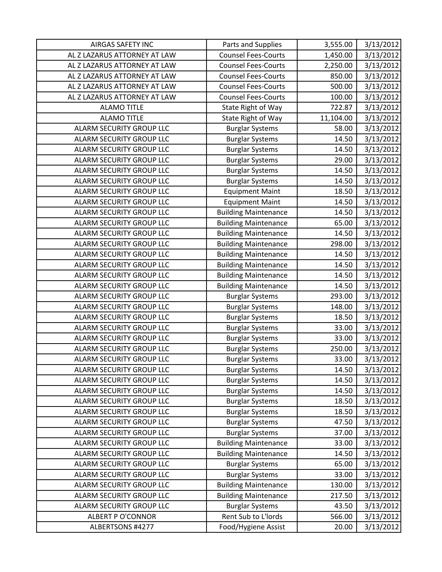| <b>AIRGAS SAFETY INC</b>        | Parts and Supplies          | 3,555.00  | 3/13/2012 |
|---------------------------------|-----------------------------|-----------|-----------|
| AL Z LAZARUS ATTORNEY AT LAW    | <b>Counsel Fees-Courts</b>  | 1,450.00  | 3/13/2012 |
| AL Z LAZARUS ATTORNEY AT LAW    | <b>Counsel Fees-Courts</b>  | 2,250.00  | 3/13/2012 |
| AL Z LAZARUS ATTORNEY AT LAW    | <b>Counsel Fees-Courts</b>  | 850.00    | 3/13/2012 |
| AL Z LAZARUS ATTORNEY AT LAW    | <b>Counsel Fees-Courts</b>  | 500.00    | 3/13/2012 |
| AL Z LAZARUS ATTORNEY AT LAW    | <b>Counsel Fees-Courts</b>  | 100.00    | 3/13/2012 |
| <b>ALAMO TITLE</b>              | State Right of Way          | 722.87    | 3/13/2012 |
| <b>ALAMO TITLE</b>              | State Right of Way          | 11,104.00 | 3/13/2012 |
| ALARM SECURITY GROUP LLC        | <b>Burglar Systems</b>      | 58.00     | 3/13/2012 |
| ALARM SECURITY GROUP LLC        | <b>Burglar Systems</b>      | 14.50     | 3/13/2012 |
| ALARM SECURITY GROUP LLC        | <b>Burglar Systems</b>      | 14.50     | 3/13/2012 |
| ALARM SECURITY GROUP LLC        | <b>Burglar Systems</b>      | 29.00     | 3/13/2012 |
| ALARM SECURITY GROUP LLC        | <b>Burglar Systems</b>      | 14.50     | 3/13/2012 |
| ALARM SECURITY GROUP LLC        | <b>Burglar Systems</b>      | 14.50     | 3/13/2012 |
| ALARM SECURITY GROUP LLC        | <b>Equipment Maint</b>      | 18.50     | 3/13/2012 |
| ALARM SECURITY GROUP LLC        | <b>Equipment Maint</b>      | 14.50     | 3/13/2012 |
| <b>ALARM SECURITY GROUP LLC</b> | <b>Building Maintenance</b> | 14.50     | 3/13/2012 |
| ALARM SECURITY GROUP LLC        | <b>Building Maintenance</b> | 65.00     | 3/13/2012 |
| ALARM SECURITY GROUP LLC        | <b>Building Maintenance</b> | 14.50     | 3/13/2012 |
| ALARM SECURITY GROUP LLC        | <b>Building Maintenance</b> | 298.00    | 3/13/2012 |
| ALARM SECURITY GROUP LLC        | <b>Building Maintenance</b> | 14.50     | 3/13/2012 |
| ALARM SECURITY GROUP LLC        | <b>Building Maintenance</b> | 14.50     | 3/13/2012 |
| ALARM SECURITY GROUP LLC        | <b>Building Maintenance</b> | 14.50     | 3/13/2012 |
| ALARM SECURITY GROUP LLC        | <b>Building Maintenance</b> | 14.50     | 3/13/2012 |
| ALARM SECURITY GROUP LLC        | <b>Burglar Systems</b>      | 293.00    | 3/13/2012 |
| ALARM SECURITY GROUP LLC        | <b>Burglar Systems</b>      | 148.00    | 3/13/2012 |
| ALARM SECURITY GROUP LLC        | <b>Burglar Systems</b>      | 18.50     | 3/13/2012 |
| <b>ALARM SECURITY GROUP LLC</b> | <b>Burglar Systems</b>      | 33.00     | 3/13/2012 |
| ALARM SECURITY GROUP LLC        | <b>Burglar Systems</b>      | 33.00     | 3/13/2012 |
| ALARM SECURITY GROUP LLC        | <b>Burglar Systems</b>      | 250.00    | 3/13/2012 |
| ALARM SECURITY GROUP LLC        | <b>Burglar Systems</b>      | 33.00     | 3/13/2012 |
| ALARM SECURITY GROUP LLC        | <b>Burglar Systems</b>      | 14.50     | 3/13/2012 |
| ALARM SECURITY GROUP LLC        | <b>Burglar Systems</b>      | 14.50     | 3/13/2012 |
| ALARM SECURITY GROUP LLC        | <b>Burglar Systems</b>      | 14.50     | 3/13/2012 |
| <b>ALARM SECURITY GROUP LLC</b> | <b>Burglar Systems</b>      | 18.50     | 3/13/2012 |
| ALARM SECURITY GROUP LLC        | <b>Burglar Systems</b>      | 18.50     | 3/13/2012 |
| ALARM SECURITY GROUP LLC        | <b>Burglar Systems</b>      | 47.50     | 3/13/2012 |
| ALARM SECURITY GROUP LLC        | <b>Burglar Systems</b>      | 37.00     | 3/13/2012 |
| ALARM SECURITY GROUP LLC        | <b>Building Maintenance</b> | 33.00     | 3/13/2012 |
| ALARM SECURITY GROUP LLC        | <b>Building Maintenance</b> | 14.50     | 3/13/2012 |
| ALARM SECURITY GROUP LLC        | <b>Burglar Systems</b>      | 65.00     | 3/13/2012 |
| ALARM SECURITY GROUP LLC        | <b>Burglar Systems</b>      | 33.00     | 3/13/2012 |
| ALARM SECURITY GROUP LLC        | <b>Building Maintenance</b> | 130.00    | 3/13/2012 |
| ALARM SECURITY GROUP LLC        | <b>Building Maintenance</b> | 217.50    | 3/13/2012 |
| ALARM SECURITY GROUP LLC        | <b>Burglar Systems</b>      | 43.50     | 3/13/2012 |
| <b>ALBERT P O'CONNOR</b>        | Rent Sub to L'Iords         | 566.00    | 3/13/2012 |
| ALBERTSONS #4277                | Food/Hygiene Assist         | 20.00     | 3/13/2012 |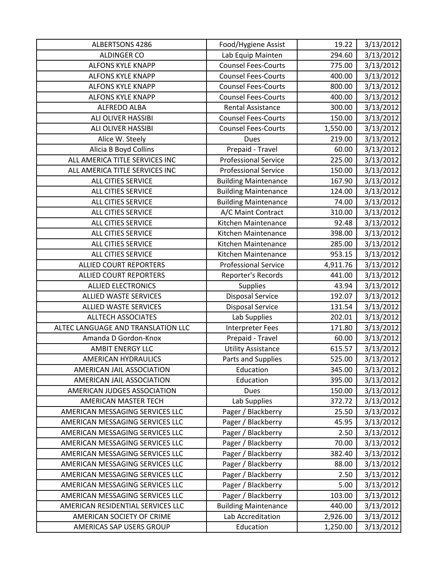| ALBERTSONS 4286                    | Food/Hygiene Assist         | 19.22    | 3/13/2012 |
|------------------------------------|-----------------------------|----------|-----------|
| <b>ALDINGER CO</b>                 | Lab Equip Mainten           | 294.60   | 3/13/2012 |
| ALFONS KYLE KNAPP                  | <b>Counsel Fees-Courts</b>  | 775.00   | 3/13/2012 |
| <b>ALFONS KYLE KNAPP</b>           | <b>Counsel Fees-Courts</b>  | 400.00   | 3/13/2012 |
| <b>ALFONS KYLE KNAPP</b>           | <b>Counsel Fees-Courts</b>  | 800.00   | 3/13/2012 |
| <b>ALFONS KYLE KNAPP</b>           | <b>Counsel Fees-Courts</b>  | 400.00   | 3/13/2012 |
| <b>ALFREDO ALBA</b>                | <b>Rental Assistance</b>    | 300.00   | 3/13/2012 |
| ALI OLIVER HASSIBI                 | <b>Counsel Fees-Courts</b>  | 150.00   | 3/13/2012 |
| ALI OLIVER HASSIBI                 | <b>Counsel Fees-Courts</b>  | 1,550.00 | 3/13/2012 |
| Alice W. Steely                    | Dues                        | 219.00   | 3/13/2012 |
| Alicia B Boyd Collins              | Prepaid - Travel            | 60.00    | 3/13/2012 |
| ALL AMERICA TITLE SERVICES INC     | <b>Professional Service</b> | 225.00   | 3/13/2012 |
| ALL AMERICA TITLE SERVICES INC     | <b>Professional Service</b> | 150.00   | 3/13/2012 |
| ALL CITIES SERVICE                 | <b>Building Maintenance</b> | 167.90   | 3/13/2012 |
| ALL CITIES SERVICE                 | <b>Building Maintenance</b> | 124.00   | 3/13/2012 |
| ALL CITIES SERVICE                 | <b>Building Maintenance</b> | 74.00    | 3/13/2012 |
| ALL CITIES SERVICE                 | A/C Maint Contract          | 310.00   | 3/13/2012 |
| ALL CITIES SERVICE                 | Kitchen Maintenance         | 92.48    | 3/13/2012 |
| ALL CITIES SERVICE                 | Kitchen Maintenance         | 398.00   | 3/13/2012 |
| ALL CITIES SERVICE                 | Kitchen Maintenance         | 285.00   | 3/13/2012 |
| <b>ALL CITIES SERVICE</b>          | Kitchen Maintenance         | 953.15   | 3/13/2012 |
| <b>ALLIED COURT REPORTERS</b>      | <b>Professional Service</b> | 4,911.76 | 3/13/2012 |
| <b>ALLIED COURT REPORTERS</b>      | Reporter's Records          | 441.00   | 3/13/2012 |
| <b>ALLIED ELECTRONICS</b>          | Supplies                    | 43.94    | 3/13/2012 |
| <b>ALLIED WASTE SERVICES</b>       | <b>Disposal Service</b>     | 192.07   | 3/13/2012 |
| <b>ALLIED WASTE SERVICES</b>       | <b>Disposal Service</b>     | 131.54   | 3/13/2012 |
| <b>ALLTECH ASSOCIATES</b>          | Lab Supplies                | 202.01   | 3/13/2012 |
| ALTEC LANGUAGE AND TRANSLATION LLC | Interpreter Fees            | 171.80   | 3/13/2012 |
| Amanda D Gordon-Knox               | Prepaid - Travel            | 60.00    | 3/13/2012 |
| <b>AMBIT ENERGY LLC</b>            | <b>Utility Assistance</b>   | 615.57   | 3/13/2012 |
| <b>AMERICAN HYDRAULICS</b>         | Parts and Supplies          | 525.00   | 3/13/2012 |
| AMERICAN JAIL ASSOCIATION          | Education                   | 345.00   | 3/13/2012 |
| AMERICAN JAIL ASSOCIATION          | Education                   | 395.00   | 3/13/2012 |
| AMERICAN JUDGES ASSOCIATION        | <b>Dues</b>                 | 150.00   | 3/13/2012 |
| <b>AMERICAN MASTER TECH</b>        | Lab Supplies                | 372.72   | 3/13/2012 |
| AMERICAN MESSAGING SERVICES LLC    | Pager / Blackberry          | 25.50    | 3/13/2012 |
| AMERICAN MESSAGING SERVICES LLC    | Pager / Blackberry          | 45.95    | 3/13/2012 |
| AMERICAN MESSAGING SERVICES LLC    | Pager / Blackberry          | 2.50     | 3/13/2012 |
| AMERICAN MESSAGING SERVICES LLC    | Pager / Blackberry          | 70.00    | 3/13/2012 |
| AMERICAN MESSAGING SERVICES LLC    | Pager / Blackberry          | 382.40   | 3/13/2012 |
| AMERICAN MESSAGING SERVICES LLC    | Pager / Blackberry          | 88.00    | 3/13/2012 |
| AMERICAN MESSAGING SERVICES LLC    | Pager / Blackberry          | 2.50     | 3/13/2012 |
| AMERICAN MESSAGING SERVICES LLC    | Pager / Blackberry          | 5.00     | 3/13/2012 |
| AMERICAN MESSAGING SERVICES LLC    | Pager / Blackberry          | 103.00   | 3/13/2012 |
| AMERICAN RESIDENTIAL SERVICES LLC  | <b>Building Maintenance</b> | 440.00   | 3/13/2012 |
| AMERICAN SOCIETY OF CRIME          | Lab Accreditation           | 2,926.00 | 3/13/2012 |
| AMERICAS SAP USERS GROUP           | Education                   | 1,250.00 | 3/13/2012 |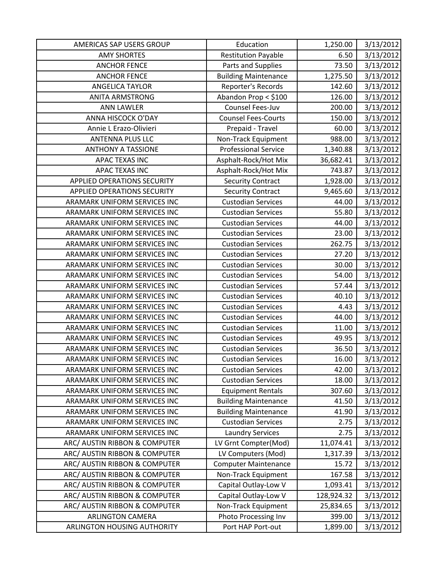| AMERICAS SAP USERS GROUP           | Education                   | 1,250.00   | 3/13/2012 |
|------------------------------------|-----------------------------|------------|-----------|
| <b>AMY SHORTES</b>                 | <b>Restitution Payable</b>  | 6.50       | 3/13/2012 |
| <b>ANCHOR FENCE</b>                | Parts and Supplies          | 73.50      | 3/13/2012 |
| <b>ANCHOR FENCE</b>                | <b>Building Maintenance</b> | 1,275.50   | 3/13/2012 |
| <b>ANGELICA TAYLOR</b>             | Reporter's Records          | 142.60     | 3/13/2012 |
| <b>ANITA ARMSTRONG</b>             | Abandon Prop < \$100        | 126.00     | 3/13/2012 |
| <b>ANN LAWLER</b>                  | Counsel Fees-Juv            | 200.00     | 3/13/2012 |
| ANNA HISCOCK O'DAY                 | <b>Counsel Fees-Courts</b>  | 150.00     | 3/13/2012 |
| Annie L Erazo-Olivieri             | Prepaid - Travel            | 60.00      | 3/13/2012 |
| <b>ANTENNA PLUS LLC</b>            | Non-Track Equipment         | 988.00     | 3/13/2012 |
| <b>ANTHONY A TASSIONE</b>          | <b>Professional Service</b> | 1,340.88   | 3/13/2012 |
| APAC TEXAS INC                     | Asphalt-Rock/Hot Mix        | 36,682.41  | 3/13/2012 |
| APAC TEXAS INC                     | Asphalt-Rock/Hot Mix        | 743.87     | 3/13/2012 |
| <b>APPLIED OPERATIONS SECURITY</b> | <b>Security Contract</b>    | 1,928.00   | 3/13/2012 |
| <b>APPLIED OPERATIONS SECURITY</b> | <b>Security Contract</b>    | 9,465.60   | 3/13/2012 |
| ARAMARK UNIFORM SERVICES INC       | <b>Custodian Services</b>   | 44.00      | 3/13/2012 |
| ARAMARK UNIFORM SERVICES INC       | <b>Custodian Services</b>   | 55.80      | 3/13/2012 |
| ARAMARK UNIFORM SERVICES INC       | <b>Custodian Services</b>   | 44.00      | 3/13/2012 |
| ARAMARK UNIFORM SERVICES INC       | <b>Custodian Services</b>   | 23.00      | 3/13/2012 |
| ARAMARK UNIFORM SERVICES INC       | <b>Custodian Services</b>   | 262.75     | 3/13/2012 |
| ARAMARK UNIFORM SERVICES INC       | <b>Custodian Services</b>   | 27.20      | 3/13/2012 |
| ARAMARK UNIFORM SERVICES INC       | <b>Custodian Services</b>   | 30.00      | 3/13/2012 |
| ARAMARK UNIFORM SERVICES INC       | <b>Custodian Services</b>   | 54.00      | 3/13/2012 |
| ARAMARK UNIFORM SERVICES INC       | <b>Custodian Services</b>   | 57.44      | 3/13/2012 |
| ARAMARK UNIFORM SERVICES INC       | <b>Custodian Services</b>   | 40.10      | 3/13/2012 |
| ARAMARK UNIFORM SERVICES INC       | <b>Custodian Services</b>   | 4.43       | 3/13/2012 |
| ARAMARK UNIFORM SERVICES INC       | <b>Custodian Services</b>   | 44.00      | 3/13/2012 |
| ARAMARK UNIFORM SERVICES INC       | <b>Custodian Services</b>   | 11.00      | 3/13/2012 |
| ARAMARK UNIFORM SERVICES INC       | <b>Custodian Services</b>   | 49.95      | 3/13/2012 |
| ARAMARK UNIFORM SERVICES INC       | <b>Custodian Services</b>   | 36.50      | 3/13/2012 |
| ARAMARK UNIFORM SERVICES INC       | <b>Custodian Services</b>   | 16.00      | 3/13/2012 |
| ARAMARK UNIFORM SERVICES INC       | <b>Custodian Services</b>   | 42.00      | 3/13/2012 |
| ARAMARK UNIFORM SERVICES INC       | <b>Custodian Services</b>   | 18.00      | 3/13/2012 |
| ARAMARK UNIFORM SERVICES INC       | <b>Equipment Rentals</b>    | 307.60     | 3/13/2012 |
| ARAMARK UNIFORM SERVICES INC       | <b>Building Maintenance</b> | 41.50      | 3/13/2012 |
| ARAMARK UNIFORM SERVICES INC       | <b>Building Maintenance</b> | 41.90      | 3/13/2012 |
| ARAMARK UNIFORM SERVICES INC       | <b>Custodian Services</b>   | 2.75       | 3/13/2012 |
| ARAMARK UNIFORM SERVICES INC       | <b>Laundry Services</b>     | 2.75       | 3/13/2012 |
| ARC/ AUSTIN RIBBON & COMPUTER      | LV Grnt Compter(Mod)        | 11,074.41  | 3/13/2012 |
| ARC/ AUSTIN RIBBON & COMPUTER      | LV Computers (Mod)          | 1,317.39   | 3/13/2012 |
| ARC/ AUSTIN RIBBON & COMPUTER      | <b>Computer Maintenance</b> | 15.72      | 3/13/2012 |
| ARC/ AUSTIN RIBBON & COMPUTER      | Non-Track Equipment         | 167.58     | 3/13/2012 |
| ARC/ AUSTIN RIBBON & COMPUTER      | Capital Outlay-Low V        | 1,093.41   | 3/13/2012 |
| ARC/ AUSTIN RIBBON & COMPUTER      | Capital Outlay-Low V        | 128,924.32 | 3/13/2012 |
| ARC/ AUSTIN RIBBON & COMPUTER      | Non-Track Equipment         | 25,834.65  | 3/13/2012 |
| <b>ARLINGTON CAMERA</b>            | Photo Processing Inv        | 399.00     | 3/13/2012 |
| ARLINGTON HOUSING AUTHORITY        | Port HAP Port-out           | 1,899.00   | 3/13/2012 |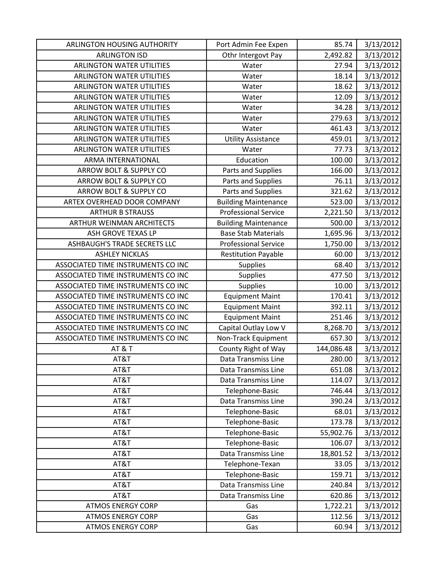| ARLINGTON HOUSING AUTHORITY        | Port Admin Fee Expen        | 85.74      | 3/13/2012 |
|------------------------------------|-----------------------------|------------|-----------|
| <b>ARLINGTON ISD</b>               | Othr Intergovt Pay          | 2,492.82   | 3/13/2012 |
| <b>ARLINGTON WATER UTILITIES</b>   | Water                       | 27.94      | 3/13/2012 |
| <b>ARLINGTON WATER UTILITIES</b>   | Water                       | 18.14      | 3/13/2012 |
| <b>ARLINGTON WATER UTILITIES</b>   | Water                       | 18.62      | 3/13/2012 |
| <b>ARLINGTON WATER UTILITIES</b>   | Water                       | 12.09      | 3/13/2012 |
| <b>ARLINGTON WATER UTILITIES</b>   | Water                       | 34.28      | 3/13/2012 |
| <b>ARLINGTON WATER UTILITIES</b>   | Water                       | 279.63     | 3/13/2012 |
| ARLINGTON WATER UTILITIES          | Water                       | 461.43     | 3/13/2012 |
| <b>ARLINGTON WATER UTILITIES</b>   | <b>Utility Assistance</b>   | 459.01     | 3/13/2012 |
| <b>ARLINGTON WATER UTILITIES</b>   | Water                       | 77.73      | 3/13/2012 |
| ARMA INTERNATIONAL                 | Education                   | 100.00     | 3/13/2012 |
| ARROW BOLT & SUPPLY CO             | Parts and Supplies          | 166.00     | 3/13/2012 |
| ARROW BOLT & SUPPLY CO             | Parts and Supplies          | 76.11      | 3/13/2012 |
| ARROW BOLT & SUPPLY CO             | Parts and Supplies          | 321.62     | 3/13/2012 |
| ARTEX OVERHEAD DOOR COMPANY        | <b>Building Maintenance</b> | 523.00     | 3/13/2012 |
| <b>ARTHUR B STRAUSS</b>            | <b>Professional Service</b> | 2,221.50   | 3/13/2012 |
| <b>ARTHUR WEINMAN ARCHITECTS</b>   | <b>Building Maintenance</b> | 500.00     | 3/13/2012 |
| ASH GROVE TEXAS LP                 | <b>Base Stab Materials</b>  | 1,695.96   | 3/13/2012 |
| ASHBAUGH'S TRADE SECRETS LLC       | <b>Professional Service</b> | 1,750.00   | 3/13/2012 |
| <b>ASHLEY NICKLAS</b>              | <b>Restitution Payable</b>  | 60.00      | 3/13/2012 |
| ASSOCIATED TIME INSTRUMENTS CO INC | Supplies                    | 68.40      | 3/13/2012 |
| ASSOCIATED TIME INSTRUMENTS CO INC | Supplies                    | 477.50     | 3/13/2012 |
| ASSOCIATED TIME INSTRUMENTS CO INC | <b>Supplies</b>             | 10.00      | 3/13/2012 |
| ASSOCIATED TIME INSTRUMENTS CO INC | <b>Equipment Maint</b>      | 170.41     | 3/13/2012 |
| ASSOCIATED TIME INSTRUMENTS CO INC | <b>Equipment Maint</b>      | 392.11     | 3/13/2012 |
| ASSOCIATED TIME INSTRUMENTS CO INC | <b>Equipment Maint</b>      | 251.46     | 3/13/2012 |
| ASSOCIATED TIME INSTRUMENTS CO INC | Capital Outlay Low V        | 8,268.70   | 3/13/2012 |
| ASSOCIATED TIME INSTRUMENTS CO INC | Non-Track Equipment         | 657.30     | 3/13/2012 |
| AT&T                               | County Right of Way         | 144,086.48 | 3/13/2012 |
| AT&T                               | <b>Data Transmiss Line</b>  | 280.00     | 3/13/2012 |
| AT&T                               | Data Transmiss Line         | 651.08     | 3/13/2012 |
| AT&T                               | Data Transmiss Line         | 114.07     | 3/13/2012 |
| AT&T                               | Telephone-Basic             | 746.44     | 3/13/2012 |
| AT&T                               | Data Transmiss Line         | 390.24     | 3/13/2012 |
| AT&T                               | Telephone-Basic             | 68.01      | 3/13/2012 |
| AT&T                               | Telephone-Basic             | 173.78     | 3/13/2012 |
| AT&T                               | Telephone-Basic             | 55,902.76  | 3/13/2012 |
| AT&T                               | Telephone-Basic             | 106.07     | 3/13/2012 |
| AT&T                               | Data Transmiss Line         | 18,801.52  | 3/13/2012 |
| AT&T                               | Telephone-Texan             | 33.05      | 3/13/2012 |
| AT&T                               | Telephone-Basic             | 159.71     | 3/13/2012 |
| AT&T                               | Data Transmiss Line         | 240.84     | 3/13/2012 |
| AT&T                               | Data Transmiss Line         | 620.86     | 3/13/2012 |
| <b>ATMOS ENERGY CORP</b>           | Gas                         | 1,722.21   | 3/13/2012 |
| <b>ATMOS ENERGY CORP</b>           | Gas                         | 112.56     | 3/13/2012 |
| <b>ATMOS ENERGY CORP</b>           | Gas                         | 60.94      | 3/13/2012 |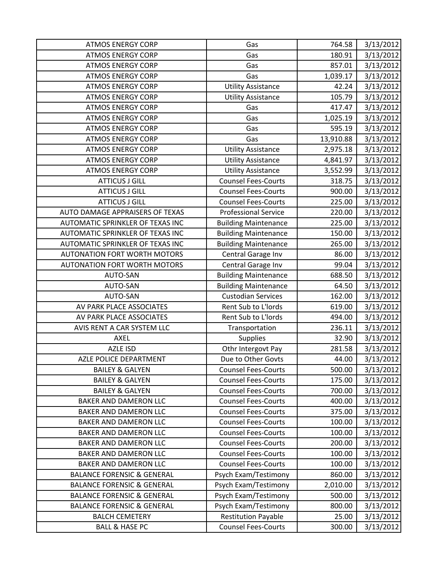| <b>ATMOS ENERGY CORP</b>              | Gas                         | 764.58    | 3/13/2012 |
|---------------------------------------|-----------------------------|-----------|-----------|
| <b>ATMOS ENERGY CORP</b>              | Gas                         | 180.91    | 3/13/2012 |
| <b>ATMOS ENERGY CORP</b>              | Gas                         | 857.01    | 3/13/2012 |
| <b>ATMOS ENERGY CORP</b>              | Gas                         | 1,039.17  | 3/13/2012 |
| <b>ATMOS ENERGY CORP</b>              | <b>Utility Assistance</b>   | 42.24     | 3/13/2012 |
| <b>ATMOS ENERGY CORP</b>              | <b>Utility Assistance</b>   | 105.79    | 3/13/2012 |
| <b>ATMOS ENERGY CORP</b>              | Gas                         | 417.47    | 3/13/2012 |
| <b>ATMOS ENERGY CORP</b>              | Gas                         | 1,025.19  | 3/13/2012 |
| <b>ATMOS ENERGY CORP</b>              | Gas                         | 595.19    | 3/13/2012 |
| <b>ATMOS ENERGY CORP</b>              | Gas                         | 13,910.88 | 3/13/2012 |
| <b>ATMOS ENERGY CORP</b>              | <b>Utility Assistance</b>   | 2,975.18  | 3/13/2012 |
| <b>ATMOS ENERGY CORP</b>              | <b>Utility Assistance</b>   | 4,841.97  | 3/13/2012 |
| <b>ATMOS ENERGY CORP</b>              | <b>Utility Assistance</b>   | 3,552.99  | 3/13/2012 |
| <b>ATTICUS J GILL</b>                 | <b>Counsel Fees-Courts</b>  | 318.75    | 3/13/2012 |
| <b>ATTICUS J GILL</b>                 | <b>Counsel Fees-Courts</b>  | 900.00    | 3/13/2012 |
| <b>ATTICUS J GILL</b>                 | <b>Counsel Fees-Courts</b>  | 225.00    | 3/13/2012 |
| AUTO DAMAGE APPRAISERS OF TEXAS       | <b>Professional Service</b> | 220.00    | 3/13/2012 |
| AUTOMATIC SPRINKLER OF TEXAS INC      | <b>Building Maintenance</b> | 225.00    | 3/13/2012 |
| AUTOMATIC SPRINKLER OF TEXAS INC      | <b>Building Maintenance</b> | 150.00    | 3/13/2012 |
| AUTOMATIC SPRINKLER OF TEXAS INC      | <b>Building Maintenance</b> | 265.00    | 3/13/2012 |
| <b>AUTONATION FORT WORTH MOTORS</b>   | Central Garage Inv          | 86.00     | 3/13/2012 |
| <b>AUTONATION FORT WORTH MOTORS</b>   | Central Garage Inv          | 99.04     | 3/13/2012 |
| AUTO-SAN                              | <b>Building Maintenance</b> | 688.50    | 3/13/2012 |
| AUTO-SAN                              | <b>Building Maintenance</b> | 64.50     | 3/13/2012 |
| <b>AUTO-SAN</b>                       | <b>Custodian Services</b>   | 162.00    | 3/13/2012 |
| AV PARK PLACE ASSOCIATES              | Rent Sub to L'Iords         | 619.00    | 3/13/2012 |
| AV PARK PLACE ASSOCIATES              | Rent Sub to L'Iords         | 494.00    | 3/13/2012 |
| AVIS RENT A CAR SYSTEM LLC            | Transportation              | 236.11    | 3/13/2012 |
| AXEL                                  | Supplies                    | 32.90     | 3/13/2012 |
| <b>AZLE ISD</b>                       | Othr Intergovt Pay          | 281.58    | 3/13/2012 |
| AZLE POLICE DEPARTMENT                | Due to Other Govts          | 44.00     | 3/13/2012 |
| <b>BAILEY &amp; GALYEN</b>            | <b>Counsel Fees-Courts</b>  | 500.00    | 3/13/2012 |
| <b>BAILEY &amp; GALYEN</b>            | <b>Counsel Fees-Courts</b>  | 175.00    | 3/13/2012 |
| <b>BAILEY &amp; GALYEN</b>            | <b>Counsel Fees-Courts</b>  | 700.00    | 3/13/2012 |
| <b>BAKER AND DAMERON LLC</b>          | <b>Counsel Fees-Courts</b>  | 400.00    | 3/13/2012 |
| <b>BAKER AND DAMERON LLC</b>          | <b>Counsel Fees-Courts</b>  | 375.00    | 3/13/2012 |
| BAKER AND DAMERON LLC                 | <b>Counsel Fees-Courts</b>  | 100.00    | 3/13/2012 |
| <b>BAKER AND DAMERON LLC</b>          | <b>Counsel Fees-Courts</b>  | 100.00    | 3/13/2012 |
| BAKER AND DAMERON LLC                 | <b>Counsel Fees-Courts</b>  | 200.00    | 3/13/2012 |
| <b>BAKER AND DAMERON LLC</b>          | <b>Counsel Fees-Courts</b>  | 100.00    | 3/13/2012 |
| BAKER AND DAMERON LLC                 | <b>Counsel Fees-Courts</b>  | 100.00    | 3/13/2012 |
| <b>BALANCE FORENSIC &amp; GENERAL</b> | Psych Exam/Testimony        | 860.00    | 3/13/2012 |
| <b>BALANCE FORENSIC &amp; GENERAL</b> | Psych Exam/Testimony        | 2,010.00  | 3/13/2012 |
| <b>BALANCE FORENSIC &amp; GENERAL</b> | Psych Exam/Testimony        | 500.00    | 3/13/2012 |
| <b>BALANCE FORENSIC &amp; GENERAL</b> | Psych Exam/Testimony        | 800.00    | 3/13/2012 |
| <b>BALCH CEMETERY</b>                 | <b>Restitution Payable</b>  | 25.00     | 3/13/2012 |
| <b>BALL &amp; HASE PC</b>             | <b>Counsel Fees-Courts</b>  | 300.00    | 3/13/2012 |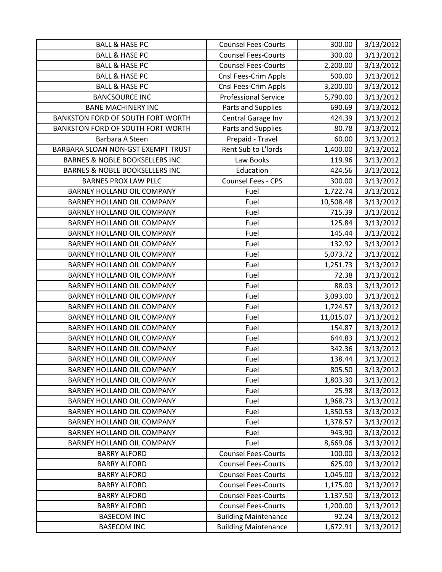| <b>BALL &amp; HASE PC</b>                 | <b>Counsel Fees-Courts</b>  | 300.00    | 3/13/2012 |
|-------------------------------------------|-----------------------------|-----------|-----------|
| <b>BALL &amp; HASE PC</b>                 | <b>Counsel Fees-Courts</b>  | 300.00    | 3/13/2012 |
| <b>BALL &amp; HASE PC</b>                 | <b>Counsel Fees-Courts</b>  | 2,200.00  | 3/13/2012 |
| <b>BALL &amp; HASE PC</b>                 | Cnsl Fees-Crim Appls        | 500.00    | 3/13/2012 |
| <b>BALL &amp; HASE PC</b>                 | Cnsl Fees-Crim Appls        | 3,200.00  | 3/13/2012 |
| <b>BANCSOURCE INC</b>                     | <b>Professional Service</b> | 5,790.00  | 3/13/2012 |
| <b>BANE MACHINERY INC</b>                 | Parts and Supplies          | 690.69    | 3/13/2012 |
| <b>BANKSTON FORD OF SOUTH FORT WORTH</b>  | Central Garage Inv          | 424.39    | 3/13/2012 |
| BANKSTON FORD OF SOUTH FORT WORTH         | Parts and Supplies          | 80.78     | 3/13/2012 |
| Barbara A Steen                           | Prepaid - Travel            | 60.00     | 3/13/2012 |
| BARBARA SLOAN NON-GST EXEMPT TRUST        | Rent Sub to L'Iords         | 1,400.00  | 3/13/2012 |
| <b>BARNES &amp; NOBLE BOOKSELLERS INC</b> | Law Books                   | 119.96    | 3/13/2012 |
| <b>BARNES &amp; NOBLE BOOKSELLERS INC</b> | Education                   | 424.56    | 3/13/2012 |
| <b>BARNES PROX LAW PLLC</b>               | Counsel Fees - CPS          | 300.00    | 3/13/2012 |
| BARNEY HOLLAND OIL COMPANY                | Fuel                        | 1,722.74  | 3/13/2012 |
| <b>BARNEY HOLLAND OIL COMPANY</b>         | Fuel                        | 10,508.48 | 3/13/2012 |
| BARNEY HOLLAND OIL COMPANY                | Fuel                        | 715.39    | 3/13/2012 |
| BARNEY HOLLAND OIL COMPANY                | Fuel                        | 125.84    | 3/13/2012 |
| <b>BARNEY HOLLAND OIL COMPANY</b>         | Fuel                        | 145.44    | 3/13/2012 |
| <b>BARNEY HOLLAND OIL COMPANY</b>         | Fuel                        | 132.92    | 3/13/2012 |
| BARNEY HOLLAND OIL COMPANY                | Fuel                        | 5,073.72  | 3/13/2012 |
| BARNEY HOLLAND OIL COMPANY                | Fuel                        | 1,251.73  | 3/13/2012 |
| BARNEY HOLLAND OIL COMPANY                | Fuel                        | 72.38     | 3/13/2012 |
| BARNEY HOLLAND OIL COMPANY                | Fuel                        | 88.03     | 3/13/2012 |
| <b>BARNEY HOLLAND OIL COMPANY</b>         | Fuel                        | 3,093.00  | 3/13/2012 |
| BARNEY HOLLAND OIL COMPANY                | Fuel                        | 1,724.57  | 3/13/2012 |
| <b>BARNEY HOLLAND OIL COMPANY</b>         | Fuel                        | 11,015.07 | 3/13/2012 |
| BARNEY HOLLAND OIL COMPANY                | Fuel                        | 154.87    | 3/13/2012 |
| <b>BARNEY HOLLAND OIL COMPANY</b>         | Fuel                        | 644.83    | 3/13/2012 |
| BARNEY HOLLAND OIL COMPANY                | Fuel                        | 342.36    | 3/13/2012 |
| <b>BARNEY HOLLAND OIL COMPANY</b>         | Fuel                        | 138.44    | 3/13/2012 |
| BARNEY HOLLAND OIL COMPANY                | Fuel                        | 805.50    | 3/13/2012 |
| BARNEY HOLLAND OIL COMPANY                | Fuel                        | 1,803.30  | 3/13/2012 |
| BARNEY HOLLAND OIL COMPANY                | Fuel                        | 25.98     | 3/13/2012 |
| BARNEY HOLLAND OIL COMPANY                | Fuel                        | 1,968.73  | 3/13/2012 |
| <b>BARNEY HOLLAND OIL COMPANY</b>         | Fuel                        | 1,350.53  | 3/13/2012 |
| <b>BARNEY HOLLAND OIL COMPANY</b>         | Fuel                        | 1,378.57  | 3/13/2012 |
| BARNEY HOLLAND OIL COMPANY                | Fuel                        | 943.90    | 3/13/2012 |
| BARNEY HOLLAND OIL COMPANY                | Fuel                        | 8,669.06  | 3/13/2012 |
| <b>BARRY ALFORD</b>                       | <b>Counsel Fees-Courts</b>  | 100.00    | 3/13/2012 |
| <b>BARRY ALFORD</b>                       | <b>Counsel Fees-Courts</b>  | 625.00    | 3/13/2012 |
| <b>BARRY ALFORD</b>                       | <b>Counsel Fees-Courts</b>  | 1,045.00  | 3/13/2012 |
| <b>BARRY ALFORD</b>                       | <b>Counsel Fees-Courts</b>  | 1,175.00  | 3/13/2012 |
| <b>BARRY ALFORD</b>                       | <b>Counsel Fees-Courts</b>  | 1,137.50  | 3/13/2012 |
| <b>BARRY ALFORD</b>                       | <b>Counsel Fees-Courts</b>  | 1,200.00  | 3/13/2012 |
| <b>BASECOM INC</b>                        | <b>Building Maintenance</b> | 92.24     | 3/13/2012 |
| <b>BASECOM INC</b>                        | <b>Building Maintenance</b> | 1,672.91  | 3/13/2012 |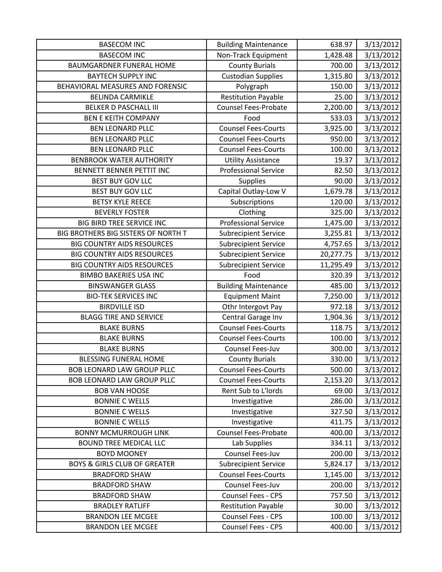| <b>BASECOM INC</b>                      | <b>Building Maintenance</b> | 638.97    | 3/13/2012 |
|-----------------------------------------|-----------------------------|-----------|-----------|
| <b>BASECOM INC</b>                      | Non-Track Equipment         | 1,428.48  | 3/13/2012 |
| <b>BAUMGARDNER FUNERAL HOME</b>         | <b>County Burials</b>       | 700.00    | 3/13/2012 |
| <b>BAYTECH SUPPLY INC</b>               | <b>Custodian Supplies</b>   | 1,315.80  | 3/13/2012 |
| BEHAVIORAL MEASURES AND FORENSIC        | Polygraph                   | 150.00    | 3/13/2012 |
| <b>BELINDA CARMIKLE</b>                 | <b>Restitution Payable</b>  | 25.00     | 3/13/2012 |
| <b>BELKER D PASCHALL III</b>            | <b>Counsel Fees-Probate</b> | 2,200.00  | 3/13/2012 |
| <b>BEN E KEITH COMPANY</b>              | Food                        | 533.03    | 3/13/2012 |
| <b>BEN LEONARD PLLC</b>                 | <b>Counsel Fees-Courts</b>  | 3,925.00  | 3/13/2012 |
| <b>BEN LEONARD PLLC</b>                 | <b>Counsel Fees-Courts</b>  | 950.00    | 3/13/2012 |
| <b>BEN LEONARD PLLC</b>                 | <b>Counsel Fees-Courts</b>  | 100.00    | 3/13/2012 |
| <b>BENBROOK WATER AUTHORITY</b>         | <b>Utility Assistance</b>   | 19.37     | 3/13/2012 |
| BENNETT BENNER PETTIT INC               | <b>Professional Service</b> | 82.50     | 3/13/2012 |
| <b>BEST BUY GOV LLC</b>                 | Supplies                    | 90.00     | 3/13/2012 |
| <b>BEST BUY GOV LLC</b>                 | Capital Outlay-Low V        | 1,679.78  | 3/13/2012 |
| <b>BETSY KYLE REECE</b>                 | Subscriptions               | 120.00    | 3/13/2012 |
| <b>BEVERLY FOSTER</b>                   | Clothing                    | 325.00    | 3/13/2012 |
| BIG BIRD TREE SERVICE INC               | <b>Professional Service</b> | 1,475.00  | 3/13/2012 |
| BIG BROTHERS BIG SISTERS OF NORTH T     | <b>Subrecipient Service</b> | 3,255.81  | 3/13/2012 |
| <b>BIG COUNTRY AIDS RESOURCES</b>       | <b>Subrecipient Service</b> | 4,757.65  | 3/13/2012 |
| <b>BIG COUNTRY AIDS RESOURCES</b>       | <b>Subrecipient Service</b> | 20,277.75 | 3/13/2012 |
| <b>BIG COUNTRY AIDS RESOURCES</b>       | <b>Subrecipient Service</b> | 11,295.49 | 3/13/2012 |
| <b>BIMBO BAKERIES USA INC</b>           | Food                        | 320.39    | 3/13/2012 |
| <b>BINSWANGER GLASS</b>                 | <b>Building Maintenance</b> | 485.00    | 3/13/2012 |
| <b>BIO-TEK SERVICES INC</b>             | <b>Equipment Maint</b>      | 7,250.00  | 3/13/2012 |
| <b>BIRDVILLE ISD</b>                    | Othr Intergovt Pay          | 972.18    | 3/13/2012 |
| <b>BLAGG TIRE AND SERVICE</b>           | Central Garage Inv          | 1,904.36  | 3/13/2012 |
| <b>BLAKE BURNS</b>                      | <b>Counsel Fees-Courts</b>  | 118.75    | 3/13/2012 |
| <b>BLAKE BURNS</b>                      | <b>Counsel Fees-Courts</b>  | 100.00    | 3/13/2012 |
| <b>BLAKE BURNS</b>                      | Counsel Fees-Juv            | 300.00    | 3/13/2012 |
| <b>BLESSING FUNERAL HOME</b>            | <b>County Burials</b>       | 330.00    | 3/13/2012 |
| <b>BOB LEONARD LAW GROUP PLLC</b>       | <b>Counsel Fees-Courts</b>  | 500.00    | 3/13/2012 |
| <b>BOB LEONARD LAW GROUP PLLC</b>       | <b>Counsel Fees-Courts</b>  | 2,153.20  | 3/13/2012 |
| <b>BOB VAN HOOSE</b>                    | Rent Sub to L'Iords         | 69.00     | 3/13/2012 |
| <b>BONNIE C WELLS</b>                   | Investigative               | 286.00    | 3/13/2012 |
| <b>BONNIE C WELLS</b>                   | Investigative               | 327.50    | 3/13/2012 |
| <b>BONNIE C WELLS</b>                   | Investigative               | 411.75    | 3/13/2012 |
| <b>BONNY MCMURROUGH LINK</b>            | <b>Counsel Fees-Probate</b> | 400.00    | 3/13/2012 |
| <b>BOUND TREE MEDICAL LLC</b>           | Lab Supplies                | 334.11    | 3/13/2012 |
| <b>BOYD MOONEY</b>                      | Counsel Fees-Juv            | 200.00    | 3/13/2012 |
| <b>BOYS &amp; GIRLS CLUB OF GREATER</b> | <b>Subrecipient Service</b> | 5,824.17  | 3/13/2012 |
| <b>BRADFORD SHAW</b>                    | <b>Counsel Fees-Courts</b>  | 1,145.00  | 3/13/2012 |
| <b>BRADFORD SHAW</b>                    | Counsel Fees-Juv            | 200.00    | 3/13/2012 |
| <b>BRADFORD SHAW</b>                    | Counsel Fees - CPS          | 757.50    | 3/13/2012 |
| <b>BRADLEY RATLIFF</b>                  | <b>Restitution Payable</b>  | 30.00     | 3/13/2012 |
| <b>BRANDON LEE MCGEE</b>                | Counsel Fees - CPS          | 100.00    | 3/13/2012 |
| <b>BRANDON LEE MCGEE</b>                | Counsel Fees - CPS          | 400.00    | 3/13/2012 |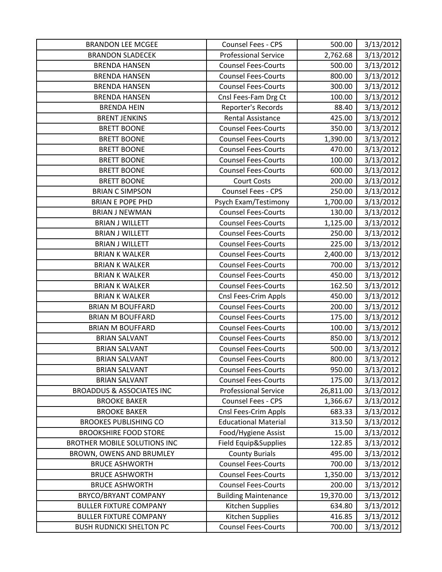| <b>BRANDON LEE MCGEE</b>             | Counsel Fees - CPS          | 500.00    | 3/13/2012 |
|--------------------------------------|-----------------------------|-----------|-----------|
| <b>BRANDON SLADECEK</b>              | <b>Professional Service</b> | 2,762.68  | 3/13/2012 |
| <b>BRENDA HANSEN</b>                 | <b>Counsel Fees-Courts</b>  | 500.00    | 3/13/2012 |
| <b>BRENDA HANSEN</b>                 | <b>Counsel Fees-Courts</b>  | 800.00    | 3/13/2012 |
| <b>BRENDA HANSEN</b>                 | <b>Counsel Fees-Courts</b>  | 300.00    | 3/13/2012 |
| <b>BRENDA HANSEN</b>                 | Cnsl Fees-Fam Drg Ct        | 100.00    | 3/13/2012 |
| <b>BRENDA HEIN</b>                   | Reporter's Records          | 88.40     | 3/13/2012 |
| <b>BRENT JENKINS</b>                 | Rental Assistance           | 425.00    | 3/13/2012 |
| <b>BRETT BOONE</b>                   | <b>Counsel Fees-Courts</b>  | 350.00    | 3/13/2012 |
| <b>BRETT BOONE</b>                   | <b>Counsel Fees-Courts</b>  | 1,390.00  | 3/13/2012 |
| <b>BRETT BOONE</b>                   | <b>Counsel Fees-Courts</b>  | 470.00    | 3/13/2012 |
| <b>BRETT BOONE</b>                   | <b>Counsel Fees-Courts</b>  | 100.00    | 3/13/2012 |
| <b>BRETT BOONE</b>                   | <b>Counsel Fees-Courts</b>  | 600.00    | 3/13/2012 |
| <b>BRETT BOONE</b>                   | <b>Court Costs</b>          | 200.00    | 3/13/2012 |
| <b>BRIAN C SIMPSON</b>               | Counsel Fees - CPS          | 250.00    | 3/13/2012 |
| <b>BRIAN E POPE PHD</b>              | Psych Exam/Testimony        | 1,700.00  | 3/13/2012 |
| <b>BRIAN J NEWMAN</b>                | <b>Counsel Fees-Courts</b>  | 130.00    | 3/13/2012 |
| <b>BRIAN J WILLETT</b>               | <b>Counsel Fees-Courts</b>  | 1,125.00  | 3/13/2012 |
| <b>BRIAN J WILLETT</b>               | <b>Counsel Fees-Courts</b>  | 250.00    | 3/13/2012 |
| <b>BRIAN J WILLETT</b>               | <b>Counsel Fees-Courts</b>  | 225.00    | 3/13/2012 |
| <b>BRIAN K WALKER</b>                | <b>Counsel Fees-Courts</b>  | 2,400.00  | 3/13/2012 |
| <b>BRIAN K WALKER</b>                | <b>Counsel Fees-Courts</b>  | 700.00    | 3/13/2012 |
| <b>BRIAN K WALKER</b>                | <b>Counsel Fees-Courts</b>  | 450.00    | 3/13/2012 |
| <b>BRIAN K WALKER</b>                | <b>Counsel Fees-Courts</b>  | 162.50    | 3/13/2012 |
| <b>BRIAN K WALKER</b>                | Cnsl Fees-Crim Appls        | 450.00    | 3/13/2012 |
| <b>BRIAN M BOUFFARD</b>              | <b>Counsel Fees-Courts</b>  | 200.00    | 3/13/2012 |
| <b>BRIAN M BOUFFARD</b>              | <b>Counsel Fees-Courts</b>  | 175.00    | 3/13/2012 |
| <b>BRIAN M BOUFFARD</b>              | <b>Counsel Fees-Courts</b>  | 100.00    | 3/13/2012 |
| <b>BRIAN SALVANT</b>                 | <b>Counsel Fees-Courts</b>  | 850.00    | 3/13/2012 |
| <b>BRIAN SALVANT</b>                 | <b>Counsel Fees-Courts</b>  | 500.00    | 3/13/2012 |
| <b>BRIAN SALVANT</b>                 | <b>Counsel Fees-Courts</b>  | 800.00    | 3/13/2012 |
| <b>BRIAN SALVANT</b>                 | <b>Counsel Fees-Courts</b>  | 950.00    | 3/13/2012 |
| <b>BRIAN SALVANT</b>                 | <b>Counsel Fees-Courts</b>  | 175.00    | 3/13/2012 |
| <b>BROADDUS &amp; ASSOCIATES INC</b> | <b>Professional Service</b> | 26,811.00 | 3/13/2012 |
| <b>BROOKE BAKER</b>                  | Counsel Fees - CPS          | 1,366.67  | 3/13/2012 |
| <b>BROOKE BAKER</b>                  | Cnsl Fees-Crim Appls        | 683.33    | 3/13/2012 |
| <b>BROOKES PUBLISHING CO</b>         | <b>Educational Material</b> | 313.50    | 3/13/2012 |
| <b>BROOKSHIRE FOOD STORE</b>         | Food/Hygiene Assist         | 15.00     | 3/13/2012 |
| <b>BROTHER MOBILE SOLUTIONS INC</b>  | Field Equip&Supplies        | 122.85    | 3/13/2012 |
| BROWN, OWENS AND BRUMLEY             | <b>County Burials</b>       | 495.00    | 3/13/2012 |
| <b>BRUCE ASHWORTH</b>                | <b>Counsel Fees-Courts</b>  | 700.00    | 3/13/2012 |
| <b>BRUCE ASHWORTH</b>                | <b>Counsel Fees-Courts</b>  | 1,350.00  | 3/13/2012 |
| <b>BRUCE ASHWORTH</b>                | <b>Counsel Fees-Courts</b>  | 200.00    | 3/13/2012 |
| <b>BRYCO/BRYANT COMPANY</b>          | <b>Building Maintenance</b> | 19,370.00 | 3/13/2012 |
| <b>BULLER FIXTURE COMPANY</b>        | Kitchen Supplies            | 634.80    | 3/13/2012 |
| <b>BULLER FIXTURE COMPANY</b>        | Kitchen Supplies            | 416.85    | 3/13/2012 |
| <b>BUSH RUDNICKI SHELTON PC</b>      | <b>Counsel Fees-Courts</b>  | 700.00    | 3/13/2012 |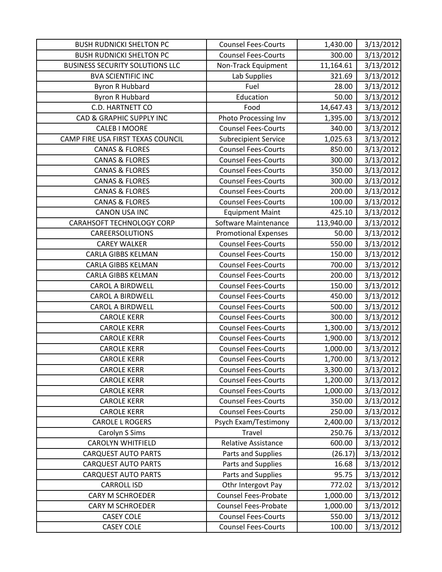| <b>BUSH RUDNICKI SHELTON PC</b>        | <b>Counsel Fees-Courts</b>  | 1,430.00   | 3/13/2012 |
|----------------------------------------|-----------------------------|------------|-----------|
| <b>BUSH RUDNICKI SHELTON PC</b>        | <b>Counsel Fees-Courts</b>  | 300.00     | 3/13/2012 |
| <b>BUSINESS SECURITY SOLUTIONS LLC</b> | Non-Track Equipment         | 11,164.61  | 3/13/2012 |
| <b>BVA SCIENTIFIC INC</b>              | Lab Supplies                | 321.69     | 3/13/2012 |
| <b>Byron R Hubbard</b>                 | Fuel                        | 28.00      | 3/13/2012 |
| Byron R Hubbard                        | Education                   | 50.00      | 3/13/2012 |
| C.D. HARTNETT CO                       | Food                        | 14,647.43  | 3/13/2012 |
| CAD & GRAPHIC SUPPLY INC               | Photo Processing Inv        | 1,395.00   | 3/13/2012 |
| <b>CALEB I MOORE</b>                   | <b>Counsel Fees-Courts</b>  | 340.00     | 3/13/2012 |
| CAMP FIRE USA FIRST TEXAS COUNCIL      | <b>Subrecipient Service</b> | 1,025.63   | 3/13/2012 |
| <b>CANAS &amp; FLORES</b>              | <b>Counsel Fees-Courts</b>  | 850.00     | 3/13/2012 |
| <b>CANAS &amp; FLORES</b>              | <b>Counsel Fees-Courts</b>  | 300.00     | 3/13/2012 |
| <b>CANAS &amp; FLORES</b>              | <b>Counsel Fees-Courts</b>  | 350.00     | 3/13/2012 |
| <b>CANAS &amp; FLORES</b>              | <b>Counsel Fees-Courts</b>  | 300.00     | 3/13/2012 |
| <b>CANAS &amp; FLORES</b>              | <b>Counsel Fees-Courts</b>  | 200.00     | 3/13/2012 |
| <b>CANAS &amp; FLORES</b>              | <b>Counsel Fees-Courts</b>  | 100.00     | 3/13/2012 |
| <b>CANON USA INC</b>                   | <b>Equipment Maint</b>      | 425.10     | 3/13/2012 |
| <b>CARAHSOFT TECHNOLOGY CORP</b>       | Software Maintenance        | 113,940.00 | 3/13/2012 |
| CAREERSOLUTIONS                        | <b>Promotional Expenses</b> | 50.00      | 3/13/2012 |
| <b>CAREY WALKER</b>                    | <b>Counsel Fees-Courts</b>  | 550.00     | 3/13/2012 |
| <b>CARLA GIBBS KELMAN</b>              | <b>Counsel Fees-Courts</b>  | 150.00     | 3/13/2012 |
| <b>CARLA GIBBS KELMAN</b>              | <b>Counsel Fees-Courts</b>  | 700.00     | 3/13/2012 |
| <b>CARLA GIBBS KELMAN</b>              | <b>Counsel Fees-Courts</b>  | 200.00     | 3/13/2012 |
| <b>CAROL A BIRDWELL</b>                | <b>Counsel Fees-Courts</b>  | 150.00     | 3/13/2012 |
| <b>CAROL A BIRDWELL</b>                | <b>Counsel Fees-Courts</b>  | 450.00     | 3/13/2012 |
| <b>CAROL A BIRDWELL</b>                | <b>Counsel Fees-Courts</b>  | 500.00     | 3/13/2012 |
| <b>CAROLE KERR</b>                     | <b>Counsel Fees-Courts</b>  | 300.00     | 3/13/2012 |
| <b>CAROLE KERR</b>                     | <b>Counsel Fees-Courts</b>  | 1,300.00   | 3/13/2012 |
| <b>CAROLE KERR</b>                     | <b>Counsel Fees-Courts</b>  | 1,900.00   | 3/13/2012 |
| <b>CAROLE KERR</b>                     | <b>Counsel Fees-Courts</b>  | 1,000.00   | 3/13/2012 |
| <b>CAROLE KERR</b>                     | <b>Counsel Fees-Courts</b>  | 1,700.00   | 3/13/2012 |
| <b>CAROLE KERR</b>                     | <b>Counsel Fees-Courts</b>  | 3,300.00   | 3/13/2012 |
| <b>CAROLE KERR</b>                     | <b>Counsel Fees-Courts</b>  | 1,200.00   | 3/13/2012 |
| <b>CAROLE KERR</b>                     | <b>Counsel Fees-Courts</b>  | 1,000.00   | 3/13/2012 |
| <b>CAROLE KERR</b>                     | <b>Counsel Fees-Courts</b>  | 350.00     | 3/13/2012 |
| <b>CAROLE KERR</b>                     | <b>Counsel Fees-Courts</b>  | 250.00     | 3/13/2012 |
| <b>CAROLE L ROGERS</b>                 | Psych Exam/Testimony        | 2,400.00   | 3/13/2012 |
| Carolyn S Sims                         | Travel                      | 250.76     | 3/13/2012 |
| <b>CAROLYN WHITFIELD</b>               | <b>Relative Assistance</b>  | 600.00     | 3/13/2012 |
| <b>CARQUEST AUTO PARTS</b>             | Parts and Supplies          | (26.17)    | 3/13/2012 |
| <b>CARQUEST AUTO PARTS</b>             | Parts and Supplies          | 16.68      | 3/13/2012 |
| <b>CARQUEST AUTO PARTS</b>             | Parts and Supplies          | 95.75      | 3/13/2012 |
| <b>CARROLL ISD</b>                     | Othr Intergovt Pay          | 772.02     | 3/13/2012 |
| <b>CARY M SCHROEDER</b>                | <b>Counsel Fees-Probate</b> | 1,000.00   | 3/13/2012 |
| <b>CARY M SCHROEDER</b>                | <b>Counsel Fees-Probate</b> | 1,000.00   | 3/13/2012 |
| <b>CASEY COLE</b>                      | <b>Counsel Fees-Courts</b>  | 550.00     | 3/13/2012 |
| <b>CASEY COLE</b>                      | <b>Counsel Fees-Courts</b>  | 100.00     | 3/13/2012 |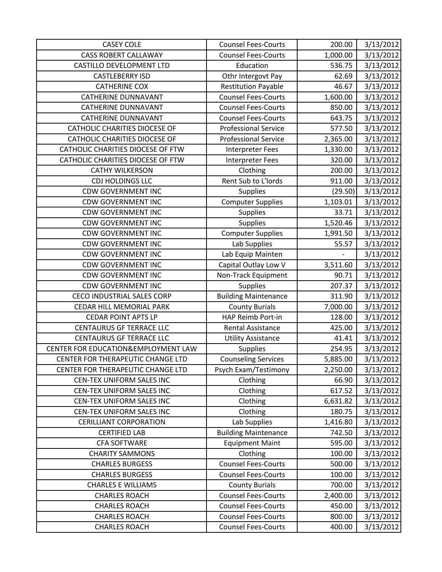| <b>CASEY COLE</b>                    | <b>Counsel Fees-Courts</b>  | 200.00   | 3/13/2012 |
|--------------------------------------|-----------------------------|----------|-----------|
| <b>CASS ROBERT CALLAWAY</b>          | <b>Counsel Fees-Courts</b>  | 1,000.00 | 3/13/2012 |
| CASTILLO DEVELOPMENT LTD             | Education                   | 536.75   | 3/13/2012 |
| <b>CASTLEBERRY ISD</b>               | Othr Intergovt Pay          | 62.69    | 3/13/2012 |
| <b>CATHERINE COX</b>                 | <b>Restitution Payable</b>  | 46.67    | 3/13/2012 |
| <b>CATHERINE DUNNAVANT</b>           | <b>Counsel Fees-Courts</b>  | 1,600.00 | 3/13/2012 |
| <b>CATHERINE DUNNAVANT</b>           | <b>Counsel Fees-Courts</b>  | 850.00   | 3/13/2012 |
| <b>CATHERINE DUNNAVANT</b>           | <b>Counsel Fees-Courts</b>  | 643.75   | 3/13/2012 |
| CATHOLIC CHARITIES DIOCESE OF        | <b>Professional Service</b> | 577.50   | 3/13/2012 |
| <b>CATHOLIC CHARITIES DIOCESE OF</b> | <b>Professional Service</b> | 2,365.00 | 3/13/2012 |
| CATHOLIC CHARITIES DIOCESE OF FTW    | <b>Interpreter Fees</b>     | 1,330.00 | 3/13/2012 |
| CATHOLIC CHARITIES DIOCESE OF FTW    | <b>Interpreter Fees</b>     | 320.00   | 3/13/2012 |
| <b>CATHY WILKERSON</b>               | Clothing                    | 200.00   | 3/13/2012 |
| CDJ HOLDINGS LLC                     | Rent Sub to L'Iords         | 911.00   | 3/13/2012 |
| <b>CDW GOVERNMENT INC</b>            | <b>Supplies</b>             | (29.50)  | 3/13/2012 |
| <b>CDW GOVERNMENT INC</b>            | <b>Computer Supplies</b>    | 1,103.01 | 3/13/2012 |
| <b>CDW GOVERNMENT INC</b>            | Supplies                    | 33.71    | 3/13/2012 |
| <b>CDW GOVERNMENT INC</b>            | Supplies                    | 1,520.46 | 3/13/2012 |
| <b>CDW GOVERNMENT INC</b>            | <b>Computer Supplies</b>    | 1,991.50 | 3/13/2012 |
| <b>CDW GOVERNMENT INC</b>            | Lab Supplies                | 55.57    | 3/13/2012 |
| <b>CDW GOVERNMENT INC</b>            | Lab Equip Mainten           |          | 3/13/2012 |
| <b>CDW GOVERNMENT INC</b>            | Capital Outlay Low V        | 3,511.60 | 3/13/2012 |
| <b>CDW GOVERNMENT INC</b>            | Non-Track Equipment         | 90.71    | 3/13/2012 |
| <b>CDW GOVERNMENT INC</b>            | <b>Supplies</b>             | 207.37   | 3/13/2012 |
| <b>CECO INDUSTRIAL SALES CORP</b>    | <b>Building Maintenance</b> | 311.90   | 3/13/2012 |
| CEDAR HILL MEMORIAL PARK             | <b>County Burials</b>       | 7,000.00 | 3/13/2012 |
| <b>CEDAR POINT APTS LP</b>           | HAP Reimb Port-in           | 128.00   | 3/13/2012 |
| <b>CENTAURUS GF TERRACE LLC</b>      | Rental Assistance           | 425.00   | 3/13/2012 |
| <b>CENTAURUS GF TERRACE LLC</b>      | <b>Utility Assistance</b>   | 41.41    | 3/13/2012 |
| CENTER FOR EDUCATION&EMPLOYMENT LAW  | <b>Supplies</b>             | 254.95   | 3/13/2012 |
| CENTER FOR THERAPEUTIC CHANGE LTD    | <b>Counseling Services</b>  | 5,885.00 | 3/13/2012 |
| CENTER FOR THERAPEUTIC CHANGE LTD    | Psych Exam/Testimony        | 2,250.00 | 3/13/2012 |
| CEN-TEX UNIFORM SALES INC            | Clothing                    | 66.90    | 3/13/2012 |
| CEN-TEX UNIFORM SALES INC            | Clothing                    | 617.52   | 3/13/2012 |
| CEN-TEX UNIFORM SALES INC            | Clothing                    | 6,631.82 | 3/13/2012 |
| CEN-TEX UNIFORM SALES INC            | Clothing                    | 180.75   | 3/13/2012 |
| <b>CERILLIANT CORPORATION</b>        | Lab Supplies                | 1,416.80 | 3/13/2012 |
| <b>CERTIFIED LAB</b>                 | <b>Building Maintenance</b> | 742.50   | 3/13/2012 |
| <b>CFA SOFTWARE</b>                  | <b>Equipment Maint</b>      | 595.00   | 3/13/2012 |
| <b>CHARITY SAMMONS</b>               | Clothing                    | 100.00   | 3/13/2012 |
| <b>CHARLES BURGESS</b>               | <b>Counsel Fees-Courts</b>  | 500.00   | 3/13/2012 |
| <b>CHARLES BURGESS</b>               | <b>Counsel Fees-Courts</b>  | 100.00   | 3/13/2012 |
| <b>CHARLES E WILLIAMS</b>            | <b>County Burials</b>       | 700.00   | 3/13/2012 |
| <b>CHARLES ROACH</b>                 | <b>Counsel Fees-Courts</b>  | 2,400.00 | 3/13/2012 |
| <b>CHARLES ROACH</b>                 | <b>Counsel Fees-Courts</b>  | 450.00   | 3/13/2012 |
| <b>CHARLES ROACH</b>                 | <b>Counsel Fees-Courts</b>  | 800.00   | 3/13/2012 |
| <b>CHARLES ROACH</b>                 | <b>Counsel Fees-Courts</b>  | 400.00   | 3/13/2012 |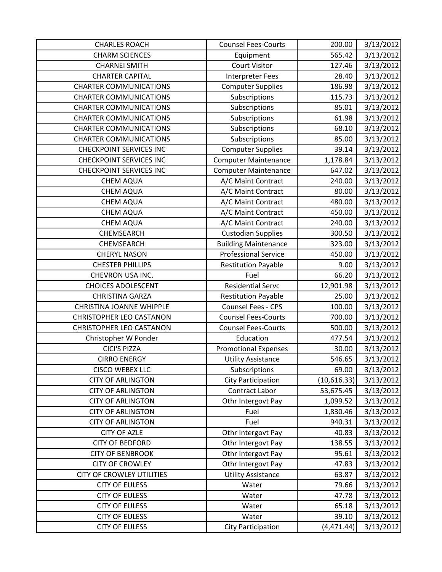| <b>CHARLES ROACH</b>             | <b>Counsel Fees-Courts</b>  | 200.00      | 3/13/2012 |
|----------------------------------|-----------------------------|-------------|-----------|
| <b>CHARM SCIENCES</b>            | Equipment                   | 565.42      | 3/13/2012 |
| <b>CHARNEI SMITH</b>             | <b>Court Visitor</b>        | 127.46      | 3/13/2012 |
| <b>CHARTER CAPITAL</b>           | <b>Interpreter Fees</b>     | 28.40       | 3/13/2012 |
| <b>CHARTER COMMUNICATIONS</b>    | <b>Computer Supplies</b>    | 186.98      | 3/13/2012 |
| <b>CHARTER COMMUNICATIONS</b>    | Subscriptions               | 115.73      | 3/13/2012 |
| <b>CHARTER COMMUNICATIONS</b>    | Subscriptions               | 85.01       | 3/13/2012 |
| <b>CHARTER COMMUNICATIONS</b>    | Subscriptions               | 61.98       | 3/13/2012 |
| <b>CHARTER COMMUNICATIONS</b>    | Subscriptions               | 68.10       | 3/13/2012 |
| <b>CHARTER COMMUNICATIONS</b>    | Subscriptions               | 85.00       | 3/13/2012 |
| <b>CHECKPOINT SERVICES INC</b>   | <b>Computer Supplies</b>    | 39.14       | 3/13/2012 |
| <b>CHECKPOINT SERVICES INC</b>   | <b>Computer Maintenance</b> | 1,178.84    | 3/13/2012 |
| <b>CHECKPOINT SERVICES INC</b>   | <b>Computer Maintenance</b> | 647.02      | 3/13/2012 |
| <b>CHEM AQUA</b>                 | A/C Maint Contract          | 240.00      | 3/13/2012 |
| <b>CHEM AQUA</b>                 | A/C Maint Contract          | 80.00       | 3/13/2012 |
| <b>CHEM AQUA</b>                 | A/C Maint Contract          | 480.00      | 3/13/2012 |
| <b>CHEM AQUA</b>                 | A/C Maint Contract          | 450.00      | 3/13/2012 |
| <b>CHEM AQUA</b>                 | A/C Maint Contract          | 240.00      | 3/13/2012 |
| <b>CHEMSEARCH</b>                | <b>Custodian Supplies</b>   | 300.50      | 3/13/2012 |
| CHEMSEARCH                       | <b>Building Maintenance</b> | 323.00      | 3/13/2012 |
| <b>CHERYL NASON</b>              | <b>Professional Service</b> | 450.00      | 3/13/2012 |
| <b>CHESTER PHILLIPS</b>          | <b>Restitution Payable</b>  | 9.00        | 3/13/2012 |
| CHEVRON USA INC.                 | Fuel                        | 66.20       | 3/13/2012 |
| <b>CHOICES ADOLESCENT</b>        | <b>Residential Servc</b>    | 12,901.98   | 3/13/2012 |
| <b>CHRISTINA GARZA</b>           | <b>Restitution Payable</b>  | 25.00       | 3/13/2012 |
| <b>CHRISTINA JOANNE WHIPPLE</b>  | Counsel Fees - CPS          | 100.00      | 3/13/2012 |
| <b>CHRISTOPHER LEO CASTANON</b>  | <b>Counsel Fees-Courts</b>  | 700.00      | 3/13/2012 |
| <b>CHRISTOPHER LEO CASTANON</b>  | <b>Counsel Fees-Courts</b>  | 500.00      | 3/13/2012 |
| Christopher W Ponder             | Education                   | 477.54      | 3/13/2012 |
| <b>CICI'S PIZZA</b>              | <b>Promotional Expenses</b> | 30.00       | 3/13/2012 |
| <b>CIRRO ENERGY</b>              | <b>Utility Assistance</b>   | 546.65      | 3/13/2012 |
| <b>CISCO WEBEX LLC</b>           | Subscriptions               | 69.00       | 3/13/2012 |
| <b>CITY OF ARLINGTON</b>         | <b>City Participation</b>   | (10,616.33) | 3/13/2012 |
| <b>CITY OF ARLINGTON</b>         | Contract Labor              | 53,675.45   | 3/13/2012 |
| <b>CITY OF ARLINGTON</b>         | Othr Intergovt Pay          | 1,099.52    | 3/13/2012 |
| <b>CITY OF ARLINGTON</b>         | Fuel                        | 1,830.46    | 3/13/2012 |
| <b>CITY OF ARLINGTON</b>         | Fuel                        | 940.31      | 3/13/2012 |
| <b>CITY OF AZLE</b>              | Othr Intergovt Pay          | 40.83       | 3/13/2012 |
| <b>CITY OF BEDFORD</b>           | Othr Intergovt Pay          | 138.55      | 3/13/2012 |
| <b>CITY OF BENBROOK</b>          | Othr Intergovt Pay          | 95.61       | 3/13/2012 |
| <b>CITY OF CROWLEY</b>           | Othr Intergovt Pay          | 47.83       | 3/13/2012 |
| <b>CITY OF CROWLEY UTILITIES</b> | <b>Utility Assistance</b>   | 63.87       | 3/13/2012 |
| <b>CITY OF EULESS</b>            | Water                       | 79.66       | 3/13/2012 |
| <b>CITY OF EULESS</b>            | Water                       | 47.78       | 3/13/2012 |
| <b>CITY OF EULESS</b>            | Water                       | 65.18       | 3/13/2012 |
| <b>CITY OF EULESS</b>            | Water                       | 39.10       | 3/13/2012 |
| <b>CITY OF EULESS</b>            | <b>City Participation</b>   | (4, 471.44) | 3/13/2012 |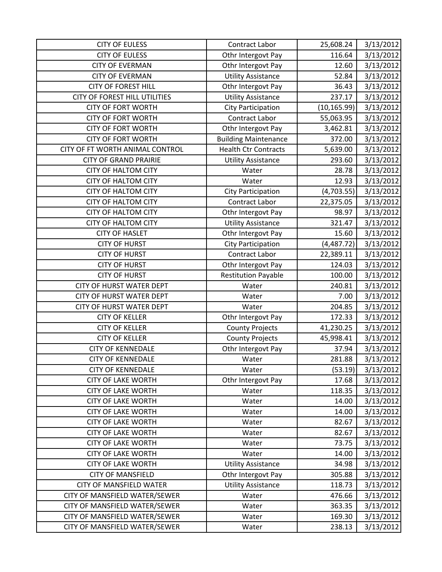| <b>CITY OF EULESS</b>                | Contract Labor              | 25,608.24    | 3/13/2012 |
|--------------------------------------|-----------------------------|--------------|-----------|
| <b>CITY OF EULESS</b>                | Othr Intergovt Pay          | 116.64       | 3/13/2012 |
| <b>CITY OF EVERMAN</b>               | Othr Intergovt Pay          | 12.60        | 3/13/2012 |
| <b>CITY OF EVERMAN</b>               | <b>Utility Assistance</b>   | 52.84        | 3/13/2012 |
| <b>CITY OF FOREST HILL</b>           | Othr Intergovt Pay          | 36.43        | 3/13/2012 |
| <b>CITY OF FOREST HILL UTILITIES</b> | <b>Utility Assistance</b>   | 237.17       | 3/13/2012 |
| <b>CITY OF FORT WORTH</b>            | <b>City Participation</b>   | (10, 165.99) | 3/13/2012 |
| <b>CITY OF FORT WORTH</b>            | <b>Contract Labor</b>       | 55,063.95    | 3/13/2012 |
| <b>CITY OF FORT WORTH</b>            | Othr Intergovt Pay          | 3,462.81     | 3/13/2012 |
| <b>CITY OF FORT WORTH</b>            | <b>Building Maintenance</b> | 372.00       | 3/13/2012 |
| CITY OF FT WORTH ANIMAL CONTROL      | <b>Health Ctr Contracts</b> | 5,639.00     | 3/13/2012 |
| <b>CITY OF GRAND PRAIRIE</b>         | <b>Utility Assistance</b>   | 293.60       | 3/13/2012 |
| <b>CITY OF HALTOM CITY</b>           | Water                       | 28.78        | 3/13/2012 |
| <b>CITY OF HALTOM CITY</b>           | Water                       | 12.93        | 3/13/2012 |
| <b>CITY OF HALTOM CITY</b>           | <b>City Participation</b>   | (4,703.55)   | 3/13/2012 |
| <b>CITY OF HALTOM CITY</b>           | <b>Contract Labor</b>       | 22,375.05    | 3/13/2012 |
| <b>CITY OF HALTOM CITY</b>           | Othr Intergovt Pay          | 98.97        | 3/13/2012 |
| <b>CITY OF HALTOM CITY</b>           | <b>Utility Assistance</b>   | 321.47       | 3/13/2012 |
| <b>CITY OF HASLET</b>                | Othr Intergovt Pay          | 15.60        | 3/13/2012 |
| <b>CITY OF HURST</b>                 | City Participation          | (4,487.72)   | 3/13/2012 |
| <b>CITY OF HURST</b>                 | Contract Labor              | 22,389.11    | 3/13/2012 |
| <b>CITY OF HURST</b>                 | Othr Intergovt Pay          | 124.03       | 3/13/2012 |
| <b>CITY OF HURST</b>                 | <b>Restitution Payable</b>  | 100.00       | 3/13/2012 |
| <b>CITY OF HURST WATER DEPT</b>      | Water                       | 240.81       | 3/13/2012 |
| <b>CITY OF HURST WATER DEPT</b>      | Water                       | 7.00         | 3/13/2012 |
| CITY OF HURST WATER DEPT             | Water                       | 204.85       | 3/13/2012 |
| <b>CITY OF KELLER</b>                | Othr Intergovt Pay          | 172.33       | 3/13/2012 |
| <b>CITY OF KELLER</b>                | <b>County Projects</b>      | 41,230.25    | 3/13/2012 |
| <b>CITY OF KELLER</b>                | <b>County Projects</b>      | 45,998.41    | 3/13/2012 |
| <b>CITY OF KENNEDALE</b>             | Othr Intergovt Pay          | 37.94        | 3/13/2012 |
| <b>CITY OF KENNEDALE</b>             | Water                       | 281.88       | 3/13/2012 |
| <b>CITY OF KENNEDALE</b>             | Water                       | (53.19)      | 3/13/2012 |
| <b>CITY OF LAKE WORTH</b>            | Othr Intergovt Pay          | 17.68        | 3/13/2012 |
| <b>CITY OF LAKE WORTH</b>            | Water                       | 118.35       | 3/13/2012 |
| <b>CITY OF LAKE WORTH</b>            | Water                       | 14.00        | 3/13/2012 |
| <b>CITY OF LAKE WORTH</b>            | Water                       | 14.00        | 3/13/2012 |
| <b>CITY OF LAKE WORTH</b>            | Water                       | 82.67        | 3/13/2012 |
| <b>CITY OF LAKE WORTH</b>            | Water                       | 82.67        | 3/13/2012 |
| <b>CITY OF LAKE WORTH</b>            | Water                       | 73.75        | 3/13/2012 |
| <b>CITY OF LAKE WORTH</b>            | Water                       | 14.00        | 3/13/2012 |
| <b>CITY OF LAKE WORTH</b>            | <b>Utility Assistance</b>   | 34.98        | 3/13/2012 |
| <b>CITY OF MANSFIELD</b>             | Othr Intergovt Pay          | 305.88       | 3/13/2012 |
| <b>CITY OF MANSFIELD WATER</b>       | <b>Utility Assistance</b>   | 118.73       | 3/13/2012 |
| CITY OF MANSFIELD WATER/SEWER        | Water                       | 476.66       | 3/13/2012 |
| CITY OF MANSFIELD WATER/SEWER        | Water                       | 363.35       | 3/13/2012 |
| CITY OF MANSFIELD WATER/SEWER        | Water                       | 169.30       | 3/13/2012 |
| CITY OF MANSFIELD WATER/SEWER        | Water                       | 238.13       | 3/13/2012 |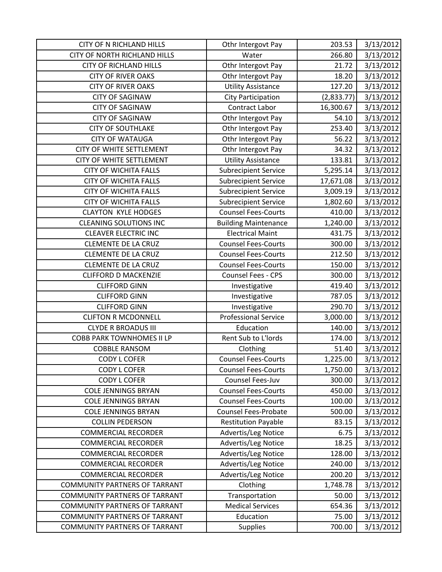| <b>CITY OF N RICHLAND HILLS</b>      | Othr Intergovt Pay          | 203.53     | 3/13/2012 |
|--------------------------------------|-----------------------------|------------|-----------|
| <b>CITY OF NORTH RICHLAND HILLS</b>  | Water                       | 266.80     | 3/13/2012 |
| <b>CITY OF RICHLAND HILLS</b>        | Othr Intergovt Pay          | 21.72      | 3/13/2012 |
| <b>CITY OF RIVER OAKS</b>            | Othr Intergovt Pay          | 18.20      | 3/13/2012 |
| <b>CITY OF RIVER OAKS</b>            | <b>Utility Assistance</b>   | 127.20     | 3/13/2012 |
| <b>CITY OF SAGINAW</b>               | <b>City Participation</b>   | (2,833.77) | 3/13/2012 |
| <b>CITY OF SAGINAW</b>               | Contract Labor              | 16,300.67  | 3/13/2012 |
| <b>CITY OF SAGINAW</b>               | Othr Intergovt Pay          | 54.10      | 3/13/2012 |
| <b>CITY OF SOUTHLAKE</b>             | Othr Intergovt Pay          | 253.40     | 3/13/2012 |
| <b>CITY OF WATAUGA</b>               | Othr Intergovt Pay          | 56.22      | 3/13/2012 |
| CITY OF WHITE SETTLEMENT             | Othr Intergovt Pay          | 34.32      | 3/13/2012 |
| CITY OF WHITE SETTLEMENT             | <b>Utility Assistance</b>   | 133.81     | 3/13/2012 |
| <b>CITY OF WICHITA FALLS</b>         | <b>Subrecipient Service</b> | 5,295.14   | 3/13/2012 |
| <b>CITY OF WICHITA FALLS</b>         | <b>Subrecipient Service</b> | 17,671.08  | 3/13/2012 |
| <b>CITY OF WICHITA FALLS</b>         | <b>Subrecipient Service</b> | 3,009.19   | 3/13/2012 |
| <b>CITY OF WICHITA FALLS</b>         | <b>Subrecipient Service</b> | 1,802.60   | 3/13/2012 |
| <b>CLAYTON KYLE HODGES</b>           | <b>Counsel Fees-Courts</b>  | 410.00     | 3/13/2012 |
| <b>CLEANING SOLUTIONS INC</b>        | <b>Building Maintenance</b> | 1,240.00   | 3/13/2012 |
| <b>CLEAVER ELECTRIC INC</b>          | <b>Electrical Maint</b>     | 431.75     | 3/13/2012 |
| <b>CLEMENTE DE LA CRUZ</b>           | <b>Counsel Fees-Courts</b>  | 300.00     | 3/13/2012 |
| <b>CLEMENTE DE LA CRUZ</b>           | <b>Counsel Fees-Courts</b>  | 212.50     | 3/13/2012 |
| <b>CLEMENTE DE LA CRUZ</b>           | <b>Counsel Fees-Courts</b>  | 150.00     | 3/13/2012 |
| <b>CLIFFORD D MACKENZIE</b>          | Counsel Fees - CPS          | 300.00     | 3/13/2012 |
| <b>CLIFFORD GINN</b>                 | Investigative               | 419.40     | 3/13/2012 |
| <b>CLIFFORD GINN</b>                 | Investigative               | 787.05     | 3/13/2012 |
| <b>CLIFFORD GINN</b>                 | Investigative               | 290.70     | 3/13/2012 |
| <b>CLIFTON R MCDONNELL</b>           | <b>Professional Service</b> | 3,000.00   | 3/13/2012 |
| <b>CLYDE R BROADUS III</b>           | Education                   | 140.00     | 3/13/2012 |
| <b>COBB PARK TOWNHOMES II LP</b>     | Rent Sub to L'Iords         | 174.00     | 3/13/2012 |
| <b>COBBLE RANSOM</b>                 | Clothing                    | 51.40      | 3/13/2012 |
| <b>CODY L COFER</b>                  | <b>Counsel Fees-Courts</b>  | 1,225.00   | 3/13/2012 |
| <b>CODY L COFER</b>                  | <b>Counsel Fees-Courts</b>  | 1,750.00   | 3/13/2012 |
| <b>CODY L COFER</b>                  | Counsel Fees-Juv            | 300.00     | 3/13/2012 |
| <b>COLE JENNINGS BRYAN</b>           | <b>Counsel Fees-Courts</b>  | 450.00     | 3/13/2012 |
| <b>COLE JENNINGS BRYAN</b>           | <b>Counsel Fees-Courts</b>  | 100.00     | 3/13/2012 |
| <b>COLE JENNINGS BRYAN</b>           | <b>Counsel Fees-Probate</b> | 500.00     | 3/13/2012 |
| <b>COLLIN PEDERSON</b>               | <b>Restitution Payable</b>  | 83.15      | 3/13/2012 |
| <b>COMMERCIAL RECORDER</b>           | Advertis/Leg Notice         | 6.75       | 3/13/2012 |
| <b>COMMERCIAL RECORDER</b>           | Advertis/Leg Notice         | 18.25      | 3/13/2012 |
| <b>COMMERCIAL RECORDER</b>           | Advertis/Leg Notice         | 128.00     | 3/13/2012 |
| <b>COMMERCIAL RECORDER</b>           | Advertis/Leg Notice         | 240.00     | 3/13/2012 |
| <b>COMMERCIAL RECORDER</b>           | Advertis/Leg Notice         | 200.20     | 3/13/2012 |
| <b>COMMUNITY PARTNERS OF TARRANT</b> | Clothing                    | 1,748.78   | 3/13/2012 |
| <b>COMMUNITY PARTNERS OF TARRANT</b> | Transportation              | 50.00      | 3/13/2012 |
| <b>COMMUNITY PARTNERS OF TARRANT</b> | <b>Medical Services</b>     | 654.36     | 3/13/2012 |
| <b>COMMUNITY PARTNERS OF TARRANT</b> | Education                   | 75.00      | 3/13/2012 |
| <b>COMMUNITY PARTNERS OF TARRANT</b> | Supplies                    | 700.00     | 3/13/2012 |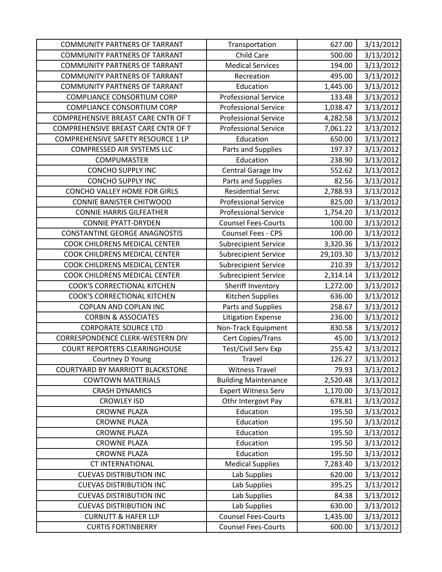| <b>COMMUNITY PARTNERS OF TARRANT</b> | Transportation              | 627.00    | 3/13/2012 |
|--------------------------------------|-----------------------------|-----------|-----------|
| <b>COMMUNITY PARTNERS OF TARRANT</b> | Child Care                  | 500.00    | 3/13/2012 |
| <b>COMMUNITY PARTNERS OF TARRANT</b> | <b>Medical Services</b>     | 194.00    | 3/13/2012 |
| <b>COMMUNITY PARTNERS OF TARRANT</b> | Recreation                  | 495.00    | 3/13/2012 |
| <b>COMMUNITY PARTNERS OF TARRANT</b> | Education                   | 1,445.00  | 3/13/2012 |
| <b>COMPLIANCE CONSORTIUM CORP</b>    | <b>Professional Service</b> | 133.48    | 3/13/2012 |
| <b>COMPLIANCE CONSORTIUM CORP</b>    | <b>Professional Service</b> | 1,038.47  | 3/13/2012 |
| COMPREHENSIVE BREAST CARE CNTR OF T  | <b>Professional Service</b> | 4,282.58  | 3/13/2012 |
| COMPREHENSIVE BREAST CARE CNTR OF T  | <b>Professional Service</b> | 7,061.22  | 3/13/2012 |
| COMPREHENSIVE SAFETY RESOURCE 1 LP   | Education                   | 650.00    | 3/13/2012 |
| COMPRESSED AIR SYSTEMS LLC           | Parts and Supplies          | 197.37    | 3/13/2012 |
| <b>COMPUMASTER</b>                   | Education                   | 238.90    | 3/13/2012 |
| <b>CONCHO SUPPLY INC</b>             | Central Garage Inv          | 552.62    | 3/13/2012 |
| <b>CONCHO SUPPLY INC</b>             | Parts and Supplies          | 82.56     | 3/13/2012 |
| <b>CONCHO VALLEY HOME FOR GIRLS</b>  | <b>Residential Servc</b>    | 2,788.93  | 3/13/2012 |
| <b>CONNIE BANISTER CHITWOOD</b>      | <b>Professional Service</b> | 825.00    | 3/13/2012 |
| <b>CONNIE HARRIS GILFEATHER</b>      | <b>Professional Service</b> | 1,754.20  | 3/13/2012 |
| <b>CONNIE PYATT-DRYDEN</b>           | <b>Counsel Fees-Courts</b>  | 100.00    | 3/13/2012 |
| <b>CONSTANTINE GEORGE ANAGNOSTIS</b> | <b>Counsel Fees - CPS</b>   | 100.00    | 3/13/2012 |
| COOK CHILDRENS MEDICAL CENTER        | <b>Subrecipient Service</b> | 3,320.36  | 3/13/2012 |
| COOK CHILDRENS MEDICAL CENTER        | <b>Subrecipient Service</b> | 29,103.30 | 3/13/2012 |
| COOK CHILDRENS MEDICAL CENTER        | <b>Subrecipient Service</b> | 210.39    | 3/13/2012 |
| COOK CHILDRENS MEDICAL CENTER        | <b>Subrecipient Service</b> | 2,314.14  | 3/13/2012 |
| COOK'S CORRECTIONAL KITCHEN          | Sheriff Inventory           | 1,272.00  | 3/13/2012 |
| <b>COOK'S CORRECTIONAL KITCHEN</b>   | Kitchen Supplies            | 636.00    | 3/13/2012 |
| COPLAN AND COPLAN INC                | Parts and Supplies          | 258.67    | 3/13/2012 |
| <b>CORBIN &amp; ASSOCIATES</b>       | <b>Litigation Expense</b>   | 236.00    | 3/13/2012 |
| <b>CORPORATE SOURCE LTD</b>          | Non-Track Equipment         | 830.58    | 3/13/2012 |
| CORRESPONDENCE CLERK-WESTERN DIV     | Cert Copies/Trans           | 45.00     | 3/13/2012 |
| <b>COURT REPORTERS CLEARINGHOUSE</b> | <b>Test/Civil Serv Exp</b>  | 255.42    | 3/13/2012 |
| Courtney D Young                     | Travel                      | 126.27    | 3/13/2012 |
| COURTYARD BY MARRIOTT BLACKSTONE     | <b>Witness Travel</b>       | 79.93     | 3/13/2012 |
| <b>COWTOWN MATERIALS</b>             | <b>Building Maintenance</b> | 2,520.48  | 3/13/2012 |
| <b>CRASH DYNAMICS</b>                | <b>Expert Witness Serv</b>  | 1,170.00  | 3/13/2012 |
| <b>CROWLEY ISD</b>                   | Othr Intergovt Pay          | 678.81    | 3/13/2012 |
| <b>CROWNE PLAZA</b>                  | Education                   | 195.50    | 3/13/2012 |
| <b>CROWNE PLAZA</b>                  | Education                   | 195.50    | 3/13/2012 |
| <b>CROWNE PLAZA</b>                  | Education                   | 195.50    | 3/13/2012 |
| <b>CROWNE PLAZA</b>                  | Education                   | 195.50    | 3/13/2012 |
| <b>CROWNE PLAZA</b>                  | Education                   | 195.50    | 3/13/2012 |
| <b>CT INTERNATIONAL</b>              | <b>Medical Supplies</b>     | 7,283.40  | 3/13/2012 |
| <b>CUEVAS DISTRIBUTION INC</b>       | Lab Supplies                | 620.00    | 3/13/2012 |
| <b>CUEVAS DISTRIBUTION INC</b>       | Lab Supplies                | 395.25    | 3/13/2012 |
| <b>CUEVAS DISTRIBUTION INC</b>       | Lab Supplies                | 84.38     | 3/13/2012 |
| <b>CUEVAS DISTRIBUTION INC</b>       | Lab Supplies                | 630.00    | 3/13/2012 |
| <b>CURNUTT &amp; HAFER LLP</b>       | <b>Counsel Fees-Courts</b>  | 1,435.00  | 3/13/2012 |
| <b>CURTIS FORTINBERRY</b>            | <b>Counsel Fees-Courts</b>  | 600.00    | 3/13/2012 |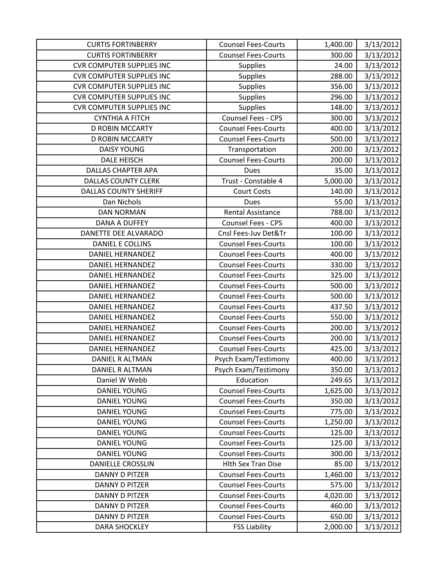| <b>CURTIS FORTINBERRY</b>        | <b>Counsel Fees-Courts</b> | 1,400.00 | 3/13/2012 |
|----------------------------------|----------------------------|----------|-----------|
| <b>CURTIS FORTINBERRY</b>        | <b>Counsel Fees-Courts</b> | 300.00   | 3/13/2012 |
| <b>CVR COMPUTER SUPPLIES INC</b> | <b>Supplies</b>            | 24.00    | 3/13/2012 |
| <b>CVR COMPUTER SUPPLIES INC</b> | <b>Supplies</b>            | 288.00   | 3/13/2012 |
| <b>CVR COMPUTER SUPPLIES INC</b> | <b>Supplies</b>            | 356.00   | 3/13/2012 |
| <b>CVR COMPUTER SUPPLIES INC</b> | <b>Supplies</b>            | 296.00   | 3/13/2012 |
| <b>CVR COMPUTER SUPPLIES INC</b> | <b>Supplies</b>            | 148.00   | 3/13/2012 |
| <b>CYNTHIA A FITCH</b>           | Counsel Fees - CPS         | 300.00   | 3/13/2012 |
| <b>D ROBIN MCCARTY</b>           | <b>Counsel Fees-Courts</b> | 400.00   | 3/13/2012 |
| <b>D ROBIN MCCARTY</b>           | <b>Counsel Fees-Courts</b> | 500.00   | 3/13/2012 |
| <b>DAISY YOUNG</b>               | Transportation             | 200.00   | 3/13/2012 |
| DALE HEISCH                      | <b>Counsel Fees-Courts</b> | 200.00   | 3/13/2012 |
| <b>DALLAS CHAPTER APA</b>        | <b>Dues</b>                | 35.00    | 3/13/2012 |
| <b>DALLAS COUNTY CLERK</b>       | Trust - Constable 4        | 5,000.00 | 3/13/2012 |
| <b>DALLAS COUNTY SHERIFF</b>     | <b>Court Costs</b>         | 140.00   | 3/13/2012 |
| Dan Nichols                      | <b>Dues</b>                | 55.00    | 3/13/2012 |
| <b>DAN NORMAN</b>                | <b>Rental Assistance</b>   | 788.00   | 3/13/2012 |
| <b>DANA A DUFFEY</b>             | <b>Counsel Fees - CPS</b>  | 400.00   | 3/13/2012 |
| DANETTE DEE ALVARADO             | Cnsl Fees-Juv Det&Tr       | 100.00   | 3/13/2012 |
| <b>DANIEL E COLLINS</b>          | <b>Counsel Fees-Courts</b> | 100.00   | 3/13/2012 |
| <b>DANIEL HERNANDEZ</b>          | <b>Counsel Fees-Courts</b> | 400.00   | 3/13/2012 |
| <b>DANIEL HERNANDEZ</b>          | <b>Counsel Fees-Courts</b> | 330.00   | 3/13/2012 |
| <b>DANIEL HERNANDEZ</b>          | <b>Counsel Fees-Courts</b> | 325.00   | 3/13/2012 |
| <b>DANIEL HERNANDEZ</b>          | <b>Counsel Fees-Courts</b> | 500.00   | 3/13/2012 |
| <b>DANIEL HERNANDEZ</b>          | <b>Counsel Fees-Courts</b> | 500.00   | 3/13/2012 |
| <b>DANIEL HERNANDEZ</b>          | <b>Counsel Fees-Courts</b> | 437.50   | 3/13/2012 |
| <b>DANIEL HERNANDEZ</b>          | <b>Counsel Fees-Courts</b> | 550.00   | 3/13/2012 |
| <b>DANIEL HERNANDEZ</b>          | <b>Counsel Fees-Courts</b> | 200.00   | 3/13/2012 |
| <b>DANIEL HERNANDEZ</b>          | <b>Counsel Fees-Courts</b> | 200.00   | 3/13/2012 |
| <b>DANIEL HERNANDEZ</b>          | <b>Counsel Fees-Courts</b> | 425.00   | 3/13/2012 |
| DANIEL R ALTMAN                  | Psych Exam/Testimony       | 400.00   | 3/13/2012 |
| DANIEL R ALTMAN                  | Psych Exam/Testimony       | 350.00   | 3/13/2012 |
| Daniel W Webb                    | Education                  | 249.65   | 3/13/2012 |
| <b>DANIEL YOUNG</b>              | <b>Counsel Fees-Courts</b> | 1,625.00 | 3/13/2012 |
| <b>DANIEL YOUNG</b>              | <b>Counsel Fees-Courts</b> | 350.00   | 3/13/2012 |
| <b>DANIEL YOUNG</b>              | <b>Counsel Fees-Courts</b> | 775.00   | 3/13/2012 |
| <b>DANIEL YOUNG</b>              | <b>Counsel Fees-Courts</b> | 1,250.00 | 3/13/2012 |
| <b>DANIEL YOUNG</b>              | <b>Counsel Fees-Courts</b> | 125.00   | 3/13/2012 |
| <b>DANIEL YOUNG</b>              | <b>Counsel Fees-Courts</b> | 125.00   | 3/13/2012 |
| <b>DANIEL YOUNG</b>              | <b>Counsel Fees-Courts</b> | 300.00   | 3/13/2012 |
| <b>DANIELLE CROSSLIN</b>         | <b>Hlth Sex Tran Dise</b>  | 85.00    | 3/13/2012 |
| <b>DANNY D PITZER</b>            | <b>Counsel Fees-Courts</b> | 1,460.00 | 3/13/2012 |
| <b>DANNY D PITZER</b>            | <b>Counsel Fees-Courts</b> | 575.00   | 3/13/2012 |
| <b>DANNY D PITZER</b>            | <b>Counsel Fees-Courts</b> | 4,020.00 | 3/13/2012 |
| <b>DANNY D PITZER</b>            | <b>Counsel Fees-Courts</b> | 460.00   | 3/13/2012 |
| <b>DANNY D PITZER</b>            | <b>Counsel Fees-Courts</b> | 650.00   | 3/13/2012 |
| <b>DARA SHOCKLEY</b>             | <b>FSS Liability</b>       | 2,000.00 | 3/13/2012 |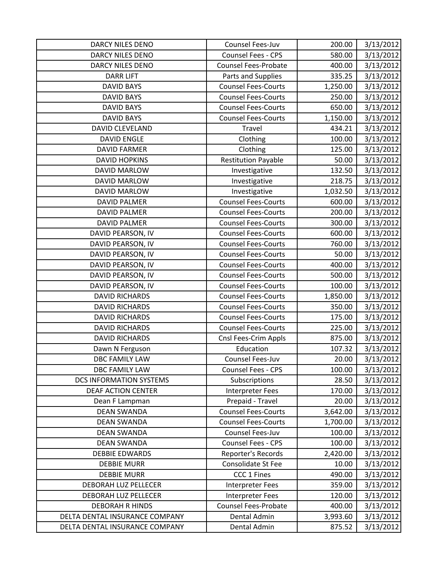| <b>DARCY NILES DENO</b>        | Counsel Fees-Juv            | 200.00   | 3/13/2012 |
|--------------------------------|-----------------------------|----------|-----------|
| <b>DARCY NILES DENO</b>        | <b>Counsel Fees - CPS</b>   | 580.00   | 3/13/2012 |
| <b>DARCY NILES DENO</b>        | <b>Counsel Fees-Probate</b> | 400.00   | 3/13/2012 |
| <b>DARR LIFT</b>               | Parts and Supplies          | 335.25   | 3/13/2012 |
| <b>DAVID BAYS</b>              | <b>Counsel Fees-Courts</b>  | 1,250.00 | 3/13/2012 |
| <b>DAVID BAYS</b>              | <b>Counsel Fees-Courts</b>  | 250.00   | 3/13/2012 |
| <b>DAVID BAYS</b>              | <b>Counsel Fees-Courts</b>  | 650.00   | 3/13/2012 |
| <b>DAVID BAYS</b>              | <b>Counsel Fees-Courts</b>  | 1,150.00 | 3/13/2012 |
| DAVID CLEVELAND                | Travel                      | 434.21   | 3/13/2012 |
| <b>DAVID ENGLE</b>             | Clothing                    | 100.00   | 3/13/2012 |
| <b>DAVID FARMER</b>            | Clothing                    | 125.00   | 3/13/2012 |
| <b>DAVID HOPKINS</b>           | <b>Restitution Payable</b>  | 50.00    | 3/13/2012 |
| <b>DAVID MARLOW</b>            | Investigative               | 132.50   | 3/13/2012 |
| <b>DAVID MARLOW</b>            | Investigative               | 218.75   | 3/13/2012 |
| <b>DAVID MARLOW</b>            | Investigative               | 1,032.50 | 3/13/2012 |
| <b>DAVID PALMER</b>            | <b>Counsel Fees-Courts</b>  | 600.00   | 3/13/2012 |
| <b>DAVID PALMER</b>            | <b>Counsel Fees-Courts</b>  | 200.00   | 3/13/2012 |
| <b>DAVID PALMER</b>            | <b>Counsel Fees-Courts</b>  | 300.00   | 3/13/2012 |
| DAVID PEARSON, IV              | <b>Counsel Fees-Courts</b>  | 600.00   | 3/13/2012 |
| DAVID PEARSON, IV              | <b>Counsel Fees-Courts</b>  | 760.00   | 3/13/2012 |
| DAVID PEARSON, IV              | <b>Counsel Fees-Courts</b>  | 50.00    | 3/13/2012 |
| DAVID PEARSON, IV              | <b>Counsel Fees-Courts</b>  | 400.00   | 3/13/2012 |
| DAVID PEARSON, IV              | <b>Counsel Fees-Courts</b>  | 500.00   | 3/13/2012 |
| DAVID PEARSON, IV              | <b>Counsel Fees-Courts</b>  | 100.00   | 3/13/2012 |
| <b>DAVID RICHARDS</b>          | <b>Counsel Fees-Courts</b>  | 1,850.00 | 3/13/2012 |
| <b>DAVID RICHARDS</b>          | <b>Counsel Fees-Courts</b>  | 350.00   | 3/13/2012 |
| <b>DAVID RICHARDS</b>          | <b>Counsel Fees-Courts</b>  | 175.00   | 3/13/2012 |
| <b>DAVID RICHARDS</b>          | <b>Counsel Fees-Courts</b>  | 225.00   | 3/13/2012 |
| <b>DAVID RICHARDS</b>          | Cnsl Fees-Crim Appls        | 875.00   | 3/13/2012 |
| Dawn N Ferguson                | Education                   | 107.32   | 3/13/2012 |
| <b>DBC FAMILY LAW</b>          | Counsel Fees-Juv            | 20.00    | 3/13/2012 |
| <b>DBC FAMILY LAW</b>          | Counsel Fees - CPS          | 100.00   | 3/13/2012 |
| <b>DCS INFORMATION SYSTEMS</b> | Subscriptions               | 28.50    | 3/13/2012 |
| DEAF ACTION CENTER             | Interpreter Fees            | 170.00   | 3/13/2012 |
| Dean F Lampman                 | Prepaid - Travel            | 20.00    | 3/13/2012 |
| <b>DEAN SWANDA</b>             | <b>Counsel Fees-Courts</b>  | 3,642.00 | 3/13/2012 |
| <b>DEAN SWANDA</b>             | <b>Counsel Fees-Courts</b>  | 1,700.00 | 3/13/2012 |
| <b>DEAN SWANDA</b>             | Counsel Fees-Juv            | 100.00   | 3/13/2012 |
| <b>DEAN SWANDA</b>             | <b>Counsel Fees - CPS</b>   | 100.00   | 3/13/2012 |
| <b>DEBBIE EDWARDS</b>          | Reporter's Records          | 2,420.00 | 3/13/2012 |
| <b>DEBBIE MURR</b>             | <b>Consolidate St Fee</b>   | 10.00    | 3/13/2012 |
| <b>DEBBIE MURR</b>             | CCC 1 Fines                 | 490.00   | 3/13/2012 |
| <b>DEBORAH LUZ PELLECER</b>    | <b>Interpreter Fees</b>     | 359.00   | 3/13/2012 |
| DEBORAH LUZ PELLECER           | <b>Interpreter Fees</b>     | 120.00   | 3/13/2012 |
| <b>DEBORAH R HINDS</b>         | <b>Counsel Fees-Probate</b> | 400.00   | 3/13/2012 |
| DELTA DENTAL INSURANCE COMPANY | Dental Admin                | 3,993.60 | 3/13/2012 |
| DELTA DENTAL INSURANCE COMPANY | Dental Admin                | 875.52   | 3/13/2012 |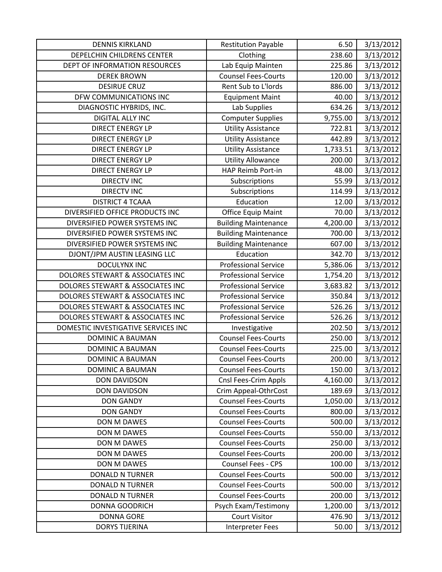| <b>DENNIS KIRKLAND</b>              | <b>Restitution Payable</b>  | 6.50     | 3/13/2012 |
|-------------------------------------|-----------------------------|----------|-----------|
| DEPELCHIN CHILDRENS CENTER          | Clothing                    | 238.60   | 3/13/2012 |
| DEPT OF INFORMATION RESOURCES       | Lab Equip Mainten           | 225.86   | 3/13/2012 |
| <b>DEREK BROWN</b>                  | <b>Counsel Fees-Courts</b>  | 120.00   | 3/13/2012 |
| <b>DESIRUE CRUZ</b>                 | Rent Sub to L'Iords         | 886.00   | 3/13/2012 |
| DFW COMMUNICATIONS INC              | <b>Equipment Maint</b>      | 40.00    | 3/13/2012 |
| DIAGNOSTIC HYBRIDS, INC.            | Lab Supplies                | 634.26   | 3/13/2012 |
| <b>DIGITAL ALLY INC</b>             | <b>Computer Supplies</b>    | 9,755.00 | 3/13/2012 |
| <b>DIRECT ENERGY LP</b>             | <b>Utility Assistance</b>   | 722.81   | 3/13/2012 |
| <b>DIRECT ENERGY LP</b>             | <b>Utility Assistance</b>   | 442.89   | 3/13/2012 |
| <b>DIRECT ENERGY LP</b>             | <b>Utility Assistance</b>   | 1,733.51 | 3/13/2012 |
| <b>DIRECT ENERGY LP</b>             | <b>Utility Allowance</b>    | 200.00   | 3/13/2012 |
| <b>DIRECT ENERGY LP</b>             | HAP Reimb Port-in           | 48.00    | 3/13/2012 |
| <b>DIRECTV INC</b>                  | Subscriptions               | 55.99    | 3/13/2012 |
| <b>DIRECTV INC</b>                  | Subscriptions               | 114.99   | 3/13/2012 |
| <b>DISTRICT 4 TCAAA</b>             | Education                   | 12.00    | 3/13/2012 |
| DIVERSIFIED OFFICE PRODUCTS INC     | <b>Office Equip Maint</b>   | 70.00    | 3/13/2012 |
| DIVERSIFIED POWER SYSTEMS INC       | <b>Building Maintenance</b> | 4,200.00 | 3/13/2012 |
| DIVERSIFIED POWER SYSTEMS INC       | <b>Building Maintenance</b> | 700.00   | 3/13/2012 |
| DIVERSIFIED POWER SYSTEMS INC       | <b>Building Maintenance</b> | 607.00   | 3/13/2012 |
| DJONT/JPM AUSTIN LEASING LLC        | Education                   | 342.70   | 3/13/2012 |
| <b>DOCULYNX INC</b>                 | <b>Professional Service</b> | 5,386.06 | 3/13/2012 |
| DOLORES STEWART & ASSOCIATES INC    | <b>Professional Service</b> | 1,754.20 | 3/13/2012 |
| DOLORES STEWART & ASSOCIATES INC    | <b>Professional Service</b> | 3,683.82 | 3/13/2012 |
| DOLORES STEWART & ASSOCIATES INC    | <b>Professional Service</b> | 350.84   | 3/13/2012 |
| DOLORES STEWART & ASSOCIATES INC    | <b>Professional Service</b> | 526.26   | 3/13/2012 |
| DOLORES STEWART & ASSOCIATES INC    | <b>Professional Service</b> | 526.26   | 3/13/2012 |
| DOMESTIC INVESTIGATIVE SERVICES INC | Investigative               | 202.50   | 3/13/2012 |
| <b>DOMINIC A BAUMAN</b>             | <b>Counsel Fees-Courts</b>  | 250.00   | 3/13/2012 |
| <b>DOMINIC A BAUMAN</b>             | <b>Counsel Fees-Courts</b>  | 225.00   | 3/13/2012 |
| DOMINIC A BAUMAN                    | <b>Counsel Fees-Courts</b>  | 200.00   | 3/13/2012 |
| DOMINIC A BAUMAN                    | <b>Counsel Fees-Courts</b>  | 150.00   | 3/13/2012 |
| <b>DON DAVIDSON</b>                 | Cnsl Fees-Crim Appls        | 4,160.00 | 3/13/2012 |
| <b>DON DAVIDSON</b>                 | Crim Appeal-OthrCost        | 189.69   | 3/13/2012 |
| <b>DON GANDY</b>                    | <b>Counsel Fees-Courts</b>  | 1,050.00 | 3/13/2012 |
| <b>DON GANDY</b>                    | <b>Counsel Fees-Courts</b>  | 800.00   | 3/13/2012 |
| DON M DAWES                         | <b>Counsel Fees-Courts</b>  | 500.00   | 3/13/2012 |
| DON M DAWES                         | <b>Counsel Fees-Courts</b>  | 550.00   | 3/13/2012 |
| DON M DAWES                         | <b>Counsel Fees-Courts</b>  | 250.00   | 3/13/2012 |
| DON M DAWES                         | <b>Counsel Fees-Courts</b>  | 200.00   | 3/13/2012 |
| DON M DAWES                         | Counsel Fees - CPS          | 100.00   | 3/13/2012 |
| <b>DONALD N TURNER</b>              | <b>Counsel Fees-Courts</b>  | 500.00   | 3/13/2012 |
| <b>DONALD N TURNER</b>              | <b>Counsel Fees-Courts</b>  | 500.00   | 3/13/2012 |
| <b>DONALD N TURNER</b>              | <b>Counsel Fees-Courts</b>  | 200.00   | 3/13/2012 |
| <b>DONNA GOODRICH</b>               | Psych Exam/Testimony        | 1,200.00 | 3/13/2012 |
| <b>DONNA GORE</b>                   | <b>Court Visitor</b>        | 476.90   | 3/13/2012 |
| <b>DORYS TIJERINA</b>               | <b>Interpreter Fees</b>     | 50.00    | 3/13/2012 |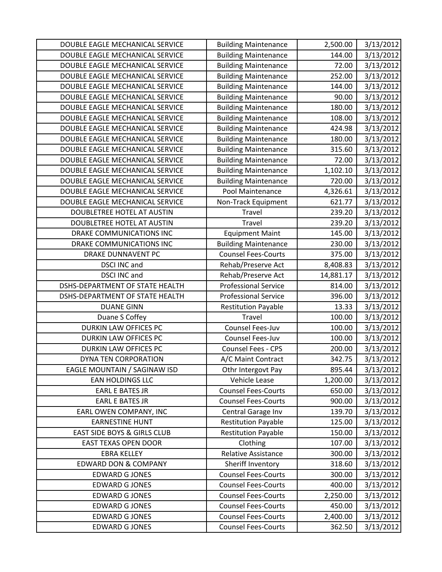| DOUBLE EAGLE MECHANICAL SERVICE        | <b>Building Maintenance</b> | 2,500.00  | 3/13/2012 |
|----------------------------------------|-----------------------------|-----------|-----------|
| DOUBLE EAGLE MECHANICAL SERVICE        | <b>Building Maintenance</b> | 144.00    | 3/13/2012 |
| DOUBLE EAGLE MECHANICAL SERVICE        | <b>Building Maintenance</b> | 72.00     | 3/13/2012 |
| DOUBLE EAGLE MECHANICAL SERVICE        | <b>Building Maintenance</b> | 252.00    | 3/13/2012 |
| DOUBLE EAGLE MECHANICAL SERVICE        | <b>Building Maintenance</b> | 144.00    | 3/13/2012 |
| DOUBLE EAGLE MECHANICAL SERVICE        | <b>Building Maintenance</b> | 90.00     | 3/13/2012 |
| DOUBLE EAGLE MECHANICAL SERVICE        | <b>Building Maintenance</b> | 180.00    | 3/13/2012 |
| DOUBLE EAGLE MECHANICAL SERVICE        | <b>Building Maintenance</b> | 108.00    | 3/13/2012 |
| DOUBLE EAGLE MECHANICAL SERVICE        | <b>Building Maintenance</b> | 424.98    | 3/13/2012 |
| DOUBLE EAGLE MECHANICAL SERVICE        | <b>Building Maintenance</b> | 180.00    | 3/13/2012 |
| DOUBLE EAGLE MECHANICAL SERVICE        | <b>Building Maintenance</b> | 315.60    | 3/13/2012 |
| DOUBLE EAGLE MECHANICAL SERVICE        | <b>Building Maintenance</b> | 72.00     | 3/13/2012 |
| DOUBLE EAGLE MECHANICAL SERVICE        | <b>Building Maintenance</b> | 1,102.10  | 3/13/2012 |
| DOUBLE EAGLE MECHANICAL SERVICE        | <b>Building Maintenance</b> | 720.00    | 3/13/2012 |
| DOUBLE EAGLE MECHANICAL SERVICE        | Pool Maintenance            | 4,326.61  | 3/13/2012 |
| DOUBLE EAGLE MECHANICAL SERVICE        | Non-Track Equipment         | 621.77    | 3/13/2012 |
| DOUBLETREE HOTEL AT AUSTIN             | Travel                      | 239.20    | 3/13/2012 |
| DOUBLETREE HOTEL AT AUSTIN             | Travel                      | 239.20    | 3/13/2012 |
| DRAKE COMMUNICATIONS INC               | <b>Equipment Maint</b>      | 145.00    | 3/13/2012 |
| DRAKE COMMUNICATIONS INC               | <b>Building Maintenance</b> | 230.00    | 3/13/2012 |
| DRAKE DUNNAVENT PC                     | <b>Counsel Fees-Courts</b>  | 375.00    | 3/13/2012 |
| <b>DSCI INC and</b>                    | Rehab/Preserve Act          | 8,408.83  | 3/13/2012 |
| <b>DSCI INC and</b>                    | Rehab/Preserve Act          | 14,881.17 | 3/13/2012 |
| DSHS-DEPARTMENT OF STATE HEALTH        | <b>Professional Service</b> | 814.00    | 3/13/2012 |
| DSHS-DEPARTMENT OF STATE HEALTH        | <b>Professional Service</b> | 396.00    | 3/13/2012 |
| <b>DUANE GINN</b>                      | <b>Restitution Payable</b>  | 13.33     | 3/13/2012 |
| Duane S Coffey                         | <b>Travel</b>               | 100.00    | 3/13/2012 |
| <b>DURKIN LAW OFFICES PC</b>           | Counsel Fees-Juv            | 100.00    | 3/13/2012 |
| DURKIN LAW OFFICES PC                  | Counsel Fees-Juv            | 100.00    | 3/13/2012 |
| DURKIN LAW OFFICES PC                  | <b>Counsel Fees - CPS</b>   | 200.00    | 3/13/2012 |
| DYNA TEN CORPORATION                   | A/C Maint Contract          | 342.75    | 3/13/2012 |
| EAGLE MOUNTAIN / SAGINAW ISD           | Othr Intergovt Pay          | 895.44    | 3/13/2012 |
| <b>EAN HOLDINGS LLC</b>                | Vehicle Lease               | 1,200.00  | 3/13/2012 |
| <b>EARL E BATES JR</b>                 | <b>Counsel Fees-Courts</b>  | 650.00    | 3/13/2012 |
| <b>EARL E BATES JR</b>                 | <b>Counsel Fees-Courts</b>  | 900.00    | 3/13/2012 |
| EARL OWEN COMPANY, INC                 | Central Garage Inv          | 139.70    | 3/13/2012 |
| <b>EARNESTINE HUNT</b>                 | <b>Restitution Payable</b>  | 125.00    | 3/13/2012 |
| <b>EAST SIDE BOYS &amp; GIRLS CLUB</b> | <b>Restitution Payable</b>  | 150.00    | 3/13/2012 |
| <b>EAST TEXAS OPEN DOOR</b>            | Clothing                    | 107.00    | 3/13/2012 |
| <b>EBRA KELLEY</b>                     | Relative Assistance         | 300.00    | 3/13/2012 |
| <b>EDWARD DON &amp; COMPANY</b>        | Sheriff Inventory           | 318.60    | 3/13/2012 |
| <b>EDWARD G JONES</b>                  | <b>Counsel Fees-Courts</b>  | 300.00    | 3/13/2012 |
| <b>EDWARD G JONES</b>                  | <b>Counsel Fees-Courts</b>  | 400.00    | 3/13/2012 |
| <b>EDWARD G JONES</b>                  | <b>Counsel Fees-Courts</b>  | 2,250.00  | 3/13/2012 |
| <b>EDWARD G JONES</b>                  | <b>Counsel Fees-Courts</b>  | 450.00    | 3/13/2012 |
| <b>EDWARD G JONES</b>                  | <b>Counsel Fees-Courts</b>  | 2,400.00  | 3/13/2012 |
| <b>EDWARD G JONES</b>                  | <b>Counsel Fees-Courts</b>  | 362.50    | 3/13/2012 |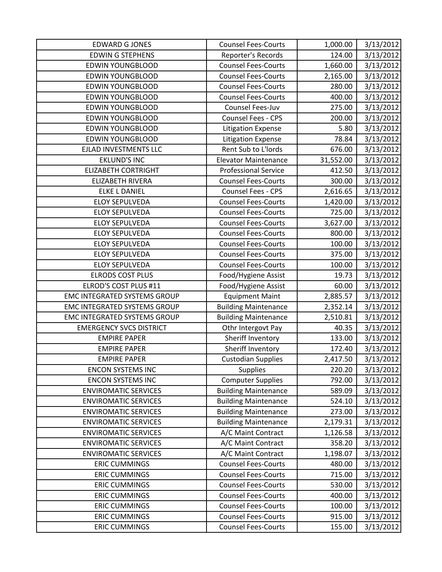| <b>EDWARD G JONES</b>               | <b>Counsel Fees-Courts</b>  | 1,000.00  | 3/13/2012 |
|-------------------------------------|-----------------------------|-----------|-----------|
| <b>EDWIN G STEPHENS</b>             | Reporter's Records          | 124.00    | 3/13/2012 |
| <b>EDWIN YOUNGBLOOD</b>             | <b>Counsel Fees-Courts</b>  | 1,660.00  | 3/13/2012 |
| <b>EDWIN YOUNGBLOOD</b>             | <b>Counsel Fees-Courts</b>  | 2,165.00  | 3/13/2012 |
| <b>EDWIN YOUNGBLOOD</b>             | <b>Counsel Fees-Courts</b>  | 280.00    | 3/13/2012 |
| <b>EDWIN YOUNGBLOOD</b>             | <b>Counsel Fees-Courts</b>  | 400.00    | 3/13/2012 |
| <b>EDWIN YOUNGBLOOD</b>             | Counsel Fees-Juv            | 275.00    | 3/13/2012 |
| <b>EDWIN YOUNGBLOOD</b>             | Counsel Fees - CPS          | 200.00    | 3/13/2012 |
| <b>EDWIN YOUNGBLOOD</b>             | <b>Litigation Expense</b>   | 5.80      | 3/13/2012 |
| <b>EDWIN YOUNGBLOOD</b>             | <b>Litigation Expense</b>   | 78.84     | 3/13/2012 |
| EJLAD INVESTMENTS LLC               | Rent Sub to L'Iords         | 676.00    | 3/13/2012 |
| <b>EKLUND'S INC</b>                 | <b>Elevator Maintenance</b> | 31,552.00 | 3/13/2012 |
| <b>ELIZABETH CORTRIGHT</b>          | <b>Professional Service</b> | 412.50    | 3/13/2012 |
| <b>ELIZABETH RIVERA</b>             | <b>Counsel Fees-Courts</b>  | 300.00    | 3/13/2012 |
| <b>ELKE L DANIEL</b>                | Counsel Fees - CPS          | 2,616.65  | 3/13/2012 |
| <b>ELOY SEPULVEDA</b>               | <b>Counsel Fees-Courts</b>  | 1,420.00  | 3/13/2012 |
| <b>ELOY SEPULVEDA</b>               | <b>Counsel Fees-Courts</b>  | 725.00    | 3/13/2012 |
| <b>ELOY SEPULVEDA</b>               | <b>Counsel Fees-Courts</b>  | 3,627.00  | 3/13/2012 |
| <b>ELOY SEPULVEDA</b>               | <b>Counsel Fees-Courts</b>  | 800.00    | 3/13/2012 |
| <b>ELOY SEPULVEDA</b>               | <b>Counsel Fees-Courts</b>  | 100.00    | 3/13/2012 |
| <b>ELOY SEPULVEDA</b>               | <b>Counsel Fees-Courts</b>  | 375.00    | 3/13/2012 |
| <b>ELOY SEPULVEDA</b>               | <b>Counsel Fees-Courts</b>  | 100.00    | 3/13/2012 |
| <b>ELRODS COST PLUS</b>             | Food/Hygiene Assist         | 19.73     | 3/13/2012 |
| ELROD'S COST PLUS #11               | Food/Hygiene Assist         | 60.00     | 3/13/2012 |
| <b>EMC INTEGRATED SYSTEMS GROUP</b> | <b>Equipment Maint</b>      | 2,885.57  | 3/13/2012 |
| <b>EMC INTEGRATED SYSTEMS GROUP</b> | <b>Building Maintenance</b> | 2,352.14  | 3/13/2012 |
| <b>EMC INTEGRATED SYSTEMS GROUP</b> | <b>Building Maintenance</b> | 2,510.81  | 3/13/2012 |
| <b>EMERGENCY SVCS DISTRICT</b>      | Othr Intergovt Pay          | 40.35     | 3/13/2012 |
| <b>EMPIRE PAPER</b>                 | Sheriff Inventory           | 133.00    | 3/13/2012 |
| <b>EMPIRE PAPER</b>                 | Sheriff Inventory           | 172.40    | 3/13/2012 |
| <b>EMPIRE PAPER</b>                 | <b>Custodian Supplies</b>   | 2,417.50  | 3/13/2012 |
| <b>ENCON SYSTEMS INC</b>            | <b>Supplies</b>             | 220.20    | 3/13/2012 |
| <b>ENCON SYSTEMS INC</b>            | <b>Computer Supplies</b>    | 792.00    | 3/13/2012 |
| <b>ENVIROMATIC SERVICES</b>         | <b>Building Maintenance</b> | 589.09    | 3/13/2012 |
| <b>ENVIROMATIC SERVICES</b>         | <b>Building Maintenance</b> | 524.10    | 3/13/2012 |
| <b>ENVIROMATIC SERVICES</b>         | <b>Building Maintenance</b> | 273.00    | 3/13/2012 |
| <b>ENVIROMATIC SERVICES</b>         | <b>Building Maintenance</b> | 2,179.31  | 3/13/2012 |
| <b>ENVIROMATIC SERVICES</b>         | A/C Maint Contract          | 1,126.58  | 3/13/2012 |
| <b>ENVIROMATIC SERVICES</b>         | A/C Maint Contract          | 358.20    | 3/13/2012 |
| <b>ENVIROMATIC SERVICES</b>         | A/C Maint Contract          | 1,198.07  | 3/13/2012 |
| <b>ERIC CUMMINGS</b>                | <b>Counsel Fees-Courts</b>  | 480.00    | 3/13/2012 |
| <b>ERIC CUMMINGS</b>                | <b>Counsel Fees-Courts</b>  | 715.00    | 3/13/2012 |
| <b>ERIC CUMMINGS</b>                | <b>Counsel Fees-Courts</b>  | 530.00    | 3/13/2012 |
| <b>ERIC CUMMINGS</b>                | <b>Counsel Fees-Courts</b>  | 400.00    | 3/13/2012 |
| <b>ERIC CUMMINGS</b>                | <b>Counsel Fees-Courts</b>  | 100.00    | 3/13/2012 |
| <b>ERIC CUMMINGS</b>                | <b>Counsel Fees-Courts</b>  | 915.00    | 3/13/2012 |
| <b>ERIC CUMMINGS</b>                | <b>Counsel Fees-Courts</b>  | 155.00    | 3/13/2012 |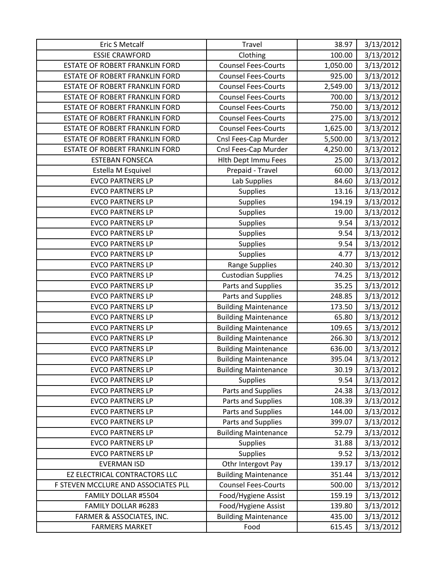| Eric S Metcalf                        | Travel                      | 38.97    | 3/13/2012 |
|---------------------------------------|-----------------------------|----------|-----------|
| <b>ESSIE CRAWFORD</b>                 | Clothing                    | 100.00   | 3/13/2012 |
| ESTATE OF ROBERT FRANKLIN FORD        | <b>Counsel Fees-Courts</b>  | 1,050.00 | 3/13/2012 |
| ESTATE OF ROBERT FRANKLIN FORD        | <b>Counsel Fees-Courts</b>  | 925.00   | 3/13/2012 |
| ESTATE OF ROBERT FRANKLIN FORD        | <b>Counsel Fees-Courts</b>  | 2,549.00 | 3/13/2012 |
| ESTATE OF ROBERT FRANKLIN FORD        | <b>Counsel Fees-Courts</b>  | 700.00   | 3/13/2012 |
| ESTATE OF ROBERT FRANKLIN FORD        | <b>Counsel Fees-Courts</b>  | 750.00   | 3/13/2012 |
| <b>ESTATE OF ROBERT FRANKLIN FORD</b> | <b>Counsel Fees-Courts</b>  | 275.00   | 3/13/2012 |
| <b>ESTATE OF ROBERT FRANKLIN FORD</b> | <b>Counsel Fees-Courts</b>  | 1,625.00 | 3/13/2012 |
| ESTATE OF ROBERT FRANKLIN FORD        | Cnsl Fees-Cap Murder        | 5,500.00 | 3/13/2012 |
| ESTATE OF ROBERT FRANKLIN FORD        | Cnsl Fees-Cap Murder        | 4,250.00 | 3/13/2012 |
| <b>ESTEBAN FONSECA</b>                | <b>Hith Dept Immu Fees</b>  | 25.00    | 3/13/2012 |
| Estella M Esquivel                    | Prepaid - Travel            | 60.00    | 3/13/2012 |
| <b>EVCO PARTNERS LP</b>               | Lab Supplies                | 84.60    | 3/13/2012 |
| <b>EVCO PARTNERS LP</b>               | <b>Supplies</b>             | 13.16    | 3/13/2012 |
| <b>EVCO PARTNERS LP</b>               | Supplies                    | 194.19   | 3/13/2012 |
| <b>EVCO PARTNERS LP</b>               | <b>Supplies</b>             | 19.00    | 3/13/2012 |
| <b>EVCO PARTNERS LP</b>               | Supplies                    | 9.54     | 3/13/2012 |
| <b>EVCO PARTNERS LP</b>               | Supplies                    | 9.54     | 3/13/2012 |
| <b>EVCO PARTNERS LP</b>               | <b>Supplies</b>             | 9.54     | 3/13/2012 |
| <b>EVCO PARTNERS LP</b>               | Supplies                    | 4.77     | 3/13/2012 |
| <b>EVCO PARTNERS LP</b>               | <b>Range Supplies</b>       | 240.30   | 3/13/2012 |
| <b>EVCO PARTNERS LP</b>               | <b>Custodian Supplies</b>   | 74.25    | 3/13/2012 |
| <b>EVCO PARTNERS LP</b>               | Parts and Supplies          | 35.25    | 3/13/2012 |
| <b>EVCO PARTNERS LP</b>               | Parts and Supplies          | 248.85   | 3/13/2012 |
| <b>EVCO PARTNERS LP</b>               | <b>Building Maintenance</b> | 173.50   | 3/13/2012 |
| <b>EVCO PARTNERS LP</b>               | <b>Building Maintenance</b> | 65.80    | 3/13/2012 |
| <b>EVCO PARTNERS LP</b>               | <b>Building Maintenance</b> | 109.65   | 3/13/2012 |
| <b>EVCO PARTNERS LP</b>               | <b>Building Maintenance</b> | 266.30   | 3/13/2012 |
| <b>EVCO PARTNERS LP</b>               | <b>Building Maintenance</b> | 636.00   | 3/13/2012 |
| <b>EVCO PARTNERS LP</b>               | <b>Building Maintenance</b> | 395.04   | 3/13/2012 |
| <b>EVCO PARTNERS LP</b>               | <b>Building Maintenance</b> | 30.19    | 3/13/2012 |
| <b>EVCO PARTNERS LP</b>               | <b>Supplies</b>             | 9.54     | 3/13/2012 |
| <b>EVCO PARTNERS LP</b>               | Parts and Supplies          | 24.38    | 3/13/2012 |
| <b>EVCO PARTNERS LP</b>               | Parts and Supplies          | 108.39   | 3/13/2012 |
| <b>EVCO PARTNERS LP</b>               | Parts and Supplies          | 144.00   | 3/13/2012 |
| <b>EVCO PARTNERS LP</b>               | Parts and Supplies          | 399.07   | 3/13/2012 |
| <b>EVCO PARTNERS LP</b>               | <b>Building Maintenance</b> | 52.79    | 3/13/2012 |
| <b>EVCO PARTNERS LP</b>               | Supplies                    | 31.88    | 3/13/2012 |
| <b>EVCO PARTNERS LP</b>               | Supplies                    | 9.52     | 3/13/2012 |
| <b>EVERMAN ISD</b>                    | Othr Intergovt Pay          | 139.17   | 3/13/2012 |
| EZ ELECTRICAL CONTRACTORS LLC         | <b>Building Maintenance</b> | 351.44   | 3/13/2012 |
| F STEVEN MCCLURE AND ASSOCIATES PLL   | <b>Counsel Fees-Courts</b>  | 500.00   | 3/13/2012 |
| FAMILY DOLLAR #5504                   | Food/Hygiene Assist         | 159.19   | 3/13/2012 |
| FAMILY DOLLAR #6283                   | Food/Hygiene Assist         | 139.80   | 3/13/2012 |
| FARMER & ASSOCIATES, INC.             | <b>Building Maintenance</b> | 435.00   | 3/13/2012 |
| <b>FARMERS MARKET</b>                 | Food                        | 615.45   | 3/13/2012 |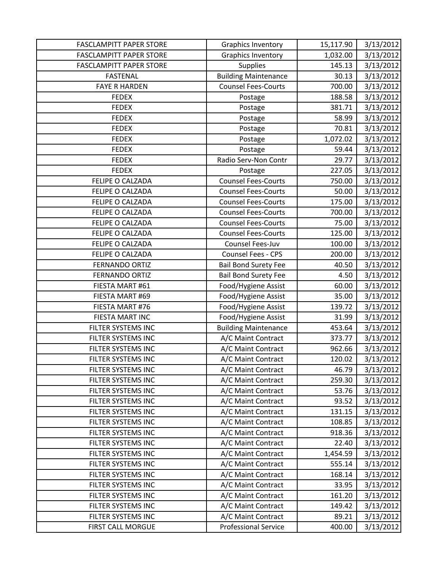| <b>FASCLAMPITT PAPER STORE</b> | <b>Graphics Inventory</b>   | 15,117.90 | 3/13/2012 |
|--------------------------------|-----------------------------|-----------|-----------|
| <b>FASCLAMPITT PAPER STORE</b> | <b>Graphics Inventory</b>   | 1,032.00  | 3/13/2012 |
| <b>FASCLAMPITT PAPER STORE</b> | <b>Supplies</b>             | 145.13    | 3/13/2012 |
| <b>FASTENAL</b>                | <b>Building Maintenance</b> | 30.13     | 3/13/2012 |
| <b>FAYE R HARDEN</b>           | <b>Counsel Fees-Courts</b>  | 700.00    | 3/13/2012 |
| <b>FEDEX</b>                   | Postage                     | 188.58    | 3/13/2012 |
| <b>FEDEX</b>                   | Postage                     | 381.71    | 3/13/2012 |
| <b>FEDEX</b>                   | Postage                     | 58.99     | 3/13/2012 |
| <b>FEDEX</b>                   | Postage                     | 70.81     | 3/13/2012 |
| <b>FEDEX</b>                   | Postage                     | 1,072.02  | 3/13/2012 |
| <b>FEDEX</b>                   | Postage                     | 59.44     | 3/13/2012 |
| <b>FEDEX</b>                   | Radio Serv-Non Contr        | 29.77     | 3/13/2012 |
| <b>FEDEX</b>                   | Postage                     | 227.05    | 3/13/2012 |
| FELIPE O CALZADA               | <b>Counsel Fees-Courts</b>  | 750.00    | 3/13/2012 |
| FELIPE O CALZADA               | <b>Counsel Fees-Courts</b>  | 50.00     | 3/13/2012 |
| FELIPE O CALZADA               | <b>Counsel Fees-Courts</b>  | 175.00    | 3/13/2012 |
| FELIPE O CALZADA               | <b>Counsel Fees-Courts</b>  | 700.00    | 3/13/2012 |
| FELIPE O CALZADA               | <b>Counsel Fees-Courts</b>  | 75.00     | 3/13/2012 |
| FELIPE O CALZADA               | <b>Counsel Fees-Courts</b>  | 125.00    | 3/13/2012 |
| FELIPE O CALZADA               | Counsel Fees-Juv            | 100.00    | 3/13/2012 |
| FELIPE O CALZADA               | Counsel Fees - CPS          | 200.00    | 3/13/2012 |
| <b>FERNANDO ORTIZ</b>          | <b>Bail Bond Surety Fee</b> | 40.50     | 3/13/2012 |
| <b>FERNANDO ORTIZ</b>          | <b>Bail Bond Surety Fee</b> | 4.50      | 3/13/2012 |
| FIESTA MART #61                | Food/Hygiene Assist         | 60.00     | 3/13/2012 |
| FIESTA MART #69                | Food/Hygiene Assist         | 35.00     | 3/13/2012 |
| FIESTA MART #76                | Food/Hygiene Assist         | 139.72    | 3/13/2012 |
| FIESTA MART INC                | Food/Hygiene Assist         | 31.99     | 3/13/2012 |
| FILTER SYSTEMS INC             | <b>Building Maintenance</b> | 453.64    | 3/13/2012 |
| FILTER SYSTEMS INC             | A/C Maint Contract          | 373.77    | 3/13/2012 |
| FILTER SYSTEMS INC             | A/C Maint Contract          | 962.66    | 3/13/2012 |
| FILTER SYSTEMS INC             | A/C Maint Contract          | 120.02    | 3/13/2012 |
| FILTER SYSTEMS INC             | A/C Maint Contract          | 46.79     | 3/13/2012 |
| FILTER SYSTEMS INC             | A/C Maint Contract          | 259.30    | 3/13/2012 |
| FILTER SYSTEMS INC             | A/C Maint Contract          | 53.76     | 3/13/2012 |
| FILTER SYSTEMS INC             | A/C Maint Contract          | 93.52     | 3/13/2012 |
| FILTER SYSTEMS INC             | A/C Maint Contract          | 131.15    | 3/13/2012 |
| FILTER SYSTEMS INC             | A/C Maint Contract          | 108.85    | 3/13/2012 |
| FILTER SYSTEMS INC             | A/C Maint Contract          | 918.36    | 3/13/2012 |
| FILTER SYSTEMS INC             | A/C Maint Contract          | 22.40     | 3/13/2012 |
| FILTER SYSTEMS INC             | A/C Maint Contract          | 1,454.59  | 3/13/2012 |
| FILTER SYSTEMS INC             | A/C Maint Contract          | 555.14    | 3/13/2012 |
| FILTER SYSTEMS INC             | A/C Maint Contract          | 168.14    | 3/13/2012 |
| FILTER SYSTEMS INC             | A/C Maint Contract          | 33.95     | 3/13/2012 |
| FILTER SYSTEMS INC             | A/C Maint Contract          | 161.20    | 3/13/2012 |
| FILTER SYSTEMS INC             | A/C Maint Contract          | 149.42    | 3/13/2012 |
| FILTER SYSTEMS INC             | A/C Maint Contract          | 89.21     | 3/13/2012 |
| FIRST CALL MORGUE              | <b>Professional Service</b> | 400.00    | 3/13/2012 |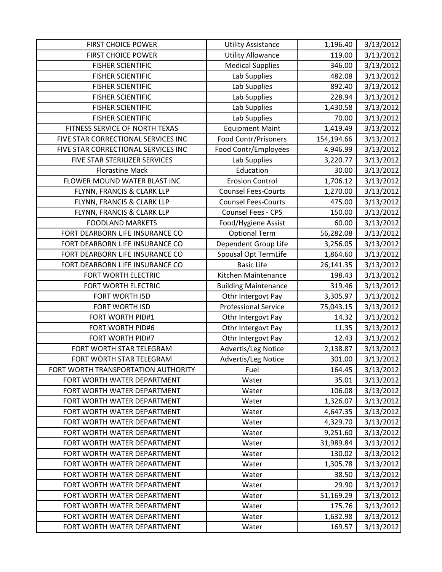| <b>FIRST CHOICE POWER</b>           | <b>Utility Assistance</b>   | 1,196.40   | 3/13/2012 |
|-------------------------------------|-----------------------------|------------|-----------|
| <b>FIRST CHOICE POWER</b>           | <b>Utility Allowance</b>    | 119.00     | 3/13/2012 |
| <b>FISHER SCIENTIFIC</b>            | <b>Medical Supplies</b>     | 346.00     | 3/13/2012 |
| <b>FISHER SCIENTIFIC</b>            | Lab Supplies                | 482.08     | 3/13/2012 |
| <b>FISHER SCIENTIFIC</b>            | Lab Supplies                | 892.40     | 3/13/2012 |
| <b>FISHER SCIENTIFIC</b>            | Lab Supplies                | 228.94     | 3/13/2012 |
| <b>FISHER SCIENTIFIC</b>            | Lab Supplies                | 1,430.58   | 3/13/2012 |
| <b>FISHER SCIENTIFIC</b>            | Lab Supplies                | 70.00      | 3/13/2012 |
| FITNESS SERVICE OF NORTH TEXAS      | <b>Equipment Maint</b>      | 1,419.49   | 3/13/2012 |
| FIVE STAR CORRECTIONAL SERVICES INC | Food Contr/Prisoners        | 154,194.66 | 3/13/2012 |
| FIVE STAR CORRECTIONAL SERVICES INC | Food Contr/Employees        | 4,946.99   | 3/13/2012 |
| FIVE STAR STERILIZER SERVICES       | Lab Supplies                | 3,220.77   | 3/13/2012 |
| <b>Florastine Mack</b>              | Education                   | 30.00      | 3/13/2012 |
| FLOWER MOUND WATER BLAST INC        | <b>Erosion Control</b>      | 1,706.12   | 3/13/2012 |
| FLYNN, FRANCIS & CLARK LLP          | <b>Counsel Fees-Courts</b>  | 1,270.00   | 3/13/2012 |
| FLYNN, FRANCIS & CLARK LLP          | <b>Counsel Fees-Courts</b>  | 475.00     | 3/13/2012 |
| FLYNN, FRANCIS & CLARK LLP          | Counsel Fees - CPS          | 150.00     | 3/13/2012 |
| <b>FOODLAND MARKETS</b>             | Food/Hygiene Assist         | 60.00      | 3/13/2012 |
| FORT DEARBORN LIFE INSURANCE CO     | <b>Optional Term</b>        | 56,282.08  | 3/13/2012 |
| FORT DEARBORN LIFE INSURANCE CO     | Dependent Group Life        | 3,256.05   | 3/13/2012 |
| FORT DEARBORN LIFE INSURANCE CO     | Spousal Opt TermLife        | 1,864.60   | 3/13/2012 |
| FORT DEARBORN LIFE INSURANCE CO     | <b>Basic Life</b>           | 26,141.35  | 3/13/2012 |
| FORT WORTH ELECTRIC                 | Kitchen Maintenance         | 198.43     | 3/13/2012 |
| FORT WORTH ELECTRIC                 | <b>Building Maintenance</b> | 319.46     | 3/13/2012 |
| FORT WORTH ISD                      | Othr Intergovt Pay          | 3,305.97   | 3/13/2012 |
| FORT WORTH ISD                      | <b>Professional Service</b> | 75,043.15  | 3/13/2012 |
| FORT WORTH PID#1                    | Othr Intergovt Pay          | 14.32      | 3/13/2012 |
| FORT WORTH PID#6                    | Othr Intergovt Pay          | 11.35      | 3/13/2012 |
| FORT WORTH PID#7                    | Othr Intergovt Pay          | 12.43      | 3/13/2012 |
| FORT WORTH STAR TELEGRAM            | Advertis/Leg Notice         | 2,138.87   | 3/13/2012 |
| FORT WORTH STAR TELEGRAM            | Advertis/Leg Notice         | 301.00     | 3/13/2012 |
| FORT WORTH TRANSPORTATION AUTHORITY | Fuel                        | 164.45     | 3/13/2012 |
| FORT WORTH WATER DEPARTMENT         | Water                       | 35.01      | 3/13/2012 |
| FORT WORTH WATER DEPARTMENT         | Water                       | 106.08     | 3/13/2012 |
| FORT WORTH WATER DEPARTMENT         | Water                       | 1,326.07   | 3/13/2012 |
| FORT WORTH WATER DEPARTMENT         | Water                       | 4,647.35   | 3/13/2012 |
| FORT WORTH WATER DEPARTMENT         | Water                       | 4,329.70   | 3/13/2012 |
| FORT WORTH WATER DEPARTMENT         | Water                       | 9,251.60   | 3/13/2012 |
| FORT WORTH WATER DEPARTMENT         | Water                       | 31,989.84  | 3/13/2012 |
| FORT WORTH WATER DEPARTMENT         | Water                       | 130.02     | 3/13/2012 |
| FORT WORTH WATER DEPARTMENT         | Water                       | 1,305.78   | 3/13/2012 |
| FORT WORTH WATER DEPARTMENT         | Water                       | 38.50      | 3/13/2012 |
| FORT WORTH WATER DEPARTMENT         | Water                       | 29.90      | 3/13/2012 |
| FORT WORTH WATER DEPARTMENT         | Water                       | 51,169.29  | 3/13/2012 |
| FORT WORTH WATER DEPARTMENT         | Water                       | 175.76     | 3/13/2012 |
| FORT WORTH WATER DEPARTMENT         | Water                       | 1,632.98   | 3/13/2012 |
| FORT WORTH WATER DEPARTMENT         | Water                       | 169.57     | 3/13/2012 |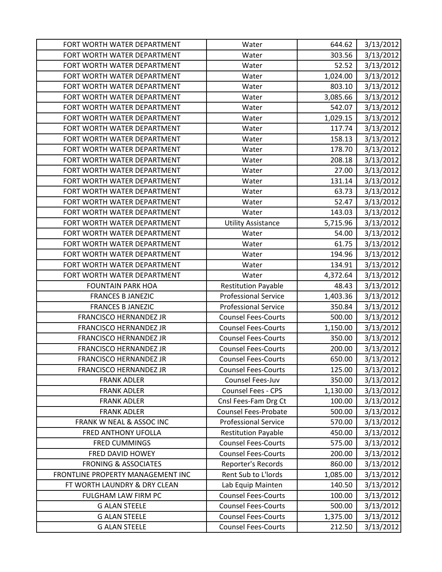| FORT WORTH WATER DEPARTMENT       | Water                       | 644.62   | 3/13/2012 |
|-----------------------------------|-----------------------------|----------|-----------|
| FORT WORTH WATER DEPARTMENT       | Water                       | 303.56   | 3/13/2012 |
| FORT WORTH WATER DEPARTMENT       | Water                       | 52.52    | 3/13/2012 |
| FORT WORTH WATER DEPARTMENT       | Water                       | 1,024.00 | 3/13/2012 |
| FORT WORTH WATER DEPARTMENT       | Water                       | 803.10   | 3/13/2012 |
| FORT WORTH WATER DEPARTMENT       | Water                       | 3,085.66 | 3/13/2012 |
| FORT WORTH WATER DEPARTMENT       | Water                       | 542.07   | 3/13/2012 |
| FORT WORTH WATER DEPARTMENT       | Water                       | 1,029.15 | 3/13/2012 |
| FORT WORTH WATER DEPARTMENT       | Water                       | 117.74   | 3/13/2012 |
| FORT WORTH WATER DEPARTMENT       | Water                       | 158.13   | 3/13/2012 |
| FORT WORTH WATER DEPARTMENT       | Water                       | 178.70   | 3/13/2012 |
| FORT WORTH WATER DEPARTMENT       | Water                       | 208.18   | 3/13/2012 |
| FORT WORTH WATER DEPARTMENT       | Water                       | 27.00    | 3/13/2012 |
| FORT WORTH WATER DEPARTMENT       | Water                       | 131.14   | 3/13/2012 |
| FORT WORTH WATER DEPARTMENT       | Water                       | 63.73    | 3/13/2012 |
| FORT WORTH WATER DEPARTMENT       | Water                       | 52.47    | 3/13/2012 |
| FORT WORTH WATER DEPARTMENT       | Water                       | 143.03   | 3/13/2012 |
| FORT WORTH WATER DEPARTMENT       | <b>Utility Assistance</b>   | 5,715.96 | 3/13/2012 |
| FORT WORTH WATER DEPARTMENT       | Water                       | 54.00    | 3/13/2012 |
| FORT WORTH WATER DEPARTMENT       | Water                       | 61.75    | 3/13/2012 |
| FORT WORTH WATER DEPARTMENT       | Water                       | 194.96   | 3/13/2012 |
| FORT WORTH WATER DEPARTMENT       | Water                       | 134.91   | 3/13/2012 |
| FORT WORTH WATER DEPARTMENT       | Water                       | 4,372.64 | 3/13/2012 |
| <b>FOUNTAIN PARK HOA</b>          | <b>Restitution Payable</b>  | 48.43    | 3/13/2012 |
| <b>FRANCES B JANEZIC</b>          | <b>Professional Service</b> | 1,403.36 | 3/13/2012 |
| <b>FRANCES B JANEZIC</b>          | <b>Professional Service</b> | 350.84   | 3/13/2012 |
| <b>FRANCISCO HERNANDEZ JR</b>     | <b>Counsel Fees-Courts</b>  | 500.00   | 3/13/2012 |
| <b>FRANCISCO HERNANDEZ JR</b>     | <b>Counsel Fees-Courts</b>  | 1,150.00 | 3/13/2012 |
| <b>FRANCISCO HERNANDEZ JR</b>     | <b>Counsel Fees-Courts</b>  | 350.00   | 3/13/2012 |
| <b>FRANCISCO HERNANDEZ JR</b>     | <b>Counsel Fees-Courts</b>  | 200.00   | 3/13/2012 |
| <b>FRANCISCO HERNANDEZ JR</b>     | <b>Counsel Fees-Courts</b>  | 650.00   | 3/13/2012 |
| FRANCISCO HERNANDEZ JR            | <b>Counsel Fees-Courts</b>  | 125.00   | 3/13/2012 |
| <b>FRANK ADLER</b>                | Counsel Fees-Juv            | 350.00   | 3/13/2012 |
| <b>FRANK ADLER</b>                | <b>Counsel Fees - CPS</b>   | 1,130.00 | 3/13/2012 |
| <b>FRANK ADLER</b>                | Cnsl Fees-Fam Drg Ct        | 100.00   | 3/13/2012 |
| <b>FRANK ADLER</b>                | <b>Counsel Fees-Probate</b> | 500.00   | 3/13/2012 |
| FRANK W NEAL & ASSOC INC          | <b>Professional Service</b> | 570.00   | 3/13/2012 |
| <b>FRED ANTHONY UFOLLA</b>        | <b>Restitution Payable</b>  | 450.00   | 3/13/2012 |
| <b>FRED CUMMINGS</b>              | <b>Counsel Fees-Courts</b>  | 575.00   | 3/13/2012 |
| FRED DAVID HOWEY                  | <b>Counsel Fees-Courts</b>  | 200.00   | 3/13/2012 |
| <b>FRONING &amp; ASSOCIATES</b>   | Reporter's Records          | 860.00   | 3/13/2012 |
| FRONTLINE PROPERTY MANAGEMENT INC | Rent Sub to L'Iords         | 1,085.00 | 3/13/2012 |
| FT WORTH LAUNDRY & DRY CLEAN      | Lab Equip Mainten           | 140.50   | 3/13/2012 |
| FULGHAM LAW FIRM PC               | <b>Counsel Fees-Courts</b>  | 100.00   | 3/13/2012 |
| <b>G ALAN STEELE</b>              | <b>Counsel Fees-Courts</b>  | 500.00   | 3/13/2012 |
| <b>G ALAN STEELE</b>              | <b>Counsel Fees-Courts</b>  | 1,375.00 | 3/13/2012 |
| <b>G ALAN STEELE</b>              | <b>Counsel Fees-Courts</b>  | 212.50   | 3/13/2012 |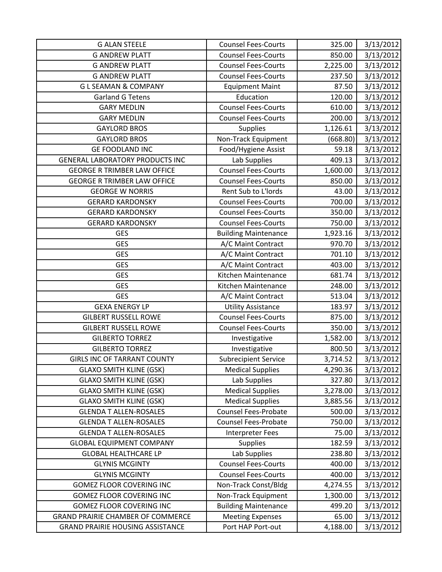| <b>G ALAN STEELE</b>                     | <b>Counsel Fees-Courts</b>  | 325.00   | 3/13/2012 |
|------------------------------------------|-----------------------------|----------|-----------|
| <b>G ANDREW PLATT</b>                    | <b>Counsel Fees-Courts</b>  | 850.00   | 3/13/2012 |
| <b>G ANDREW PLATT</b>                    | <b>Counsel Fees-Courts</b>  | 2,225.00 | 3/13/2012 |
| <b>G ANDREW PLATT</b>                    | <b>Counsel Fees-Courts</b>  | 237.50   | 3/13/2012 |
| <b>GLSEAMAN &amp; COMPANY</b>            | <b>Equipment Maint</b>      | 87.50    | 3/13/2012 |
| <b>Garland G Tetens</b>                  | Education                   | 120.00   | 3/13/2012 |
| <b>GARY MEDLIN</b>                       | <b>Counsel Fees-Courts</b>  | 610.00   | 3/13/2012 |
| <b>GARY MEDLIN</b>                       | <b>Counsel Fees-Courts</b>  | 200.00   | 3/13/2012 |
| <b>GAYLORD BROS</b>                      | Supplies                    | 1,126.61 | 3/13/2012 |
| <b>GAYLORD BROS</b>                      | Non-Track Equipment         | (668.80) | 3/13/2012 |
| <b>GE FOODLAND INC</b>                   | Food/Hygiene Assist         | 59.18    | 3/13/2012 |
| GENERAL LABORATORY PRODUCTS INC          | Lab Supplies                | 409.13   | 3/13/2012 |
| <b>GEORGE R TRIMBER LAW OFFICE</b>       | <b>Counsel Fees-Courts</b>  | 1,600.00 | 3/13/2012 |
| <b>GEORGE R TRIMBER LAW OFFICE</b>       | <b>Counsel Fees-Courts</b>  | 850.00   | 3/13/2012 |
| <b>GEORGE W NORRIS</b>                   | Rent Sub to L'Iords         | 43.00    | 3/13/2012 |
| <b>GERARD KARDONSKY</b>                  | <b>Counsel Fees-Courts</b>  | 700.00   | 3/13/2012 |
| <b>GERARD KARDONSKY</b>                  | <b>Counsel Fees-Courts</b>  | 350.00   | 3/13/2012 |
| <b>GERARD KARDONSKY</b>                  | <b>Counsel Fees-Courts</b>  | 750.00   | 3/13/2012 |
| <b>GES</b>                               | <b>Building Maintenance</b> | 1,923.16 | 3/13/2012 |
| <b>GES</b>                               | A/C Maint Contract          | 970.70   | 3/13/2012 |
| <b>GES</b>                               | A/C Maint Contract          | 701.10   | 3/13/2012 |
| <b>GES</b>                               | A/C Maint Contract          | 403.00   | 3/13/2012 |
| <b>GES</b>                               | Kitchen Maintenance         | 681.74   | 3/13/2012 |
| <b>GES</b>                               | Kitchen Maintenance         | 248.00   | 3/13/2012 |
| <b>GES</b>                               | A/C Maint Contract          | 513.04   | 3/13/2012 |
| <b>GEXA ENERGY LP</b>                    | <b>Utility Assistance</b>   | 183.97   | 3/13/2012 |
| <b>GILBERT RUSSELL ROWE</b>              | <b>Counsel Fees-Courts</b>  | 875.00   | 3/13/2012 |
| <b>GILBERT RUSSELL ROWE</b>              | <b>Counsel Fees-Courts</b>  | 350.00   | 3/13/2012 |
| <b>GILBERTO TORREZ</b>                   | Investigative               | 1,582.00 | 3/13/2012 |
| <b>GILBERTO TORREZ</b>                   | Investigative               | 800.50   | 3/13/2012 |
| <b>GIRLS INC OF TARRANT COUNTY</b>       | <b>Subrecipient Service</b> | 3,714.52 | 3/13/2012 |
| <b>GLAXO SMITH KLINE (GSK)</b>           | <b>Medical Supplies</b>     | 4,290.36 | 3/13/2012 |
| <b>GLAXO SMITH KLINE (GSK)</b>           | Lab Supplies                | 327.80   | 3/13/2012 |
| <b>GLAXO SMITH KLINE (GSK)</b>           | <b>Medical Supplies</b>     | 3,278.00 | 3/13/2012 |
| <b>GLAXO SMITH KLINE (GSK)</b>           | <b>Medical Supplies</b>     | 3,885.56 | 3/13/2012 |
| <b>GLENDA T ALLEN-ROSALES</b>            | <b>Counsel Fees-Probate</b> | 500.00   | 3/13/2012 |
| <b>GLENDA T ALLEN-ROSALES</b>            | Counsel Fees-Probate        | 750.00   | 3/13/2012 |
| <b>GLENDA T ALLEN-ROSALES</b>            | <b>Interpreter Fees</b>     | 75.00    | 3/13/2012 |
| <b>GLOBAL EQUIPMENT COMPANY</b>          | <b>Supplies</b>             | 182.59   | 3/13/2012 |
| <b>GLOBAL HEALTHCARE LP</b>              | Lab Supplies                | 238.80   | 3/13/2012 |
| <b>GLYNIS MCGINTY</b>                    | <b>Counsel Fees-Courts</b>  | 400.00   | 3/13/2012 |
| <b>GLYNIS MCGINTY</b>                    | <b>Counsel Fees-Courts</b>  | 400.00   | 3/13/2012 |
| <b>GOMEZ FLOOR COVERING INC</b>          | Non-Track Const/Bldg        | 4,274.55 | 3/13/2012 |
| <b>GOMEZ FLOOR COVERING INC</b>          | Non-Track Equipment         | 1,300.00 | 3/13/2012 |
| <b>GOMEZ FLOOR COVERING INC</b>          | <b>Building Maintenance</b> | 499.20   | 3/13/2012 |
| <b>GRAND PRAIRIE CHAMBER OF COMMERCE</b> | <b>Meeting Expenses</b>     | 65.00    | 3/13/2012 |
| <b>GRAND PRAIRIE HOUSING ASSISTANCE</b>  | Port HAP Port-out           | 4,188.00 | 3/13/2012 |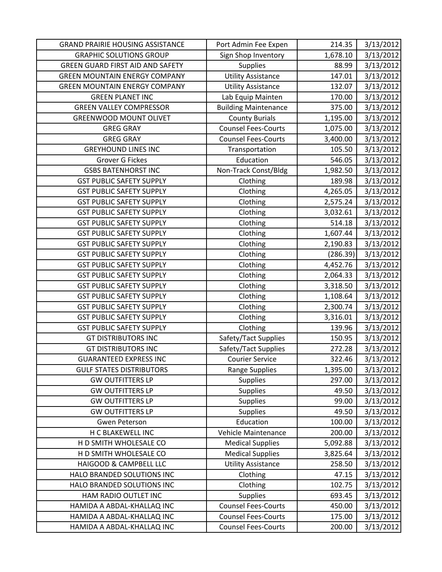| <b>GRAND PRAIRIE HOUSING ASSISTANCE</b> | Port Admin Fee Expen        | 214.35   | 3/13/2012 |
|-----------------------------------------|-----------------------------|----------|-----------|
| <b>GRAPHIC SOLUTIONS GROUP</b>          | Sign Shop Inventory         | 1,678.10 | 3/13/2012 |
| <b>GREEN GUARD FIRST AID AND SAFETY</b> | <b>Supplies</b>             | 88.99    | 3/13/2012 |
| <b>GREEN MOUNTAIN ENERGY COMPANY</b>    | <b>Utility Assistance</b>   | 147.01   | 3/13/2012 |
| <b>GREEN MOUNTAIN ENERGY COMPANY</b>    | <b>Utility Assistance</b>   | 132.07   | 3/13/2012 |
| <b>GREEN PLANET INC</b>                 | Lab Equip Mainten           | 170.00   | 3/13/2012 |
| <b>GREEN VALLEY COMPRESSOR</b>          | <b>Building Maintenance</b> | 375.00   | 3/13/2012 |
| <b>GREENWOOD MOUNT OLIVET</b>           | <b>County Burials</b>       | 1,195.00 | 3/13/2012 |
| <b>GREG GRAY</b>                        | <b>Counsel Fees-Courts</b>  | 1,075.00 | 3/13/2012 |
| <b>GREG GRAY</b>                        | <b>Counsel Fees-Courts</b>  | 3,400.00 | 3/13/2012 |
| <b>GREYHOUND LINES INC</b>              | Transportation              | 105.50   | 3/13/2012 |
| <b>Grover G Fickes</b>                  | Education                   | 546.05   | 3/13/2012 |
| <b>GSBS BATENHORST INC</b>              | Non-Track Const/Bldg        | 1,982.50 | 3/13/2012 |
| <b>GST PUBLIC SAFETY SUPPLY</b>         | Clothing                    | 189.98   | 3/13/2012 |
| <b>GST PUBLIC SAFETY SUPPLY</b>         | Clothing                    | 4,265.05 | 3/13/2012 |
| <b>GST PUBLIC SAFETY SUPPLY</b>         | Clothing                    | 2,575.24 | 3/13/2012 |
| <b>GST PUBLIC SAFETY SUPPLY</b>         | Clothing                    | 3,032.61 | 3/13/2012 |
| <b>GST PUBLIC SAFETY SUPPLY</b>         | Clothing                    | 514.18   | 3/13/2012 |
| <b>GST PUBLIC SAFETY SUPPLY</b>         | Clothing                    | 1,607.44 | 3/13/2012 |
| <b>GST PUBLIC SAFETY SUPPLY</b>         | Clothing                    | 2,190.83 | 3/13/2012 |
| <b>GST PUBLIC SAFETY SUPPLY</b>         | Clothing                    | (286.39) | 3/13/2012 |
| <b>GST PUBLIC SAFETY SUPPLY</b>         | Clothing                    | 4,452.76 | 3/13/2012 |
| <b>GST PUBLIC SAFETY SUPPLY</b>         | Clothing                    | 2,064.33 | 3/13/2012 |
| <b>GST PUBLIC SAFETY SUPPLY</b>         | Clothing                    | 3,318.50 | 3/13/2012 |
| <b>GST PUBLIC SAFETY SUPPLY</b>         | Clothing                    | 1,108.64 | 3/13/2012 |
| <b>GST PUBLIC SAFETY SUPPLY</b>         | Clothing                    | 2,300.74 | 3/13/2012 |
| <b>GST PUBLIC SAFETY SUPPLY</b>         | Clothing                    | 3,316.01 | 3/13/2012 |
| <b>GST PUBLIC SAFETY SUPPLY</b>         | Clothing                    | 139.96   | 3/13/2012 |
| <b>GT DISTRIBUTORS INC</b>              | Safety/Tact Supplies        | 150.95   | 3/13/2012 |
| <b>GT DISTRIBUTORS INC</b>              | Safety/Tact Supplies        | 272.28   | 3/13/2012 |
| <b>GUARANTEED EXPRESS INC</b>           | <b>Courier Service</b>      | 322.46   | 3/13/2012 |
| <b>GULF STATES DISTRIBUTORS</b>         | <b>Range Supplies</b>       | 1,395.00 | 3/13/2012 |
| <b>GW OUTFITTERS LP</b>                 | Supplies                    | 297.00   | 3/13/2012 |
| <b>GW OUTFITTERS LP</b>                 | <b>Supplies</b>             | 49.50    | 3/13/2012 |
| <b>GW OUTFITTERS LP</b>                 | Supplies                    | 99.00    | 3/13/2012 |
| <b>GW OUTFITTERS LP</b>                 | Supplies                    | 49.50    | 3/13/2012 |
| <b>Gwen Peterson</b>                    | Education                   | 100.00   | 3/13/2012 |
| H C BLAKEWELL INC                       | Vehicle Maintenance         | 200.00   | 3/13/2012 |
| H D SMITH WHOLESALE CO                  | <b>Medical Supplies</b>     | 5,092.88 | 3/13/2012 |
| H D SMITH WHOLESALE CO                  | <b>Medical Supplies</b>     | 3,825.64 | 3/13/2012 |
| HAIGOOD & CAMPBELL LLC                  | <b>Utility Assistance</b>   | 258.50   | 3/13/2012 |
| HALO BRANDED SOLUTIONS INC              | Clothing                    | 47.15    | 3/13/2012 |
| HALO BRANDED SOLUTIONS INC              | Clothing                    | 102.75   | 3/13/2012 |
| HAM RADIO OUTLET INC                    | <b>Supplies</b>             | 693.45   | 3/13/2012 |
| HAMIDA A ABDAL-KHALLAQ INC              | <b>Counsel Fees-Courts</b>  | 450.00   | 3/13/2012 |
| HAMIDA A ABDAL-KHALLAQ INC              | <b>Counsel Fees-Courts</b>  | 175.00   | 3/13/2012 |
| HAMIDA A ABDAL-KHALLAQ INC              | <b>Counsel Fees-Courts</b>  | 200.00   | 3/13/2012 |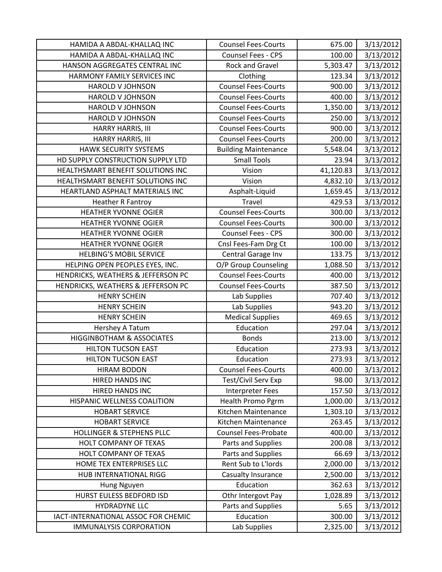| HAMIDA A ABDAL-KHALLAQ INC           | <b>Counsel Fees-Courts</b>  | 675.00    | 3/13/2012 |
|--------------------------------------|-----------------------------|-----------|-----------|
| HAMIDA A ABDAL-KHALLAQ INC           | Counsel Fees - CPS          | 100.00    | 3/13/2012 |
| HANSON AGGREGATES CENTRAL INC        | Rock and Gravel             | 5,303.47  | 3/13/2012 |
| HARMONY FAMILY SERVICES INC          | Clothing                    | 123.34    | 3/13/2012 |
| <b>HAROLD V JOHNSON</b>              | <b>Counsel Fees-Courts</b>  | 900.00    | 3/13/2012 |
| <b>HAROLD V JOHNSON</b>              | <b>Counsel Fees-Courts</b>  | 400.00    | 3/13/2012 |
| <b>HAROLD V JOHNSON</b>              | <b>Counsel Fees-Courts</b>  | 1,350.00  | 3/13/2012 |
| <b>HAROLD V JOHNSON</b>              | <b>Counsel Fees-Courts</b>  | 250.00    | 3/13/2012 |
| HARRY HARRIS, III                    | <b>Counsel Fees-Courts</b>  | 900.00    | 3/13/2012 |
| <b>HARRY HARRIS, III</b>             | <b>Counsel Fees-Courts</b>  | 200.00    | 3/13/2012 |
| HAWK SECURITY SYSTEMS                | <b>Building Maintenance</b> | 5,548.04  | 3/13/2012 |
| HD SUPPLY CONSTRUCTION SUPPLY LTD    | <b>Small Tools</b>          | 23.94     | 3/13/2012 |
| HEALTHSMART BENEFIT SOLUTIONS INC    | Vision                      | 41,120.83 | 3/13/2012 |
| HEALTHSMART BENEFIT SOLUTIONS INC    | Vision                      | 4,832.10  | 3/13/2012 |
| HEARTLAND ASPHALT MATERIALS INC      | Asphalt-Liquid              | 1,659.45  | 3/13/2012 |
| <b>Heather R Fantroy</b>             | <b>Travel</b>               | 429.53    | 3/13/2012 |
| <b>HEATHER YVONNE OGIER</b>          | <b>Counsel Fees-Courts</b>  | 300.00    | 3/13/2012 |
| <b>HEATHER YVONNE OGIER</b>          | <b>Counsel Fees-Courts</b>  | 300.00    | 3/13/2012 |
| <b>HEATHER YVONNE OGIER</b>          | Counsel Fees - CPS          | 300.00    | 3/13/2012 |
| <b>HEATHER YVONNE OGIER</b>          | Cnsl Fees-Fam Drg Ct        | 100.00    | 3/13/2012 |
| <b>HELBING'S MOBIL SERVICE</b>       | Central Garage Inv          | 133.75    | 3/13/2012 |
| HELPING OPEN PEOPLES EYES, INC.      | O/P Group Counseling        | 1,088.50  | 3/13/2012 |
| HENDRICKS, WEATHERS & JEFFERSON PC   | <b>Counsel Fees-Courts</b>  | 400.00    | 3/13/2012 |
| HENDRICKS, WEATHERS & JEFFERSON PC   | <b>Counsel Fees-Courts</b>  | 387.50    | 3/13/2012 |
| <b>HENRY SCHEIN</b>                  | Lab Supplies                | 707.40    | 3/13/2012 |
| <b>HENRY SCHEIN</b>                  | Lab Supplies                | 943.20    | 3/13/2012 |
| <b>HENRY SCHEIN</b>                  | <b>Medical Supplies</b>     | 469.65    | 3/13/2012 |
| Hershey A Tatum                      | Education                   | 297.04    | 3/13/2012 |
| <b>HIGGINBOTHAM &amp; ASSOCIATES</b> | <b>Bonds</b>                | 213.00    | 3/13/2012 |
| <b>HILTON TUCSON EAST</b>            | Education                   | 273.93    | 3/13/2012 |
| <b>HILTON TUCSON EAST</b>            | Education                   | 273.93    | 3/13/2012 |
| <b>HIRAM BODON</b>                   | <b>Counsel Fees-Courts</b>  | 400.00    | 3/13/2012 |
| <b>HIRED HANDS INC</b>               | Test/Civil Serv Exp         | 98.00     | 3/13/2012 |
| HIRED HANDS INC                      | Interpreter Fees            | 157.50    | 3/13/2012 |
| HISPANIC WELLNESS COALITION          | Health Promo Pgrm           | 1,000.00  | 3/13/2012 |
| <b>HOBART SERVICE</b>                | Kitchen Maintenance         | 1,303.10  | 3/13/2012 |
| <b>HOBART SERVICE</b>                | Kitchen Maintenance         | 263.45    | 3/13/2012 |
| <b>HOLLINGER &amp; STEPHENS PLLC</b> | <b>Counsel Fees-Probate</b> | 400.00    | 3/13/2012 |
| HOLT COMPANY OF TEXAS                | Parts and Supplies          | 200.08    | 3/13/2012 |
| HOLT COMPANY OF TEXAS                | Parts and Supplies          | 66.69     | 3/13/2012 |
| HOME TEX ENTERPRISES LLC             | Rent Sub to L'Iords         | 2,000.00  | 3/13/2012 |
| HUB INTERNATIONAL RIGG               | Casualty Insurance          | 2,500.00  | 3/13/2012 |
| Hung Nguyen                          | Education                   | 362.63    | 3/13/2012 |
| HURST EULESS BEDFORD ISD             | Othr Intergovt Pay          | 1,028.89  | 3/13/2012 |
| <b>HYDRADYNE LLC</b>                 | Parts and Supplies          | 5.65      | 3/13/2012 |
| IACT-INTERNATIONAL ASSOC FOR CHEMIC  | Education                   | 300.00    | 3/13/2012 |
| <b>IMMUNALYSIS CORPORATION</b>       | Lab Supplies                | 2,325.00  | 3/13/2012 |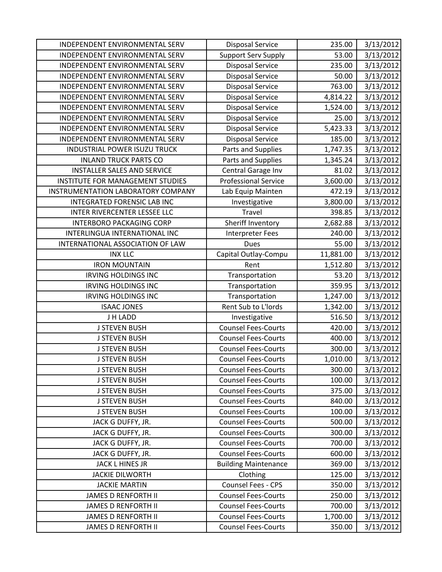| INDEPENDENT ENVIRONMENTAL SERV      | <b>Disposal Service</b>     | 235.00    | 3/13/2012 |
|-------------------------------------|-----------------------------|-----------|-----------|
| INDEPENDENT ENVIRONMENTAL SERV      | <b>Support Serv Supply</b>  | 53.00     | 3/13/2012 |
| INDEPENDENT ENVIRONMENTAL SERV      | <b>Disposal Service</b>     | 235.00    | 3/13/2012 |
| INDEPENDENT ENVIRONMENTAL SERV      | <b>Disposal Service</b>     | 50.00     | 3/13/2012 |
| INDEPENDENT ENVIRONMENTAL SERV      | <b>Disposal Service</b>     | 763.00    | 3/13/2012 |
| INDEPENDENT ENVIRONMENTAL SERV      | <b>Disposal Service</b>     | 4,814.22  | 3/13/2012 |
| INDEPENDENT ENVIRONMENTAL SERV      | <b>Disposal Service</b>     | 1,524.00  | 3/13/2012 |
| INDEPENDENT ENVIRONMENTAL SERV      | <b>Disposal Service</b>     | 25.00     | 3/13/2012 |
| INDEPENDENT ENVIRONMENTAL SERV      | <b>Disposal Service</b>     | 5,423.33  | 3/13/2012 |
| INDEPENDENT ENVIRONMENTAL SERV      | <b>Disposal Service</b>     | 185.00    | 3/13/2012 |
| <b>INDUSTRIAL POWER ISUZU TRUCK</b> | Parts and Supplies          | 1,747.35  | 3/13/2012 |
| <b>INLAND TRUCK PARTS CO</b>        | Parts and Supplies          | 1,345.24  | 3/13/2012 |
| <b>INSTALLER SALES AND SERVICE</b>  | Central Garage Inv          | 81.02     | 3/13/2012 |
| INSTITUTE FOR MANAGEMENT STUDIES    | <b>Professional Service</b> | 3,600.00  | 3/13/2012 |
| INSTRUMENTATION LABORATORY COMPANY  | Lab Equip Mainten           | 472.19    | 3/13/2012 |
| INTEGRATED FORENSIC LAB INC         | Investigative               | 3,800.00  | 3/13/2012 |
| INTER RIVERCENTER LESSEE LLC        | <b>Travel</b>               | 398.85    | 3/13/2012 |
| <b>INTERBORO PACKAGING CORP</b>     | Sheriff Inventory           | 2,682.88  | 3/13/2012 |
| INTERLINGUA INTERNATIONAL INC       | <b>Interpreter Fees</b>     | 240.00    | 3/13/2012 |
| INTERNATIONAL ASSOCIATION OF LAW    | <b>Dues</b>                 | 55.00     | 3/13/2012 |
| <b>INX LLC</b>                      | Capital Outlay-Compu        | 11,881.00 | 3/13/2012 |
| <b>IRON MOUNTAIN</b>                | Rent                        | 1,512.80  | 3/13/2012 |
| <b>IRVING HOLDINGS INC</b>          | Transportation              | 53.20     | 3/13/2012 |
| <b>IRVING HOLDINGS INC</b>          | Transportation              | 359.95    | 3/13/2012 |
| <b>IRVING HOLDINGS INC</b>          | Transportation              | 1,247.00  | 3/13/2012 |
| <b>ISAAC JONES</b>                  | Rent Sub to L'Iords         | 1,342.00  | 3/13/2012 |
| J H LADD                            | Investigative               | 516.50    | 3/13/2012 |
| <b>J STEVEN BUSH</b>                | <b>Counsel Fees-Courts</b>  | 420.00    | 3/13/2012 |
| <b>J STEVEN BUSH</b>                | <b>Counsel Fees-Courts</b>  | 400.00    | 3/13/2012 |
| <b>J STEVEN BUSH</b>                | <b>Counsel Fees-Courts</b>  | 300.00    | 3/13/2012 |
| <b>J STEVEN BUSH</b>                | <b>Counsel Fees-Courts</b>  | 1,010.00  | 3/13/2012 |
| <b>J STEVEN BUSH</b>                | <b>Counsel Fees-Courts</b>  | 300.00    | 3/13/2012 |
| <b>J STEVEN BUSH</b>                | <b>Counsel Fees-Courts</b>  | 100.00    | 3/13/2012 |
| <b>J STEVEN BUSH</b>                | <b>Counsel Fees-Courts</b>  | 375.00    | 3/13/2012 |
| <b>J STEVEN BUSH</b>                | <b>Counsel Fees-Courts</b>  | 840.00    | 3/13/2012 |
| <b>J STEVEN BUSH</b>                | <b>Counsel Fees-Courts</b>  | 100.00    | 3/13/2012 |
| JACK G DUFFY, JR.                   | <b>Counsel Fees-Courts</b>  | 500.00    | 3/13/2012 |
| JACK G DUFFY, JR.                   | <b>Counsel Fees-Courts</b>  | 300.00    | 3/13/2012 |
| JACK G DUFFY, JR.                   | <b>Counsel Fees-Courts</b>  | 700.00    | 3/13/2012 |
| JACK G DUFFY, JR.                   | <b>Counsel Fees-Courts</b>  | 600.00    | 3/13/2012 |
| JACK L HINES JR                     | <b>Building Maintenance</b> | 369.00    | 3/13/2012 |
| <b>JACKIE DILWORTH</b>              | Clothing                    | 125.00    | 3/13/2012 |
| <b>JACKIE MARTIN</b>                | Counsel Fees - CPS          | 350.00    | 3/13/2012 |
| <b>JAMES D RENFORTH II</b>          | <b>Counsel Fees-Courts</b>  | 250.00    | 3/13/2012 |
| <b>JAMES D RENFORTH II</b>          | <b>Counsel Fees-Courts</b>  | 700.00    | 3/13/2012 |
| <b>JAMES D RENFORTH II</b>          | <b>Counsel Fees-Courts</b>  | 1,700.00  | 3/13/2012 |
| <b>JAMES D RENFORTH II</b>          | <b>Counsel Fees-Courts</b>  | 350.00    | 3/13/2012 |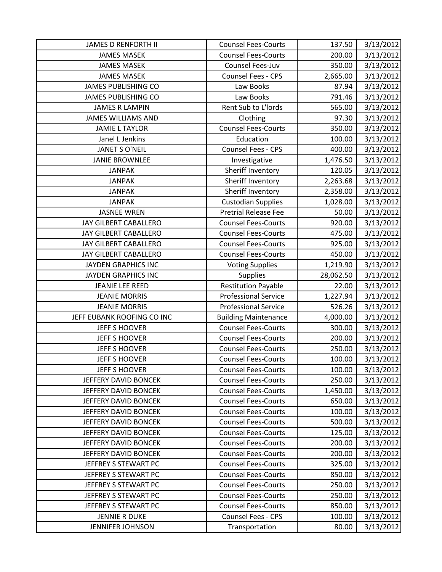| <b>JAMES D RENFORTH II</b>   | <b>Counsel Fees-Courts</b>  | 137.50    | 3/13/2012 |
|------------------------------|-----------------------------|-----------|-----------|
| <b>JAMES MASEK</b>           | <b>Counsel Fees-Courts</b>  | 200.00    | 3/13/2012 |
| <b>JAMES MASEK</b>           | Counsel Fees-Juv            | 350.00    | 3/13/2012 |
| <b>JAMES MASEK</b>           | Counsel Fees - CPS          | 2,665.00  | 3/13/2012 |
| <b>JAMES PUBLISHING CO</b>   | Law Books                   | 87.94     | 3/13/2012 |
| <b>JAMES PUBLISHING CO</b>   | Law Books                   | 791.46    | 3/13/2012 |
| <b>JAMES R LAMPIN</b>        | Rent Sub to L'Iords         | 565.00    | 3/13/2012 |
| <b>JAMES WILLIAMS AND</b>    | Clothing                    | 97.30     | 3/13/2012 |
| <b>JAMIE L TAYLOR</b>        | <b>Counsel Fees-Courts</b>  | 350.00    | 3/13/2012 |
| Janel L Jenkins              | Education                   | 100.00    | 3/13/2012 |
| JANET S O'NEIL               | Counsel Fees - CPS          | 400.00    | 3/13/2012 |
| <b>JANIE BROWNLEE</b>        | Investigative               | 1,476.50  | 3/13/2012 |
| <b>JANPAK</b>                | Sheriff Inventory           | 120.05    | 3/13/2012 |
| <b>JANPAK</b>                | Sheriff Inventory           | 2,263.68  | 3/13/2012 |
| <b>JANPAK</b>                | Sheriff Inventory           | 2,358.00  | 3/13/2012 |
| <b>JANPAK</b>                | <b>Custodian Supplies</b>   | 1,028.00  | 3/13/2012 |
| <b>JASNEE WREN</b>           | <b>Pretrial Release Fee</b> | 50.00     | 3/13/2012 |
| JAY GILBERT CABALLERO        | <b>Counsel Fees-Courts</b>  | 920.00    | 3/13/2012 |
| <b>JAY GILBERT CABALLERO</b> | <b>Counsel Fees-Courts</b>  | 475.00    | 3/13/2012 |
| JAY GILBERT CABALLERO        | <b>Counsel Fees-Courts</b>  | 925.00    | 3/13/2012 |
| JAY GILBERT CABALLERO        | <b>Counsel Fees-Courts</b>  | 450.00    | 3/13/2012 |
| JAYDEN GRAPHICS INC          | <b>Voting Supplies</b>      | 1,219.90  | 3/13/2012 |
| <b>JAYDEN GRAPHICS INC</b>   | <b>Supplies</b>             | 28,062.50 | 3/13/2012 |
| <b>JEANIE LEE REED</b>       | <b>Restitution Payable</b>  | 22.00     | 3/13/2012 |
| <b>JEANIE MORRIS</b>         | <b>Professional Service</b> | 1,227.94  | 3/13/2012 |
| <b>JEANIE MORRIS</b>         | <b>Professional Service</b> | 526.26    | 3/13/2012 |
| JEFF EUBANK ROOFING CO INC   | <b>Building Maintenance</b> | 4,000.00  | 3/13/2012 |
| <b>JEFF S HOOVER</b>         | <b>Counsel Fees-Courts</b>  | 300.00    | 3/13/2012 |
| <b>JEFF S HOOVER</b>         | <b>Counsel Fees-Courts</b>  | 200.00    | 3/13/2012 |
| JEFF S HOOVER                | <b>Counsel Fees-Courts</b>  | 250.00    | 3/13/2012 |
| <b>JEFF S HOOVER</b>         | <b>Counsel Fees-Courts</b>  | 100.00    | 3/13/2012 |
| <b>JEFF S HOOVER</b>         | <b>Counsel Fees-Courts</b>  | 100.00    | 3/13/2012 |
| JEFFERY DAVID BONCEK         | <b>Counsel Fees-Courts</b>  | 250.00    | 3/13/2012 |
| JEFFERY DAVID BONCEK         | <b>Counsel Fees-Courts</b>  | 1,450.00  | 3/13/2012 |
| JEFFERY DAVID BONCEK         | <b>Counsel Fees-Courts</b>  | 650.00    | 3/13/2012 |
| JEFFERY DAVID BONCEK         | <b>Counsel Fees-Courts</b>  | 100.00    | 3/13/2012 |
| JEFFERY DAVID BONCEK         | <b>Counsel Fees-Courts</b>  | 500.00    | 3/13/2012 |
| JEFFERY DAVID BONCEK         | <b>Counsel Fees-Courts</b>  | 125.00    | 3/13/2012 |
| JEFFERY DAVID BONCEK         | <b>Counsel Fees-Courts</b>  | 200.00    | 3/13/2012 |
| JEFFERY DAVID BONCEK         | <b>Counsel Fees-Courts</b>  | 200.00    | 3/13/2012 |
| JEFFREY S STEWART PC         | <b>Counsel Fees-Courts</b>  | 325.00    | 3/13/2012 |
| JEFFREY S STEWART PC         | <b>Counsel Fees-Courts</b>  | 850.00    | 3/13/2012 |
| JEFFREY S STEWART PC         | <b>Counsel Fees-Courts</b>  | 250.00    | 3/13/2012 |
| JEFFREY S STEWART PC         | <b>Counsel Fees-Courts</b>  | 250.00    | 3/13/2012 |
| JEFFREY S STEWART PC         | <b>Counsel Fees-Courts</b>  | 850.00    | 3/13/2012 |
| <b>JENNIE R DUKE</b>         | <b>Counsel Fees - CPS</b>   | 100.00    | 3/13/2012 |
| <b>JENNIFER JOHNSON</b>      | Transportation              | 80.00     | 3/13/2012 |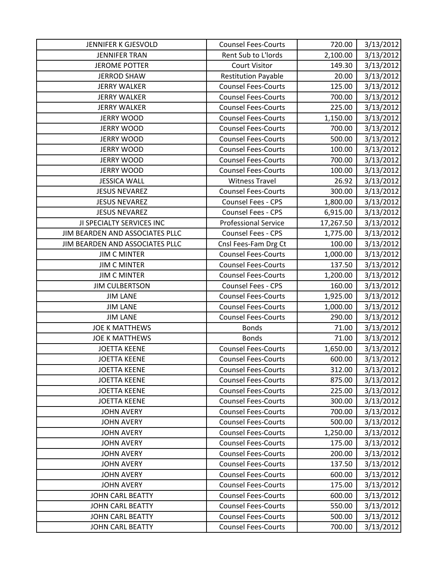| JENNIFER K GJESVOLD             | <b>Counsel Fees-Courts</b>  | 720.00    | 3/13/2012 |
|---------------------------------|-----------------------------|-----------|-----------|
| <b>JENNIFER TRAN</b>            | Rent Sub to L'Iords         | 2,100.00  | 3/13/2012 |
| <b>JEROME POTTER</b>            | <b>Court Visitor</b>        | 149.30    | 3/13/2012 |
| <b>JERROD SHAW</b>              | <b>Restitution Payable</b>  | 20.00     | 3/13/2012 |
| <b>JERRY WALKER</b>             | <b>Counsel Fees-Courts</b>  | 125.00    | 3/13/2012 |
| <b>JERRY WALKER</b>             | <b>Counsel Fees-Courts</b>  | 700.00    | 3/13/2012 |
| <b>JERRY WALKER</b>             | <b>Counsel Fees-Courts</b>  | 225.00    | 3/13/2012 |
| <b>JERRY WOOD</b>               | <b>Counsel Fees-Courts</b>  | 1,150.00  | 3/13/2012 |
| <b>JERRY WOOD</b>               | <b>Counsel Fees-Courts</b>  | 700.00    | 3/13/2012 |
| <b>JERRY WOOD</b>               | <b>Counsel Fees-Courts</b>  | 500.00    | 3/13/2012 |
| <b>JERRY WOOD</b>               | <b>Counsel Fees-Courts</b>  | 100.00    | 3/13/2012 |
| <b>JERRY WOOD</b>               | <b>Counsel Fees-Courts</b>  | 700.00    | 3/13/2012 |
| <b>JERRY WOOD</b>               | <b>Counsel Fees-Courts</b>  | 100.00    | 3/13/2012 |
| <b>JESSICA WALL</b>             | <b>Witness Travel</b>       | 26.92     | 3/13/2012 |
| <b>JESUS NEVAREZ</b>            | <b>Counsel Fees-Courts</b>  | 300.00    | 3/13/2012 |
| <b>JESUS NEVAREZ</b>            | <b>Counsel Fees - CPS</b>   | 1,800.00  | 3/13/2012 |
| <b>JESUS NEVAREZ</b>            | <b>Counsel Fees - CPS</b>   | 6,915.00  | 3/13/2012 |
| JI SPECIALTY SERVICES INC       | <b>Professional Service</b> | 17,267.50 | 3/13/2012 |
| JIM BEARDEN AND ASSOCIATES PLLC | <b>Counsel Fees - CPS</b>   | 1,775.00  | 3/13/2012 |
| JIM BEARDEN AND ASSOCIATES PLLC | Cnsl Fees-Fam Drg Ct        | 100.00    | 3/13/2012 |
| <b>JIM C MINTER</b>             | <b>Counsel Fees-Courts</b>  | 1,000.00  | 3/13/2012 |
| <b>JIM C MINTER</b>             | <b>Counsel Fees-Courts</b>  | 137.50    | 3/13/2012 |
| <b>JIM C MINTER</b>             | <b>Counsel Fees-Courts</b>  | 1,200.00  | 3/13/2012 |
| <b>JIM CULBERTSON</b>           | <b>Counsel Fees - CPS</b>   | 160.00    | 3/13/2012 |
| <b>JIM LANE</b>                 | <b>Counsel Fees-Courts</b>  | 1,925.00  | 3/13/2012 |
| <b>JIM LANE</b>                 | <b>Counsel Fees-Courts</b>  | 1,000.00  | 3/13/2012 |
| <b>JIM LANE</b>                 | <b>Counsel Fees-Courts</b>  | 290.00    | 3/13/2012 |
| <b>JOE K MATTHEWS</b>           | <b>Bonds</b>                | 71.00     | 3/13/2012 |
| <b>JOE K MATTHEWS</b>           | <b>Bonds</b>                | 71.00     | 3/13/2012 |
| <b>JOETTA KEENE</b>             | <b>Counsel Fees-Courts</b>  | 1,650.00  | 3/13/2012 |
| <b>JOETTA KEENE</b>             | <b>Counsel Fees-Courts</b>  | 600.00    | 3/13/2012 |
| <b>JOETTA KEENE</b>             | <b>Counsel Fees-Courts</b>  | 312.00    | 3/13/2012 |
| <b>JOETTA KEENE</b>             | <b>Counsel Fees-Courts</b>  | 875.00    | 3/13/2012 |
| <b>JOETTA KEENE</b>             | <b>Counsel Fees-Courts</b>  | 225.00    | 3/13/2012 |
| <b>JOETTA KEENE</b>             | <b>Counsel Fees-Courts</b>  | 300.00    | 3/13/2012 |
| <b>JOHN AVERY</b>               | <b>Counsel Fees-Courts</b>  | 700.00    | 3/13/2012 |
| <b>JOHN AVERY</b>               | <b>Counsel Fees-Courts</b>  | 500.00    | 3/13/2012 |
| <b>JOHN AVERY</b>               | <b>Counsel Fees-Courts</b>  | 1,250.00  | 3/13/2012 |
| <b>JOHN AVERY</b>               | <b>Counsel Fees-Courts</b>  | 175.00    | 3/13/2012 |
| <b>JOHN AVERY</b>               | <b>Counsel Fees-Courts</b>  | 200.00    | 3/13/2012 |
| <b>JOHN AVERY</b>               | <b>Counsel Fees-Courts</b>  | 137.50    | 3/13/2012 |
| <b>JOHN AVERY</b>               | <b>Counsel Fees-Courts</b>  | 600.00    | 3/13/2012 |
| <b>JOHN AVERY</b>               | <b>Counsel Fees-Courts</b>  | 175.00    | 3/13/2012 |
| JOHN CARL BEATTY                | <b>Counsel Fees-Courts</b>  | 600.00    | 3/13/2012 |
| <b>JOHN CARL BEATTY</b>         | <b>Counsel Fees-Courts</b>  | 550.00    | 3/13/2012 |
| <b>JOHN CARL BEATTY</b>         | <b>Counsel Fees-Courts</b>  | 500.00    | 3/13/2012 |
| <b>JOHN CARL BEATTY</b>         | <b>Counsel Fees-Courts</b>  | 700.00    | 3/13/2012 |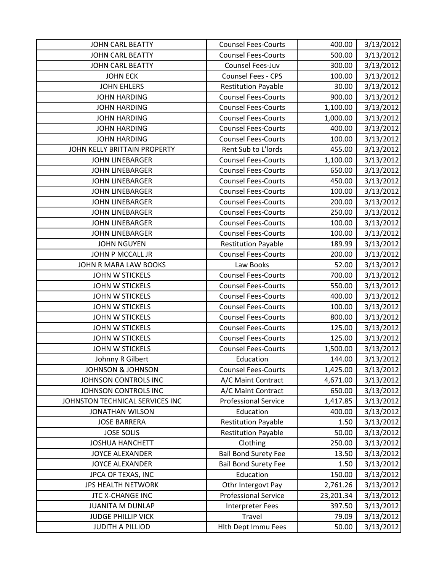| <b>JOHN CARL BEATTY</b>         | <b>Counsel Fees-Courts</b>  | 400.00    | 3/13/2012 |
|---------------------------------|-----------------------------|-----------|-----------|
| <b>JOHN CARL BEATTY</b>         | <b>Counsel Fees-Courts</b>  | 500.00    | 3/13/2012 |
| <b>JOHN CARL BEATTY</b>         | Counsel Fees-Juv            | 300.00    | 3/13/2012 |
| <b>JOHN ECK</b>                 | Counsel Fees - CPS          | 100.00    | 3/13/2012 |
| <b>JOHN EHLERS</b>              | <b>Restitution Payable</b>  | 30.00     | 3/13/2012 |
| <b>JOHN HARDING</b>             | <b>Counsel Fees-Courts</b>  | 900.00    | 3/13/2012 |
| <b>JOHN HARDING</b>             | <b>Counsel Fees-Courts</b>  | 1,100.00  | 3/13/2012 |
| <b>JOHN HARDING</b>             | <b>Counsel Fees-Courts</b>  | 1,000.00  | 3/13/2012 |
| <b>JOHN HARDING</b>             | <b>Counsel Fees-Courts</b>  | 400.00    | 3/13/2012 |
| <b>JOHN HARDING</b>             | <b>Counsel Fees-Courts</b>  | 100.00    | 3/13/2012 |
| JOHN KELLY BRITTAIN PROPERTY    | Rent Sub to L'Iords         | 455.00    | 3/13/2012 |
| <b>JOHN LINEBARGER</b>          | <b>Counsel Fees-Courts</b>  | 1,100.00  | 3/13/2012 |
| <b>JOHN LINEBARGER</b>          | <b>Counsel Fees-Courts</b>  | 650.00    | 3/13/2012 |
| <b>JOHN LINEBARGER</b>          | <b>Counsel Fees-Courts</b>  | 450.00    | 3/13/2012 |
| <b>JOHN LINEBARGER</b>          | <b>Counsel Fees-Courts</b>  | 100.00    | 3/13/2012 |
| <b>JOHN LINEBARGER</b>          | <b>Counsel Fees-Courts</b>  | 200.00    | 3/13/2012 |
| <b>JOHN LINEBARGER</b>          | <b>Counsel Fees-Courts</b>  | 250.00    | 3/13/2012 |
| <b>JOHN LINEBARGER</b>          | <b>Counsel Fees-Courts</b>  | 100.00    | 3/13/2012 |
| <b>JOHN LINEBARGER</b>          | <b>Counsel Fees-Courts</b>  | 100.00    | 3/13/2012 |
| <b>JOHN NGUYEN</b>              | <b>Restitution Payable</b>  | 189.99    | 3/13/2012 |
| JOHN P MCCALL JR                | <b>Counsel Fees-Courts</b>  | 200.00    | 3/13/2012 |
| JOHN R MARA LAW BOOKS           | Law Books                   | 52.00     | 3/13/2012 |
| <b>JOHN W STICKELS</b>          | <b>Counsel Fees-Courts</b>  | 700.00    | 3/13/2012 |
| <b>JOHN W STICKELS</b>          | <b>Counsel Fees-Courts</b>  | 550.00    | 3/13/2012 |
| JOHN W STICKELS                 | <b>Counsel Fees-Courts</b>  | 400.00    | 3/13/2012 |
| JOHN W STICKELS                 | <b>Counsel Fees-Courts</b>  | 100.00    | 3/13/2012 |
| <b>JOHN W STICKELS</b>          | <b>Counsel Fees-Courts</b>  | 800.00    | 3/13/2012 |
| <b>JOHN W STICKELS</b>          | <b>Counsel Fees-Courts</b>  | 125.00    | 3/13/2012 |
| <b>JOHN W STICKELS</b>          | <b>Counsel Fees-Courts</b>  | 125.00    | 3/13/2012 |
| <b>JOHN W STICKELS</b>          | <b>Counsel Fees-Courts</b>  | 1,500.00  | 3/13/2012 |
| Johnny R Gilbert                | Education                   | 144.00    | 3/13/2012 |
| <b>JOHNSON &amp; JOHNSON</b>    | <b>Counsel Fees-Courts</b>  | 1,425.00  | 3/13/2012 |
| JOHNSON CONTROLS INC            | A/C Maint Contract          | 4,671.00  | 3/13/2012 |
| JOHNSON CONTROLS INC            | A/C Maint Contract          | 650.00    | 3/13/2012 |
| JOHNSTON TECHNICAL SERVICES INC | <b>Professional Service</b> | 1,417.85  | 3/13/2012 |
| <b>JONATHAN WILSON</b>          | Education                   | 400.00    | 3/13/2012 |
| <b>JOSE BARRERA</b>             | <b>Restitution Payable</b>  | 1.50      | 3/13/2012 |
| <b>JOSE SOLIS</b>               | <b>Restitution Payable</b>  | 50.00     | 3/13/2012 |
| <b>JOSHUA HANCHETT</b>          | Clothing                    | 250.00    | 3/13/2012 |
| <b>JOYCE ALEXANDER</b>          | <b>Bail Bond Surety Fee</b> | 13.50     | 3/13/2012 |
| <b>JOYCE ALEXANDER</b>          | <b>Bail Bond Surety Fee</b> | 1.50      | 3/13/2012 |
| JPCA OF TEXAS, INC              | Education                   | 150.00    | 3/13/2012 |
| <b>JPS HEALTH NETWORK</b>       | Othr Intergovt Pay          | 2,761.26  | 3/13/2012 |
| JTC X-CHANGE INC                | <b>Professional Service</b> | 23,201.34 | 3/13/2012 |
| <b>JUANITA M DUNLAP</b>         | Interpreter Fees            | 397.50    | 3/13/2012 |
| <b>JUDGE PHILLIP VICK</b>       | Travel                      | 79.09     | 3/13/2012 |
| <b>JUDITH A PILLIOD</b>         | Hith Dept Immu Fees         | 50.00     | 3/13/2012 |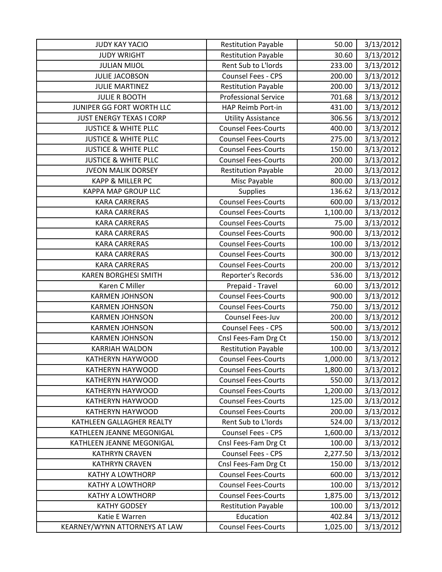| <b>JUDY KAY YACIO</b>           | <b>Restitution Payable</b>  | 50.00    | 3/13/2012 |
|---------------------------------|-----------------------------|----------|-----------|
| <b>JUDY WRIGHT</b>              | <b>Restitution Payable</b>  | 30.60    | 3/13/2012 |
| <b>JULIAN MIJOL</b>             | Rent Sub to L'Iords         | 233.00   | 3/13/2012 |
| <b>JULIE JACOBSON</b>           | Counsel Fees - CPS          | 200.00   | 3/13/2012 |
| <b>JULIE MARTINEZ</b>           | <b>Restitution Payable</b>  | 200.00   | 3/13/2012 |
| <b>JULIE R BOOTH</b>            | <b>Professional Service</b> | 701.68   | 3/13/2012 |
| JUNIPER GG FORT WORTH LLC       | HAP Reimb Port-in           | 431.00   | 3/13/2012 |
| <b>JUST ENERGY TEXAS I CORP</b> | <b>Utility Assistance</b>   | 306.56   | 3/13/2012 |
| <b>JUSTICE &amp; WHITE PLLC</b> | <b>Counsel Fees-Courts</b>  | 400.00   | 3/13/2012 |
| <b>JUSTICE &amp; WHITE PLLC</b> | <b>Counsel Fees-Courts</b>  | 275.00   | 3/13/2012 |
| <b>JUSTICE &amp; WHITE PLLC</b> | <b>Counsel Fees-Courts</b>  | 150.00   | 3/13/2012 |
| <b>JUSTICE &amp; WHITE PLLC</b> | <b>Counsel Fees-Courts</b>  | 200.00   | 3/13/2012 |
| <b>JVEON MALIK DORSEY</b>       | <b>Restitution Payable</b>  | 20.00    | 3/13/2012 |
| <b>KAPP &amp; MILLER PC</b>     | Misc Payable                | 800.00   | 3/13/2012 |
| KAPPA MAP GROUP LLC             | Supplies                    | 136.62   | 3/13/2012 |
| <b>KARA CARRERAS</b>            | <b>Counsel Fees-Courts</b>  | 600.00   | 3/13/2012 |
| <b>KARA CARRERAS</b>            | <b>Counsel Fees-Courts</b>  | 1,100.00 | 3/13/2012 |
| <b>KARA CARRERAS</b>            | <b>Counsel Fees-Courts</b>  | 75.00    | 3/13/2012 |
| <b>KARA CARRERAS</b>            | <b>Counsel Fees-Courts</b>  | 900.00   | 3/13/2012 |
| <b>KARA CARRERAS</b>            | <b>Counsel Fees-Courts</b>  | 100.00   | 3/13/2012 |
| <b>KARA CARRERAS</b>            | <b>Counsel Fees-Courts</b>  | 300.00   | 3/13/2012 |
| <b>KARA CARRERAS</b>            | <b>Counsel Fees-Courts</b>  | 200.00   | 3/13/2012 |
| <b>KAREN BORGHESI SMITH</b>     | Reporter's Records          | 536.00   | 3/13/2012 |
| Karen C Miller                  | Prepaid - Travel            | 60.00    | 3/13/2012 |
| <b>KARMEN JOHNSON</b>           | <b>Counsel Fees-Courts</b>  | 900.00   | 3/13/2012 |
| <b>KARMEN JOHNSON</b>           | <b>Counsel Fees-Courts</b>  | 750.00   | 3/13/2012 |
| <b>KARMEN JOHNSON</b>           | Counsel Fees-Juv            | 200.00   | 3/13/2012 |
| <b>KARMEN JOHNSON</b>           | Counsel Fees - CPS          | 500.00   | 3/13/2012 |
| <b>KARMEN JOHNSON</b>           | Cnsl Fees-Fam Drg Ct        | 150.00   | 3/13/2012 |
| <b>KARRIAH WALDON</b>           | <b>Restitution Payable</b>  | 100.00   | 3/13/2012 |
| <b>KATHERYN HAYWOOD</b>         | <b>Counsel Fees-Courts</b>  | 1,000.00 | 3/13/2012 |
| <b>KATHERYN HAYWOOD</b>         | <b>Counsel Fees-Courts</b>  | 1,800.00 | 3/13/2012 |
| KATHERYN HAYWOOD                | <b>Counsel Fees-Courts</b>  | 550.00   | 3/13/2012 |
| <b>KATHERYN HAYWOOD</b>         | <b>Counsel Fees-Courts</b>  | 1,200.00 | 3/13/2012 |
| KATHERYN HAYWOOD                | <b>Counsel Fees-Courts</b>  | 125.00   | 3/13/2012 |
| KATHERYN HAYWOOD                | <b>Counsel Fees-Courts</b>  | 200.00   | 3/13/2012 |
| KATHLEEN GALLAGHER REALTY       | Rent Sub to L'Iords         | 524.00   | 3/13/2012 |
| KATHLEEN JEANNE MEGONIGAL       | <b>Counsel Fees - CPS</b>   | 1,600.00 | 3/13/2012 |
| KATHLEEN JEANNE MEGONIGAL       | Cnsl Fees-Fam Drg Ct        | 100.00   | 3/13/2012 |
| <b>KATHRYN CRAVEN</b>           | Counsel Fees - CPS          | 2,277.50 | 3/13/2012 |
| <b>KATHRYN CRAVEN</b>           | Cnsl Fees-Fam Drg Ct        | 150.00   | 3/13/2012 |
| <b>KATHY A LOWTHORP</b>         | <b>Counsel Fees-Courts</b>  | 600.00   | 3/13/2012 |
| <b>KATHY A LOWTHORP</b>         | <b>Counsel Fees-Courts</b>  | 100.00   | 3/13/2012 |
| <b>KATHY A LOWTHORP</b>         | <b>Counsel Fees-Courts</b>  | 1,875.00 | 3/13/2012 |
| <b>KATHY GODSEY</b>             | <b>Restitution Payable</b>  | 100.00   | 3/13/2012 |
| Katie E Warren                  | Education                   | 402.84   | 3/13/2012 |
| KEARNEY/WYNN ATTORNEYS AT LAW   | <b>Counsel Fees-Courts</b>  | 1,025.00 | 3/13/2012 |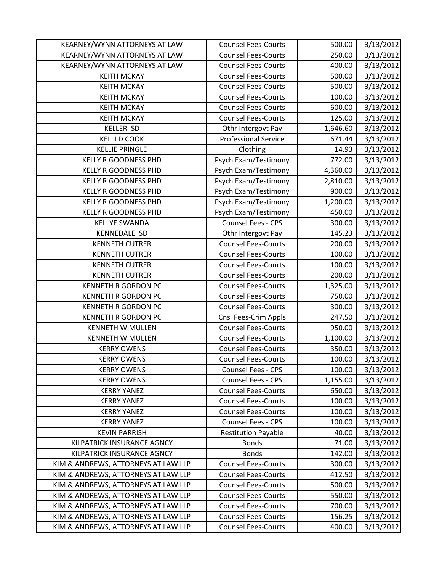| KEARNEY/WYNN ATTORNEYS AT LAW       | <b>Counsel Fees-Courts</b>  | 500.00   | 3/13/2012 |
|-------------------------------------|-----------------------------|----------|-----------|
| KEARNEY/WYNN ATTORNEYS AT LAW       | <b>Counsel Fees-Courts</b>  | 250.00   | 3/13/2012 |
| KEARNEY/WYNN ATTORNEYS AT LAW       | <b>Counsel Fees-Courts</b>  | 400.00   | 3/13/2012 |
| <b>KEITH MCKAY</b>                  | <b>Counsel Fees-Courts</b>  | 500.00   | 3/13/2012 |
| <b>KEITH MCKAY</b>                  | <b>Counsel Fees-Courts</b>  | 500.00   | 3/13/2012 |
| <b>KEITH MCKAY</b>                  | <b>Counsel Fees-Courts</b>  | 100.00   | 3/13/2012 |
| <b>KEITH MCKAY</b>                  | <b>Counsel Fees-Courts</b>  | 600.00   | 3/13/2012 |
| <b>KEITH MCKAY</b>                  | <b>Counsel Fees-Courts</b>  | 125.00   | 3/13/2012 |
| <b>KELLER ISD</b>                   | Othr Intergovt Pay          | 1,646.60 | 3/13/2012 |
| <b>KELLI D COOK</b>                 | <b>Professional Service</b> | 671.44   | 3/13/2012 |
| <b>KELLIE PRINGLE</b>               | Clothing                    | 14.93    | 3/13/2012 |
| <b>KELLY R GOODNESS PHD</b>         | Psych Exam/Testimony        | 772.00   | 3/13/2012 |
| <b>KELLY R GOODNESS PHD</b>         | Psych Exam/Testimony        | 4,360.00 | 3/13/2012 |
| <b>KELLY R GOODNESS PHD</b>         | Psych Exam/Testimony        | 2,810.00 | 3/13/2012 |
| <b>KELLY R GOODNESS PHD</b>         | Psych Exam/Testimony        | 900.00   | 3/13/2012 |
| <b>KELLY R GOODNESS PHD</b>         | Psych Exam/Testimony        | 1,200.00 | 3/13/2012 |
| KELLY R GOODNESS PHD                | Psych Exam/Testimony        | 450.00   | 3/13/2012 |
| <b>KELLYE SWANDA</b>                | Counsel Fees - CPS          | 300.00   | 3/13/2012 |
| <b>KENNEDALE ISD</b>                | Othr Intergovt Pay          | 145.23   | 3/13/2012 |
| <b>KENNETH CUTRER</b>               | <b>Counsel Fees-Courts</b>  | 200.00   | 3/13/2012 |
| <b>KENNETH CUTRER</b>               | <b>Counsel Fees-Courts</b>  | 100.00   | 3/13/2012 |
| <b>KENNETH CUTRER</b>               | <b>Counsel Fees-Courts</b>  | 100.00   | 3/13/2012 |
| <b>KENNETH CUTRER</b>               | <b>Counsel Fees-Courts</b>  | 200.00   | 3/13/2012 |
| <b>KENNETH R GORDON PC</b>          | <b>Counsel Fees-Courts</b>  | 1,325.00 | 3/13/2012 |
| <b>KENNETH R GORDON PC</b>          | <b>Counsel Fees-Courts</b>  | 750.00   | 3/13/2012 |
| <b>KENNETH R GORDON PC</b>          | <b>Counsel Fees-Courts</b>  | 300.00   | 3/13/2012 |
| <b>KENNETH R GORDON PC</b>          | Cnsl Fees-Crim Appls        | 247.50   | 3/13/2012 |
| <b>KENNETH W MULLEN</b>             | <b>Counsel Fees-Courts</b>  | 950.00   | 3/13/2012 |
| <b>KENNETH W MULLEN</b>             | <b>Counsel Fees-Courts</b>  | 1,100.00 | 3/13/2012 |
| <b>KERRY OWENS</b>                  | <b>Counsel Fees-Courts</b>  | 350.00   | 3/13/2012 |
| <b>KERRY OWENS</b>                  | <b>Counsel Fees-Courts</b>  | 100.00   | 3/13/2012 |
| <b>KERRY OWENS</b>                  | Counsel Fees - CPS          | 100.00   | 3/13/2012 |
| <b>KERRY OWENS</b>                  | Counsel Fees - CPS          | 1,155.00 | 3/13/2012 |
| <b>KERRY YANEZ</b>                  | <b>Counsel Fees-Courts</b>  | 650.00   | 3/13/2012 |
| <b>KERRY YANEZ</b>                  | <b>Counsel Fees-Courts</b>  | 100.00   | 3/13/2012 |
| <b>KERRY YANEZ</b>                  | <b>Counsel Fees-Courts</b>  | 100.00   | 3/13/2012 |
| <b>KERRY YANEZ</b>                  | <b>Counsel Fees - CPS</b>   | 100.00   | 3/13/2012 |
| <b>KEVIN PARRISH</b>                | <b>Restitution Payable</b>  | 40.00    | 3/13/2012 |
| KILPATRICK INSURANCE AGNCY          | <b>Bonds</b>                | 71.00    | 3/13/2012 |
| KILPATRICK INSURANCE AGNCY          | <b>Bonds</b>                | 142.00   | 3/13/2012 |
| KIM & ANDREWS, ATTORNEYS AT LAW LLP | <b>Counsel Fees-Courts</b>  | 300.00   | 3/13/2012 |
| KIM & ANDREWS, ATTORNEYS AT LAW LLP | <b>Counsel Fees-Courts</b>  | 412.50   | 3/13/2012 |
| KIM & ANDREWS, ATTORNEYS AT LAW LLP | <b>Counsel Fees-Courts</b>  | 500.00   | 3/13/2012 |
| KIM & ANDREWS, ATTORNEYS AT LAW LLP | <b>Counsel Fees-Courts</b>  | 550.00   | 3/13/2012 |
| KIM & ANDREWS, ATTORNEYS AT LAW LLP | <b>Counsel Fees-Courts</b>  | 700.00   | 3/13/2012 |
| KIM & ANDREWS, ATTORNEYS AT LAW LLP | <b>Counsel Fees-Courts</b>  | 156.25   | 3/13/2012 |
| KIM & ANDREWS, ATTORNEYS AT LAW LLP | <b>Counsel Fees-Courts</b>  | 400.00   | 3/13/2012 |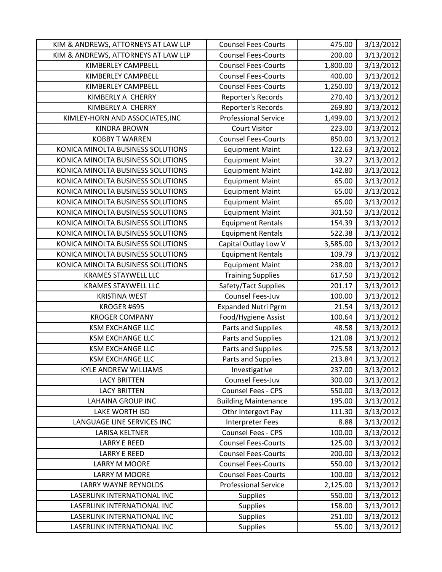| KIM & ANDREWS, ATTORNEYS AT LAW LLP | <b>Counsel Fees-Courts</b>  | 475.00   | 3/13/2012 |
|-------------------------------------|-----------------------------|----------|-----------|
| KIM & ANDREWS, ATTORNEYS AT LAW LLP | <b>Counsel Fees-Courts</b>  | 200.00   | 3/13/2012 |
| <b>KIMBERLEY CAMPBELL</b>           | <b>Counsel Fees-Courts</b>  | 1,800.00 | 3/13/2012 |
| <b>KIMBERLEY CAMPBELL</b>           | <b>Counsel Fees-Courts</b>  | 400.00   | 3/13/2012 |
| <b>KIMBERLEY CAMPBELL</b>           | <b>Counsel Fees-Courts</b>  | 1,250.00 | 3/13/2012 |
| KIMBERLY A CHERRY                   | Reporter's Records          | 270.40   | 3/13/2012 |
| KIMBERLY A CHERRY                   | Reporter's Records          | 269.80   | 3/13/2012 |
| KIMLEY-HORN AND ASSOCIATES, INC     | <b>Professional Service</b> | 1,499.00 | 3/13/2012 |
| <b>KINDRA BROWN</b>                 | <b>Court Visitor</b>        | 223.00   | 3/13/2012 |
| <b>KOBBY T WARREN</b>               | <b>Counsel Fees-Courts</b>  | 850.00   | 3/13/2012 |
| KONICA MINOLTA BUSINESS SOLUTIONS   | <b>Equipment Maint</b>      | 122.63   | 3/13/2012 |
| KONICA MINOLTA BUSINESS SOLUTIONS   | <b>Equipment Maint</b>      | 39.27    | 3/13/2012 |
| KONICA MINOLTA BUSINESS SOLUTIONS   | <b>Equipment Maint</b>      | 142.80   | 3/13/2012 |
| KONICA MINOLTA BUSINESS SOLUTIONS   | <b>Equipment Maint</b>      | 65.00    | 3/13/2012 |
| KONICA MINOLTA BUSINESS SOLUTIONS   | <b>Equipment Maint</b>      | 65.00    | 3/13/2012 |
| KONICA MINOLTA BUSINESS SOLUTIONS   | <b>Equipment Maint</b>      | 65.00    | 3/13/2012 |
| KONICA MINOLTA BUSINESS SOLUTIONS   | <b>Equipment Maint</b>      | 301.50   | 3/13/2012 |
| KONICA MINOLTA BUSINESS SOLUTIONS   | <b>Equipment Rentals</b>    | 154.39   | 3/13/2012 |
| KONICA MINOLTA BUSINESS SOLUTIONS   | <b>Equipment Rentals</b>    | 522.38   | 3/13/2012 |
| KONICA MINOLTA BUSINESS SOLUTIONS   | Capital Outlay Low V        | 3,585.00 | 3/13/2012 |
| KONICA MINOLTA BUSINESS SOLUTIONS   | <b>Equipment Rentals</b>    | 109.79   | 3/13/2012 |
| KONICA MINOLTA BUSINESS SOLUTIONS   | <b>Equipment Maint</b>      | 238.00   | 3/13/2012 |
| <b>KRAMES STAYWELL LLC</b>          | <b>Training Supplies</b>    | 617.50   | 3/13/2012 |
| <b>KRAMES STAYWELL LLC</b>          | Safety/Tact Supplies        | 201.17   | 3/13/2012 |
| <b>KRISTINA WEST</b>                | Counsel Fees-Juv            | 100.00   | 3/13/2012 |
| KROGER #695                         | <b>Expanded Nutri Pgrm</b>  | 21.54    | 3/13/2012 |
| <b>KROGER COMPANY</b>               | Food/Hygiene Assist         | 100.64   | 3/13/2012 |
| <b>KSM EXCHANGE LLC</b>             | Parts and Supplies          | 48.58    | 3/13/2012 |
| <b>KSM EXCHANGE LLC</b>             | Parts and Supplies          | 121.08   | 3/13/2012 |
| <b>KSM EXCHANGE LLC</b>             | Parts and Supplies          | 725.58   | 3/13/2012 |
| <b>KSM EXCHANGE LLC</b>             | Parts and Supplies          | 213.84   | 3/13/2012 |
| <b>KYLE ANDREW WILLIAMS</b>         | Investigative               | 237.00   | 3/13/2012 |
| <b>LACY BRITTEN</b>                 | Counsel Fees-Juv            | 300.00   | 3/13/2012 |
| <b>LACY BRITTEN</b>                 | <b>Counsel Fees - CPS</b>   | 550.00   | 3/13/2012 |
| <b>LAHAINA GROUP INC</b>            | <b>Building Maintenance</b> | 195.00   | 3/13/2012 |
| <b>LAKE WORTH ISD</b>               | Othr Intergovt Pay          | 111.30   | 3/13/2012 |
| LANGUAGE LINE SERVICES INC          | <b>Interpreter Fees</b>     | 8.88     | 3/13/2012 |
| LARISA KELTNER                      | Counsel Fees - CPS          | 100.00   | 3/13/2012 |
| <b>LARRY E REED</b>                 | <b>Counsel Fees-Courts</b>  | 125.00   | 3/13/2012 |
| <b>LARRY E REED</b>                 | <b>Counsel Fees-Courts</b>  | 200.00   | 3/13/2012 |
| <b>LARRY M MOORE</b>                | <b>Counsel Fees-Courts</b>  | 550.00   | 3/13/2012 |
| <b>LARRY M MOORE</b>                | <b>Counsel Fees-Courts</b>  | 100.00   | 3/13/2012 |
| <b>LARRY WAYNE REYNOLDS</b>         | <b>Professional Service</b> | 2,125.00 | 3/13/2012 |
| LASERLINK INTERNATIONAL INC         | <b>Supplies</b>             | 550.00   | 3/13/2012 |
| LASERLINK INTERNATIONAL INC         | <b>Supplies</b>             | 158.00   | 3/13/2012 |
| LASERLINK INTERNATIONAL INC         | <b>Supplies</b>             | 251.00   | 3/13/2012 |
| LASERLINK INTERNATIONAL INC         | Supplies                    | 55.00    | 3/13/2012 |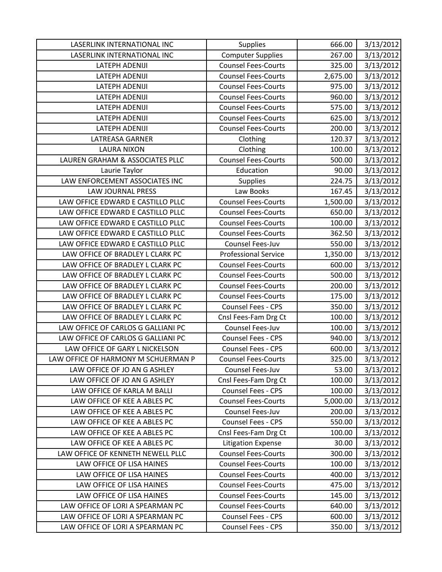| LASERLINK INTERNATIONAL INC         | <b>Supplies</b>             | 666.00   | 3/13/2012 |
|-------------------------------------|-----------------------------|----------|-----------|
| LASERLINK INTERNATIONAL INC         | <b>Computer Supplies</b>    | 267.00   | 3/13/2012 |
| LATEPH ADENIJI                      | <b>Counsel Fees-Courts</b>  | 325.00   | 3/13/2012 |
| LATEPH ADENIJI                      | <b>Counsel Fees-Courts</b>  | 2,675.00 | 3/13/2012 |
| <b>LATEPH ADENIJI</b>               | <b>Counsel Fees-Courts</b>  | 975.00   | 3/13/2012 |
| <b>LATEPH ADENIJI</b>               | <b>Counsel Fees-Courts</b>  | 960.00   | 3/13/2012 |
| <b>LATEPH ADENIJI</b>               | <b>Counsel Fees-Courts</b>  | 575.00   | 3/13/2012 |
| <b>LATEPH ADENIJI</b>               | <b>Counsel Fees-Courts</b>  | 625.00   | 3/13/2012 |
| LATEPH ADENIJI                      | <b>Counsel Fees-Courts</b>  | 200.00   | 3/13/2012 |
| LATREASA GARNER                     | Clothing                    | 120.37   | 3/13/2012 |
| <b>LAURA NIXON</b>                  | Clothing                    | 100.00   | 3/13/2012 |
| LAUREN GRAHAM & ASSOCIATES PLLC     | <b>Counsel Fees-Courts</b>  | 500.00   | 3/13/2012 |
| Laurie Taylor                       | Education                   | 90.00    | 3/13/2012 |
| LAW ENFORCEMENT ASSOCIATES INC      | <b>Supplies</b>             | 224.75   | 3/13/2012 |
| LAW JOURNAL PRESS                   | Law Books                   | 167.45   | 3/13/2012 |
| LAW OFFICE EDWARD E CASTILLO PLLC   | <b>Counsel Fees-Courts</b>  | 1,500.00 | 3/13/2012 |
| LAW OFFICE EDWARD E CASTILLO PLLC   | <b>Counsel Fees-Courts</b>  | 650.00   | 3/13/2012 |
| LAW OFFICE EDWARD E CASTILLO PLLC   | <b>Counsel Fees-Courts</b>  | 100.00   | 3/13/2012 |
| LAW OFFICE EDWARD E CASTILLO PLLC   | <b>Counsel Fees-Courts</b>  | 362.50   | 3/13/2012 |
| LAW OFFICE EDWARD E CASTILLO PLLC   | Counsel Fees-Juv            | 550.00   | 3/13/2012 |
| LAW OFFICE OF BRADLEY L CLARK PC    | <b>Professional Service</b> | 1,350.00 | 3/13/2012 |
| LAW OFFICE OF BRADLEY L CLARK PC    | <b>Counsel Fees-Courts</b>  | 600.00   | 3/13/2012 |
| LAW OFFICE OF BRADLEY L CLARK PC    | <b>Counsel Fees-Courts</b>  | 500.00   | 3/13/2012 |
| LAW OFFICE OF BRADLEY L CLARK PC    | <b>Counsel Fees-Courts</b>  | 200.00   | 3/13/2012 |
| LAW OFFICE OF BRADLEY L CLARK PC    | <b>Counsel Fees-Courts</b>  | 175.00   | 3/13/2012 |
| LAW OFFICE OF BRADLEY L CLARK PC    | Counsel Fees - CPS          | 350.00   | 3/13/2012 |
| LAW OFFICE OF BRADLEY L CLARK PC    | Cnsl Fees-Fam Drg Ct        | 100.00   | 3/13/2012 |
| LAW OFFICE OF CARLOS G GALLIANI PC  | Counsel Fees-Juv            | 100.00   | 3/13/2012 |
| LAW OFFICE OF CARLOS G GALLIANI PC  | <b>Counsel Fees - CPS</b>   | 940.00   | 3/13/2012 |
| LAW OFFICE OF GARY L NICKELSON      | Counsel Fees - CPS          | 600.00   | 3/13/2012 |
| LAW OFFICE OF HARMONY M SCHUERMAN P | <b>Counsel Fees-Courts</b>  | 325.00   | 3/13/2012 |
| LAW OFFICE OF JO AN G ASHLEY        | Counsel Fees-Juv            | 53.00    | 3/13/2012 |
| LAW OFFICE OF JO AN G ASHLEY        | Cnsl Fees-Fam Drg Ct        | 100.00   | 3/13/2012 |
| LAW OFFICE OF KARLA M BALLI         | <b>Counsel Fees - CPS</b>   | 100.00   | 3/13/2012 |
| LAW OFFICE OF KEE A ABLES PC        | <b>Counsel Fees-Courts</b>  | 5,000.00 | 3/13/2012 |
| LAW OFFICE OF KEE A ABLES PC        | Counsel Fees-Juv            | 200.00   | 3/13/2012 |
| LAW OFFICE OF KEE A ABLES PC        | <b>Counsel Fees - CPS</b>   | 550.00   | 3/13/2012 |
| LAW OFFICE OF KEE A ABLES PC        | Cnsl Fees-Fam Drg Ct        | 100.00   | 3/13/2012 |
| LAW OFFICE OF KEE A ABLES PC        | <b>Litigation Expense</b>   | 30.00    | 3/13/2012 |
| LAW OFFICE OF KENNETH NEWELL PLLC   | <b>Counsel Fees-Courts</b>  | 300.00   | 3/13/2012 |
| LAW OFFICE OF LISA HAINES           | <b>Counsel Fees-Courts</b>  | 100.00   | 3/13/2012 |
| LAW OFFICE OF LISA HAINES           | <b>Counsel Fees-Courts</b>  | 400.00   | 3/13/2012 |
| LAW OFFICE OF LISA HAINES           | <b>Counsel Fees-Courts</b>  | 475.00   | 3/13/2012 |
| LAW OFFICE OF LISA HAINES           | <b>Counsel Fees-Courts</b>  | 145.00   | 3/13/2012 |
| LAW OFFICE OF LORI A SPEARMAN PC    | <b>Counsel Fees-Courts</b>  | 640.00   | 3/13/2012 |
| LAW OFFICE OF LORI A SPEARMAN PC    | <b>Counsel Fees - CPS</b>   | 600.00   | 3/13/2012 |
| LAW OFFICE OF LORI A SPEARMAN PC    | Counsel Fees - CPS          | 350.00   | 3/13/2012 |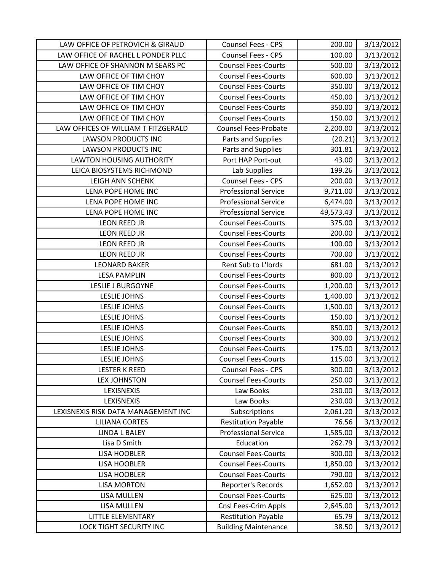| LAW OFFICE OF PETROVICH & GIRAUD    | Counsel Fees - CPS          | 200.00    | 3/13/2012 |
|-------------------------------------|-----------------------------|-----------|-----------|
| LAW OFFICE OF RACHEL L PONDER PLLC  | Counsel Fees - CPS          | 100.00    | 3/13/2012 |
| LAW OFFICE OF SHANNON M SEARS PC    | <b>Counsel Fees-Courts</b>  | 500.00    | 3/13/2012 |
| LAW OFFICE OF TIM CHOY              | <b>Counsel Fees-Courts</b>  | 600.00    | 3/13/2012 |
| LAW OFFICE OF TIM CHOY              | <b>Counsel Fees-Courts</b>  | 350.00    | 3/13/2012 |
| LAW OFFICE OF TIM CHOY              | <b>Counsel Fees-Courts</b>  | 450.00    | 3/13/2012 |
| LAW OFFICE OF TIM CHOY              | <b>Counsel Fees-Courts</b>  | 350.00    | 3/13/2012 |
| LAW OFFICE OF TIM CHOY              | <b>Counsel Fees-Courts</b>  | 150.00    | 3/13/2012 |
| LAW OFFICES OF WILLIAM T FITZGERALD | Counsel Fees-Probate        | 2,200.00  | 3/13/2012 |
| <b>LAWSON PRODUCTS INC</b>          | Parts and Supplies          | (20.21)   | 3/13/2012 |
| <b>LAWSON PRODUCTS INC</b>          | Parts and Supplies          | 301.81    | 3/13/2012 |
| <b>LAWTON HOUSING AUTHORITY</b>     | Port HAP Port-out           | 43.00     | 3/13/2012 |
| LEICA BIOSYSTEMS RICHMOND           | Lab Supplies                | 199.26    | 3/13/2012 |
| <b>LEIGH ANN SCHENK</b>             | Counsel Fees - CPS          | 200.00    | 3/13/2012 |
| LENA POPE HOME INC                  | <b>Professional Service</b> | 9,711.00  | 3/13/2012 |
| LENA POPE HOME INC                  | <b>Professional Service</b> | 6,474.00  | 3/13/2012 |
| LENA POPE HOME INC                  | <b>Professional Service</b> | 49,573.43 | 3/13/2012 |
| <b>LEON REED JR</b>                 | <b>Counsel Fees-Courts</b>  | 375.00    | 3/13/2012 |
| <b>LEON REED JR</b>                 | <b>Counsel Fees-Courts</b>  | 200.00    | 3/13/2012 |
| <b>LEON REED JR</b>                 | <b>Counsel Fees-Courts</b>  | 100.00    | 3/13/2012 |
| LEON REED JR                        | <b>Counsel Fees-Courts</b>  | 700.00    | 3/13/2012 |
| <b>LEONARD BAKER</b>                | Rent Sub to L'Iords         | 681.00    | 3/13/2012 |
| <b>LESA PAMPLIN</b>                 | <b>Counsel Fees-Courts</b>  | 800.00    | 3/13/2012 |
| <b>LESLIE J BURGOYNE</b>            | <b>Counsel Fees-Courts</b>  | 1,200.00  | 3/13/2012 |
| <b>LESLIE JOHNS</b>                 | <b>Counsel Fees-Courts</b>  | 1,400.00  | 3/13/2012 |
| <b>LESLIE JOHNS</b>                 | <b>Counsel Fees-Courts</b>  | 1,500.00  | 3/13/2012 |
| <b>LESLIE JOHNS</b>                 | <b>Counsel Fees-Courts</b>  | 150.00    | 3/13/2012 |
| <b>LESLIE JOHNS</b>                 | <b>Counsel Fees-Courts</b>  | 850.00    | 3/13/2012 |
| <b>LESLIE JOHNS</b>                 | <b>Counsel Fees-Courts</b>  | 300.00    | 3/13/2012 |
| <b>LESLIE JOHNS</b>                 | <b>Counsel Fees-Courts</b>  | 175.00    | 3/13/2012 |
| <b>LESLIE JOHNS</b>                 | <b>Counsel Fees-Courts</b>  | 115.00    | 3/13/2012 |
| <b>LESTER K REED</b>                | Counsel Fees - CPS          | 300.00    | 3/13/2012 |
| <b>LEX JOHNSTON</b>                 | <b>Counsel Fees-Courts</b>  | 250.00    | 3/13/2012 |
| LEXISNEXIS                          | Law Books                   | 230.00    | 3/13/2012 |
| LEXISNEXIS                          | Law Books                   | 230.00    | 3/13/2012 |
| LEXISNEXIS RISK DATA MANAGEMENT INC | Subscriptions               | 2,061.20  | 3/13/2012 |
| <b>LILIANA CORTES</b>               | <b>Restitution Payable</b>  | 76.56     | 3/13/2012 |
| <b>LINDA L BALEY</b>                | <b>Professional Service</b> | 1,585.00  | 3/13/2012 |
| Lisa D Smith                        | Education                   | 262.79    | 3/13/2012 |
| <b>LISA HOOBLER</b>                 | <b>Counsel Fees-Courts</b>  | 300.00    | 3/13/2012 |
| <b>LISA HOOBLER</b>                 | <b>Counsel Fees-Courts</b>  | 1,850.00  | 3/13/2012 |
| <b>LISA HOOBLER</b>                 | <b>Counsel Fees-Courts</b>  | 790.00    | 3/13/2012 |
| <b>LISA MORTON</b>                  | Reporter's Records          | 1,652.00  | 3/13/2012 |
| LISA MULLEN                         | <b>Counsel Fees-Courts</b>  | 625.00    | 3/13/2012 |
| LISA MULLEN                         | Cnsl Fees-Crim Appls        | 2,645.00  | 3/13/2012 |
| LITTLE ELEMENTARY                   | <b>Restitution Payable</b>  | 65.79     | 3/13/2012 |
| LOCK TIGHT SECURITY INC             | <b>Building Maintenance</b> | 38.50     | 3/13/2012 |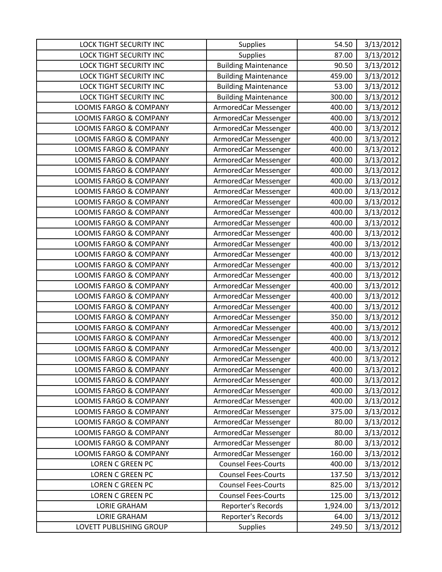| LOCK TIGHT SECURITY INC           | <b>Supplies</b>             | 54.50    | 3/13/2012 |
|-----------------------------------|-----------------------------|----------|-----------|
| <b>LOCK TIGHT SECURITY INC</b>    | <b>Supplies</b>             | 87.00    | 3/13/2012 |
| LOCK TIGHT SECURITY INC           | <b>Building Maintenance</b> | 90.50    | 3/13/2012 |
| <b>LOCK TIGHT SECURITY INC</b>    | <b>Building Maintenance</b> | 459.00   | 3/13/2012 |
| LOCK TIGHT SECURITY INC           | <b>Building Maintenance</b> | 53.00    | 3/13/2012 |
| LOCK TIGHT SECURITY INC           | <b>Building Maintenance</b> | 300.00   | 3/13/2012 |
| <b>LOOMIS FARGO &amp; COMPANY</b> | ArmoredCar Messenger        | 400.00   | 3/13/2012 |
| <b>LOOMIS FARGO &amp; COMPANY</b> | ArmoredCar Messenger        | 400.00   | 3/13/2012 |
| LOOMIS FARGO & COMPANY            | ArmoredCar Messenger        | 400.00   | 3/13/2012 |
| <b>LOOMIS FARGO &amp; COMPANY</b> | ArmoredCar Messenger        | 400.00   | 3/13/2012 |
| LOOMIS FARGO & COMPANY            | ArmoredCar Messenger        | 400.00   | 3/13/2012 |
| LOOMIS FARGO & COMPANY            | ArmoredCar Messenger        | 400.00   | 3/13/2012 |
| LOOMIS FARGO & COMPANY            | ArmoredCar Messenger        | 400.00   | 3/13/2012 |
| <b>LOOMIS FARGO &amp; COMPANY</b> | ArmoredCar Messenger        | 400.00   | 3/13/2012 |
| LOOMIS FARGO & COMPANY            | ArmoredCar Messenger        | 400.00   | 3/13/2012 |
| LOOMIS FARGO & COMPANY            | ArmoredCar Messenger        | 400.00   | 3/13/2012 |
| <b>LOOMIS FARGO &amp; COMPANY</b> | ArmoredCar Messenger        | 400.00   | 3/13/2012 |
| LOOMIS FARGO & COMPANY            | ArmoredCar Messenger        | 400.00   | 3/13/2012 |
| LOOMIS FARGO & COMPANY            | ArmoredCar Messenger        | 400.00   | 3/13/2012 |
| <b>LOOMIS FARGO &amp; COMPANY</b> | ArmoredCar Messenger        | 400.00   | 3/13/2012 |
| LOOMIS FARGO & COMPANY            | ArmoredCar Messenger        | 400.00   | 3/13/2012 |
| <b>LOOMIS FARGO &amp; COMPANY</b> | ArmoredCar Messenger        | 400.00   | 3/13/2012 |
| LOOMIS FARGO & COMPANY            | ArmoredCar Messenger        | 400.00   | 3/13/2012 |
| <b>LOOMIS FARGO &amp; COMPANY</b> | ArmoredCar Messenger        | 400.00   | 3/13/2012 |
| LOOMIS FARGO & COMPANY            | ArmoredCar Messenger        | 400.00   | 3/13/2012 |
| LOOMIS FARGO & COMPANY            | ArmoredCar Messenger        | 400.00   | 3/13/2012 |
| LOOMIS FARGO & COMPANY            | ArmoredCar Messenger        | 350.00   | 3/13/2012 |
| <b>LOOMIS FARGO &amp; COMPANY</b> | ArmoredCar Messenger        | 400.00   | 3/13/2012 |
| <b>LOOMIS FARGO &amp; COMPANY</b> | ArmoredCar Messenger        | 400.00   | 3/13/2012 |
| LOOMIS FARGO & COMPANY            | ArmoredCar Messenger        | 400.00   | 3/13/2012 |
| <b>LOOMIS FARGO &amp; COMPANY</b> | ArmoredCar Messenger        | 400.00   | 3/13/2012 |
| LOOMIS FARGO & COMPANY            | ArmoredCar Messenger        | 400.00   | 3/13/2012 |
| <b>LOOMIS FARGO &amp; COMPANY</b> | ArmoredCar Messenger        | 400.00   | 3/13/2012 |
| <b>LOOMIS FARGO &amp; COMPANY</b> | ArmoredCar Messenger        | 400.00   | 3/13/2012 |
| LOOMIS FARGO & COMPANY            | ArmoredCar Messenger        | 400.00   | 3/13/2012 |
| <b>LOOMIS FARGO &amp; COMPANY</b> | ArmoredCar Messenger        | 375.00   | 3/13/2012 |
| LOOMIS FARGO & COMPANY            | ArmoredCar Messenger        | 80.00    | 3/13/2012 |
| LOOMIS FARGO & COMPANY            | ArmoredCar Messenger        | 80.00    | 3/13/2012 |
| LOOMIS FARGO & COMPANY            | ArmoredCar Messenger        | 80.00    | 3/13/2012 |
| LOOMIS FARGO & COMPANY            | ArmoredCar Messenger        | 160.00   | 3/13/2012 |
| <b>LOREN C GREEN PC</b>           | <b>Counsel Fees-Courts</b>  | 400.00   | 3/13/2012 |
| LOREN C GREEN PC                  | <b>Counsel Fees-Courts</b>  | 137.50   | 3/13/2012 |
| <b>LOREN C GREEN PC</b>           | <b>Counsel Fees-Courts</b>  | 825.00   | 3/13/2012 |
| <b>LOREN C GREEN PC</b>           | <b>Counsel Fees-Courts</b>  | 125.00   | 3/13/2012 |
| <b>LORIE GRAHAM</b>               | Reporter's Records          | 1,924.00 | 3/13/2012 |
| <b>LORIE GRAHAM</b>               | Reporter's Records          | 64.00    | 3/13/2012 |
| LOVETT PUBLISHING GROUP           | Supplies                    | 249.50   | 3/13/2012 |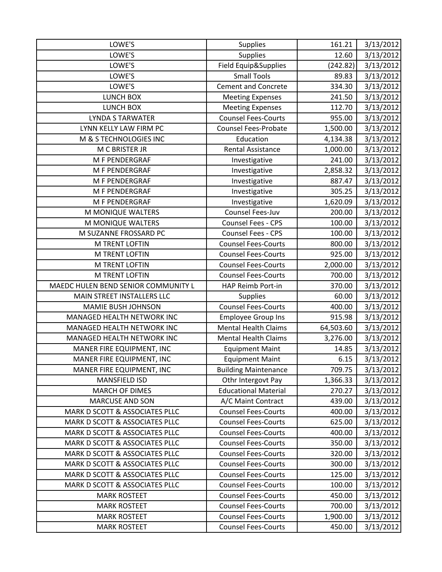| LOWE'S                              | Supplies                    | 161.21    | 3/13/2012 |
|-------------------------------------|-----------------------------|-----------|-----------|
| LOWE'S                              | Supplies                    | 12.60     | 3/13/2012 |
| LOWE'S                              | Field Equip&Supplies        | (242.82)  | 3/13/2012 |
| LOWE'S                              | <b>Small Tools</b>          | 89.83     | 3/13/2012 |
| LOWE'S                              | <b>Cement and Concrete</b>  | 334.30    | 3/13/2012 |
| LUNCH BOX                           | <b>Meeting Expenses</b>     | 241.50    | 3/13/2012 |
| LUNCH BOX                           | <b>Meeting Expenses</b>     | 112.70    | 3/13/2012 |
| <b>LYNDA S TARWATER</b>             | <b>Counsel Fees-Courts</b>  | 955.00    | 3/13/2012 |
| LYNN KELLY LAW FIRM PC              | <b>Counsel Fees-Probate</b> | 1,500.00  | 3/13/2012 |
| M & S TECHNOLOGIES INC              | Education                   | 4,134.38  | 3/13/2012 |
| M C BRISTER JR                      | <b>Rental Assistance</b>    | 1,000.00  | 3/13/2012 |
| M F PENDERGRAF                      | Investigative               | 241.00    | 3/13/2012 |
| M F PENDERGRAF                      | Investigative               | 2,858.32  | 3/13/2012 |
| M F PENDERGRAF                      | Investigative               | 887.47    | 3/13/2012 |
| M F PENDERGRAF                      | Investigative               | 305.25    | 3/13/2012 |
| M F PENDERGRAF                      | Investigative               | 1,620.09  | 3/13/2012 |
| M MONIQUE WALTERS                   | Counsel Fees-Juv            | 200.00    | 3/13/2012 |
| M MONIQUE WALTERS                   | Counsel Fees - CPS          | 100.00    | 3/13/2012 |
| M SUZANNE FROSSARD PC               | Counsel Fees - CPS          | 100.00    | 3/13/2012 |
| <b>M TRENT LOFTIN</b>               | <b>Counsel Fees-Courts</b>  | 800.00    | 3/13/2012 |
| M TRENT LOFTIN                      | <b>Counsel Fees-Courts</b>  | 925.00    | 3/13/2012 |
| M TRENT LOFTIN                      | <b>Counsel Fees-Courts</b>  | 2,000.00  | 3/13/2012 |
| M TRENT LOFTIN                      | <b>Counsel Fees-Courts</b>  | 700.00    | 3/13/2012 |
| MAEDC HULEN BEND SENIOR COMMUNITY L | HAP Reimb Port-in           | 370.00    | 3/13/2012 |
| MAIN STREET INSTALLERS LLC          | Supplies                    | 60.00     | 3/13/2012 |
| MAMIE BUSH JOHNSON                  | <b>Counsel Fees-Courts</b>  | 400.00    | 3/13/2012 |
| MANAGED HEALTH NETWORK INC          | <b>Employee Group Ins</b>   | 915.98    | 3/13/2012 |
| MANAGED HEALTH NETWORK INC          | <b>Mental Health Claims</b> | 64,503.60 | 3/13/2012 |
| MANAGED HEALTH NETWORK INC          | <b>Mental Health Claims</b> | 3,276.00  | 3/13/2012 |
| MANER FIRE EQUIPMENT, INC           | <b>Equipment Maint</b>      | 14.85     | 3/13/2012 |
| MANER FIRE EQUIPMENT, INC           | <b>Equipment Maint</b>      | 6.15      | 3/13/2012 |
| MANER FIRE EQUIPMENT, INC           | <b>Building Maintenance</b> | 709.75    | 3/13/2012 |
| MANSFIELD ISD                       | Othr Intergovt Pay          | 1,366.33  | 3/13/2012 |
| <b>MARCH OF DIMES</b>               | <b>Educational Material</b> | 270.27    | 3/13/2012 |
| <b>MARCUSE AND SON</b>              | A/C Maint Contract          | 439.00    | 3/13/2012 |
| MARK D SCOTT & ASSOCIATES PLLC      | <b>Counsel Fees-Courts</b>  | 400.00    | 3/13/2012 |
| MARK D SCOTT & ASSOCIATES PLLC      | <b>Counsel Fees-Courts</b>  | 625.00    | 3/13/2012 |
| MARK D SCOTT & ASSOCIATES PLLC      | <b>Counsel Fees-Courts</b>  | 400.00    | 3/13/2012 |
| MARK D SCOTT & ASSOCIATES PLLC      | <b>Counsel Fees-Courts</b>  | 350.00    | 3/13/2012 |
| MARK D SCOTT & ASSOCIATES PLLC      | <b>Counsel Fees-Courts</b>  | 320.00    | 3/13/2012 |
| MARK D SCOTT & ASSOCIATES PLLC      | <b>Counsel Fees-Courts</b>  | 300.00    | 3/13/2012 |
| MARK D SCOTT & ASSOCIATES PLLC      | <b>Counsel Fees-Courts</b>  | 125.00    | 3/13/2012 |
| MARK D SCOTT & ASSOCIATES PLLC      | <b>Counsel Fees-Courts</b>  | 100.00    | 3/13/2012 |
| <b>MARK ROSTEET</b>                 | <b>Counsel Fees-Courts</b>  | 450.00    | 3/13/2012 |
| <b>MARK ROSTEET</b>                 | <b>Counsel Fees-Courts</b>  | 700.00    | 3/13/2012 |
| <b>MARK ROSTEET</b>                 | <b>Counsel Fees-Courts</b>  | 1,900.00  | 3/13/2012 |
| <b>MARK ROSTEET</b>                 | <b>Counsel Fees-Courts</b>  | 450.00    | 3/13/2012 |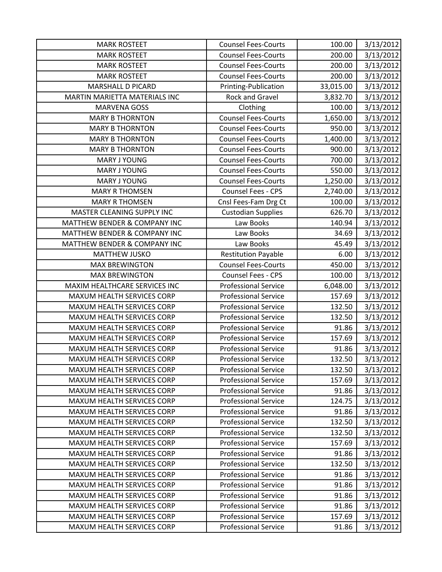| <b>MARK ROSTEET</b>               | <b>Counsel Fees-Courts</b>  | 100.00    | 3/13/2012 |
|-----------------------------------|-----------------------------|-----------|-----------|
| <b>MARK ROSTEET</b>               | <b>Counsel Fees-Courts</b>  | 200.00    | 3/13/2012 |
| <b>MARK ROSTEET</b>               | <b>Counsel Fees-Courts</b>  | 200.00    | 3/13/2012 |
| <b>MARK ROSTEET</b>               | <b>Counsel Fees-Courts</b>  | 200.00    | 3/13/2012 |
| <b>MARSHALL D PICARD</b>          | Printing-Publication        | 33,015.00 | 3/13/2012 |
| MARTIN MARIETTA MATERIALS INC     | Rock and Gravel             | 3,832.70  | 3/13/2012 |
| <b>MARVENA GOSS</b>               | Clothing                    | 100.00    | 3/13/2012 |
| <b>MARY B THORNTON</b>            | <b>Counsel Fees-Courts</b>  | 1,650.00  | 3/13/2012 |
| <b>MARY B THORNTON</b>            | <b>Counsel Fees-Courts</b>  | 950.00    | 3/13/2012 |
| <b>MARY B THORNTON</b>            | <b>Counsel Fees-Courts</b>  | 1,400.00  | 3/13/2012 |
| <b>MARY B THORNTON</b>            | <b>Counsel Fees-Courts</b>  | 900.00    | 3/13/2012 |
| MARY J YOUNG                      | <b>Counsel Fees-Courts</b>  | 700.00    | 3/13/2012 |
| MARY J YOUNG                      | <b>Counsel Fees-Courts</b>  | 550.00    | 3/13/2012 |
| <b>MARY J YOUNG</b>               | <b>Counsel Fees-Courts</b>  | 1,250.00  | 3/13/2012 |
| <b>MARY R THOMSEN</b>             | Counsel Fees - CPS          | 2,740.00  | 3/13/2012 |
| <b>MARY R THOMSEN</b>             | Cnsl Fees-Fam Drg Ct        | 100.00    | 3/13/2012 |
| MASTER CLEANING SUPPLY INC        | <b>Custodian Supplies</b>   | 626.70    | 3/13/2012 |
| MATTHEW BENDER & COMPANY INC      | Law Books                   | 140.94    | 3/13/2012 |
| MATTHEW BENDER & COMPANY INC      | Law Books                   | 34.69     | 3/13/2012 |
| MATTHEW BENDER & COMPANY INC      | Law Books                   | 45.49     | 3/13/2012 |
| <b>MATTHEW JUSKO</b>              | <b>Restitution Payable</b>  | 6.00      | 3/13/2012 |
| <b>MAX BREWINGTON</b>             | <b>Counsel Fees-Courts</b>  | 450.00    | 3/13/2012 |
| <b>MAX BREWINGTON</b>             | Counsel Fees - CPS          | 100.00    | 3/13/2012 |
| MAXIM HEALTHCARE SERVICES INC     | <b>Professional Service</b> | 6,048.00  | 3/13/2012 |
| MAXUM HEALTH SERVICES CORP        | <b>Professional Service</b> | 157.69    | 3/13/2012 |
| MAXUM HEALTH SERVICES CORP        | <b>Professional Service</b> | 132.50    | 3/13/2012 |
| MAXUM HEALTH SERVICES CORP        | <b>Professional Service</b> | 132.50    | 3/13/2012 |
| MAXUM HEALTH SERVICES CORP        | <b>Professional Service</b> | 91.86     | 3/13/2012 |
| MAXUM HEALTH SERVICES CORP        | <b>Professional Service</b> | 157.69    | 3/13/2012 |
| MAXUM HEALTH SERVICES CORP        | <b>Professional Service</b> | 91.86     | 3/13/2012 |
| MAXUM HEALTH SERVICES CORP        | <b>Professional Service</b> | 132.50    | 3/13/2012 |
| <b>MAXUM HEALTH SERVICES CORP</b> | <b>Professional Service</b> | 132.50    | 3/13/2012 |
| MAXUM HEALTH SERVICES CORP        | <b>Professional Service</b> | 157.69    | 3/13/2012 |
| MAXUM HEALTH SERVICES CORP        | <b>Professional Service</b> | 91.86     | 3/13/2012 |
| MAXUM HEALTH SERVICES CORP        | <b>Professional Service</b> | 124.75    | 3/13/2012 |
| MAXUM HEALTH SERVICES CORP        | <b>Professional Service</b> | 91.86     | 3/13/2012 |
| MAXUM HEALTH SERVICES CORP        | <b>Professional Service</b> | 132.50    | 3/13/2012 |
| MAXUM HEALTH SERVICES CORP        | <b>Professional Service</b> | 132.50    | 3/13/2012 |
| MAXUM HEALTH SERVICES CORP        | <b>Professional Service</b> | 157.69    | 3/13/2012 |
| MAXUM HEALTH SERVICES CORP        | <b>Professional Service</b> | 91.86     | 3/13/2012 |
| MAXUM HEALTH SERVICES CORP        | <b>Professional Service</b> | 132.50    | 3/13/2012 |
| MAXUM HEALTH SERVICES CORP        | <b>Professional Service</b> | 91.86     | 3/13/2012 |
| MAXUM HEALTH SERVICES CORP        | <b>Professional Service</b> | 91.86     | 3/13/2012 |
| MAXUM HEALTH SERVICES CORP        | <b>Professional Service</b> | 91.86     | 3/13/2012 |
| MAXUM HEALTH SERVICES CORP        | <b>Professional Service</b> | 91.86     | 3/13/2012 |
| MAXUM HEALTH SERVICES CORP        | <b>Professional Service</b> | 157.69    | 3/13/2012 |
| MAXUM HEALTH SERVICES CORP        | <b>Professional Service</b> | 91.86     | 3/13/2012 |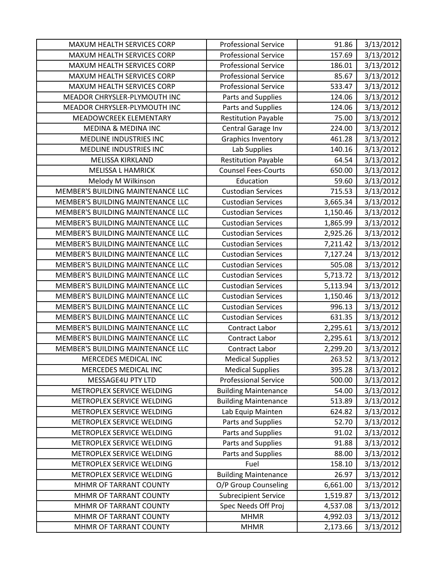| MAXUM HEALTH SERVICES CORP        | <b>Professional Service</b> | 91.86    | 3/13/2012 |
|-----------------------------------|-----------------------------|----------|-----------|
| MAXUM HEALTH SERVICES CORP        | <b>Professional Service</b> | 157.69   | 3/13/2012 |
| MAXUM HEALTH SERVICES CORP        | <b>Professional Service</b> | 186.01   | 3/13/2012 |
| MAXUM HEALTH SERVICES CORP        | <b>Professional Service</b> | 85.67    | 3/13/2012 |
| MAXUM HEALTH SERVICES CORP        | <b>Professional Service</b> | 533.47   | 3/13/2012 |
| MEADOR CHRYSLER-PLYMOUTH INC      | Parts and Supplies          | 124.06   | 3/13/2012 |
| MEADOR CHRYSLER-PLYMOUTH INC      | Parts and Supplies          | 124.06   | 3/13/2012 |
| MEADOWCREEK ELEMENTARY            | <b>Restitution Payable</b>  | 75.00    | 3/13/2012 |
| <b>MEDINA &amp; MEDINA INC</b>    | Central Garage Inv          | 224.00   | 3/13/2012 |
| MEDLINE INDUSTRIES INC            | <b>Graphics Inventory</b>   | 461.28   | 3/13/2012 |
| MEDLINE INDUSTRIES INC            | Lab Supplies                | 140.16   | 3/13/2012 |
| <b>MELISSA KIRKLAND</b>           | <b>Restitution Payable</b>  | 64.54    | 3/13/2012 |
| <b>MELISSA L HAMRICK</b>          | <b>Counsel Fees-Courts</b>  | 650.00   | 3/13/2012 |
| Melody M Wilkinson                | Education                   | 59.60    | 3/13/2012 |
| MEMBER'S BUILDING MAINTENANCE LLC | <b>Custodian Services</b>   | 715.53   | 3/13/2012 |
| MEMBER'S BUILDING MAINTENANCE LLC | <b>Custodian Services</b>   | 3,665.34 | 3/13/2012 |
| MEMBER'S BUILDING MAINTENANCE LLC | <b>Custodian Services</b>   | 1,150.46 | 3/13/2012 |
| MEMBER'S BUILDING MAINTENANCE LLC | <b>Custodian Services</b>   | 1,865.99 | 3/13/2012 |
| MEMBER'S BUILDING MAINTENANCE LLC | <b>Custodian Services</b>   | 2,925.26 | 3/13/2012 |
| MEMBER'S BUILDING MAINTENANCE LLC | <b>Custodian Services</b>   | 7,211.42 | 3/13/2012 |
| MEMBER'S BUILDING MAINTENANCE LLC | <b>Custodian Services</b>   | 7,127.24 | 3/13/2012 |
| MEMBER'S BUILDING MAINTENANCE LLC | <b>Custodian Services</b>   | 505.08   | 3/13/2012 |
| MEMBER'S BUILDING MAINTENANCE LLC | <b>Custodian Services</b>   | 5,713.72 | 3/13/2012 |
| MEMBER'S BUILDING MAINTENANCE LLC | <b>Custodian Services</b>   | 5,113.94 | 3/13/2012 |
| MEMBER'S BUILDING MAINTENANCE LLC | <b>Custodian Services</b>   | 1,150.46 | 3/13/2012 |
| MEMBER'S BUILDING MAINTENANCE LLC | <b>Custodian Services</b>   | 996.13   | 3/13/2012 |
| MEMBER'S BUILDING MAINTENANCE LLC | <b>Custodian Services</b>   | 631.35   | 3/13/2012 |
| MEMBER'S BUILDING MAINTENANCE LLC | Contract Labor              | 2,295.61 | 3/13/2012 |
| MEMBER'S BUILDING MAINTENANCE LLC | Contract Labor              | 2,295.61 | 3/13/2012 |
| MEMBER'S BUILDING MAINTENANCE LLC | <b>Contract Labor</b>       | 2,299.20 | 3/13/2012 |
| MERCEDES MEDICAL INC              | <b>Medical Supplies</b>     | 263.52   | 3/13/2012 |
| MERCEDES MEDICAL INC              | <b>Medical Supplies</b>     | 395.28   | 3/13/2012 |
| MESSAGE4U PTY LTD                 | <b>Professional Service</b> | 500.00   | 3/13/2012 |
| METROPLEX SERVICE WELDING         | <b>Building Maintenance</b> | 54.00    | 3/13/2012 |
| METROPLEX SERVICE WELDING         | <b>Building Maintenance</b> | 513.89   | 3/13/2012 |
| METROPLEX SERVICE WELDING         | Lab Equip Mainten           | 624.82   | 3/13/2012 |
| METROPLEX SERVICE WELDING         | Parts and Supplies          | 52.70    | 3/13/2012 |
| METROPLEX SERVICE WELDING         | Parts and Supplies          | 91.02    | 3/13/2012 |
| METROPLEX SERVICE WELDING         | Parts and Supplies          | 91.88    | 3/13/2012 |
| METROPLEX SERVICE WELDING         | Parts and Supplies          | 88.00    | 3/13/2012 |
| METROPLEX SERVICE WELDING         | Fuel                        | 158.10   | 3/13/2012 |
| METROPLEX SERVICE WELDING         | <b>Building Maintenance</b> | 26.97    | 3/13/2012 |
| MHMR OF TARRANT COUNTY            | O/P Group Counseling        | 6,661.00 | 3/13/2012 |
| MHMR OF TARRANT COUNTY            | <b>Subrecipient Service</b> | 1,519.87 | 3/13/2012 |
| MHMR OF TARRANT COUNTY            | Spec Needs Off Proj         | 4,537.08 | 3/13/2012 |
| MHMR OF TARRANT COUNTY            | <b>MHMR</b>                 | 4,992.03 | 3/13/2012 |
| MHMR OF TARRANT COUNTY            | <b>MHMR</b>                 | 2,173.66 | 3/13/2012 |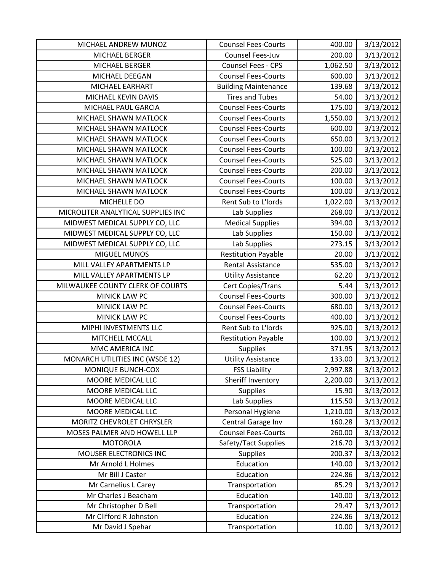| MICHAEL ANDREW MUNOZ               | <b>Counsel Fees-Courts</b>  | 400.00   | 3/13/2012 |
|------------------------------------|-----------------------------|----------|-----------|
| MICHAEL BERGER                     | Counsel Fees-Juv            | 200.00   | 3/13/2012 |
| MICHAEL BERGER                     | Counsel Fees - CPS          | 1,062.50 | 3/13/2012 |
| MICHAEL DEEGAN                     | <b>Counsel Fees-Courts</b>  | 600.00   | 3/13/2012 |
| MICHAEL EARHART                    | <b>Building Maintenance</b> | 139.68   | 3/13/2012 |
| MICHAEL KEVIN DAVIS                | <b>Tires and Tubes</b>      | 54.00    | 3/13/2012 |
| MICHAEL PAUL GARCIA                | <b>Counsel Fees-Courts</b>  | 175.00   | 3/13/2012 |
| MICHAEL SHAWN MATLOCK              | <b>Counsel Fees-Courts</b>  | 1,550.00 | 3/13/2012 |
| MICHAEL SHAWN MATLOCK              | <b>Counsel Fees-Courts</b>  | 600.00   | 3/13/2012 |
| MICHAEL SHAWN MATLOCK              | <b>Counsel Fees-Courts</b>  | 650.00   | 3/13/2012 |
| MICHAEL SHAWN MATLOCK              | <b>Counsel Fees-Courts</b>  | 100.00   | 3/13/2012 |
| MICHAEL SHAWN MATLOCK              | <b>Counsel Fees-Courts</b>  | 525.00   | 3/13/2012 |
| MICHAEL SHAWN MATLOCK              | <b>Counsel Fees-Courts</b>  | 200.00   | 3/13/2012 |
| MICHAEL SHAWN MATLOCK              | <b>Counsel Fees-Courts</b>  | 100.00   | 3/13/2012 |
| MICHAEL SHAWN MATLOCK              | <b>Counsel Fees-Courts</b>  | 100.00   | 3/13/2012 |
| MICHELLE DO                        | Rent Sub to L'Iords         | 1,022.00 | 3/13/2012 |
| MICROLITER ANALYTICAL SUPPLIES INC | Lab Supplies                | 268.00   | 3/13/2012 |
| MIDWEST MEDICAL SUPPLY CO, LLC     | <b>Medical Supplies</b>     | 394.00   | 3/13/2012 |
| MIDWEST MEDICAL SUPPLY CO, LLC     | Lab Supplies                | 150.00   | 3/13/2012 |
| MIDWEST MEDICAL SUPPLY CO, LLC     | Lab Supplies                | 273.15   | 3/13/2012 |
| <b>MIGUEL MUNOS</b>                | <b>Restitution Payable</b>  | 20.00    | 3/13/2012 |
| MILL VALLEY APARTMENTS LP          | <b>Rental Assistance</b>    | 535.00   | 3/13/2012 |
| MILL VALLEY APARTMENTS LP          | <b>Utility Assistance</b>   | 62.20    | 3/13/2012 |
| MILWAUKEE COUNTY CLERK OF COURTS   | Cert Copies/Trans           | 5.44     | 3/13/2012 |
| MINICK LAW PC                      | <b>Counsel Fees-Courts</b>  | 300.00   | 3/13/2012 |
| MINICK LAW PC                      | <b>Counsel Fees-Courts</b>  | 680.00   | 3/13/2012 |
| MINICK LAW PC                      | <b>Counsel Fees-Courts</b>  | 400.00   | 3/13/2012 |
| MIPHI INVESTMENTS LLC              | Rent Sub to L'Iords         | 925.00   | 3/13/2012 |
| MITCHELL MCCALL                    | <b>Restitution Payable</b>  | 100.00   | 3/13/2012 |
| MMC AMERICA INC                    | <b>Supplies</b>             | 371.95   | 3/13/2012 |
| MONARCH UTILITIES INC (WSDE 12)    | <b>Utility Assistance</b>   | 133.00   | 3/13/2012 |
| MONIQUE BUNCH-COX                  | <b>FSS Liability</b>        | 2,997.88 | 3/13/2012 |
| MOORE MEDICAL LLC                  | Sheriff Inventory           | 2,200.00 | 3/13/2012 |
| MOORE MEDICAL LLC                  | <b>Supplies</b>             | 15.90    | 3/13/2012 |
| MOORE MEDICAL LLC                  | Lab Supplies                | 115.50   | 3/13/2012 |
| MOORE MEDICAL LLC                  | Personal Hygiene            | 1,210.00 | 3/13/2012 |
| MORITZ CHEVROLET CHRYSLER          | Central Garage Inv          | 160.28   | 3/13/2012 |
| MOSES PALMER AND HOWELL LLP        | <b>Counsel Fees-Courts</b>  | 260.00   | 3/13/2012 |
| <b>MOTOROLA</b>                    | Safety/Tact Supplies        | 216.70   | 3/13/2012 |
| MOUSER ELECTRONICS INC             | Supplies                    | 200.37   | 3/13/2012 |
| Mr Arnold L Holmes                 | Education                   | 140.00   | 3/13/2012 |
| Mr Bill J Caster                   | Education                   | 224.86   | 3/13/2012 |
| Mr Carnelius L Carey               | Transportation              | 85.29    | 3/13/2012 |
| Mr Charles J Beacham               | Education                   | 140.00   | 3/13/2012 |
| Mr Christopher D Bell              | Transportation              | 29.47    | 3/13/2012 |
| Mr Clifford R Johnston             | Education                   | 224.86   | 3/13/2012 |
| Mr David J Spehar                  | Transportation              | 10.00    | 3/13/2012 |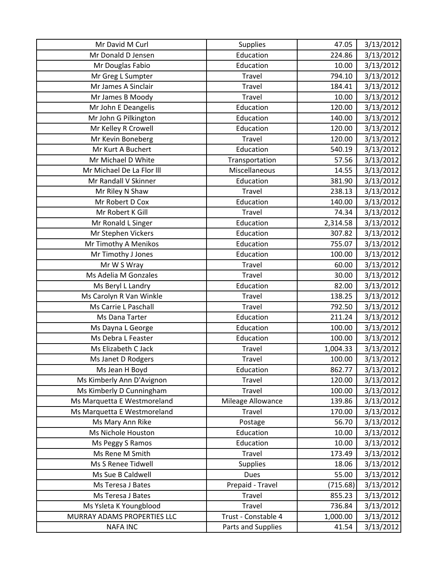| Mr David M Curl             | <b>Supplies</b>     | 47.05    | 3/13/2012 |
|-----------------------------|---------------------|----------|-----------|
| Mr Donald D Jensen          | Education           | 224.86   | 3/13/2012 |
| Mr Douglas Fabio            | Education           | 10.00    | 3/13/2012 |
| Mr Greg L Sumpter           | Travel              | 794.10   | 3/13/2012 |
| Mr James A Sinclair         | Travel              | 184.41   | 3/13/2012 |
| Mr James B Moody            | Travel              | 10.00    | 3/13/2012 |
| Mr John E Deangelis         | Education           | 120.00   | 3/13/2012 |
| Mr John G Pilkington        | Education           | 140.00   | 3/13/2012 |
| Mr Kelley R Crowell         | Education           | 120.00   | 3/13/2012 |
| Mr Kevin Boneberg           | Travel              | 120.00   | 3/13/2012 |
| Mr Kurt A Buchert           | Education           | 540.19   | 3/13/2012 |
| Mr Michael D White          | Transportation      | 57.56    | 3/13/2012 |
| Mr Michael De La Flor III   | Miscellaneous       | 14.55    | 3/13/2012 |
| Mr Randall V Skinner        | Education           | 381.90   | 3/13/2012 |
| Mr Riley N Shaw             | Travel              | 238.13   | 3/13/2012 |
| Mr Robert D Cox             | Education           | 140.00   | 3/13/2012 |
| Mr Robert K Gill            | Travel              | 74.34    | 3/13/2012 |
| Mr Ronald L Singer          | Education           | 2,314.58 | 3/13/2012 |
| Mr Stephen Vickers          | Education           | 307.82   | 3/13/2012 |
| Mr Timothy A Menikos        | Education           | 755.07   | 3/13/2012 |
| Mr Timothy J Jones          | Education           | 100.00   | 3/13/2012 |
| Mr W S Wray                 | Travel              | 60.00    | 3/13/2012 |
| Ms Adelia M Gonzales        | Travel              | 30.00    | 3/13/2012 |
| Ms Beryl L Landry           | Education           | 82.00    | 3/13/2012 |
| Ms Carolyn R Van Winkle     | <b>Travel</b>       | 138.25   | 3/13/2012 |
| Ms Carrie L Paschall        | Travel              | 792.50   | 3/13/2012 |
| Ms Dana Tarter              | Education           | 211.24   | 3/13/2012 |
| Ms Dayna L George           | Education           | 100.00   | 3/13/2012 |
| Ms Debra L Feaster          | Education           | 100.00   | 3/13/2012 |
| Ms Elizabeth C Jack         | Travel              | 1,004.33 | 3/13/2012 |
| Ms Janet D Rodgers          | <b>Travel</b>       | 100.00   | 3/13/2012 |
| Ms Jean H Boyd              | Education           | 862.77   | 3/13/2012 |
| Ms Kimberly Ann D'Avignon   | Travel              | 120.00   | 3/13/2012 |
| Ms Kimberly D Cunningham    | Travel              | 100.00   | 3/13/2012 |
| Ms Marquetta E Westmoreland | Mileage Allowance   | 139.86   | 3/13/2012 |
| Ms Marquetta E Westmoreland | Travel              | 170.00   | 3/13/2012 |
| Ms Mary Ann Rike            | Postage             | 56.70    | 3/13/2012 |
| Ms Nichole Houston          | Education           | 10.00    | 3/13/2012 |
| Ms Peggy S Ramos            | Education           | 10.00    | 3/13/2012 |
| Ms Rene M Smith             | Travel              | 173.49   | 3/13/2012 |
| Ms S Renee Tidwell          | <b>Supplies</b>     | 18.06    | 3/13/2012 |
| Ms Sue B Caldwell           | <b>Dues</b>         | 55.00    | 3/13/2012 |
| Ms Teresa J Bates           | Prepaid - Travel    | (715.68) | 3/13/2012 |
| Ms Teresa J Bates           | Travel              | 855.23   | 3/13/2012 |
| Ms Ysleta K Youngblood      | <b>Travel</b>       | 736.84   | 3/13/2012 |
| MURRAY ADAMS PROPERTIES LLC | Trust - Constable 4 | 1,000.00 | 3/13/2012 |
| <b>NAFA INC</b>             | Parts and Supplies  | 41.54    | 3/13/2012 |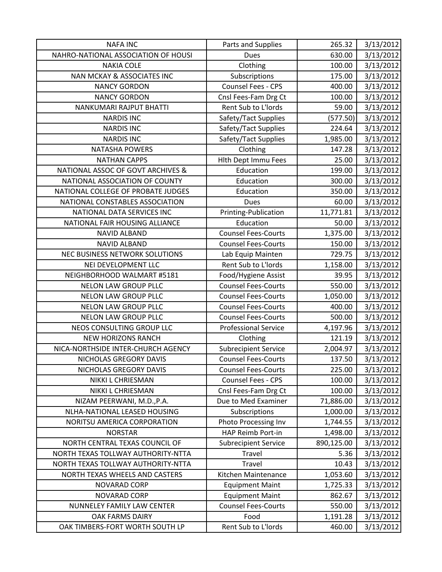| <b>NAFA INC</b>                     | Parts and Supplies          | 265.32     | 3/13/2012 |
|-------------------------------------|-----------------------------|------------|-----------|
| NAHRO-NATIONAL ASSOCIATION OF HOUSI | <b>Dues</b>                 | 630.00     | 3/13/2012 |
| <b>NAKIA COLE</b>                   | Clothing                    | 100.00     | 3/13/2012 |
| NAN MCKAY & ASSOCIATES INC          | Subscriptions               | 175.00     | 3/13/2012 |
| <b>NANCY GORDON</b>                 | Counsel Fees - CPS          | 400.00     | 3/13/2012 |
| <b>NANCY GORDON</b>                 | Cnsl Fees-Fam Drg Ct        | 100.00     | 3/13/2012 |
| NANKUMARI RAJPUT BHATTI             | Rent Sub to L'Iords         | 59.00      | 3/13/2012 |
| <b>NARDIS INC</b>                   | Safety/Tact Supplies        | (577.50)   | 3/13/2012 |
| <b>NARDIS INC</b>                   | Safety/Tact Supplies        | 224.64     | 3/13/2012 |
| <b>NARDIS INC</b>                   | Safety/Tact Supplies        | 1,985.00   | 3/13/2012 |
| <b>NATASHA POWERS</b>               | Clothing                    | 147.28     | 3/13/2012 |
| <b>NATHAN CAPPS</b>                 | Hlth Dept Immu Fees         | 25.00      | 3/13/2012 |
| NATIONAL ASSOC OF GOVT ARCHIVES &   | Education                   | 199.00     | 3/13/2012 |
| NATIONAL ASSOCIATION OF COUNTY      | Education                   | 300.00     | 3/13/2012 |
| NATIONAL COLLEGE OF PROBATE JUDGES  | Education                   | 350.00     | 3/13/2012 |
| NATIONAL CONSTABLES ASSOCIATION     | <b>Dues</b>                 | 60.00      | 3/13/2012 |
| NATIONAL DATA SERVICES INC          | Printing-Publication        | 11,771.81  | 3/13/2012 |
| NATIONAL FAIR HOUSING ALLIANCE      | Education                   | 50.00      | 3/13/2012 |
| <b>NAVID ALBAND</b>                 | <b>Counsel Fees-Courts</b>  | 1,375.00   | 3/13/2012 |
| <b>NAVID ALBAND</b>                 | <b>Counsel Fees-Courts</b>  | 150.00     | 3/13/2012 |
| NEC BUSINESS NETWORK SOLUTIONS      | Lab Equip Mainten           | 729.75     | 3/13/2012 |
| NEI DEVELOPMENT LLC                 | Rent Sub to L'Iords         | 1,158.00   | 3/13/2012 |
| NEIGHBORHOOD WALMART #5181          | Food/Hygiene Assist         | 39.95      | 3/13/2012 |
| <b>NELON LAW GROUP PLLC</b>         | <b>Counsel Fees-Courts</b>  | 550.00     | 3/13/2012 |
| <b>NELON LAW GROUP PLLC</b>         | <b>Counsel Fees-Courts</b>  | 1,050.00   | 3/13/2012 |
| NELON LAW GROUP PLLC                | <b>Counsel Fees-Courts</b>  | 400.00     | 3/13/2012 |
| <b>NELON LAW GROUP PLLC</b>         | <b>Counsel Fees-Courts</b>  | 500.00     | 3/13/2012 |
| NEOS CONSULTING GROUP LLC           | <b>Professional Service</b> | 4,197.96   | 3/13/2012 |
| <b>NEW HORIZONS RANCH</b>           | Clothing                    | 121.19     | 3/13/2012 |
| NICA-NORTHSIDE INTER-CHURCH AGENCY  | <b>Subrecipient Service</b> | 2,004.97   | 3/13/2012 |
| NICHOLAS GREGORY DAVIS              | <b>Counsel Fees-Courts</b>  | 137.50     | 3/13/2012 |
| NICHOLAS GREGORY DAVIS              | <b>Counsel Fees-Courts</b>  | 225.00     | 3/13/2012 |
| NIKKI L CHRIESMAN                   | Counsel Fees - CPS          | 100.00     | 3/13/2012 |
| NIKKI L CHRIESMAN                   | Cnsl Fees-Fam Drg Ct        | 100.00     | 3/13/2012 |
| NIZAM PEERWANI, M.D., P.A.          | Due to Med Examiner         | 71,886.00  | 3/13/2012 |
| NLHA-NATIONAL LEASED HOUSING        | Subscriptions               | 1,000.00   | 3/13/2012 |
| NORITSU AMERICA CORPORATION         | Photo Processing Inv        | 1,744.55   | 3/13/2012 |
| <b>NORSTAR</b>                      | HAP Reimb Port-in           | 1,498.00   | 3/13/2012 |
| NORTH CENTRAL TEXAS COUNCIL OF      | <b>Subrecipient Service</b> | 890,125.00 | 3/13/2012 |
| NORTH TEXAS TOLLWAY AUTHORITY-NTTA  | Travel                      | 5.36       | 3/13/2012 |
| NORTH TEXAS TOLLWAY AUTHORITY-NTTA  | Travel                      | 10.43      | 3/13/2012 |
| NORTH TEXAS WHEELS AND CASTERS      | Kitchen Maintenance         | 1,053.60   | 3/13/2012 |
| NOVARAD CORP                        | <b>Equipment Maint</b>      | 1,725.33   | 3/13/2012 |
| <b>NOVARAD CORP</b>                 | <b>Equipment Maint</b>      | 862.67     | 3/13/2012 |
| NUNNELEY FAMILY LAW CENTER          | <b>Counsel Fees-Courts</b>  | 550.00     | 3/13/2012 |
| OAK FARMS DAIRY                     | Food                        | 1,191.28   | 3/13/2012 |
| OAK TIMBERS-FORT WORTH SOUTH LP     | Rent Sub to L'Iords         | 460.00     | 3/13/2012 |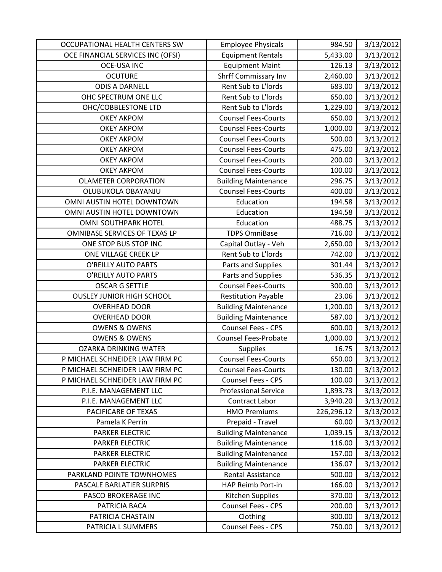| OCCUPATIONAL HEALTH CENTERS SW    | <b>Employee Physicals</b>   | 984.50     | 3/13/2012 |
|-----------------------------------|-----------------------------|------------|-----------|
| OCE FINANCIAL SERVICES INC (OFSI) | <b>Equipment Rentals</b>    | 5,433.00   | 3/13/2012 |
| <b>OCE-USA INC</b>                | <b>Equipment Maint</b>      | 126.13     | 3/13/2012 |
| <b>OCUTURE</b>                    | Shrff Commissary Inv        | 2,460.00   | 3/13/2012 |
| <b>ODIS A DARNELL</b>             | Rent Sub to L'Iords         | 683.00     | 3/13/2012 |
| OHC SPECTRUM ONE LLC              | Rent Sub to L'Iords         | 650.00     | 3/13/2012 |
| OHC/COBBLESTONE LTD               | Rent Sub to L'Iords         | 1,229.00   | 3/13/2012 |
| <b>OKEY AKPOM</b>                 | <b>Counsel Fees-Courts</b>  | 650.00     | 3/13/2012 |
| <b>OKEY AKPOM</b>                 | <b>Counsel Fees-Courts</b>  | 1,000.00   | 3/13/2012 |
| <b>OKEY AKPOM</b>                 | <b>Counsel Fees-Courts</b>  | 500.00     | 3/13/2012 |
| <b>OKEY AKPOM</b>                 | <b>Counsel Fees-Courts</b>  | 475.00     | 3/13/2012 |
| <b>OKEY AKPOM</b>                 | <b>Counsel Fees-Courts</b>  | 200.00     | 3/13/2012 |
| <b>OKEY AKPOM</b>                 | <b>Counsel Fees-Courts</b>  | 100.00     | 3/13/2012 |
| <b>OLAMETER CORPORATION</b>       | <b>Building Maintenance</b> | 296.75     | 3/13/2012 |
| OLUBUKOLA OBAYANJU                | <b>Counsel Fees-Courts</b>  | 400.00     | 3/13/2012 |
| OMNI AUSTIN HOTEL DOWNTOWN        | Education                   | 194.58     | 3/13/2012 |
| OMNI AUSTIN HOTEL DOWNTOWN        | Education                   | 194.58     | 3/13/2012 |
| <b>OMNI SOUTHPARK HOTEL</b>       | Education                   | 488.75     | 3/13/2012 |
| OMNIBASE SERVICES OF TEXAS LP     | <b>TDPS OmniBase</b>        | 716.00     | 3/13/2012 |
| ONE STOP BUS STOP INC             | Capital Outlay - Veh        | 2,650.00   | 3/13/2012 |
| ONE VILLAGE CREEK LP              | Rent Sub to L'Iords         | 742.00     | 3/13/2012 |
| O'REILLY AUTO PARTS               | Parts and Supplies          | 301.44     | 3/13/2012 |
| O'REILLY AUTO PARTS               | Parts and Supplies          | 536.35     | 3/13/2012 |
| <b>OSCAR G SETTLE</b>             | <b>Counsel Fees-Courts</b>  | 300.00     | 3/13/2012 |
| <b>OUSLEY JUNIOR HIGH SCHOOL</b>  | <b>Restitution Payable</b>  | 23.06      | 3/13/2012 |
| <b>OVERHEAD DOOR</b>              | <b>Building Maintenance</b> | 1,200.00   | 3/13/2012 |
| <b>OVERHEAD DOOR</b>              | <b>Building Maintenance</b> | 587.00     | 3/13/2012 |
| <b>OWENS &amp; OWENS</b>          | Counsel Fees - CPS          | 600.00     | 3/13/2012 |
| <b>OWENS &amp; OWENS</b>          | Counsel Fees-Probate        | 1,000.00   | 3/13/2012 |
| <b>OZARKA DRINKING WATER</b>      | <b>Supplies</b>             | 16.75      | 3/13/2012 |
| P MICHAEL SCHNEIDER LAW FIRM PC   | <b>Counsel Fees-Courts</b>  | 650.00     | 3/13/2012 |
| P MICHAEL SCHNEIDER LAW FIRM PC   | <b>Counsel Fees-Courts</b>  | 130.00     | 3/13/2012 |
| P MICHAEL SCHNEIDER LAW FIRM PC   | Counsel Fees - CPS          | 100.00     | 3/13/2012 |
| P.I.E. MANAGEMENT LLC             | <b>Professional Service</b> | 1,893.73   | 3/13/2012 |
| P.I.E. MANAGEMENT LLC             | Contract Labor              | 3,940.20   | 3/13/2012 |
| PACIFICARE OF TEXAS               | <b>HMO Premiums</b>         | 226,296.12 | 3/13/2012 |
| Pamela K Perrin                   | Prepaid - Travel            | 60.00      | 3/13/2012 |
| PARKER ELECTRIC                   | <b>Building Maintenance</b> | 1,039.15   | 3/13/2012 |
| PARKER ELECTRIC                   | <b>Building Maintenance</b> | 116.00     | 3/13/2012 |
| <b>PARKER ELECTRIC</b>            | <b>Building Maintenance</b> | 157.00     | 3/13/2012 |
| PARKER ELECTRIC                   | <b>Building Maintenance</b> | 136.07     | 3/13/2012 |
| PARKLAND POINTE TOWNHOMES         | <b>Rental Assistance</b>    | 500.00     | 3/13/2012 |
| PASCALE BARLATIER SURPRIS         | HAP Reimb Port-in           | 166.00     | 3/13/2012 |
| PASCO BROKERAGE INC               | Kitchen Supplies            | 370.00     | 3/13/2012 |
| PATRICIA BACA                     | Counsel Fees - CPS          | 200.00     | 3/13/2012 |
| PATRICIA CHASTAIN                 | Clothing                    | 300.00     | 3/13/2012 |
| PATRICIA L SUMMERS                | Counsel Fees - CPS          | 750.00     | 3/13/2012 |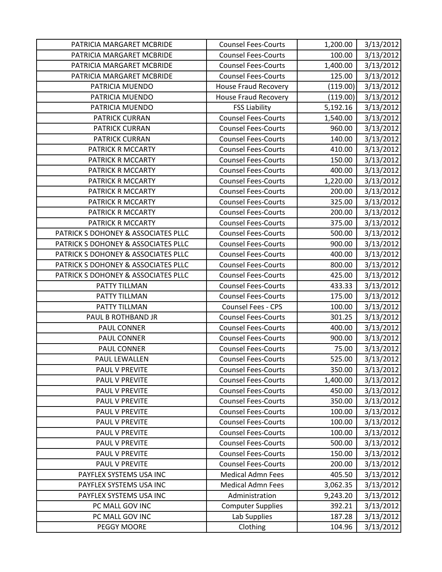| PATRICIA MARGARET MCBRIDE           | <b>Counsel Fees-Courts</b>  | 1,200.00 | 3/13/2012 |
|-------------------------------------|-----------------------------|----------|-----------|
| PATRICIA MARGARET MCBRIDE           | <b>Counsel Fees-Courts</b>  | 100.00   | 3/13/2012 |
| PATRICIA MARGARET MCBRIDE           | <b>Counsel Fees-Courts</b>  | 1,400.00 | 3/13/2012 |
| PATRICIA MARGARET MCBRIDE           | <b>Counsel Fees-Courts</b>  | 125.00   | 3/13/2012 |
| PATRICIA MUENDO                     | <b>House Fraud Recovery</b> | (119.00) | 3/13/2012 |
| PATRICIA MUENDO                     | <b>House Fraud Recovery</b> | (119.00) | 3/13/2012 |
| PATRICIA MUENDO                     | <b>FSS Liability</b>        | 5,192.16 | 3/13/2012 |
| <b>PATRICK CURRAN</b>               | <b>Counsel Fees-Courts</b>  | 1,540.00 | 3/13/2012 |
| <b>PATRICK CURRAN</b>               | <b>Counsel Fees-Courts</b>  | 960.00   | 3/13/2012 |
| <b>PATRICK CURRAN</b>               | <b>Counsel Fees-Courts</b>  | 140.00   | 3/13/2012 |
| PATRICK R MCCARTY                   | <b>Counsel Fees-Courts</b>  | 410.00   | 3/13/2012 |
| PATRICK R MCCARTY                   | <b>Counsel Fees-Courts</b>  | 150.00   | 3/13/2012 |
| PATRICK R MCCARTY                   | <b>Counsel Fees-Courts</b>  | 400.00   | 3/13/2012 |
| PATRICK R MCCARTY                   | <b>Counsel Fees-Courts</b>  | 1,220.00 | 3/13/2012 |
| PATRICK R MCCARTY                   | <b>Counsel Fees-Courts</b>  | 200.00   | 3/13/2012 |
| PATRICK R MCCARTY                   | <b>Counsel Fees-Courts</b>  | 325.00   | 3/13/2012 |
| PATRICK R MCCARTY                   | <b>Counsel Fees-Courts</b>  | 200.00   | 3/13/2012 |
| PATRICK R MCCARTY                   | <b>Counsel Fees-Courts</b>  | 375.00   | 3/13/2012 |
| PATRICK S DOHONEY & ASSOCIATES PLLC | <b>Counsel Fees-Courts</b>  | 500.00   | 3/13/2012 |
| PATRICK S DOHONEY & ASSOCIATES PLLC | <b>Counsel Fees-Courts</b>  | 900.00   | 3/13/2012 |
| PATRICK S DOHONEY & ASSOCIATES PLLC | <b>Counsel Fees-Courts</b>  | 400.00   | 3/13/2012 |
| PATRICK S DOHONEY & ASSOCIATES PLLC | <b>Counsel Fees-Courts</b>  | 800.00   | 3/13/2012 |
| PATRICK S DOHONEY & ASSOCIATES PLLC | <b>Counsel Fees-Courts</b>  | 425.00   | 3/13/2012 |
| PATTY TILLMAN                       | <b>Counsel Fees-Courts</b>  | 433.33   | 3/13/2012 |
| PATTY TILLMAN                       | <b>Counsel Fees-Courts</b>  | 175.00   | 3/13/2012 |
| PATTY TILLMAN                       | Counsel Fees - CPS          | 100.00   | 3/13/2012 |
| PAUL B ROTHBAND JR                  | <b>Counsel Fees-Courts</b>  | 301.25   | 3/13/2012 |
| PAUL CONNER                         | <b>Counsel Fees-Courts</b>  | 400.00   | 3/13/2012 |
| PAUL CONNER                         | <b>Counsel Fees-Courts</b>  | 900.00   | 3/13/2012 |
| PAUL CONNER                         | <b>Counsel Fees-Courts</b>  | 75.00    | 3/13/2012 |
| <b>PAUL LEWALLEN</b>                | <b>Counsel Fees-Courts</b>  | 525.00   | 3/13/2012 |
| <b>PAUL V PREVITE</b>               | <b>Counsel Fees-Courts</b>  | 350.00   | 3/13/2012 |
| PAUL V PREVITE                      | <b>Counsel Fees-Courts</b>  | 1,400.00 | 3/13/2012 |
| PAUL V PREVITE                      | <b>Counsel Fees-Courts</b>  | 450.00   | 3/13/2012 |
| PAUL V PREVITE                      | <b>Counsel Fees-Courts</b>  | 350.00   | 3/13/2012 |
| PAUL V PREVITE                      | <b>Counsel Fees-Courts</b>  | 100.00   | 3/13/2012 |
| PAUL V PREVITE                      | <b>Counsel Fees-Courts</b>  | 100.00   | 3/13/2012 |
| PAUL V PREVITE                      | <b>Counsel Fees-Courts</b>  | 100.00   | 3/13/2012 |
| PAUL V PREVITE                      | <b>Counsel Fees-Courts</b>  | 500.00   | 3/13/2012 |
| PAUL V PREVITE                      | <b>Counsel Fees-Courts</b>  | 150.00   | 3/13/2012 |
| PAUL V PREVITE                      | <b>Counsel Fees-Courts</b>  | 200.00   | 3/13/2012 |
| PAYFLEX SYSTEMS USA INC             | <b>Medical Admn Fees</b>    | 405.50   | 3/13/2012 |
| PAYFLEX SYSTEMS USA INC             | <b>Medical Admn Fees</b>    | 3,062.35 | 3/13/2012 |
| PAYFLEX SYSTEMS USA INC             | Administration              | 9,243.20 | 3/13/2012 |
| PC MALL GOV INC                     | <b>Computer Supplies</b>    | 392.21   | 3/13/2012 |
| PC MALL GOV INC                     | Lab Supplies                | 187.28   | 3/13/2012 |
| PEGGY MOORE                         | Clothing                    | 104.96   | 3/13/2012 |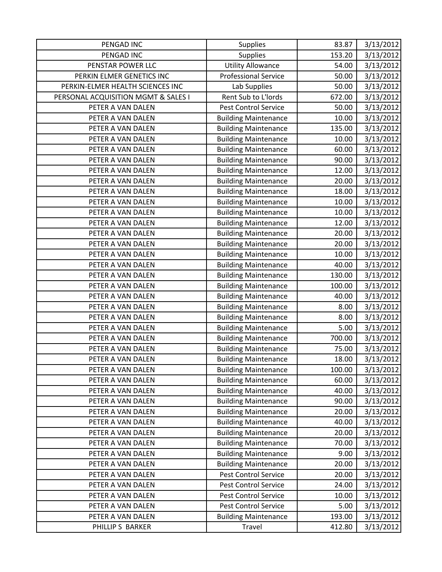| PENGAD INC                          | <b>Supplies</b>             | 83.87  | 3/13/2012 |
|-------------------------------------|-----------------------------|--------|-----------|
| PENGAD INC                          | <b>Supplies</b>             | 153.20 | 3/13/2012 |
| PENSTAR POWER LLC                   | <b>Utility Allowance</b>    | 54.00  | 3/13/2012 |
| PERKIN ELMER GENETICS INC           | <b>Professional Service</b> | 50.00  | 3/13/2012 |
| PERKIN-ELMER HEALTH SCIENCES INC    | Lab Supplies                | 50.00  | 3/13/2012 |
| PERSONAL ACQUISITION MGMT & SALES I | Rent Sub to L'Iords         | 672.00 | 3/13/2012 |
| PETER A VAN DALEN                   | <b>Pest Control Service</b> | 50.00  | 3/13/2012 |
| PETER A VAN DALEN                   | <b>Building Maintenance</b> | 10.00  | 3/13/2012 |
| PETER A VAN DALEN                   | <b>Building Maintenance</b> | 135.00 | 3/13/2012 |
| PETER A VAN DALEN                   | <b>Building Maintenance</b> | 10.00  | 3/13/2012 |
| PETER A VAN DALEN                   | <b>Building Maintenance</b> | 60.00  | 3/13/2012 |
| PETER A VAN DALEN                   | <b>Building Maintenance</b> | 90.00  | 3/13/2012 |
| PETER A VAN DALEN                   | <b>Building Maintenance</b> | 12.00  | 3/13/2012 |
| PETER A VAN DALEN                   | <b>Building Maintenance</b> | 20.00  | 3/13/2012 |
| PETER A VAN DALEN                   | <b>Building Maintenance</b> | 18.00  | 3/13/2012 |
| PETER A VAN DALEN                   | <b>Building Maintenance</b> | 10.00  | 3/13/2012 |
| PETER A VAN DALEN                   | <b>Building Maintenance</b> | 10.00  | 3/13/2012 |
| PETER A VAN DALEN                   | <b>Building Maintenance</b> | 12.00  | 3/13/2012 |
| PETER A VAN DALEN                   | <b>Building Maintenance</b> | 20.00  | 3/13/2012 |
| PETER A VAN DALEN                   | <b>Building Maintenance</b> | 20.00  | 3/13/2012 |
| PETER A VAN DALEN                   | <b>Building Maintenance</b> | 10.00  | 3/13/2012 |
| PETER A VAN DALEN                   | <b>Building Maintenance</b> | 40.00  | 3/13/2012 |
| PETER A VAN DALEN                   | <b>Building Maintenance</b> | 130.00 | 3/13/2012 |
| PETER A VAN DALEN                   | <b>Building Maintenance</b> | 100.00 | 3/13/2012 |
| PETER A VAN DALEN                   | <b>Building Maintenance</b> | 40.00  | 3/13/2012 |
| PETER A VAN DALEN                   | <b>Building Maintenance</b> | 8.00   | 3/13/2012 |
| PETER A VAN DALEN                   | <b>Building Maintenance</b> | 8.00   | 3/13/2012 |
| PETER A VAN DALEN                   | <b>Building Maintenance</b> | 5.00   | 3/13/2012 |
| PETER A VAN DALEN                   | <b>Building Maintenance</b> | 700.00 | 3/13/2012 |
| PETER A VAN DALEN                   | <b>Building Maintenance</b> | 75.00  | 3/13/2012 |
| PETER A VAN DALEN                   | <b>Building Maintenance</b> | 18.00  | 3/13/2012 |
| PETER A VAN DALEN                   | <b>Building Maintenance</b> | 100.00 | 3/13/2012 |
| PETER A VAN DALEN                   | <b>Building Maintenance</b> | 60.00  | 3/13/2012 |
| PETER A VAN DALEN                   | <b>Building Maintenance</b> | 40.00  | 3/13/2012 |
| PETER A VAN DALEN                   | <b>Building Maintenance</b> | 90.00  | 3/13/2012 |
| PETER A VAN DALEN                   | <b>Building Maintenance</b> | 20.00  | 3/13/2012 |
| PETER A VAN DALEN                   | <b>Building Maintenance</b> | 40.00  | 3/13/2012 |
| PETER A VAN DALEN                   | <b>Building Maintenance</b> | 20.00  | 3/13/2012 |
| PETER A VAN DALEN                   | <b>Building Maintenance</b> | 70.00  | 3/13/2012 |
| PETER A VAN DALEN                   | <b>Building Maintenance</b> | 9.00   | 3/13/2012 |
| PETER A VAN DALEN                   | <b>Building Maintenance</b> | 20.00  | 3/13/2012 |
| PETER A VAN DALEN                   | Pest Control Service        | 20.00  | 3/13/2012 |
| PETER A VAN DALEN                   | <b>Pest Control Service</b> | 24.00  | 3/13/2012 |
| PETER A VAN DALEN                   | Pest Control Service        | 10.00  | 3/13/2012 |
| PETER A VAN DALEN                   | <b>Pest Control Service</b> | 5.00   | 3/13/2012 |
| PETER A VAN DALEN                   | <b>Building Maintenance</b> | 193.00 | 3/13/2012 |
| PHILLIP S BARKER                    | Travel                      | 412.80 | 3/13/2012 |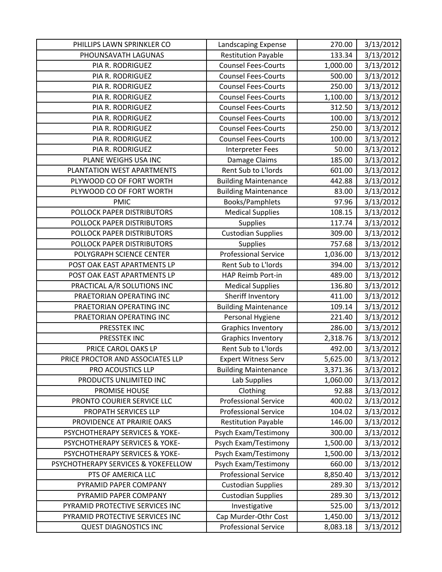| PHILLIPS LAWN SPRINKLER CO          | Landscaping Expense         | 270.00   | 3/13/2012 |
|-------------------------------------|-----------------------------|----------|-----------|
| PHOUNSAVATH LAGUNAS                 | <b>Restitution Payable</b>  | 133.34   | 3/13/2012 |
| PIA R. RODRIGUEZ                    | <b>Counsel Fees-Courts</b>  | 1,000.00 | 3/13/2012 |
| PIA R. RODRIGUEZ                    | <b>Counsel Fees-Courts</b>  | 500.00   | 3/13/2012 |
| PIA R. RODRIGUEZ                    | <b>Counsel Fees-Courts</b>  | 250.00   | 3/13/2012 |
| PIA R. RODRIGUEZ                    | <b>Counsel Fees-Courts</b>  | 1,100.00 | 3/13/2012 |
| PIA R. RODRIGUEZ                    | <b>Counsel Fees-Courts</b>  | 312.50   | 3/13/2012 |
| PIA R. RODRIGUEZ                    | <b>Counsel Fees-Courts</b>  | 100.00   | 3/13/2012 |
| PIA R. RODRIGUEZ                    | <b>Counsel Fees-Courts</b>  | 250.00   | 3/13/2012 |
| PIA R. RODRIGUEZ                    | <b>Counsel Fees-Courts</b>  | 100.00   | 3/13/2012 |
| PIA R. RODRIGUEZ                    | <b>Interpreter Fees</b>     | 50.00    | 3/13/2012 |
| PLANE WEIGHS USA INC                | Damage Claims               | 185.00   | 3/13/2012 |
| PLANTATION WEST APARTMENTS          | Rent Sub to L'Iords         | 601.00   | 3/13/2012 |
| PLYWOOD CO OF FORT WORTH            | <b>Building Maintenance</b> | 442.88   | 3/13/2012 |
| PLYWOOD CO OF FORT WORTH            | <b>Building Maintenance</b> | 83.00    | 3/13/2012 |
| <b>PMIC</b>                         | Books/Pamphlets             | 97.96    | 3/13/2012 |
| POLLOCK PAPER DISTRIBUTORS          | <b>Medical Supplies</b>     | 108.15   | 3/13/2012 |
| POLLOCK PAPER DISTRIBUTORS          | <b>Supplies</b>             | 117.74   | 3/13/2012 |
| POLLOCK PAPER DISTRIBUTORS          | <b>Custodian Supplies</b>   | 309.00   | 3/13/2012 |
| POLLOCK PAPER DISTRIBUTORS          | <b>Supplies</b>             | 757.68   | 3/13/2012 |
| POLYGRAPH SCIENCE CENTER            | <b>Professional Service</b> | 1,036.00 | 3/13/2012 |
| POST OAK EAST APARTMENTS LP         | Rent Sub to L'Iords         | 394.00   | 3/13/2012 |
| POST OAK EAST APARTMENTS LP         | HAP Reimb Port-in           | 489.00   | 3/13/2012 |
| PRACTICAL A/R SOLUTIONS INC         | <b>Medical Supplies</b>     | 136.80   | 3/13/2012 |
| PRAETORIAN OPERATING INC            | Sheriff Inventory           | 411.00   | 3/13/2012 |
| PRAETORIAN OPERATING INC            | <b>Building Maintenance</b> | 109.14   | 3/13/2012 |
| PRAETORIAN OPERATING INC            | Personal Hygiene            | 221.40   | 3/13/2012 |
| PRESSTEK INC                        | <b>Graphics Inventory</b>   | 286.00   | 3/13/2012 |
| PRESSTEK INC                        | <b>Graphics Inventory</b>   | 2,318.76 | 3/13/2012 |
| PRICE CAROL OAKS LP                 | Rent Sub to L'Iords         | 492.00   | 3/13/2012 |
| PRICE PROCTOR AND ASSOCIATES LLP    | <b>Expert Witness Serv</b>  | 5,625.00 | 3/13/2012 |
| PRO ACOUSTICS LLP                   | <b>Building Maintenance</b> | 3,371.36 | 3/13/2012 |
| PRODUCTS UNLIMITED INC              | Lab Supplies                | 1,060.00 | 3/13/2012 |
| <b>PROMISE HOUSE</b>                | Clothing                    | 92.88    | 3/13/2012 |
| PRONTO COURIER SERVICE LLC          | <b>Professional Service</b> | 400.02   | 3/13/2012 |
| PROPATH SERVICES LLP                | <b>Professional Service</b> | 104.02   | 3/13/2012 |
| PROVIDENCE AT PRAIRIE OAKS          | <b>Restitution Payable</b>  | 146.00   | 3/13/2012 |
| PSYCHOTHERAPY SERVICES & YOKE-      | Psych Exam/Testimony        | 300.00   | 3/13/2012 |
| PSYCHOTHERAPY SERVICES & YOKE-      | Psych Exam/Testimony        | 1,500.00 | 3/13/2012 |
| PSYCHOTHERAPY SERVICES & YOKE-      | Psych Exam/Testimony        | 1,500.00 | 3/13/2012 |
| PSYCHOTHERAPY SERVICES & YOKEFELLOW | Psych Exam/Testimony        | 660.00   | 3/13/2012 |
| PTS OF AMERICA LLC                  | <b>Professional Service</b> | 8,850.40 | 3/13/2012 |
| PYRAMID PAPER COMPANY               | <b>Custodian Supplies</b>   | 289.30   | 3/13/2012 |
| PYRAMID PAPER COMPANY               | <b>Custodian Supplies</b>   | 289.30   | 3/13/2012 |
| PYRAMID PROTECTIVE SERVICES INC     | Investigative               | 525.00   | 3/13/2012 |
| PYRAMID PROTECTIVE SERVICES INC     | Cap Murder-Othr Cost        | 1,450.00 | 3/13/2012 |
| <b>QUEST DIAGNOSTICS INC</b>        | <b>Professional Service</b> | 8,083.18 | 3/13/2012 |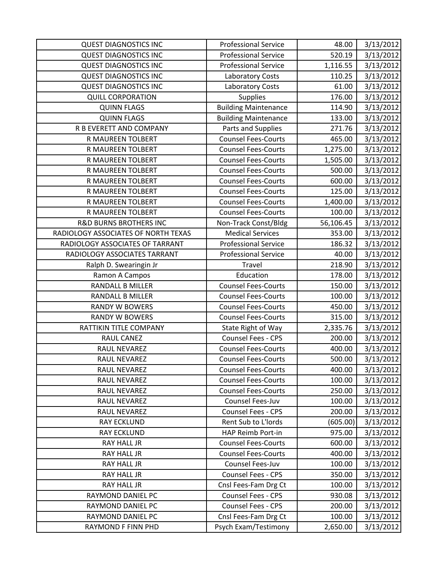| <b>QUEST DIAGNOSTICS INC</b>        | <b>Professional Service</b> | 48.00     | 3/13/2012 |
|-------------------------------------|-----------------------------|-----------|-----------|
| <b>QUEST DIAGNOSTICS INC</b>        | <b>Professional Service</b> | 520.19    | 3/13/2012 |
| <b>QUEST DIAGNOSTICS INC</b>        | <b>Professional Service</b> | 1,116.55  | 3/13/2012 |
| <b>QUEST DIAGNOSTICS INC</b>        | <b>Laboratory Costs</b>     | 110.25    | 3/13/2012 |
| <b>QUEST DIAGNOSTICS INC</b>        | <b>Laboratory Costs</b>     | 61.00     | 3/13/2012 |
| <b>QUILL CORPORATION</b>            | <b>Supplies</b>             | 176.00    | 3/13/2012 |
| <b>QUINN FLAGS</b>                  | <b>Building Maintenance</b> | 114.90    | 3/13/2012 |
| <b>QUINN FLAGS</b>                  | <b>Building Maintenance</b> | 133.00    | 3/13/2012 |
| R B EVERETT AND COMPANY             | Parts and Supplies          | 271.76    | 3/13/2012 |
| R MAUREEN TOLBERT                   | <b>Counsel Fees-Courts</b>  | 465.00    | 3/13/2012 |
| R MAUREEN TOLBERT                   | <b>Counsel Fees-Courts</b>  | 1,275.00  | 3/13/2012 |
| R MAUREEN TOLBERT                   | <b>Counsel Fees-Courts</b>  | 1,505.00  | 3/13/2012 |
| R MAUREEN TOLBERT                   | <b>Counsel Fees-Courts</b>  | 500.00    | 3/13/2012 |
| R MAUREEN TOLBERT                   | <b>Counsel Fees-Courts</b>  | 600.00    | 3/13/2012 |
| R MAUREEN TOLBERT                   | <b>Counsel Fees-Courts</b>  | 125.00    | 3/13/2012 |
| R MAUREEN TOLBERT                   | <b>Counsel Fees-Courts</b>  | 1,400.00  | 3/13/2012 |
| R MAUREEN TOLBERT                   | <b>Counsel Fees-Courts</b>  | 100.00    | 3/13/2012 |
| <b>R&amp;D BURNS BROTHERS INC</b>   | Non-Track Const/Bldg        | 56,106.45 | 3/13/2012 |
| RADIOLOGY ASSOCIATES OF NORTH TEXAS | <b>Medical Services</b>     | 353.00    | 3/13/2012 |
| RADIOLOGY ASSOCIATES OF TARRANT     | <b>Professional Service</b> | 186.32    | 3/13/2012 |
| RADIOLOGY ASSOCIATES TARRANT        | <b>Professional Service</b> | 40.00     | 3/13/2012 |
| Ralph D. Swearingin Jr              | Travel                      | 218.90    | 3/13/2012 |
| Ramon A Campos                      | Education                   | 178.00    | 3/13/2012 |
| <b>RANDALL B MILLER</b>             | <b>Counsel Fees-Courts</b>  | 150.00    | 3/13/2012 |
| <b>RANDALL B MILLER</b>             | <b>Counsel Fees-Courts</b>  | 100.00    | 3/13/2012 |
| <b>RANDY W BOWERS</b>               | <b>Counsel Fees-Courts</b>  | 450.00    | 3/13/2012 |
| <b>RANDY W BOWERS</b>               | <b>Counsel Fees-Courts</b>  | 315.00    | 3/13/2012 |
| RATTIKIN TITLE COMPANY              | State Right of Way          | 2,335.76  | 3/13/2012 |
| RAUL CANEZ                          | <b>Counsel Fees - CPS</b>   | 200.00    | 3/13/2012 |
| RAUL NEVAREZ                        | <b>Counsel Fees-Courts</b>  | 400.00    | 3/13/2012 |
| <b>RAUL NEVAREZ</b>                 | <b>Counsel Fees-Courts</b>  | 500.00    | 3/13/2012 |
| RAUL NEVAREZ                        | <b>Counsel Fees-Courts</b>  | 400.00    | 3/13/2012 |
| RAUL NEVAREZ                        | <b>Counsel Fees-Courts</b>  | 100.00    | 3/13/2012 |
| RAUL NEVAREZ                        | <b>Counsel Fees-Courts</b>  | 250.00    | 3/13/2012 |
| RAUL NEVAREZ                        | Counsel Fees-Juv            | 100.00    | 3/13/2012 |
| RAUL NEVAREZ                        | Counsel Fees - CPS          | 200.00    | 3/13/2012 |
| <b>RAY ECKLUND</b>                  | Rent Sub to L'Iords         | (605.00)  | 3/13/2012 |
| <b>RAY ECKLUND</b>                  | HAP Reimb Port-in           | 975.00    | 3/13/2012 |
| RAY HALL JR                         | <b>Counsel Fees-Courts</b>  | 600.00    | 3/13/2012 |
| <b>RAY HALL JR</b>                  | <b>Counsel Fees-Courts</b>  | 400.00    | 3/13/2012 |
| RAY HALL JR                         | Counsel Fees-Juv            | 100.00    | 3/13/2012 |
| <b>RAY HALL JR</b>                  | Counsel Fees - CPS          | 350.00    | 3/13/2012 |
| RAY HALL JR                         | Cnsl Fees-Fam Drg Ct        | 100.00    | 3/13/2012 |
| RAYMOND DANIEL PC                   | Counsel Fees - CPS          | 930.08    | 3/13/2012 |
| RAYMOND DANIEL PC                   | Counsel Fees - CPS          | 200.00    | 3/13/2012 |
| RAYMOND DANIEL PC                   | Cnsl Fees-Fam Drg Ct        | 100.00    | 3/13/2012 |
| RAYMOND F FINN PHD                  | Psych Exam/Testimony        | 2,650.00  | 3/13/2012 |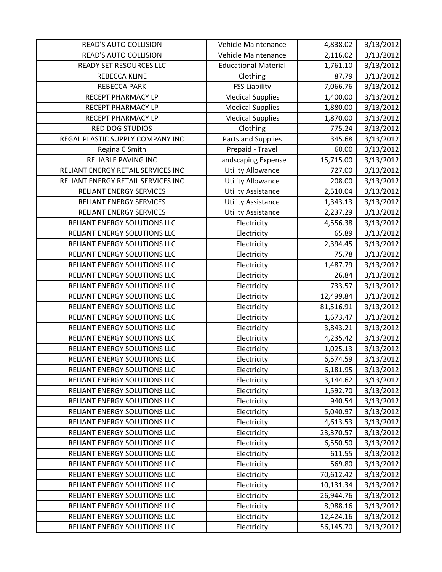| <b>READ'S AUTO COLLISION</b>       | Vehicle Maintenance         | 4,838.02  | 3/13/2012 |
|------------------------------------|-----------------------------|-----------|-----------|
| <b>READ'S AUTO COLLISION</b>       | Vehicle Maintenance         | 2,116.02  | 3/13/2012 |
| <b>READY SET RESOURCES LLC</b>     | <b>Educational Material</b> | 1,761.10  | 3/13/2012 |
| REBECCA KLINE                      | Clothing                    | 87.79     | 3/13/2012 |
| <b>REBECCA PARK</b>                | <b>FSS Liability</b>        | 7,066.76  | 3/13/2012 |
| RECEPT PHARMACY LP                 | <b>Medical Supplies</b>     | 1,400.00  | 3/13/2012 |
| RECEPT PHARMACY LP                 | <b>Medical Supplies</b>     | 1,880.00  | 3/13/2012 |
| <b>RECEPT PHARMACY LP</b>          | <b>Medical Supplies</b>     | 1,870.00  | 3/13/2012 |
| <b>RED DOG STUDIOS</b>             | Clothing                    | 775.24    | 3/13/2012 |
| REGAL PLASTIC SUPPLY COMPANY INC   | Parts and Supplies          | 345.68    | 3/13/2012 |
| Regina C Smith                     | Prepaid - Travel            | 60.00     | 3/13/2012 |
| <b>RELIABLE PAVING INC</b>         | Landscaping Expense         | 15,715.00 | 3/13/2012 |
| RELIANT ENERGY RETAIL SERVICES INC | <b>Utility Allowance</b>    | 727.00    | 3/13/2012 |
| RELIANT ENERGY RETAIL SERVICES INC | <b>Utility Allowance</b>    | 208.00    | 3/13/2012 |
| <b>RELIANT ENERGY SERVICES</b>     | <b>Utility Assistance</b>   | 2,510.04  | 3/13/2012 |
| <b>RELIANT ENERGY SERVICES</b>     | <b>Utility Assistance</b>   | 1,343.13  | 3/13/2012 |
| <b>RELIANT ENERGY SERVICES</b>     | <b>Utility Assistance</b>   | 2,237.29  | 3/13/2012 |
| RELIANT ENERGY SOLUTIONS LLC       | Electricity                 | 4,556.38  | 3/13/2012 |
| RELIANT ENERGY SOLUTIONS LLC       | Electricity                 | 65.89     | 3/13/2012 |
| RELIANT ENERGY SOLUTIONS LLC       | Electricity                 | 2,394.45  | 3/13/2012 |
| RELIANT ENERGY SOLUTIONS LLC       | Electricity                 | 75.78     | 3/13/2012 |
| RELIANT ENERGY SOLUTIONS LLC       | Electricity                 | 1,487.79  | 3/13/2012 |
| RELIANT ENERGY SOLUTIONS LLC       | Electricity                 | 26.84     | 3/13/2012 |
| RELIANT ENERGY SOLUTIONS LLC       | Electricity                 | 733.57    | 3/13/2012 |
| RELIANT ENERGY SOLUTIONS LLC       | Electricity                 | 12,499.84 | 3/13/2012 |
| RELIANT ENERGY SOLUTIONS LLC       | Electricity                 | 81,516.91 | 3/13/2012 |
| RELIANT ENERGY SOLUTIONS LLC       | Electricity                 | 1,673.47  | 3/13/2012 |
| RELIANT ENERGY SOLUTIONS LLC       | Electricity                 | 3,843.21  | 3/13/2012 |
| RELIANT ENERGY SOLUTIONS LLC       | Electricity                 | 4,235.42  | 3/13/2012 |
| RELIANT ENERGY SOLUTIONS LLC       | Electricity                 | 1,025.13  | 3/13/2012 |
| RELIANT ENERGY SOLUTIONS LLC       | Electricity                 | 6,574.59  | 3/13/2012 |
| RELIANT ENERGY SOLUTIONS LLC       | Electricity                 | 6,181.95  | 3/13/2012 |
| RELIANT ENERGY SOLUTIONS LLC       | Electricity                 | 3,144.62  | 3/13/2012 |
| RELIANT ENERGY SOLUTIONS LLC       | Electricity                 | 1,592.70  | 3/13/2012 |
| RELIANT ENERGY SOLUTIONS LLC       | Electricity                 | 940.54    | 3/13/2012 |
| RELIANT ENERGY SOLUTIONS LLC       | Electricity                 | 5,040.97  | 3/13/2012 |
| RELIANT ENERGY SOLUTIONS LLC       | Electricity                 | 4,613.53  | 3/13/2012 |
| RELIANT ENERGY SOLUTIONS LLC       | Electricity                 | 23,370.57 | 3/13/2012 |
| RELIANT ENERGY SOLUTIONS LLC       | Electricity                 | 6,550.50  | 3/13/2012 |
| RELIANT ENERGY SOLUTIONS LLC       | Electricity                 | 611.55    | 3/13/2012 |
| RELIANT ENERGY SOLUTIONS LLC       | Electricity                 | 569.80    | 3/13/2012 |
| RELIANT ENERGY SOLUTIONS LLC       | Electricity                 | 70,612.42 | 3/13/2012 |
| RELIANT ENERGY SOLUTIONS LLC       | Electricity                 | 10,131.34 | 3/13/2012 |
| RELIANT ENERGY SOLUTIONS LLC       | Electricity                 | 26,944.76 | 3/13/2012 |
| RELIANT ENERGY SOLUTIONS LLC       | Electricity                 | 8,988.16  | 3/13/2012 |
| RELIANT ENERGY SOLUTIONS LLC       | Electricity                 | 12,424.16 | 3/13/2012 |
| RELIANT ENERGY SOLUTIONS LLC       | Electricity                 | 56,145.70 | 3/13/2012 |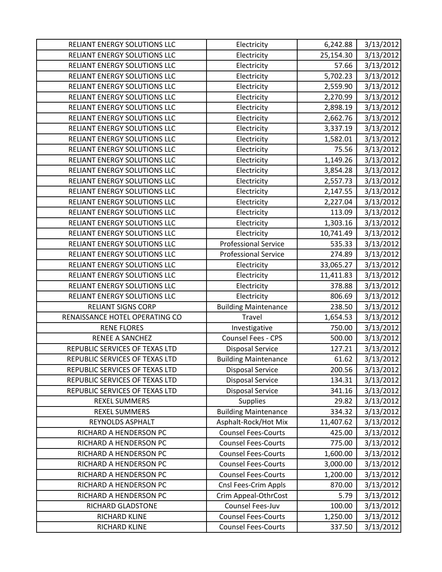| RELIANT ENERGY SOLUTIONS LLC   | Electricity                 | 6,242.88  | 3/13/2012 |
|--------------------------------|-----------------------------|-----------|-----------|
| RELIANT ENERGY SOLUTIONS LLC   | Electricity                 | 25,154.30 | 3/13/2012 |
| RELIANT ENERGY SOLUTIONS LLC   | Electricity                 | 57.66     | 3/13/2012 |
| RELIANT ENERGY SOLUTIONS LLC   | Electricity                 | 5,702.23  | 3/13/2012 |
| RELIANT ENERGY SOLUTIONS LLC   | Electricity                 | 2,559.90  | 3/13/2012 |
| RELIANT ENERGY SOLUTIONS LLC   | Electricity                 | 2,270.99  | 3/13/2012 |
| RELIANT ENERGY SOLUTIONS LLC   | Electricity                 | 2,898.19  | 3/13/2012 |
| RELIANT ENERGY SOLUTIONS LLC   | Electricity                 | 2,662.76  | 3/13/2012 |
| RELIANT ENERGY SOLUTIONS LLC   | Electricity                 | 3,337.19  | 3/13/2012 |
| RELIANT ENERGY SOLUTIONS LLC   | Electricity                 | 1,582.01  | 3/13/2012 |
| RELIANT ENERGY SOLUTIONS LLC   | Electricity                 | 75.56     | 3/13/2012 |
| RELIANT ENERGY SOLUTIONS LLC   | Electricity                 | 1,149.26  | 3/13/2012 |
| RELIANT ENERGY SOLUTIONS LLC   | Electricity                 | 3,854.28  | 3/13/2012 |
| RELIANT ENERGY SOLUTIONS LLC   | Electricity                 | 2,557.73  | 3/13/2012 |
| RELIANT ENERGY SOLUTIONS LLC   | Electricity                 | 2,147.55  | 3/13/2012 |
| RELIANT ENERGY SOLUTIONS LLC   | Electricity                 | 2,227.04  | 3/13/2012 |
| RELIANT ENERGY SOLUTIONS LLC   | Electricity                 | 113.09    | 3/13/2012 |
| RELIANT ENERGY SOLUTIONS LLC   | Electricity                 | 1,303.16  | 3/13/2012 |
| RELIANT ENERGY SOLUTIONS LLC   | Electricity                 | 10,741.49 | 3/13/2012 |
| RELIANT ENERGY SOLUTIONS LLC   | <b>Professional Service</b> | 535.33    | 3/13/2012 |
| RELIANT ENERGY SOLUTIONS LLC   | <b>Professional Service</b> | 274.89    | 3/13/2012 |
| RELIANT ENERGY SOLUTIONS LLC   | Electricity                 | 33,065.27 | 3/13/2012 |
| RELIANT ENERGY SOLUTIONS LLC   | Electricity                 | 11,411.83 | 3/13/2012 |
| RELIANT ENERGY SOLUTIONS LLC   | Electricity                 | 378.88    | 3/13/2012 |
| RELIANT ENERGY SOLUTIONS LLC   | Electricity                 | 806.69    | 3/13/2012 |
| <b>RELIANT SIGNS CORP</b>      | <b>Building Maintenance</b> | 238.50    | 3/13/2012 |
| RENAISSANCE HOTEL OPERATING CO | <b>Travel</b>               | 1,654.53  | 3/13/2012 |
| <b>RENE FLORES</b>             | Investigative               | 750.00    | 3/13/2012 |
| <b>RENEE A SANCHEZ</b>         | Counsel Fees - CPS          | 500.00    | 3/13/2012 |
| REPUBLIC SERVICES OF TEXAS LTD | <b>Disposal Service</b>     | 127.21    | 3/13/2012 |
| REPUBLIC SERVICES OF TEXAS LTD | <b>Building Maintenance</b> | 61.62     | 3/13/2012 |
| REPUBLIC SERVICES OF TEXAS LTD | <b>Disposal Service</b>     | 200.56    | 3/13/2012 |
| REPUBLIC SERVICES OF TEXAS LTD | <b>Disposal Service</b>     | 134.31    | 3/13/2012 |
| REPUBLIC SERVICES OF TEXAS LTD | <b>Disposal Service</b>     | 341.16    | 3/13/2012 |
| <b>REXEL SUMMERS</b>           | Supplies                    | 29.82     | 3/13/2012 |
| <b>REXEL SUMMERS</b>           | <b>Building Maintenance</b> | 334.32    | 3/13/2012 |
| REYNOLDS ASPHALT               | Asphalt-Rock/Hot Mix        | 11,407.62 | 3/13/2012 |
| RICHARD A HENDERSON PC         | <b>Counsel Fees-Courts</b>  | 425.00    | 3/13/2012 |
| RICHARD A HENDERSON PC         | <b>Counsel Fees-Courts</b>  | 775.00    | 3/13/2012 |
| RICHARD A HENDERSON PC         | <b>Counsel Fees-Courts</b>  | 1,600.00  | 3/13/2012 |
| RICHARD A HENDERSON PC         | <b>Counsel Fees-Courts</b>  | 3,000.00  | 3/13/2012 |
| RICHARD A HENDERSON PC         | <b>Counsel Fees-Courts</b>  | 1,200.00  | 3/13/2012 |
| RICHARD A HENDERSON PC         | Cnsl Fees-Crim Appls        | 870.00    | 3/13/2012 |
| RICHARD A HENDERSON PC         | Crim Appeal-OthrCost        | 5.79      | 3/13/2012 |
| RICHARD GLADSTONE              | Counsel Fees-Juv            | 100.00    | 3/13/2012 |
| RICHARD KLINE                  | <b>Counsel Fees-Courts</b>  | 1,250.00  | 3/13/2012 |
| RICHARD KLINE                  | <b>Counsel Fees-Courts</b>  | 337.50    | 3/13/2012 |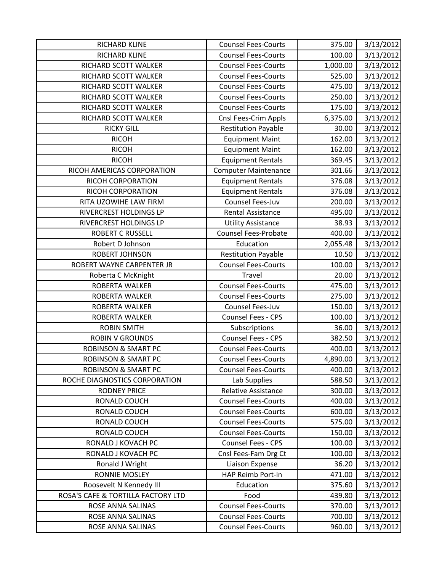| RICHARD KLINE                                                 | <b>Counsel Fees-Courts</b>  | 375.00   | 3/13/2012 |
|---------------------------------------------------------------|-----------------------------|----------|-----------|
| RICHARD KLINE                                                 | <b>Counsel Fees-Courts</b>  | 100.00   | 3/13/2012 |
| RICHARD SCOTT WALKER                                          | <b>Counsel Fees-Courts</b>  | 1,000.00 | 3/13/2012 |
| RICHARD SCOTT WALKER                                          | <b>Counsel Fees-Courts</b>  | 525.00   | 3/13/2012 |
| RICHARD SCOTT WALKER                                          | <b>Counsel Fees-Courts</b>  | 475.00   | 3/13/2012 |
| RICHARD SCOTT WALKER                                          | <b>Counsel Fees-Courts</b>  | 250.00   | 3/13/2012 |
| RICHARD SCOTT WALKER                                          | <b>Counsel Fees-Courts</b>  | 175.00   | 3/13/2012 |
| RICHARD SCOTT WALKER                                          | Cnsl Fees-Crim Appls        | 6,375.00 | 3/13/2012 |
| <b>RICKY GILL</b>                                             | <b>Restitution Payable</b>  | 30.00    | 3/13/2012 |
| <b>RICOH</b>                                                  | <b>Equipment Maint</b>      | 162.00   | 3/13/2012 |
| <b>RICOH</b>                                                  | <b>Equipment Maint</b>      | 162.00   | 3/13/2012 |
| <b>RICOH</b>                                                  | <b>Equipment Rentals</b>    | 369.45   | 3/13/2012 |
| RICOH AMERICAS CORPORATION                                    | <b>Computer Maintenance</b> | 301.66   | 3/13/2012 |
| RICOH CORPORATION                                             | <b>Equipment Rentals</b>    | 376.08   | 3/13/2012 |
| RICOH CORPORATION                                             | <b>Equipment Rentals</b>    | 376.08   | 3/13/2012 |
| RITA UZOWIHE LAW FIRM                                         | Counsel Fees-Juv            | 200.00   | 3/13/2012 |
| RIVERCREST HOLDINGS LP                                        | <b>Rental Assistance</b>    | 495.00   | 3/13/2012 |
| RIVERCREST HOLDINGS LP                                        | <b>Utility Assistance</b>   | 38.93    | 3/13/2012 |
| <b>ROBERT C RUSSELL</b>                                       | <b>Counsel Fees-Probate</b> | 400.00   | 3/13/2012 |
| Robert D Johnson                                              | Education                   | 2,055.48 | 3/13/2012 |
| ROBERT JOHNSON                                                | <b>Restitution Payable</b>  | 10.50    | 3/13/2012 |
| ROBERT WAYNE CARPENTER JR                                     | <b>Counsel Fees-Courts</b>  | 100.00   | 3/13/2012 |
| Roberta C McKnight                                            | Travel                      | 20.00    | 3/13/2012 |
| ROBERTA WALKER                                                | <b>Counsel Fees-Courts</b>  | 475.00   | 3/13/2012 |
| ROBERTA WALKER                                                | <b>Counsel Fees-Courts</b>  | 275.00   | 3/13/2012 |
| ROBERTA WALKER                                                | Counsel Fees-Juv            | 150.00   | 3/13/2012 |
| ROBERTA WALKER                                                | Counsel Fees - CPS          | 100.00   | 3/13/2012 |
| <b>ROBIN SMITH</b>                                            | Subscriptions               | 36.00    | 3/13/2012 |
| <b>ROBIN V GROUNDS</b>                                        | <b>Counsel Fees - CPS</b>   | 382.50   | 3/13/2012 |
| <b>ROBINSON &amp; SMART PC</b>                                | <b>Counsel Fees-Courts</b>  | 400.00   | 3/13/2012 |
| <b>ROBINSON &amp; SMART PC</b>                                | <b>Counsel Fees-Courts</b>  | 4,890.00 | 3/13/2012 |
| <b>ROBINSON &amp; SMART PC</b>                                | <b>Counsel Fees-Courts</b>  | 400.00   | 3/13/2012 |
| ROCHE DIAGNOSTICS CORPORATION                                 | Lab Supplies                | 588.50   | 3/13/2012 |
| <b>RODNEY PRICE</b>                                           | Relative Assistance         | 300.00   | 3/13/2012 |
| RONALD COUCH                                                  | <b>Counsel Fees-Courts</b>  | 400.00   | 3/13/2012 |
| RONALD COUCH                                                  | <b>Counsel Fees-Courts</b>  | 600.00   | 3/13/2012 |
| RONALD COUCH                                                  | <b>Counsel Fees-Courts</b>  | 575.00   | 3/13/2012 |
| RONALD COUCH                                                  | <b>Counsel Fees-Courts</b>  | 150.00   | 3/13/2012 |
| RONALD J KOVACH PC                                            | Counsel Fees - CPS          | 100.00   | 3/13/2012 |
| RONALD J KOVACH PC                                            | Cnsl Fees-Fam Drg Ct        | 100.00   | 3/13/2012 |
| Ronald J Wright                                               | Liaison Expense             | 36.20    | 3/13/2012 |
| RONNIE MOSLEY                                                 | HAP Reimb Port-in           | 471.00   | 3/13/2012 |
| Roosevelt N Kennedy III<br>ROSA'S CAFE & TORTILLA FACTORY LTD | Education                   | 375.60   | 3/13/2012 |
|                                                               | Food                        | 439.80   | 3/13/2012 |
| ROSE ANNA SALINAS                                             | <b>Counsel Fees-Courts</b>  | 370.00   | 3/13/2012 |
| ROSE ANNA SALINAS                                             | <b>Counsel Fees-Courts</b>  | 700.00   | 3/13/2012 |
| ROSE ANNA SALINAS                                             | <b>Counsel Fees-Courts</b>  | 960.00   | 3/13/2012 |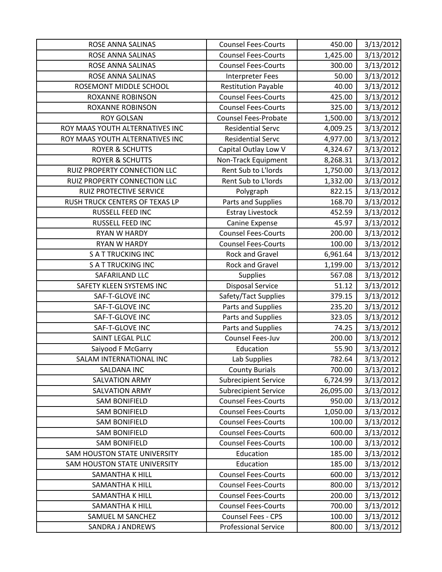| ROSE ANNA SALINAS                   | <b>Counsel Fees-Courts</b>  | 450.00    | 3/13/2012 |
|-------------------------------------|-----------------------------|-----------|-----------|
| ROSE ANNA SALINAS                   | <b>Counsel Fees-Courts</b>  | 1,425.00  | 3/13/2012 |
| ROSE ANNA SALINAS                   | <b>Counsel Fees-Courts</b>  | 300.00    | 3/13/2012 |
| ROSE ANNA SALINAS                   | <b>Interpreter Fees</b>     | 50.00     | 3/13/2012 |
| ROSEMONT MIDDLE SCHOOL              | <b>Restitution Payable</b>  | 40.00     | 3/13/2012 |
| <b>ROXANNE ROBINSON</b>             | <b>Counsel Fees-Courts</b>  | 425.00    | 3/13/2012 |
| <b>ROXANNE ROBINSON</b>             | <b>Counsel Fees-Courts</b>  | 325.00    | 3/13/2012 |
| <b>ROY GOLSAN</b>                   | <b>Counsel Fees-Probate</b> | 1,500.00  | 3/13/2012 |
| ROY MAAS YOUTH ALTERNATIVES INC     | <b>Residential Servc</b>    | 4,009.25  | 3/13/2012 |
| ROY MAAS YOUTH ALTERNATIVES INC     | <b>Residential Servc</b>    | 4,977.00  | 3/13/2012 |
| <b>ROYER &amp; SCHUTTS</b>          | Capital Outlay Low V        | 4,324.67  | 3/13/2012 |
| <b>ROYER &amp; SCHUTTS</b>          | Non-Track Equipment         | 8,268.31  | 3/13/2012 |
| RUIZ PROPERTY CONNECTION LLC        | Rent Sub to L'Iords         | 1,750.00  | 3/13/2012 |
| RUIZ PROPERTY CONNECTION LLC        | Rent Sub to L'Iords         | 1,332.00  | 3/13/2012 |
| <b>RUIZ PROTECTIVE SERVICE</b>      | Polygraph                   | 822.15    | 3/13/2012 |
| RUSH TRUCK CENTERS OF TEXAS LP      | Parts and Supplies          | 168.70    | 3/13/2012 |
| RUSSELL FEED INC                    | <b>Estray Livestock</b>     | 452.59    | 3/13/2012 |
| RUSSELL FEED INC                    | Canine Expense              | 45.97     | 3/13/2012 |
| <b>RYAN W HARDY</b>                 | <b>Counsel Fees-Courts</b>  | 200.00    | 3/13/2012 |
| RYAN W HARDY                        | <b>Counsel Fees-Courts</b>  | 100.00    | 3/13/2012 |
| <b>SATTRUCKING INC</b>              | Rock and Gravel             | 6,961.64  | 3/13/2012 |
| <b>SATTRUCKING INC</b>              | Rock and Gravel             | 1,199.00  | 3/13/2012 |
| SAFARILAND LLC                      | <b>Supplies</b>             | 567.08    | 3/13/2012 |
| SAFETY KLEEN SYSTEMS INC            | <b>Disposal Service</b>     | 51.12     | 3/13/2012 |
| SAF-T-GLOVE INC                     | Safety/Tact Supplies        | 379.15    | 3/13/2012 |
| SAF-T-GLOVE INC                     | Parts and Supplies          | 235.20    | 3/13/2012 |
| SAF-T-GLOVE INC                     | Parts and Supplies          | 323.05    | 3/13/2012 |
| SAF-T-GLOVE INC                     | Parts and Supplies          | 74.25     | 3/13/2012 |
| SAINT LEGAL PLLC                    | Counsel Fees-Juv            | 200.00    | 3/13/2012 |
| Saiyood F McGarry                   | Education                   | 55.90     | 3/13/2012 |
| SALAM INTERNATIONAL INC             | Lab Supplies                | 782.64    | 3/13/2012 |
| <b>SALDANA INC</b>                  | <b>County Burials</b>       | 700.00    | 3/13/2012 |
| <b>SALVATION ARMY</b>               | <b>Subrecipient Service</b> | 6,724.99  | 3/13/2012 |
| <b>SALVATION ARMY</b>               | <b>Subrecipient Service</b> | 26,095.00 | 3/13/2012 |
| <b>SAM BONIFIELD</b>                | <b>Counsel Fees-Courts</b>  | 950.00    | 3/13/2012 |
| <b>SAM BONIFIELD</b>                | <b>Counsel Fees-Courts</b>  | 1,050.00  | 3/13/2012 |
| <b>SAM BONIFIELD</b>                | <b>Counsel Fees-Courts</b>  | 100.00    | 3/13/2012 |
| <b>SAM BONIFIELD</b>                | <b>Counsel Fees-Courts</b>  | 600.00    | 3/13/2012 |
| <b>SAM BONIFIELD</b>                | <b>Counsel Fees-Courts</b>  | 100.00    | 3/13/2012 |
| <b>SAM HOUSTON STATE UNIVERSITY</b> | Education                   | 185.00    | 3/13/2012 |
| SAM HOUSTON STATE UNIVERSITY        | Education                   | 185.00    | 3/13/2012 |
| <b>SAMANTHA K HILL</b>              | <b>Counsel Fees-Courts</b>  | 600.00    | 3/13/2012 |
| <b>SAMANTHA K HILL</b>              | <b>Counsel Fees-Courts</b>  | 800.00    | 3/13/2012 |
| <b>SAMANTHA K HILL</b>              | <b>Counsel Fees-Courts</b>  | 200.00    | 3/13/2012 |
| <b>SAMANTHA K HILL</b>              | <b>Counsel Fees-Courts</b>  | 700.00    | 3/13/2012 |
| SAMUEL M SANCHEZ                    | <b>Counsel Fees - CPS</b>   | 100.00    | 3/13/2012 |
| SANDRA J ANDREWS                    | <b>Professional Service</b> | 800.00    | 3/13/2012 |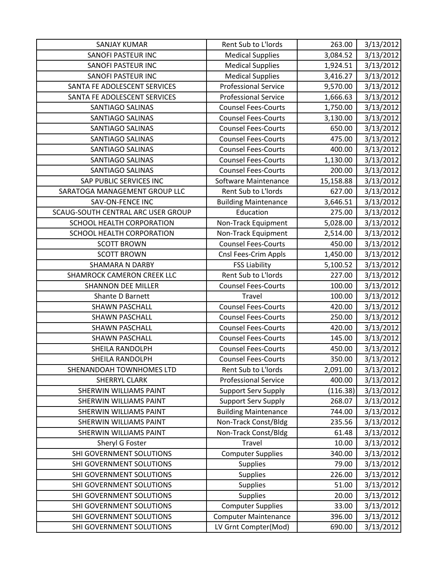| <b>SANJAY KUMAR</b>                | Rent Sub to L'Iords         | 263.00    | 3/13/2012 |
|------------------------------------|-----------------------------|-----------|-----------|
| SANOFI PASTEUR INC                 | <b>Medical Supplies</b>     | 3,084.52  | 3/13/2012 |
| SANOFI PASTEUR INC                 | <b>Medical Supplies</b>     | 1,924.51  | 3/13/2012 |
| <b>SANOFI PASTEUR INC</b>          | <b>Medical Supplies</b>     | 3,416.27  | 3/13/2012 |
| SANTA FE ADOLESCENT SERVICES       | <b>Professional Service</b> | 9,570.00  | 3/13/2012 |
| SANTA FE ADOLESCENT SERVICES       | <b>Professional Service</b> | 1,666.63  | 3/13/2012 |
| <b>SANTIAGO SALINAS</b>            | <b>Counsel Fees-Courts</b>  | 1,750.00  | 3/13/2012 |
| <b>SANTIAGO SALINAS</b>            | <b>Counsel Fees-Courts</b>  | 3,130.00  | 3/13/2012 |
| <b>SANTIAGO SALINAS</b>            | <b>Counsel Fees-Courts</b>  | 650.00    | 3/13/2012 |
| <b>SANTIAGO SALINAS</b>            | <b>Counsel Fees-Courts</b>  | 475.00    | 3/13/2012 |
| <b>SANTIAGO SALINAS</b>            | <b>Counsel Fees-Courts</b>  | 400.00    | 3/13/2012 |
| <b>SANTIAGO SALINAS</b>            | <b>Counsel Fees-Courts</b>  | 1,130.00  | 3/13/2012 |
| <b>SANTIAGO SALINAS</b>            | <b>Counsel Fees-Courts</b>  | 200.00    | 3/13/2012 |
| SAP PUBLIC SERVICES INC            | Software Maintenance        | 15,158.88 | 3/13/2012 |
| SARATOGA MANAGEMENT GROUP LLC      | Rent Sub to L'Iords         | 627.00    | 3/13/2012 |
| SAV-ON-FENCE INC                   | <b>Building Maintenance</b> | 3,646.51  | 3/13/2012 |
| SCAUG-SOUTH CENTRAL ARC USER GROUP | Education                   | 275.00    | 3/13/2012 |
| SCHOOL HEALTH CORPORATION          | Non-Track Equipment         | 5,028.00  | 3/13/2012 |
| SCHOOL HEALTH CORPORATION          | Non-Track Equipment         | 2,514.00  | 3/13/2012 |
| <b>SCOTT BROWN</b>                 | <b>Counsel Fees-Courts</b>  | 450.00    | 3/13/2012 |
| <b>SCOTT BROWN</b>                 | Cnsl Fees-Crim Appls        | 1,450.00  | 3/13/2012 |
| <b>SHAMARA N DARBY</b>             | <b>FSS Liability</b>        | 5,100.52  | 3/13/2012 |
| <b>SHAMROCK CAMERON CREEK LLC</b>  | Rent Sub to L'Iords         | 227.00    | 3/13/2012 |
| <b>SHANNON DEE MILLER</b>          | <b>Counsel Fees-Courts</b>  | 100.00    | 3/13/2012 |
| Shante D Barnett                   | Travel                      | 100.00    | 3/13/2012 |
| <b>SHAWN PASCHALL</b>              | <b>Counsel Fees-Courts</b>  | 420.00    | 3/13/2012 |
| <b>SHAWN PASCHALL</b>              | <b>Counsel Fees-Courts</b>  | 250.00    | 3/13/2012 |
| <b>SHAWN PASCHALL</b>              | <b>Counsel Fees-Courts</b>  | 420.00    | 3/13/2012 |
| <b>SHAWN PASCHALL</b>              | <b>Counsel Fees-Courts</b>  | 145.00    | 3/13/2012 |
| SHEILA RANDOLPH                    | <b>Counsel Fees-Courts</b>  | 450.00    | 3/13/2012 |
| SHEILA RANDOLPH                    | <b>Counsel Fees-Courts</b>  | 350.00    | 3/13/2012 |
| SHENANDOAH TOWNHOMES LTD           | Rent Sub to L'Iords         | 2,091.00  | 3/13/2012 |
| <b>SHERRYL CLARK</b>               | <b>Professional Service</b> | 400.00    | 3/13/2012 |
| <b>SHERWIN WILLIAMS PAINT</b>      | <b>Support Serv Supply</b>  | (116.38)  | 3/13/2012 |
| <b>SHERWIN WILLIAMS PAINT</b>      | <b>Support Serv Supply</b>  | 268.07    | 3/13/2012 |
| <b>SHERWIN WILLIAMS PAINT</b>      | <b>Building Maintenance</b> | 744.00    | 3/13/2012 |
| <b>SHERWIN WILLIAMS PAINT</b>      | Non-Track Const/Bldg        | 235.56    | 3/13/2012 |
| <b>SHERWIN WILLIAMS PAINT</b>      | Non-Track Const/Bldg        | 61.48     | 3/13/2012 |
| Sheryl G Foster                    | Travel                      | 10.00     | 3/13/2012 |
| SHI GOVERNMENT SOLUTIONS           | <b>Computer Supplies</b>    | 340.00    | 3/13/2012 |
| SHI GOVERNMENT SOLUTIONS           | <b>Supplies</b>             | 79.00     | 3/13/2012 |
| SHI GOVERNMENT SOLUTIONS           | Supplies                    | 226.00    | 3/13/2012 |
| SHI GOVERNMENT SOLUTIONS           | <b>Supplies</b>             | 51.00     | 3/13/2012 |
| SHI GOVERNMENT SOLUTIONS           | Supplies                    | 20.00     | 3/13/2012 |
| SHI GOVERNMENT SOLUTIONS           | <b>Computer Supplies</b>    | 33.00     | 3/13/2012 |
| SHI GOVERNMENT SOLUTIONS           | <b>Computer Maintenance</b> | 396.00    | 3/13/2012 |
| SHI GOVERNMENT SOLUTIONS           | LV Grnt Compter(Mod)        | 690.00    | 3/13/2012 |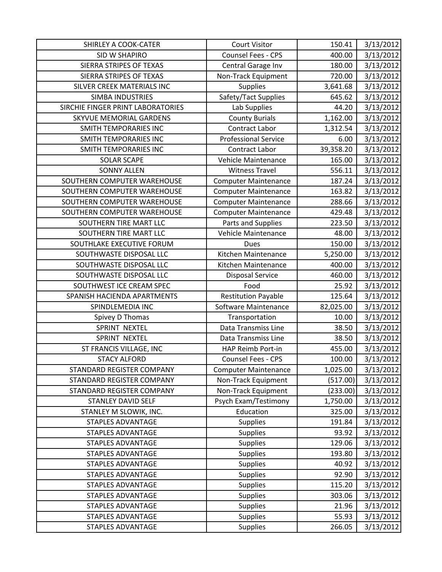| SHIRLEY A COOK-CATER              | <b>Court Visitor</b>        | 150.41    | 3/13/2012 |
|-----------------------------------|-----------------------------|-----------|-----------|
| SID W SHAPIRO                     | Counsel Fees - CPS          | 400.00    | 3/13/2012 |
| SIERRA STRIPES OF TEXAS           | Central Garage Inv          | 180.00    | 3/13/2012 |
| SIERRA STRIPES OF TEXAS           | Non-Track Equipment         | 720.00    | 3/13/2012 |
| SILVER CREEK MATERIALS INC        | <b>Supplies</b>             | 3,641.68  | 3/13/2012 |
| <b>SIMBA INDUSTRIES</b>           | Safety/Tact Supplies        | 645.62    | 3/13/2012 |
| SIRCHIE FINGER PRINT LABORATORIES | Lab Supplies                | 44.20     | 3/13/2012 |
| SKYVUE MEMORIAL GARDENS           | <b>County Burials</b>       | 1,162.00  | 3/13/2012 |
| <b>SMITH TEMPORARIES INC</b>      | Contract Labor              | 1,312.54  | 3/13/2012 |
| <b>SMITH TEMPORARIES INC</b>      | <b>Professional Service</b> | 6.00      | 3/13/2012 |
| SMITH TEMPORARIES INC             | Contract Labor              | 39,358.20 | 3/13/2012 |
| <b>SOLAR SCAPE</b>                | Vehicle Maintenance         | 165.00    | 3/13/2012 |
| <b>SONNY ALLEN</b>                | <b>Witness Travel</b>       | 556.11    | 3/13/2012 |
| SOUTHERN COMPUTER WAREHOUSE       | <b>Computer Maintenance</b> | 187.24    | 3/13/2012 |
| SOUTHERN COMPUTER WAREHOUSE       | <b>Computer Maintenance</b> | 163.82    | 3/13/2012 |
| SOUTHERN COMPUTER WAREHOUSE       | <b>Computer Maintenance</b> | 288.66    | 3/13/2012 |
| SOUTHERN COMPUTER WAREHOUSE       | <b>Computer Maintenance</b> | 429.48    | 3/13/2012 |
| SOUTHERN TIRE MART LLC            | Parts and Supplies          | 223.50    | 3/13/2012 |
| SOUTHERN TIRE MART LLC            | Vehicle Maintenance         | 48.00     | 3/13/2012 |
| SOUTHLAKE EXECUTIVE FORUM         | Dues                        | 150.00    | 3/13/2012 |
| SOUTHWASTE DISPOSAL LLC           | Kitchen Maintenance         | 5,250.00  | 3/13/2012 |
| SOUTHWASTE DISPOSAL LLC           | Kitchen Maintenance         | 400.00    | 3/13/2012 |
| SOUTHWASTE DISPOSAL LLC           | <b>Disposal Service</b>     | 460.00    | 3/13/2012 |
| SOUTHWEST ICE CREAM SPEC          | Food                        | 25.92     | 3/13/2012 |
| SPANISH HACIENDA APARTMENTS       | <b>Restitution Payable</b>  | 125.64    | 3/13/2012 |
| SPINDLEMEDIA INC                  | Software Maintenance        | 82,025.00 | 3/13/2012 |
| Spivey D Thomas                   | Transportation              | 10.00     | 3/13/2012 |
| SPRINT NEXTEL                     | Data Transmiss Line         | 38.50     | 3/13/2012 |
| SPRINT NEXTEL                     | Data Transmiss Line         | 38.50     | 3/13/2012 |
| ST FRANCIS VILLAGE, INC           | HAP Reimb Port-in           | 455.00    | 3/13/2012 |
| <b>STACY ALFORD</b>               | <b>Counsel Fees - CPS</b>   | 100.00    | 3/13/2012 |
| STANDARD REGISTER COMPANY         | <b>Computer Maintenance</b> | 1,025.00  | 3/13/2012 |
| STANDARD REGISTER COMPANY         | Non-Track Equipment         | (517.00)  | 3/13/2012 |
| STANDARD REGISTER COMPANY         | Non-Track Equipment         | (233.00)  | 3/13/2012 |
| <b>STANLEY DAVID SELF</b>         | Psych Exam/Testimony        | 1,750.00  | 3/13/2012 |
| STANLEY M SLOWIK, INC.            | Education                   | 325.00    | 3/13/2012 |
| <b>STAPLES ADVANTAGE</b>          | <b>Supplies</b>             | 191.84    | 3/13/2012 |
| STAPLES ADVANTAGE                 | <b>Supplies</b>             | 93.92     | 3/13/2012 |
| <b>STAPLES ADVANTAGE</b>          | <b>Supplies</b>             | 129.06    | 3/13/2012 |
| <b>STAPLES ADVANTAGE</b>          | Supplies                    | 193.80    | 3/13/2012 |
| STAPLES ADVANTAGE                 | <b>Supplies</b>             | 40.92     | 3/13/2012 |
| <b>STAPLES ADVANTAGE</b>          | <b>Supplies</b>             | 92.90     | 3/13/2012 |
| <b>STAPLES ADVANTAGE</b>          | <b>Supplies</b>             | 115.20    | 3/13/2012 |
| <b>STAPLES ADVANTAGE</b>          | Supplies                    | 303.06    | 3/13/2012 |
| <b>STAPLES ADVANTAGE</b>          | Supplies                    | 21.96     | 3/13/2012 |
| <b>STAPLES ADVANTAGE</b>          | <b>Supplies</b>             | 55.93     | 3/13/2012 |
| <b>STAPLES ADVANTAGE</b>          | Supplies                    | 266.05    | 3/13/2012 |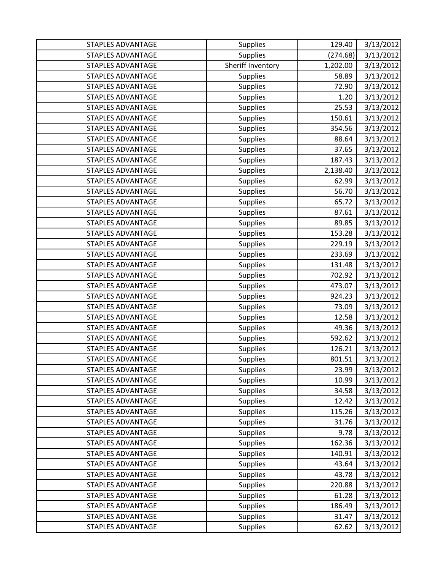| <b>STAPLES ADVANTAGE</b> | <b>Supplies</b>   | 129.40   | 3/13/2012 |
|--------------------------|-------------------|----------|-----------|
| <b>STAPLES ADVANTAGE</b> | <b>Supplies</b>   | (274.68) | 3/13/2012 |
| <b>STAPLES ADVANTAGE</b> | Sheriff Inventory | 1,202.00 | 3/13/2012 |
| <b>STAPLES ADVANTAGE</b> | <b>Supplies</b>   | 58.89    | 3/13/2012 |
| <b>STAPLES ADVANTAGE</b> | <b>Supplies</b>   | 72.90    | 3/13/2012 |
| <b>STAPLES ADVANTAGE</b> | <b>Supplies</b>   | 1.20     | 3/13/2012 |
| <b>STAPLES ADVANTAGE</b> | <b>Supplies</b>   | 25.53    | 3/13/2012 |
| <b>STAPLES ADVANTAGE</b> | Supplies          | 150.61   | 3/13/2012 |
| <b>STAPLES ADVANTAGE</b> | <b>Supplies</b>   | 354.56   | 3/13/2012 |
| <b>STAPLES ADVANTAGE</b> | <b>Supplies</b>   | 88.64    | 3/13/2012 |
| <b>STAPLES ADVANTAGE</b> | <b>Supplies</b>   | 37.65    | 3/13/2012 |
| <b>STAPLES ADVANTAGE</b> | <b>Supplies</b>   | 187.43   | 3/13/2012 |
| <b>STAPLES ADVANTAGE</b> | <b>Supplies</b>   | 2,138.40 | 3/13/2012 |
| <b>STAPLES ADVANTAGE</b> | Supplies          | 62.99    | 3/13/2012 |
| <b>STAPLES ADVANTAGE</b> | <b>Supplies</b>   | 56.70    | 3/13/2012 |
| <b>STAPLES ADVANTAGE</b> | <b>Supplies</b>   | 65.72    | 3/13/2012 |
| <b>STAPLES ADVANTAGE</b> | Supplies          | 87.61    | 3/13/2012 |
| <b>STAPLES ADVANTAGE</b> | <b>Supplies</b>   | 89.85    | 3/13/2012 |
| <b>STAPLES ADVANTAGE</b> | <b>Supplies</b>   | 153.28   | 3/13/2012 |
| <b>STAPLES ADVANTAGE</b> | <b>Supplies</b>   | 229.19   | 3/13/2012 |
| <b>STAPLES ADVANTAGE</b> | <b>Supplies</b>   | 233.69   | 3/13/2012 |
| <b>STAPLES ADVANTAGE</b> | <b>Supplies</b>   | 131.48   | 3/13/2012 |
| <b>STAPLES ADVANTAGE</b> | Supplies          | 702.92   | 3/13/2012 |
| <b>STAPLES ADVANTAGE</b> | <b>Supplies</b>   | 473.07   | 3/13/2012 |
| <b>STAPLES ADVANTAGE</b> | <b>Supplies</b>   | 924.23   | 3/13/2012 |
| <b>STAPLES ADVANTAGE</b> | <b>Supplies</b>   | 73.09    | 3/13/2012 |
| <b>STAPLES ADVANTAGE</b> | Supplies          | 12.58    | 3/13/2012 |
| <b>STAPLES ADVANTAGE</b> | Supplies          | 49.36    | 3/13/2012 |
| <b>STAPLES ADVANTAGE</b> | <b>Supplies</b>   | 592.62   | 3/13/2012 |
| <b>STAPLES ADVANTAGE</b> | <b>Supplies</b>   | 126.21   | 3/13/2012 |
| <b>STAPLES ADVANTAGE</b> | <b>Supplies</b>   | 801.51   | 3/13/2012 |
| <b>STAPLES ADVANTAGE</b> | <b>Supplies</b>   | 23.99    | 3/13/2012 |
| <b>STAPLES ADVANTAGE</b> | <b>Supplies</b>   | 10.99    | 3/13/2012 |
| <b>STAPLES ADVANTAGE</b> | <b>Supplies</b>   | 34.58    | 3/13/2012 |
| <b>STAPLES ADVANTAGE</b> | <b>Supplies</b>   | 12.42    | 3/13/2012 |
| <b>STAPLES ADVANTAGE</b> | <b>Supplies</b>   | 115.26   | 3/13/2012 |
| <b>STAPLES ADVANTAGE</b> | <b>Supplies</b>   | 31.76    | 3/13/2012 |
| <b>STAPLES ADVANTAGE</b> | <b>Supplies</b>   | 9.78     | 3/13/2012 |
| <b>STAPLES ADVANTAGE</b> | <b>Supplies</b>   | 162.36   | 3/13/2012 |
| <b>STAPLES ADVANTAGE</b> | <b>Supplies</b>   | 140.91   | 3/13/2012 |
| <b>STAPLES ADVANTAGE</b> | <b>Supplies</b>   | 43.64    | 3/13/2012 |
| <b>STAPLES ADVANTAGE</b> | <b>Supplies</b>   | 43.78    | 3/13/2012 |
| <b>STAPLES ADVANTAGE</b> | <b>Supplies</b>   | 220.88   | 3/13/2012 |
| <b>STAPLES ADVANTAGE</b> | <b>Supplies</b>   | 61.28    | 3/13/2012 |
| <b>STAPLES ADVANTAGE</b> | <b>Supplies</b>   | 186.49   | 3/13/2012 |
| <b>STAPLES ADVANTAGE</b> | <b>Supplies</b>   | 31.47    | 3/13/2012 |
| <b>STAPLES ADVANTAGE</b> | <b>Supplies</b>   | 62.62    | 3/13/2012 |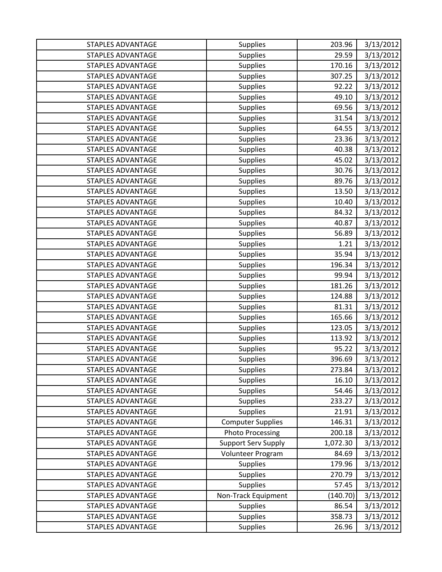| <b>STAPLES ADVANTAGE</b> | <b>Supplies</b>            | 203.96   | 3/13/2012 |
|--------------------------|----------------------------|----------|-----------|
| <b>STAPLES ADVANTAGE</b> | <b>Supplies</b>            | 29.59    | 3/13/2012 |
| <b>STAPLES ADVANTAGE</b> | <b>Supplies</b>            | 170.16   | 3/13/2012 |
| <b>STAPLES ADVANTAGE</b> | <b>Supplies</b>            | 307.25   | 3/13/2012 |
| <b>STAPLES ADVANTAGE</b> | <b>Supplies</b>            | 92.22    | 3/13/2012 |
| <b>STAPLES ADVANTAGE</b> | <b>Supplies</b>            | 49.10    | 3/13/2012 |
| <b>STAPLES ADVANTAGE</b> | <b>Supplies</b>            | 69.56    | 3/13/2012 |
| <b>STAPLES ADVANTAGE</b> | <b>Supplies</b>            | 31.54    | 3/13/2012 |
| <b>STAPLES ADVANTAGE</b> | <b>Supplies</b>            | 64.55    | 3/13/2012 |
| <b>STAPLES ADVANTAGE</b> | <b>Supplies</b>            | 23.36    | 3/13/2012 |
| <b>STAPLES ADVANTAGE</b> | <b>Supplies</b>            | 40.38    | 3/13/2012 |
| <b>STAPLES ADVANTAGE</b> | <b>Supplies</b>            | 45.02    | 3/13/2012 |
| <b>STAPLES ADVANTAGE</b> | <b>Supplies</b>            | 30.76    | 3/13/2012 |
| <b>STAPLES ADVANTAGE</b> | <b>Supplies</b>            | 89.76    | 3/13/2012 |
| <b>STAPLES ADVANTAGE</b> | <b>Supplies</b>            | 13.50    | 3/13/2012 |
| <b>STAPLES ADVANTAGE</b> | <b>Supplies</b>            | 10.40    | 3/13/2012 |
| <b>STAPLES ADVANTAGE</b> | <b>Supplies</b>            | 84.32    | 3/13/2012 |
| <b>STAPLES ADVANTAGE</b> | <b>Supplies</b>            | 40.87    | 3/13/2012 |
| <b>STAPLES ADVANTAGE</b> | Supplies                   | 56.89    | 3/13/2012 |
| <b>STAPLES ADVANTAGE</b> | <b>Supplies</b>            | 1.21     | 3/13/2012 |
| <b>STAPLES ADVANTAGE</b> | <b>Supplies</b>            | 35.94    | 3/13/2012 |
| <b>STAPLES ADVANTAGE</b> | <b>Supplies</b>            | 196.34   | 3/13/2012 |
| <b>STAPLES ADVANTAGE</b> | <b>Supplies</b>            | 99.94    | 3/13/2012 |
| <b>STAPLES ADVANTAGE</b> | <b>Supplies</b>            | 181.26   | 3/13/2012 |
| <b>STAPLES ADVANTAGE</b> | <b>Supplies</b>            | 124.88   | 3/13/2012 |
| <b>STAPLES ADVANTAGE</b> | <b>Supplies</b>            | 81.31    | 3/13/2012 |
| <b>STAPLES ADVANTAGE</b> | <b>Supplies</b>            | 165.66   | 3/13/2012 |
| <b>STAPLES ADVANTAGE</b> | <b>Supplies</b>            | 123.05   | 3/13/2012 |
| <b>STAPLES ADVANTAGE</b> | <b>Supplies</b>            | 113.92   | 3/13/2012 |
| <b>STAPLES ADVANTAGE</b> | <b>Supplies</b>            | 95.22    | 3/13/2012 |
| <b>STAPLES ADVANTAGE</b> | <b>Supplies</b>            | 396.69   | 3/13/2012 |
| <b>STAPLES ADVANTAGE</b> | <b>Supplies</b>            | 273.84   | 3/13/2012 |
| <b>STAPLES ADVANTAGE</b> | <b>Supplies</b>            | 16.10    | 3/13/2012 |
| <b>STAPLES ADVANTAGE</b> | <b>Supplies</b>            | 54.46    | 3/13/2012 |
| <b>STAPLES ADVANTAGE</b> | <b>Supplies</b>            | 233.27   | 3/13/2012 |
| <b>STAPLES ADVANTAGE</b> | <b>Supplies</b>            | 21.91    | 3/13/2012 |
| STAPLES ADVANTAGE        | <b>Computer Supplies</b>   | 146.31   | 3/13/2012 |
| <b>STAPLES ADVANTAGE</b> | <b>Photo Processing</b>    | 200.18   | 3/13/2012 |
| <b>STAPLES ADVANTAGE</b> | <b>Support Serv Supply</b> | 1,072.30 | 3/13/2012 |
| <b>STAPLES ADVANTAGE</b> | Volunteer Program          | 84.69    | 3/13/2012 |
| <b>STAPLES ADVANTAGE</b> | <b>Supplies</b>            | 179.96   | 3/13/2012 |
| <b>STAPLES ADVANTAGE</b> | <b>Supplies</b>            | 270.79   | 3/13/2012 |
| <b>STAPLES ADVANTAGE</b> | <b>Supplies</b>            | 57.45    | 3/13/2012 |
| STAPLES ADVANTAGE        | Non-Track Equipment        | (140.70) | 3/13/2012 |
| <b>STAPLES ADVANTAGE</b> | <b>Supplies</b>            | 86.54    | 3/13/2012 |
| <b>STAPLES ADVANTAGE</b> | <b>Supplies</b>            | 358.73   | 3/13/2012 |
| STAPLES ADVANTAGE        | Supplies                   | 26.96    | 3/13/2012 |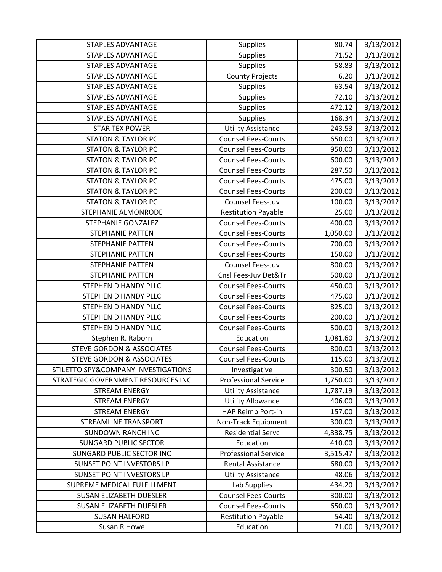| <b>STAPLES ADVANTAGE</b>             | <b>Supplies</b>             | 80.74    | 3/13/2012 |
|--------------------------------------|-----------------------------|----------|-----------|
| <b>STAPLES ADVANTAGE</b>             | Supplies                    | 71.52    | 3/13/2012 |
| <b>STAPLES ADVANTAGE</b>             | Supplies                    | 58.83    | 3/13/2012 |
| <b>STAPLES ADVANTAGE</b>             | <b>County Projects</b>      | 6.20     | 3/13/2012 |
| <b>STAPLES ADVANTAGE</b>             | <b>Supplies</b>             | 63.54    | 3/13/2012 |
| <b>STAPLES ADVANTAGE</b>             | <b>Supplies</b>             | 72.10    | 3/13/2012 |
| <b>STAPLES ADVANTAGE</b>             | <b>Supplies</b>             | 472.12   | 3/13/2012 |
| <b>STAPLES ADVANTAGE</b>             | <b>Supplies</b>             | 168.34   | 3/13/2012 |
| <b>STAR TEX POWER</b>                | <b>Utility Assistance</b>   | 243.53   | 3/13/2012 |
| <b>STATON &amp; TAYLOR PC</b>        | <b>Counsel Fees-Courts</b>  | 650.00   | 3/13/2012 |
| <b>STATON &amp; TAYLOR PC</b>        | <b>Counsel Fees-Courts</b>  | 950.00   | 3/13/2012 |
| <b>STATON &amp; TAYLOR PC</b>        | <b>Counsel Fees-Courts</b>  | 600.00   | 3/13/2012 |
| <b>STATON &amp; TAYLOR PC</b>        | <b>Counsel Fees-Courts</b>  | 287.50   | 3/13/2012 |
| <b>STATON &amp; TAYLOR PC</b>        | <b>Counsel Fees-Courts</b>  | 475.00   | 3/13/2012 |
| <b>STATON &amp; TAYLOR PC</b>        | <b>Counsel Fees-Courts</b>  | 200.00   | 3/13/2012 |
| <b>STATON &amp; TAYLOR PC</b>        | Counsel Fees-Juv            | 100.00   | 3/13/2012 |
| <b>STEPHANIE ALMONRODE</b>           | <b>Restitution Payable</b>  | 25.00    | 3/13/2012 |
| STEPHANIE GONZALEZ                   | <b>Counsel Fees-Courts</b>  | 400.00   | 3/13/2012 |
| <b>STEPHANIE PATTEN</b>              | <b>Counsel Fees-Courts</b>  | 1,050.00 | 3/13/2012 |
| STEPHANIE PATTEN                     | <b>Counsel Fees-Courts</b>  | 700.00   | 3/13/2012 |
| <b>STEPHANIE PATTEN</b>              | <b>Counsel Fees-Courts</b>  | 150.00   | 3/13/2012 |
| STEPHANIE PATTEN                     | Counsel Fees-Juv            | 800.00   | 3/13/2012 |
| <b>STEPHANIE PATTEN</b>              | Cnsl Fees-Juv Det&Tr        | 500.00   | 3/13/2012 |
| STEPHEN D HANDY PLLC                 | <b>Counsel Fees-Courts</b>  | 450.00   | 3/13/2012 |
| STEPHEN D HANDY PLLC                 | <b>Counsel Fees-Courts</b>  | 475.00   | 3/13/2012 |
| STEPHEN D HANDY PLLC                 | <b>Counsel Fees-Courts</b>  | 825.00   | 3/13/2012 |
| STEPHEN D HANDY PLLC                 | <b>Counsel Fees-Courts</b>  | 200.00   | 3/13/2012 |
| STEPHEN D HANDY PLLC                 | <b>Counsel Fees-Courts</b>  | 500.00   | 3/13/2012 |
| Stephen R. Raborn                    | Education                   | 1,081.60 | 3/13/2012 |
| <b>STEVE GORDON &amp; ASSOCIATES</b> | <b>Counsel Fees-Courts</b>  | 800.00   | 3/13/2012 |
| <b>STEVE GORDON &amp; ASSOCIATES</b> | <b>Counsel Fees-Courts</b>  | 115.00   | 3/13/2012 |
| STILETTO SPY&COMPANY INVESTIGATIONS  | Investigative               | 300.50   | 3/13/2012 |
| STRATEGIC GOVERNMENT RESOURCES INC   | <b>Professional Service</b> | 1,750.00 | 3/13/2012 |
| <b>STREAM ENERGY</b>                 | <b>Utility Assistance</b>   | 1,787.19 | 3/13/2012 |
| <b>STREAM ENERGY</b>                 | <b>Utility Allowance</b>    | 406.00   | 3/13/2012 |
| <b>STREAM ENERGY</b>                 | <b>HAP Reimb Port-in</b>    | 157.00   | 3/13/2012 |
| <b>STREAMLINE TRANSPORT</b>          | Non-Track Equipment         | 300.00   | 3/13/2012 |
| <b>SUNDOWN RANCH INC</b>             | <b>Residential Servc</b>    | 4,838.75 | 3/13/2012 |
| <b>SUNGARD PUBLIC SECTOR</b>         | Education                   | 410.00   | 3/13/2012 |
| SUNGARD PUBLIC SECTOR INC            | <b>Professional Service</b> | 3,515.47 | 3/13/2012 |
| <b>SUNSET POINT INVESTORS LP</b>     | Rental Assistance           | 680.00   | 3/13/2012 |
| <b>SUNSET POINT INVESTORS LP</b>     | <b>Utility Assistance</b>   | 48.06    | 3/13/2012 |
| SUPREME MEDICAL FULFILLMENT          | Lab Supplies                | 434.20   | 3/13/2012 |
| <b>SUSAN ELIZABETH DUESLER</b>       | <b>Counsel Fees-Courts</b>  | 300.00   | 3/13/2012 |
| <b>SUSAN ELIZABETH DUESLER</b>       | <b>Counsel Fees-Courts</b>  | 650.00   | 3/13/2012 |
| <b>SUSAN HALFORD</b>                 | <b>Restitution Payable</b>  | 54.40    | 3/13/2012 |
| Susan R Howe                         | Education                   | 71.00    | 3/13/2012 |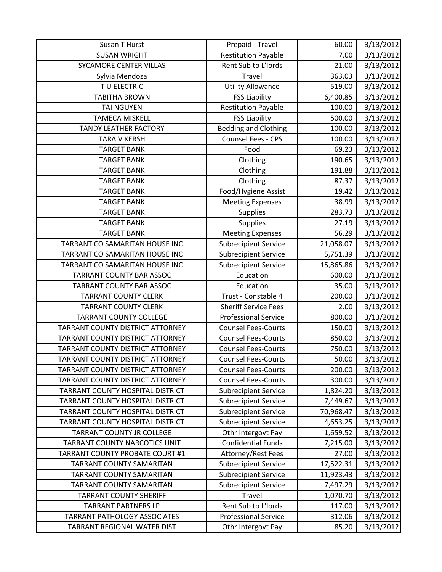| Susan T Hurst                           | Prepaid - Travel            | 60.00     | 3/13/2012 |
|-----------------------------------------|-----------------------------|-----------|-----------|
| <b>SUSAN WRIGHT</b>                     | <b>Restitution Payable</b>  | 7.00      | 3/13/2012 |
| SYCAMORE CENTER VILLAS                  | Rent Sub to L'Iords         | 21.00     | 3/13/2012 |
| Sylvia Mendoza                          | Travel                      | 363.03    | 3/13/2012 |
| TU ELECTRIC                             | <b>Utility Allowance</b>    | 519.00    | 3/13/2012 |
| <b>TABITHA BROWN</b>                    | <b>FSS Liability</b>        | 6,400.85  | 3/13/2012 |
| <b>TAI NGUYEN</b>                       | <b>Restitution Payable</b>  | 100.00    | 3/13/2012 |
| <b>TAMECA MISKELL</b>                   | <b>FSS Liability</b>        | 500.00    | 3/13/2012 |
| <b>TANDY LEATHER FACTORY</b>            | <b>Bedding and Clothing</b> | 100.00    | 3/13/2012 |
| <b>TARA V KERSH</b>                     | Counsel Fees - CPS          | 100.00    | 3/13/2012 |
| <b>TARGET BANK</b>                      | Food                        | 69.23     | 3/13/2012 |
| <b>TARGET BANK</b>                      | Clothing                    | 190.65    | 3/13/2012 |
| <b>TARGET BANK</b>                      | Clothing                    | 191.88    | 3/13/2012 |
| <b>TARGET BANK</b>                      | Clothing                    | 87.37     | 3/13/2012 |
| <b>TARGET BANK</b>                      | Food/Hygiene Assist         | 19.42     | 3/13/2012 |
| <b>TARGET BANK</b>                      | <b>Meeting Expenses</b>     | 38.99     | 3/13/2012 |
| <b>TARGET BANK</b>                      | <b>Supplies</b>             | 283.73    | 3/13/2012 |
| <b>TARGET BANK</b>                      | Supplies                    | 27.19     | 3/13/2012 |
| <b>TARGET BANK</b>                      | <b>Meeting Expenses</b>     | 56.29     | 3/13/2012 |
| TARRANT CO SAMARITAN HOUSE INC          | <b>Subrecipient Service</b> | 21,058.07 | 3/13/2012 |
| TARRANT CO SAMARITAN HOUSE INC          | <b>Subrecipient Service</b> | 5,751.39  | 3/13/2012 |
| TARRANT CO SAMARITAN HOUSE INC          | <b>Subrecipient Service</b> | 15,865.86 | 3/13/2012 |
| <b>TARRANT COUNTY BAR ASSOC</b>         | Education                   | 600.00    | 3/13/2012 |
| <b>TARRANT COUNTY BAR ASSOC</b>         | Education                   | 35.00     | 3/13/2012 |
| <b>TARRANT COUNTY CLERK</b>             | Trust - Constable 4         | 200.00    | 3/13/2012 |
| <b>TARRANT COUNTY CLERK</b>             | <b>Sheriff Service Fees</b> | 2.00      | 3/13/2012 |
| <b>TARRANT COUNTY COLLEGE</b>           | <b>Professional Service</b> | 800.00    | 3/13/2012 |
| TARRANT COUNTY DISTRICT ATTORNEY        | <b>Counsel Fees-Courts</b>  | 150.00    | 3/13/2012 |
| TARRANT COUNTY DISTRICT ATTORNEY        | <b>Counsel Fees-Courts</b>  | 850.00    | 3/13/2012 |
| <b>TARRANT COUNTY DISTRICT ATTORNEY</b> | <b>Counsel Fees-Courts</b>  | 750.00    | 3/13/2012 |
| TARRANT COUNTY DISTRICT ATTORNEY        | <b>Counsel Fees-Courts</b>  | 50.00     | 3/13/2012 |
| TARRANT COUNTY DISTRICT ATTORNEY        | <b>Counsel Fees-Courts</b>  | 200.00    | 3/13/2012 |
| TARRANT COUNTY DISTRICT ATTORNEY        | <b>Counsel Fees-Courts</b>  | 300.00    | 3/13/2012 |
| TARRANT COUNTY HOSPITAL DISTRICT        | <b>Subrecipient Service</b> | 1,824.20  | 3/13/2012 |
| TARRANT COUNTY HOSPITAL DISTRICT        | <b>Subrecipient Service</b> | 7,449.67  | 3/13/2012 |
| TARRANT COUNTY HOSPITAL DISTRICT        | <b>Subrecipient Service</b> | 70,968.47 | 3/13/2012 |
| TARRANT COUNTY HOSPITAL DISTRICT        | <b>Subrecipient Service</b> | 4,653.25  | 3/13/2012 |
| TARRANT COUNTY JR COLLEGE               | Othr Intergovt Pay          | 1,659.52  | 3/13/2012 |
| TARRANT COUNTY NARCOTICS UNIT           | <b>Confidential Funds</b>   | 7,215.00  | 3/13/2012 |
| TARRANT COUNTY PROBATE COURT #1         | Attorney/Rest Fees          | 27.00     | 3/13/2012 |
| <b>TARRANT COUNTY SAMARITAN</b>         | <b>Subrecipient Service</b> | 17,522.31 | 3/13/2012 |
| <b>TARRANT COUNTY SAMARITAN</b>         | <b>Subrecipient Service</b> | 11,923.43 | 3/13/2012 |
| <b>TARRANT COUNTY SAMARITAN</b>         | <b>Subrecipient Service</b> | 7,497.29  | 3/13/2012 |
| <b>TARRANT COUNTY SHERIFF</b>           | <b>Travel</b>               | 1,070.70  | 3/13/2012 |
| <b>TARRANT PARTNERS LP</b>              | Rent Sub to L'Iords         | 117.00    | 3/13/2012 |
| <b>TARRANT PATHOLOGY ASSOCIATES</b>     | <b>Professional Service</b> | 312.06    | 3/13/2012 |
| TARRANT REGIONAL WATER DIST             | Othr Intergovt Pay          | 85.20     | 3/13/2012 |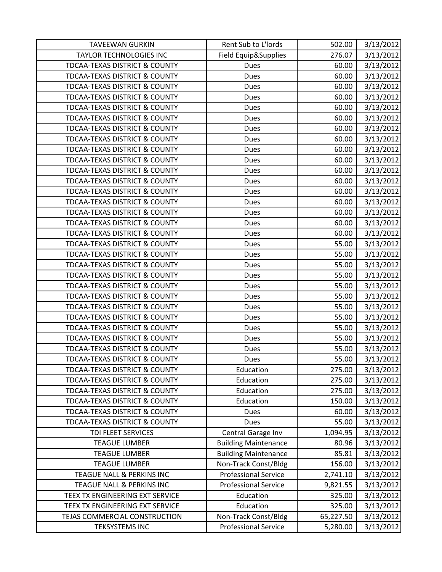| <b>TAVEEWAN GURKIN</b>                   | Rent Sub to L'Iords         | 502.00    | 3/13/2012 |
|------------------------------------------|-----------------------------|-----------|-----------|
| <b>TAYLOR TECHNOLOGIES INC</b>           | Field Equip&Supplies        | 276.07    | 3/13/2012 |
| <b>TDCAA-TEXAS DISTRICT &amp; COUNTY</b> | <b>Dues</b>                 | 60.00     | 3/13/2012 |
| <b>TDCAA-TEXAS DISTRICT &amp; COUNTY</b> | <b>Dues</b>                 | 60.00     | 3/13/2012 |
| <b>TDCAA-TEXAS DISTRICT &amp; COUNTY</b> | <b>Dues</b>                 | 60.00     | 3/13/2012 |
| <b>TDCAA-TEXAS DISTRICT &amp; COUNTY</b> | <b>Dues</b>                 | 60.00     | 3/13/2012 |
| <b>TDCAA-TEXAS DISTRICT &amp; COUNTY</b> | <b>Dues</b>                 | 60.00     | 3/13/2012 |
| <b>TDCAA-TEXAS DISTRICT &amp; COUNTY</b> | <b>Dues</b>                 | 60.00     | 3/13/2012 |
| <b>TDCAA-TEXAS DISTRICT &amp; COUNTY</b> | <b>Dues</b>                 | 60.00     | 3/13/2012 |
| <b>TDCAA-TEXAS DISTRICT &amp; COUNTY</b> | Dues                        | 60.00     | 3/13/2012 |
| <b>TDCAA-TEXAS DISTRICT &amp; COUNTY</b> | <b>Dues</b>                 | 60.00     | 3/13/2012 |
| <b>TDCAA-TEXAS DISTRICT &amp; COUNTY</b> | <b>Dues</b>                 | 60.00     | 3/13/2012 |
| <b>TDCAA-TEXAS DISTRICT &amp; COUNTY</b> | <b>Dues</b>                 | 60.00     | 3/13/2012 |
| <b>TDCAA-TEXAS DISTRICT &amp; COUNTY</b> | <b>Dues</b>                 | 60.00     | 3/13/2012 |
| <b>TDCAA-TEXAS DISTRICT &amp; COUNTY</b> | Dues                        | 60.00     | 3/13/2012 |
| <b>TDCAA-TEXAS DISTRICT &amp; COUNTY</b> | <b>Dues</b>                 | 60.00     | 3/13/2012 |
| <b>TDCAA-TEXAS DISTRICT &amp; COUNTY</b> | <b>Dues</b>                 | 60.00     | 3/13/2012 |
| <b>TDCAA-TEXAS DISTRICT &amp; COUNTY</b> | <b>Dues</b>                 | 60.00     | 3/13/2012 |
| <b>TDCAA-TEXAS DISTRICT &amp; COUNTY</b> | Dues                        | 60.00     | 3/13/2012 |
| <b>TDCAA-TEXAS DISTRICT &amp; COUNTY</b> | <b>Dues</b>                 | 55.00     | 3/13/2012 |
| TDCAA-TEXAS DISTRICT & COUNTY            | <b>Dues</b>                 | 55.00     | 3/13/2012 |
| <b>TDCAA-TEXAS DISTRICT &amp; COUNTY</b> | <b>Dues</b>                 | 55.00     | 3/13/2012 |
| <b>TDCAA-TEXAS DISTRICT &amp; COUNTY</b> | <b>Dues</b>                 | 55.00     | 3/13/2012 |
| <b>TDCAA-TEXAS DISTRICT &amp; COUNTY</b> | <b>Dues</b>                 | 55.00     | 3/13/2012 |
| <b>TDCAA-TEXAS DISTRICT &amp; COUNTY</b> | <b>Dues</b>                 | 55.00     | 3/13/2012 |
| <b>TDCAA-TEXAS DISTRICT &amp; COUNTY</b> | <b>Dues</b>                 | 55.00     | 3/13/2012 |
| <b>TDCAA-TEXAS DISTRICT &amp; COUNTY</b> | <b>Dues</b>                 | 55.00     | 3/13/2012 |
| <b>TDCAA-TEXAS DISTRICT &amp; COUNTY</b> | <b>Dues</b>                 | 55.00     | 3/13/2012 |
| <b>TDCAA-TEXAS DISTRICT &amp; COUNTY</b> | Dues                        | 55.00     | 3/13/2012 |
| <b>TDCAA-TEXAS DISTRICT &amp; COUNTY</b> | Dues                        | 55.00     | 3/13/2012 |
| <b>TDCAA-TEXAS DISTRICT &amp; COUNTY</b> | <b>Dues</b>                 | 55.00     | 3/13/2012 |
| <b>TDCAA-TEXAS DISTRICT &amp; COUNTY</b> | Education                   | 275.00    | 3/13/2012 |
| <b>TDCAA-TEXAS DISTRICT &amp; COUNTY</b> | Education                   | 275.00    | 3/13/2012 |
| <b>TDCAA-TEXAS DISTRICT &amp; COUNTY</b> | Education                   | 275.00    | 3/13/2012 |
| <b>TDCAA-TEXAS DISTRICT &amp; COUNTY</b> | Education                   | 150.00    | 3/13/2012 |
| <b>TDCAA-TEXAS DISTRICT &amp; COUNTY</b> | <b>Dues</b>                 | 60.00     | 3/13/2012 |
| <b>TDCAA-TEXAS DISTRICT &amp; COUNTY</b> | <b>Dues</b>                 | 55.00     | 3/13/2012 |
| TDI FLEET SERVICES                       | Central Garage Inv          | 1,094.95  | 3/13/2012 |
| <b>TEAGUE LUMBER</b>                     | <b>Building Maintenance</b> | 80.96     | 3/13/2012 |
| <b>TEAGUE LUMBER</b>                     | <b>Building Maintenance</b> | 85.81     | 3/13/2012 |
| <b>TEAGUE LUMBER</b>                     | Non-Track Const/Bldg        | 156.00    | 3/13/2012 |
| TEAGUE NALL & PERKINS INC                | <b>Professional Service</b> | 2,741.10  | 3/13/2012 |
| TEAGUE NALL & PERKINS INC                | <b>Professional Service</b> | 9,821.55  | 3/13/2012 |
| TEEX TX ENGINEERING EXT SERVICE          | Education                   | 325.00    | 3/13/2012 |
| TEEX TX ENGINEERING EXT SERVICE          | Education                   | 325.00    | 3/13/2012 |
| TEJAS COMMERCIAL CONSTRUCTION            | Non-Track Const/Bldg        | 65,227.50 | 3/13/2012 |
| <b>TEKSYSTEMS INC</b>                    | <b>Professional Service</b> | 5,280.00  | 3/13/2012 |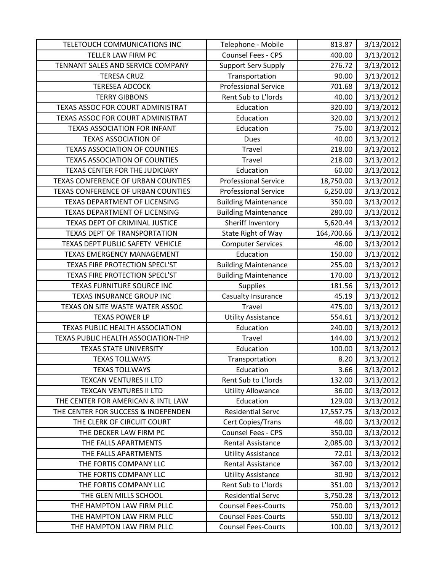| TELETOUCH COMMUNICATIONS INC         | Telephone - Mobile          | 813.87     | 3/13/2012 |
|--------------------------------------|-----------------------------|------------|-----------|
| TELLER LAW FIRM PC                   | Counsel Fees - CPS          | 400.00     | 3/13/2012 |
| TENNANT SALES AND SERVICE COMPANY    | <b>Support Serv Supply</b>  | 276.72     | 3/13/2012 |
| <b>TERESA CRUZ</b>                   | Transportation              | 90.00      | 3/13/2012 |
| <b>TERESEA ADCOCK</b>                | <b>Professional Service</b> | 701.68     | 3/13/2012 |
| <b>TERRY GIBBONS</b>                 | Rent Sub to L'Iords         | 40.00      | 3/13/2012 |
| TEXAS ASSOC FOR COURT ADMINISTRAT    | Education                   | 320.00     | 3/13/2012 |
| TEXAS ASSOC FOR COURT ADMINISTRAT    | Education                   | 320.00     | 3/13/2012 |
| <b>TEXAS ASSOCIATION FOR INFANT</b>  | Education                   | 75.00      | 3/13/2012 |
| <b>TEXAS ASSOCIATION OF</b>          | Dues                        | 40.00      | 3/13/2012 |
| <b>TEXAS ASSOCIATION OF COUNTIES</b> | <b>Travel</b>               | 218.00     | 3/13/2012 |
| <b>TEXAS ASSOCIATION OF COUNTIES</b> | Travel                      | 218.00     | 3/13/2012 |
| TEXAS CENTER FOR THE JUDICIARY       | Education                   | 60.00      | 3/13/2012 |
| TEXAS CONFERENCE OF URBAN COUNTIES   | <b>Professional Service</b> | 18,750.00  | 3/13/2012 |
| TEXAS CONFERENCE OF URBAN COUNTIES   | <b>Professional Service</b> | 6,250.00   | 3/13/2012 |
| TEXAS DEPARTMENT OF LICENSING        | <b>Building Maintenance</b> | 350.00     | 3/13/2012 |
| TEXAS DEPARTMENT OF LICENSING        | <b>Building Maintenance</b> | 280.00     | 3/13/2012 |
| TEXAS DEPT OF CRIMINAL JUSTICE       | Sheriff Inventory           | 5,620.44   | 3/13/2012 |
| TEXAS DEPT OF TRANSPORTATION         | State Right of Way          | 164,700.66 | 3/13/2012 |
| TEXAS DEPT PUBLIC SAFETY VEHICLE     | <b>Computer Services</b>    | 46.00      | 3/13/2012 |
| <b>TEXAS EMERGENCY MANAGEMENT</b>    | Education                   | 150.00     | 3/13/2012 |
| TEXAS FIRE PROTECTION SPECL'ST       | <b>Building Maintenance</b> | 255.00     | 3/13/2012 |
| TEXAS FIRE PROTECTION SPECL'ST       | <b>Building Maintenance</b> | 170.00     | 3/13/2012 |
| TEXAS FURNITURE SOURCE INC           | <b>Supplies</b>             | 181.56     | 3/13/2012 |
| TEXAS INSURANCE GROUP INC            | Casualty Insurance          | 45.19      | 3/13/2012 |
| TEXAS ON SITE WASTE WATER ASSOC      | <b>Travel</b>               | 475.00     | 3/13/2012 |
| <b>TEXAS POWER LP</b>                | <b>Utility Assistance</b>   | 554.61     | 3/13/2012 |
| TEXAS PUBLIC HEALTH ASSOCIATION      | Education                   | 240.00     | 3/13/2012 |
| TEXAS PUBLIC HEALTH ASSOCIATION-THP  | Travel                      | 144.00     | 3/13/2012 |
| <b>TEXAS STATE UNIVERSITY</b>        | Education                   | 100.00     | 3/13/2012 |
| <b>TEXAS TOLLWAYS</b>                | Transportation              | 8.20       | 3/13/2012 |
| <b>TEXAS TOLLWAYS</b>                | Education                   | 3.66       | 3/13/2012 |
| <b>TEXCAN VENTURES II LTD</b>        | Rent Sub to L'Iords         | 132.00     | 3/13/2012 |
| <b>TEXCAN VENTURES II LTD</b>        | <b>Utility Allowance</b>    | 36.00      | 3/13/2012 |
| THE CENTER FOR AMERICAN & INTL LAW   | Education                   | 129.00     | 3/13/2012 |
| THE CENTER FOR SUCCESS & INDEPENDEN  | <b>Residential Servc</b>    | 17,557.75  | 3/13/2012 |
| THE CLERK OF CIRCUIT COURT           | Cert Copies/Trans           | 48.00      | 3/13/2012 |
| THE DECKER LAW FIRM PC               | Counsel Fees - CPS          | 350.00     | 3/13/2012 |
| THE FALLS APARTMENTS                 | <b>Rental Assistance</b>    | 2,085.00   | 3/13/2012 |
| THE FALLS APARTMENTS                 | <b>Utility Assistance</b>   | 72.01      | 3/13/2012 |
| THE FORTIS COMPANY LLC               | Rental Assistance           | 367.00     | 3/13/2012 |
| THE FORTIS COMPANY LLC               | <b>Utility Assistance</b>   | 30.90      | 3/13/2012 |
| THE FORTIS COMPANY LLC               | Rent Sub to L'Iords         | 351.00     | 3/13/2012 |
| THE GLEN MILLS SCHOOL                | <b>Residential Servc</b>    | 3,750.28   | 3/13/2012 |
| THE HAMPTON LAW FIRM PLLC            | <b>Counsel Fees-Courts</b>  | 750.00     | 3/13/2012 |
| THE HAMPTON LAW FIRM PLLC            | <b>Counsel Fees-Courts</b>  | 550.00     | 3/13/2012 |
| THE HAMPTON LAW FIRM PLLC            | <b>Counsel Fees-Courts</b>  | 100.00     | 3/13/2012 |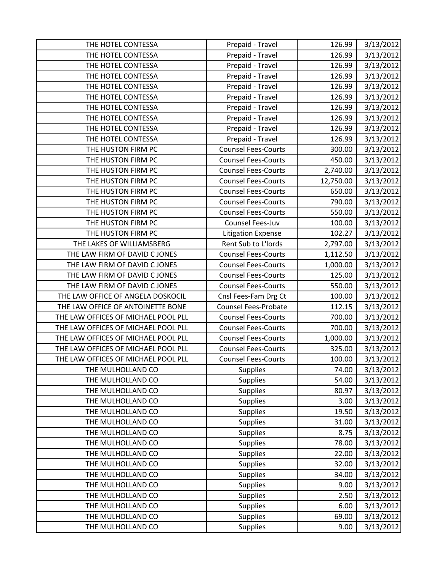| THE HOTEL CONTESSA                  | Prepaid - Travel           | 126.99    | 3/13/2012 |
|-------------------------------------|----------------------------|-----------|-----------|
| THE HOTEL CONTESSA                  | Prepaid - Travel           | 126.99    | 3/13/2012 |
| THE HOTEL CONTESSA                  | Prepaid - Travel           | 126.99    | 3/13/2012 |
| THE HOTEL CONTESSA                  | Prepaid - Travel           | 126.99    | 3/13/2012 |
| THE HOTEL CONTESSA                  | Prepaid - Travel           | 126.99    | 3/13/2012 |
| THE HOTEL CONTESSA                  | Prepaid - Travel           | 126.99    | 3/13/2012 |
| THE HOTEL CONTESSA                  | Prepaid - Travel           | 126.99    | 3/13/2012 |
| THE HOTEL CONTESSA                  | Prepaid - Travel           | 126.99    | 3/13/2012 |
| THE HOTEL CONTESSA                  | Prepaid - Travel           | 126.99    | 3/13/2012 |
| THE HOTEL CONTESSA                  | Prepaid - Travel           | 126.99    | 3/13/2012 |
| THE HUSTON FIRM PC                  | <b>Counsel Fees-Courts</b> | 300.00    | 3/13/2012 |
| THE HUSTON FIRM PC                  | <b>Counsel Fees-Courts</b> | 450.00    | 3/13/2012 |
| THE HUSTON FIRM PC                  | <b>Counsel Fees-Courts</b> | 2,740.00  | 3/13/2012 |
| THE HUSTON FIRM PC                  | <b>Counsel Fees-Courts</b> | 12,750.00 | 3/13/2012 |
| THE HUSTON FIRM PC                  | <b>Counsel Fees-Courts</b> | 650.00    | 3/13/2012 |
| THE HUSTON FIRM PC                  | <b>Counsel Fees-Courts</b> | 790.00    | 3/13/2012 |
| THE HUSTON FIRM PC                  | <b>Counsel Fees-Courts</b> | 550.00    | 3/13/2012 |
| THE HUSTON FIRM PC                  | Counsel Fees-Juv           | 100.00    | 3/13/2012 |
| THE HUSTON FIRM PC                  | <b>Litigation Expense</b>  | 102.27    | 3/13/2012 |
| THE LAKES OF WILLIAMSBERG           | Rent Sub to L'Iords        | 2,797.00  | 3/13/2012 |
| THE LAW FIRM OF DAVID C JONES       | <b>Counsel Fees-Courts</b> | 1,112.50  | 3/13/2012 |
| THE LAW FIRM OF DAVID C JONES       | <b>Counsel Fees-Courts</b> | 1,000.00  | 3/13/2012 |
| THE LAW FIRM OF DAVID C JONES       | <b>Counsel Fees-Courts</b> | 125.00    | 3/13/2012 |
| THE LAW FIRM OF DAVID C JONES       | <b>Counsel Fees-Courts</b> | 550.00    | 3/13/2012 |
| THE LAW OFFICE OF ANGELA DOSKOCIL   | Cnsl Fees-Fam Drg Ct       | 100.00    | 3/13/2012 |
| THE LAW OFFICE OF ANTOINETTE BONE   | Counsel Fees-Probate       | 112.15    | 3/13/2012 |
| THE LAW OFFICES OF MICHAEL POOL PLL | <b>Counsel Fees-Courts</b> | 700.00    | 3/13/2012 |
| THE LAW OFFICES OF MICHAEL POOL PLL | <b>Counsel Fees-Courts</b> | 700.00    | 3/13/2012 |
| THE LAW OFFICES OF MICHAEL POOL PLL | <b>Counsel Fees-Courts</b> | 1,000.00  | 3/13/2012 |
| THE LAW OFFICES OF MICHAEL POOL PLL | <b>Counsel Fees-Courts</b> | 325.00    | 3/13/2012 |
| THE LAW OFFICES OF MICHAEL POOL PLL | <b>Counsel Fees-Courts</b> | 100.00    | 3/13/2012 |
| THE MULHOLLAND CO                   | <b>Supplies</b>            | 74.00     | 3/13/2012 |
| THE MULHOLLAND CO                   | <b>Supplies</b>            | 54.00     | 3/13/2012 |
| THE MULHOLLAND CO                   | Supplies                   | 80.97     | 3/13/2012 |
| THE MULHOLLAND CO                   | <b>Supplies</b>            | 3.00      | 3/13/2012 |
| THE MULHOLLAND CO                   | Supplies                   | 19.50     | 3/13/2012 |
| THE MULHOLLAND CO                   | Supplies                   | 31.00     | 3/13/2012 |
| THE MULHOLLAND CO                   | Supplies                   | 8.75      | 3/13/2012 |
| THE MULHOLLAND CO                   | <b>Supplies</b>            | 78.00     | 3/13/2012 |
| THE MULHOLLAND CO                   | Supplies                   | 22.00     | 3/13/2012 |
| THE MULHOLLAND CO                   | Supplies                   | 32.00     | 3/13/2012 |
| THE MULHOLLAND CO                   | <b>Supplies</b>            | 34.00     | 3/13/2012 |
| THE MULHOLLAND CO                   | <b>Supplies</b>            | 9.00      | 3/13/2012 |
| THE MULHOLLAND CO                   | Supplies                   | 2.50      | 3/13/2012 |
| THE MULHOLLAND CO                   | Supplies                   | 6.00      | 3/13/2012 |
| THE MULHOLLAND CO                   | <b>Supplies</b>            | 69.00     | 3/13/2012 |
| THE MULHOLLAND CO                   | <b>Supplies</b>            | 9.00      | 3/13/2012 |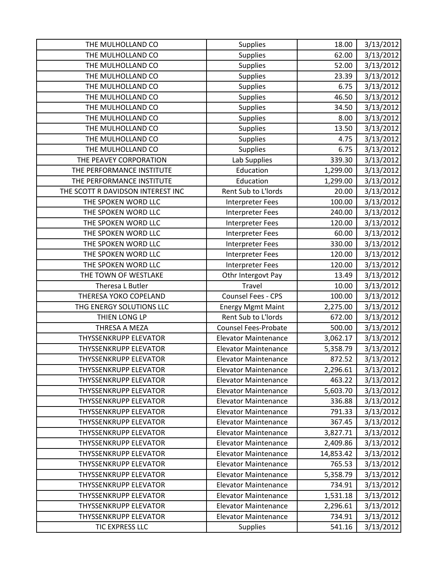| THE MULHOLLAND CO                 | <b>Supplies</b>             | 18.00     | 3/13/2012 |
|-----------------------------------|-----------------------------|-----------|-----------|
| THE MULHOLLAND CO                 | <b>Supplies</b>             | 62.00     | 3/13/2012 |
| THE MULHOLLAND CO                 | Supplies                    | 52.00     | 3/13/2012 |
| THE MULHOLLAND CO                 | Supplies                    | 23.39     | 3/13/2012 |
| THE MULHOLLAND CO                 | Supplies                    | 6.75      | 3/13/2012 |
| THE MULHOLLAND CO                 | <b>Supplies</b>             | 46.50     | 3/13/2012 |
| THE MULHOLLAND CO                 | Supplies                    | 34.50     | 3/13/2012 |
| THE MULHOLLAND CO                 | Supplies                    | 8.00      | 3/13/2012 |
| THE MULHOLLAND CO                 | <b>Supplies</b>             | 13.50     | 3/13/2012 |
| THE MULHOLLAND CO                 | <b>Supplies</b>             | 4.75      | 3/13/2012 |
| THE MULHOLLAND CO                 | <b>Supplies</b>             | 6.75      | 3/13/2012 |
| THE PEAVEY CORPORATION            | Lab Supplies                | 339.30    | 3/13/2012 |
| THE PERFORMANCE INSTITUTE         | Education                   | 1,299.00  | 3/13/2012 |
| THE PERFORMANCE INSTITUTE         | Education                   | 1,299.00  | 3/13/2012 |
| THE SCOTT R DAVIDSON INTEREST INC | Rent Sub to L'Iords         | 20.00     | 3/13/2012 |
| THE SPOKEN WORD LLC               | <b>Interpreter Fees</b>     | 100.00    | 3/13/2012 |
| THE SPOKEN WORD LLC               | <b>Interpreter Fees</b>     | 240.00    | 3/13/2012 |
| THE SPOKEN WORD LLC               | Interpreter Fees            | 120.00    | 3/13/2012 |
| THE SPOKEN WORD LLC               | Interpreter Fees            | 60.00     | 3/13/2012 |
| THE SPOKEN WORD LLC               | Interpreter Fees            | 330.00    | 3/13/2012 |
| THE SPOKEN WORD LLC               | Interpreter Fees            | 120.00    | 3/13/2012 |
| THE SPOKEN WORD LLC               | <b>Interpreter Fees</b>     | 120.00    | 3/13/2012 |
| THE TOWN OF WESTLAKE              | Othr Intergovt Pay          | 13.49     | 3/13/2012 |
| Theresa L Butler                  | Travel                      | 10.00     | 3/13/2012 |
| THERESA YOKO COPELAND             | Counsel Fees - CPS          | 100.00    | 3/13/2012 |
| THG ENERGY SOLUTIONS LLC          | <b>Energy Mgmt Maint</b>    | 2,275.00  | 3/13/2012 |
| THIEN LONG LP                     | Rent Sub to L'Iords         | 672.00    | 3/13/2012 |
| THRESA A MEZA                     | Counsel Fees-Probate        | 500.00    | 3/13/2012 |
| <b>THYSSENKRUPP ELEVATOR</b>      | <b>Elevator Maintenance</b> | 3,062.17  | 3/13/2012 |
| <b>THYSSENKRUPP ELEVATOR</b>      | <b>Elevator Maintenance</b> | 5,358.79  | 3/13/2012 |
| THYSSENKRUPP ELEVATOR             | <b>Elevator Maintenance</b> | 872.52    | 3/13/2012 |
| <b>THYSSENKRUPP ELEVATOR</b>      | <b>Elevator Maintenance</b> | 2,296.61  | 3/13/2012 |
| <b>THYSSENKRUPP ELEVATOR</b>      | <b>Elevator Maintenance</b> | 463.22    | 3/13/2012 |
| <b>THYSSENKRUPP ELEVATOR</b>      | <b>Elevator Maintenance</b> | 5,603.70  | 3/13/2012 |
| <b>THYSSENKRUPP ELEVATOR</b>      | <b>Elevator Maintenance</b> | 336.88    | 3/13/2012 |
| <b>THYSSENKRUPP ELEVATOR</b>      | <b>Elevator Maintenance</b> | 791.33    | 3/13/2012 |
| <b>THYSSENKRUPP ELEVATOR</b>      | <b>Elevator Maintenance</b> | 367.45    | 3/13/2012 |
| <b>THYSSENKRUPP ELEVATOR</b>      | <b>Elevator Maintenance</b> | 3,827.71  | 3/13/2012 |
| <b>THYSSENKRUPP ELEVATOR</b>      | <b>Elevator Maintenance</b> | 2,409.86  | 3/13/2012 |
| <b>THYSSENKRUPP ELEVATOR</b>      | <b>Elevator Maintenance</b> | 14,853.42 | 3/13/2012 |
| <b>THYSSENKRUPP ELEVATOR</b>      | <b>Elevator Maintenance</b> | 765.53    | 3/13/2012 |
| <b>THYSSENKRUPP ELEVATOR</b>      | <b>Elevator Maintenance</b> | 5,358.79  | 3/13/2012 |
| <b>THYSSENKRUPP ELEVATOR</b>      | <b>Elevator Maintenance</b> | 734.91    | 3/13/2012 |
| <b>THYSSENKRUPP ELEVATOR</b>      | <b>Elevator Maintenance</b> | 1,531.18  | 3/13/2012 |
| <b>THYSSENKRUPP ELEVATOR</b>      | <b>Elevator Maintenance</b> | 2,296.61  | 3/13/2012 |
| <b>THYSSENKRUPP ELEVATOR</b>      | <b>Elevator Maintenance</b> | 734.91    | 3/13/2012 |
| TIC EXPRESS LLC                   | <b>Supplies</b>             | 541.16    | 3/13/2012 |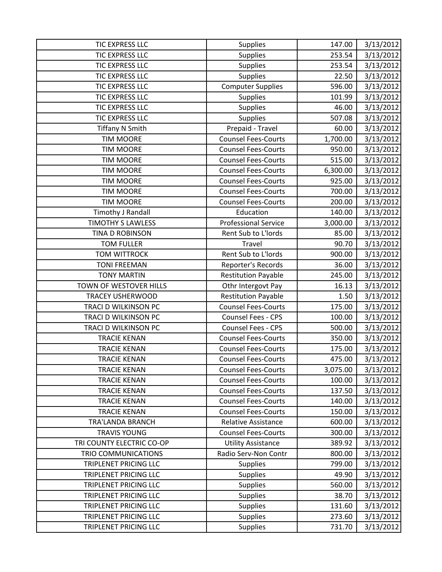| <b>TIC EXPRESS LLC</b>       | <b>Supplies</b>             | 147.00   | 3/13/2012 |
|------------------------------|-----------------------------|----------|-----------|
| <b>TIC EXPRESS LLC</b>       | <b>Supplies</b>             | 253.54   | 3/13/2012 |
| TIC EXPRESS LLC              | Supplies                    | 253.54   | 3/13/2012 |
| <b>TIC EXPRESS LLC</b>       | Supplies                    | 22.50    | 3/13/2012 |
| <b>TIC EXPRESS LLC</b>       | <b>Computer Supplies</b>    | 596.00   | 3/13/2012 |
| TIC EXPRESS LLC              | <b>Supplies</b>             | 101.99   | 3/13/2012 |
| <b>TIC EXPRESS LLC</b>       | Supplies                    | 46.00    | 3/13/2012 |
| TIC EXPRESS LLC              | <b>Supplies</b>             | 507.08   | 3/13/2012 |
| <b>Tiffany N Smith</b>       | Prepaid - Travel            | 60.00    | 3/13/2012 |
| <b>TIM MOORE</b>             | <b>Counsel Fees-Courts</b>  | 1,700.00 | 3/13/2012 |
| <b>TIM MOORE</b>             | <b>Counsel Fees-Courts</b>  | 950.00   | 3/13/2012 |
| <b>TIM MOORE</b>             | <b>Counsel Fees-Courts</b>  | 515.00   | 3/13/2012 |
| <b>TIM MOORE</b>             | <b>Counsel Fees-Courts</b>  | 6,300.00 | 3/13/2012 |
| <b>TIM MOORE</b>             | <b>Counsel Fees-Courts</b>  | 925.00   | 3/13/2012 |
| <b>TIM MOORE</b>             | <b>Counsel Fees-Courts</b>  | 700.00   | 3/13/2012 |
| <b>TIM MOORE</b>             | <b>Counsel Fees-Courts</b>  | 200.00   | 3/13/2012 |
| <b>Timothy J Randall</b>     | Education                   | 140.00   | 3/13/2012 |
| <b>TIMOTHY S LAWLESS</b>     | <b>Professional Service</b> | 3,000.00 | 3/13/2012 |
| TINA D ROBINSON              | Rent Sub to L'Iords         | 85.00    | 3/13/2012 |
| <b>TOM FULLER</b>            | Travel                      | 90.70    | 3/13/2012 |
| <b>TOM WITTROCK</b>          | Rent Sub to L'Iords         | 900.00   | 3/13/2012 |
| <b>TONI FREEMAN</b>          | Reporter's Records          | 36.00    | 3/13/2012 |
| <b>TONY MARTIN</b>           | <b>Restitution Payable</b>  | 245.00   | 3/13/2012 |
| TOWN OF WESTOVER HILLS       | Othr Intergovt Pay          | 16.13    | 3/13/2012 |
| <b>TRACEY USHERWOOD</b>      | <b>Restitution Payable</b>  | 1.50     | 3/13/2012 |
| TRACI D WILKINSON PC         | <b>Counsel Fees-Courts</b>  | 175.00   | 3/13/2012 |
| TRACI D WILKINSON PC         | Counsel Fees - CPS          | 100.00   | 3/13/2012 |
| TRACI D WILKINSON PC         | Counsel Fees - CPS          | 500.00   | 3/13/2012 |
| <b>TRACIE KENAN</b>          | <b>Counsel Fees-Courts</b>  | 350.00   | 3/13/2012 |
| <b>TRACIE KENAN</b>          | <b>Counsel Fees-Courts</b>  | 175.00   | 3/13/2012 |
| <b>TRACIE KENAN</b>          | <b>Counsel Fees-Courts</b>  | 475.00   | 3/13/2012 |
| <b>TRACIE KENAN</b>          | <b>Counsel Fees-Courts</b>  | 3,075.00 | 3/13/2012 |
| <b>TRACIE KENAN</b>          | <b>Counsel Fees-Courts</b>  | 100.00   | 3/13/2012 |
| <b>TRACIE KENAN</b>          | <b>Counsel Fees-Courts</b>  | 137.50   | 3/13/2012 |
| <b>TRACIE KENAN</b>          | <b>Counsel Fees-Courts</b>  | 140.00   | 3/13/2012 |
| <b>TRACIE KENAN</b>          | <b>Counsel Fees-Courts</b>  | 150.00   | 3/13/2012 |
| TRA'LANDA BRANCH             | <b>Relative Assistance</b>  | 600.00   | 3/13/2012 |
| <b>TRAVIS YOUNG</b>          | <b>Counsel Fees-Courts</b>  | 300.00   | 3/13/2012 |
| TRI COUNTY ELECTRIC CO-OP    | <b>Utility Assistance</b>   | 389.92   | 3/13/2012 |
| TRIO COMMUNICATIONS          | Radio Serv-Non Contr        | 800.00   | 3/13/2012 |
| <b>TRIPLENET PRICING LLC</b> | <b>Supplies</b>             | 799.00   | 3/13/2012 |
| <b>TRIPLENET PRICING LLC</b> | <b>Supplies</b>             | 49.90    | 3/13/2012 |
| <b>TRIPLENET PRICING LLC</b> | Supplies                    | 560.00   | 3/13/2012 |
| TRIPLENET PRICING LLC        | <b>Supplies</b>             | 38.70    | 3/13/2012 |
| TRIPLENET PRICING LLC        | <b>Supplies</b>             | 131.60   | 3/13/2012 |
| TRIPLENET PRICING LLC        | <b>Supplies</b>             | 273.60   | 3/13/2012 |
| TRIPLENET PRICING LLC        | Supplies                    | 731.70   | 3/13/2012 |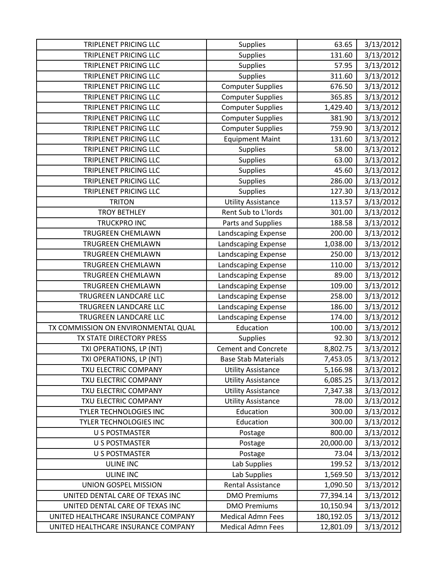| <b>TRIPLENET PRICING LLC</b>        | <b>Supplies</b>            | 63.65      | 3/13/2012 |
|-------------------------------------|----------------------------|------------|-----------|
| TRIPLENET PRICING LLC               | <b>Supplies</b>            | 131.60     | 3/13/2012 |
| TRIPLENET PRICING LLC               | Supplies                   | 57.95      | 3/13/2012 |
| TRIPLENET PRICING LLC               | Supplies                   | 311.60     | 3/13/2012 |
| TRIPLENET PRICING LLC               | <b>Computer Supplies</b>   | 676.50     | 3/13/2012 |
| TRIPLENET PRICING LLC               | <b>Computer Supplies</b>   | 365.85     | 3/13/2012 |
| TRIPLENET PRICING LLC               | <b>Computer Supplies</b>   | 1,429.40   | 3/13/2012 |
| TRIPLENET PRICING LLC               | <b>Computer Supplies</b>   | 381.90     | 3/13/2012 |
| TRIPLENET PRICING LLC               | <b>Computer Supplies</b>   | 759.90     | 3/13/2012 |
| TRIPLENET PRICING LLC               | <b>Equipment Maint</b>     | 131.60     | 3/13/2012 |
| TRIPLENET PRICING LLC               | <b>Supplies</b>            | 58.00      | 3/13/2012 |
| TRIPLENET PRICING LLC               | Supplies                   | 63.00      | 3/13/2012 |
| TRIPLENET PRICING LLC               | <b>Supplies</b>            | 45.60      | 3/13/2012 |
| TRIPLENET PRICING LLC               | <b>Supplies</b>            | 286.00     | 3/13/2012 |
| TRIPLENET PRICING LLC               | Supplies                   | 127.30     | 3/13/2012 |
| <b>TRITON</b>                       | <b>Utility Assistance</b>  | 113.57     | 3/13/2012 |
| <b>TROY BETHLEY</b>                 | Rent Sub to L'Iords        | 301.00     | 3/13/2012 |
| <b>TRUCKPRO INC</b>                 | Parts and Supplies         | 188.58     | 3/13/2012 |
| TRUGREEN CHEMLAWN                   | Landscaping Expense        | 200.00     | 3/13/2012 |
| <b>TRUGREEN CHEMLAWN</b>            | Landscaping Expense        | 1,038.00   | 3/13/2012 |
| TRUGREEN CHEMLAWN                   | Landscaping Expense        | 250.00     | 3/13/2012 |
| TRUGREEN CHEMLAWN                   | Landscaping Expense        | 110.00     | 3/13/2012 |
| <b>TRUGREEN CHEMLAWN</b>            | Landscaping Expense        | 89.00      | 3/13/2012 |
| <b>TRUGREEN CHEMLAWN</b>            | Landscaping Expense        | 109.00     | 3/13/2012 |
| TRUGREEN LANDCARE LLC               | Landscaping Expense        | 258.00     | 3/13/2012 |
| TRUGREEN LANDCARE LLC               | Landscaping Expense        | 186.00     | 3/13/2012 |
| TRUGREEN LANDCARE LLC               | Landscaping Expense        | 174.00     | 3/13/2012 |
| TX COMMISSION ON ENVIRONMENTAL QUAL | Education                  | 100.00     | 3/13/2012 |
| TX STATE DIRECTORY PRESS            | <b>Supplies</b>            | 92.30      | 3/13/2012 |
| TXI OPERATIONS, LP (NT)             | <b>Cement and Concrete</b> | 8,802.75   | 3/13/2012 |
| TXI OPERATIONS, LP (NT)             | <b>Base Stab Materials</b> | 7,453.05   | 3/13/2012 |
| TXU ELECTRIC COMPANY                | <b>Utility Assistance</b>  | 5,166.98   | 3/13/2012 |
| TXU ELECTRIC COMPANY                | <b>Utility Assistance</b>  | 6,085.25   | 3/13/2012 |
| TXU ELECTRIC COMPANY                | <b>Utility Assistance</b>  | 7,347.38   | 3/13/2012 |
| TXU ELECTRIC COMPANY                | <b>Utility Assistance</b>  | 78.00      | 3/13/2012 |
| <b>TYLER TECHNOLOGIES INC</b>       | Education                  | 300.00     | 3/13/2012 |
| TYLER TECHNOLOGIES INC              | Education                  | 300.00     | 3/13/2012 |
| <b>U S POSTMASTER</b>               | Postage                    | 800.00     | 3/13/2012 |
| <b>U S POSTMASTER</b>               | Postage                    | 20,000.00  | 3/13/2012 |
| <b>U S POSTMASTER</b>               | Postage                    | 73.04      | 3/13/2012 |
| <b>ULINE INC</b>                    | Lab Supplies               | 199.52     | 3/13/2012 |
| <b>ULINE INC</b>                    | Lab Supplies               | 1,569.50   | 3/13/2012 |
| UNION GOSPEL MISSION                | <b>Rental Assistance</b>   | 1,090.50   | 3/13/2012 |
| UNITED DENTAL CARE OF TEXAS INC     | <b>DMO Premiums</b>        | 77,394.14  | 3/13/2012 |
| UNITED DENTAL CARE OF TEXAS INC     | <b>DMO Premiums</b>        | 10,150.94  | 3/13/2012 |
| UNITED HEALTHCARE INSURANCE COMPANY | <b>Medical Admn Fees</b>   | 180,192.05 | 3/13/2012 |
| UNITED HEALTHCARE INSURANCE COMPANY | <b>Medical Admn Fees</b>   | 12,801.09  | 3/13/2012 |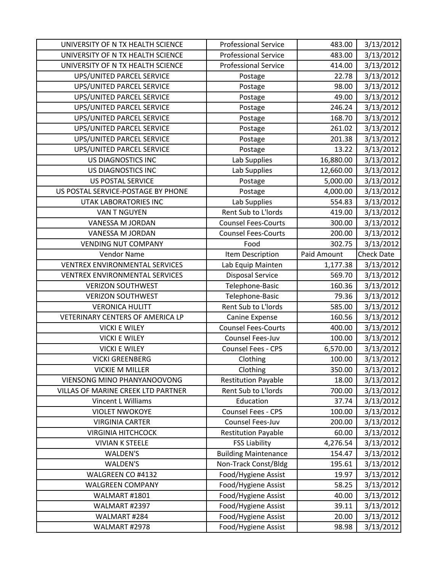| UNIVERSITY OF N TX HEALTH SCIENCE     | <b>Professional Service</b> | 483.00      | 3/13/2012         |
|---------------------------------------|-----------------------------|-------------|-------------------|
| UNIVERSITY OF N TX HEALTH SCIENCE     | <b>Professional Service</b> | 483.00      | 3/13/2012         |
| UNIVERSITY OF N TX HEALTH SCIENCE     | <b>Professional Service</b> | 414.00      | 3/13/2012         |
| UPS/UNITED PARCEL SERVICE             | Postage                     | 22.78       | 3/13/2012         |
| UPS/UNITED PARCEL SERVICE             | Postage                     | 98.00       | 3/13/2012         |
| UPS/UNITED PARCEL SERVICE             | Postage                     | 49.00       | 3/13/2012         |
| UPS/UNITED PARCEL SERVICE             | Postage                     | 246.24      | 3/13/2012         |
| UPS/UNITED PARCEL SERVICE             | Postage                     | 168.70      | 3/13/2012         |
| UPS/UNITED PARCEL SERVICE             | Postage                     | 261.02      | 3/13/2012         |
| <b>UPS/UNITED PARCEL SERVICE</b>      | Postage                     | 201.38      | 3/13/2012         |
| UPS/UNITED PARCEL SERVICE             | Postage                     | 13.22       | 3/13/2012         |
| US DIAGNOSTICS INC                    | Lab Supplies                | 16,880.00   | 3/13/2012         |
| US DIAGNOSTICS INC                    | Lab Supplies                | 12,660.00   | 3/13/2012         |
| <b>US POSTAL SERVICE</b>              | Postage                     | 5,000.00    | 3/13/2012         |
| US POSTAL SERVICE-POSTAGE BY PHONE    | Postage                     | 4,000.00    | 3/13/2012         |
| UTAK LABORATORIES INC                 | Lab Supplies                | 554.83      | 3/13/2012         |
| VAN T NGUYEN                          | Rent Sub to L'Iords         | 419.00      | 3/13/2012         |
| VANESSA M JORDAN                      | <b>Counsel Fees-Courts</b>  | 300.00      | 3/13/2012         |
| VANESSA M JORDAN                      | <b>Counsel Fees-Courts</b>  | 200.00      | 3/13/2012         |
| <b>VENDING NUT COMPANY</b>            | Food                        | 302.75      | 3/13/2012         |
| <b>Vendor Name</b>                    | Item Description            | Paid Amount | <b>Check Date</b> |
| <b>VENTREX ENVIRONMENTAL SERVICES</b> | Lab Equip Mainten           | 1,177.38    | 3/13/2012         |
| VENTREX ENVIRONMENTAL SERVICES        | <b>Disposal Service</b>     | 569.70      | 3/13/2012         |
| <b>VERIZON SOUTHWEST</b>              | Telephone-Basic             | 160.36      | 3/13/2012         |
| <b>VERIZON SOUTHWEST</b>              | Telephone-Basic             | 79.36       | 3/13/2012         |
| <b>VERONICA HULITT</b>                | Rent Sub to L'Iords         | 585.00      | 3/13/2012         |
| VETERINARY CENTERS OF AMERICA LP      | Canine Expense              | 160.56      | 3/13/2012         |
| <b>VICKI E WILEY</b>                  | <b>Counsel Fees-Courts</b>  | 400.00      | 3/13/2012         |
| <b>VICKI E WILEY</b>                  | Counsel Fees-Juv            | 100.00      | 3/13/2012         |
| <b>VICKI E WILEY</b>                  | Counsel Fees - CPS          | 6,570.00    | 3/13/2012         |
| <b>VICKI GREENBERG</b>                | Clothing                    | 100.00      | 3/13/2012         |
| <b>VICKIE M MILLER</b>                | Clothing                    | 350.00      | 3/13/2012         |
| VIENSONG MINO PHANYANOOVONG           | <b>Restitution Payable</b>  | 18.00       | 3/13/2012         |
| VILLAS OF MARINE CREEK LTD PARTNER    | Rent Sub to L'Iords         | 700.00      | 3/13/2012         |
| Vincent L Williams                    | Education                   | 37.74       | 3/13/2012         |
| <b>VIOLET NWOKOYE</b>                 | <b>Counsel Fees - CPS</b>   | 100.00      | 3/13/2012         |
| <b>VIRGINIA CARTER</b>                | Counsel Fees-Juv            | 200.00      | 3/13/2012         |
| <b>VIRGINIA HITCHCOCK</b>             | <b>Restitution Payable</b>  | 60.00       | 3/13/2012         |
| <b>VIVIAN K STEELE</b>                | <b>FSS Liability</b>        | 4,276.54    | 3/13/2012         |
| <b>WALDEN'S</b>                       | <b>Building Maintenance</b> | 154.47      | 3/13/2012         |
| <b>WALDEN'S</b>                       | Non-Track Const/Bldg        | 195.61      | 3/13/2012         |
| WALGREEN CO #4132                     | Food/Hygiene Assist         | 19.97       | 3/13/2012         |
| <b>WALGREEN COMPANY</b>               | Food/Hygiene Assist         | 58.25       | 3/13/2012         |
| WALMART #1801                         | Food/Hygiene Assist         | 40.00       | 3/13/2012         |
| WALMART #2397                         | Food/Hygiene Assist         | 39.11       | 3/13/2012         |
| WALMART #284                          | Food/Hygiene Assist         | 20.00       | 3/13/2012         |
| WALMART #2978                         | Food/Hygiene Assist         | 98.98       | 3/13/2012         |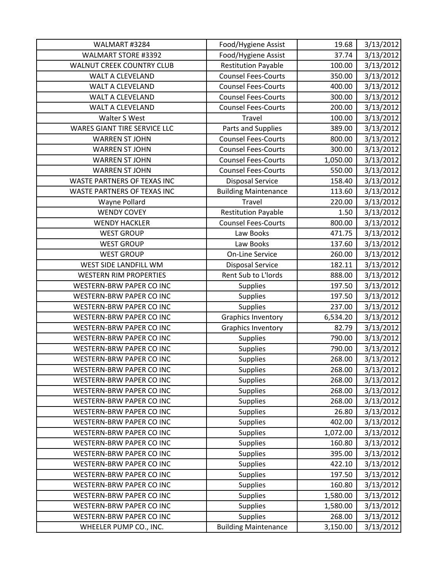| WALMART #3284                       | Food/Hygiene Assist         | 19.68    | 3/13/2012 |
|-------------------------------------|-----------------------------|----------|-----------|
| <b>WALMART STORE #3392</b>          | Food/Hygiene Assist         | 37.74    | 3/13/2012 |
| <b>WALNUT CREEK COUNTRY CLUB</b>    | <b>Restitution Payable</b>  | 100.00   | 3/13/2012 |
| WALT A CLEVELAND                    | <b>Counsel Fees-Courts</b>  | 350.00   | 3/13/2012 |
| <b>WALT A CLEVELAND</b>             | <b>Counsel Fees-Courts</b>  | 400.00   | 3/13/2012 |
| <b>WALT A CLEVELAND</b>             | <b>Counsel Fees-Courts</b>  | 300.00   | 3/13/2012 |
| <b>WALT A CLEVELAND</b>             | <b>Counsel Fees-Courts</b>  | 200.00   | 3/13/2012 |
| Walter S West                       | Travel                      | 100.00   | 3/13/2012 |
| <b>WARES GIANT TIRE SERVICE LLC</b> | Parts and Supplies          | 389.00   | 3/13/2012 |
| <b>WARREN ST JOHN</b>               | <b>Counsel Fees-Courts</b>  | 800.00   | 3/13/2012 |
| <b>WARREN ST JOHN</b>               | <b>Counsel Fees-Courts</b>  | 300.00   | 3/13/2012 |
| <b>WARREN ST JOHN</b>               | <b>Counsel Fees-Courts</b>  | 1,050.00 | 3/13/2012 |
| <b>WARREN ST JOHN</b>               | <b>Counsel Fees-Courts</b>  | 550.00   | 3/13/2012 |
| WASTE PARTNERS OF TEXAS INC         | <b>Disposal Service</b>     | 158.40   | 3/13/2012 |
| WASTE PARTNERS OF TEXAS INC         | <b>Building Maintenance</b> | 113.60   | 3/13/2012 |
| Wayne Pollard                       | <b>Travel</b>               | 220.00   | 3/13/2012 |
| <b>WENDY COVEY</b>                  | <b>Restitution Payable</b>  | 1.50     | 3/13/2012 |
| <b>WENDY HACKLER</b>                | <b>Counsel Fees-Courts</b>  | 800.00   | 3/13/2012 |
| <b>WEST GROUP</b>                   | Law Books                   | 471.75   | 3/13/2012 |
| <b>WEST GROUP</b>                   | Law Books                   | 137.60   | 3/13/2012 |
| <b>WEST GROUP</b>                   | <b>On-Line Service</b>      | 260.00   | 3/13/2012 |
| WEST SIDE LANDFILL WM               | <b>Disposal Service</b>     | 182.11   | 3/13/2012 |
| <b>WESTERN RIM PROPERTIES</b>       | Rent Sub to L'Iords         | 888.00   | 3/13/2012 |
| <b>WESTERN-BRW PAPER CO INC</b>     | <b>Supplies</b>             | 197.50   | 3/13/2012 |
| <b>WESTERN-BRW PAPER CO INC</b>     | <b>Supplies</b>             | 197.50   | 3/13/2012 |
| WESTERN-BRW PAPER CO INC            | Supplies                    | 237.00   | 3/13/2012 |
| WESTERN-BRW PAPER CO INC            | <b>Graphics Inventory</b>   | 6,534.20 | 3/13/2012 |
| <b>WESTERN-BRW PAPER CO INC</b>     | <b>Graphics Inventory</b>   | 82.79    | 3/13/2012 |
| <b>WESTERN-BRW PAPER CO INC</b>     | Supplies                    | 790.00   | 3/13/2012 |
| WESTERN-BRW PAPER CO INC            | Supplies                    | 790.00   | 3/13/2012 |
| WESTERN-BRW PAPER CO INC            | <b>Supplies</b>             | 268.00   | 3/13/2012 |
| <b>WESTERN-BRW PAPER CO INC</b>     | <b>Supplies</b>             | 268.00   | 3/13/2012 |
| <b>WESTERN-BRW PAPER CO INC</b>     | <b>Supplies</b>             | 268.00   | 3/13/2012 |
| WESTERN-BRW PAPER CO INC            | <b>Supplies</b>             | 268.00   | 3/13/2012 |
| WESTERN-BRW PAPER CO INC            | Supplies                    | 268.00   | 3/13/2012 |
| WESTERN-BRW PAPER CO INC            | <b>Supplies</b>             | 26.80    | 3/13/2012 |
| <b>WESTERN-BRW PAPER CO INC</b>     | <b>Supplies</b>             | 402.00   | 3/13/2012 |
| WESTERN-BRW PAPER CO INC            | <b>Supplies</b>             | 1,072.00 | 3/13/2012 |
| WESTERN-BRW PAPER CO INC            | <b>Supplies</b>             | 160.80   | 3/13/2012 |
| <b>WESTERN-BRW PAPER CO INC</b>     | Supplies                    | 395.00   | 3/13/2012 |
| WESTERN-BRW PAPER CO INC            | <b>Supplies</b>             | 422.10   | 3/13/2012 |
| WESTERN-BRW PAPER CO INC            | <b>Supplies</b>             | 197.50   | 3/13/2012 |
| WESTERN-BRW PAPER CO INC            | <b>Supplies</b>             | 160.80   | 3/13/2012 |
| WESTERN-BRW PAPER CO INC            | Supplies                    | 1,580.00 | 3/13/2012 |
| WESTERN-BRW PAPER CO INC            | <b>Supplies</b>             | 1,580.00 | 3/13/2012 |
| WESTERN-BRW PAPER CO INC            | <b>Supplies</b>             | 268.00   | 3/13/2012 |
| WHEELER PUMP CO., INC.              | <b>Building Maintenance</b> | 3,150.00 | 3/13/2012 |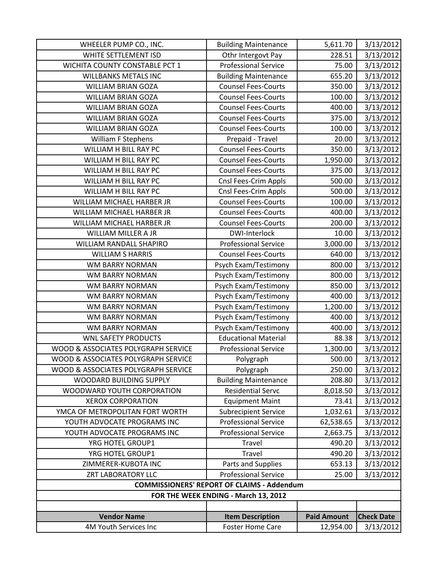| <b>Item Description</b>              | <b>Paid Amount</b>                                                                                                                                                                                                                                                                                                                                                                                                                                                                                                                                                                                                                                                                                                                                                                                                                                                          | <b>Check Date</b>                                                                                                                                                                                                                                                                                                                                                                     |
|--------------------------------------|-----------------------------------------------------------------------------------------------------------------------------------------------------------------------------------------------------------------------------------------------------------------------------------------------------------------------------------------------------------------------------------------------------------------------------------------------------------------------------------------------------------------------------------------------------------------------------------------------------------------------------------------------------------------------------------------------------------------------------------------------------------------------------------------------------------------------------------------------------------------------------|---------------------------------------------------------------------------------------------------------------------------------------------------------------------------------------------------------------------------------------------------------------------------------------------------------------------------------------------------------------------------------------|
|                                      |                                                                                                                                                                                                                                                                                                                                                                                                                                                                                                                                                                                                                                                                                                                                                                                                                                                                             |                                                                                                                                                                                                                                                                                                                                                                                       |
|                                      |                                                                                                                                                                                                                                                                                                                                                                                                                                                                                                                                                                                                                                                                                                                                                                                                                                                                             |                                                                                                                                                                                                                                                                                                                                                                                       |
| FOR THE WEEK ENDING - March 13, 2012 |                                                                                                                                                                                                                                                                                                                                                                                                                                                                                                                                                                                                                                                                                                                                                                                                                                                                             |                                                                                                                                                                                                                                                                                                                                                                                       |
|                                      |                                                                                                                                                                                                                                                                                                                                                                                                                                                                                                                                                                                                                                                                                                                                                                                                                                                                             |                                                                                                                                                                                                                                                                                                                                                                                       |
| <b>Professional Service</b>          | 25.00                                                                                                                                                                                                                                                                                                                                                                                                                                                                                                                                                                                                                                                                                                                                                                                                                                                                       | 3/13/2012                                                                                                                                                                                                                                                                                                                                                                             |
| Parts and Supplies                   | 653.13                                                                                                                                                                                                                                                                                                                                                                                                                                                                                                                                                                                                                                                                                                                                                                                                                                                                      | 3/13/2012                                                                                                                                                                                                                                                                                                                                                                             |
| Travel                               | 490.20                                                                                                                                                                                                                                                                                                                                                                                                                                                                                                                                                                                                                                                                                                                                                                                                                                                                      | 3/13/2012                                                                                                                                                                                                                                                                                                                                                                             |
| Travel                               | 490.20                                                                                                                                                                                                                                                                                                                                                                                                                                                                                                                                                                                                                                                                                                                                                                                                                                                                      | 3/13/2012                                                                                                                                                                                                                                                                                                                                                                             |
| <b>Professional Service</b>          | 2,663.75                                                                                                                                                                                                                                                                                                                                                                                                                                                                                                                                                                                                                                                                                                                                                                                                                                                                    | 3/13/2012                                                                                                                                                                                                                                                                                                                                                                             |
| <b>Professional Service</b>          | 62,538.65                                                                                                                                                                                                                                                                                                                                                                                                                                                                                                                                                                                                                                                                                                                                                                                                                                                                   | 3/13/2012                                                                                                                                                                                                                                                                                                                                                                             |
| <b>Subrecipient Service</b>          | 1,032.61                                                                                                                                                                                                                                                                                                                                                                                                                                                                                                                                                                                                                                                                                                                                                                                                                                                                    | 3/13/2012                                                                                                                                                                                                                                                                                                                                                                             |
| <b>Equipment Maint</b>               | 73.41                                                                                                                                                                                                                                                                                                                                                                                                                                                                                                                                                                                                                                                                                                                                                                                                                                                                       | 3/13/2012                                                                                                                                                                                                                                                                                                                                                                             |
| <b>Residential Servc</b>             | 8,018.50                                                                                                                                                                                                                                                                                                                                                                                                                                                                                                                                                                                                                                                                                                                                                                                                                                                                    | 3/13/2012                                                                                                                                                                                                                                                                                                                                                                             |
|                                      |                                                                                                                                                                                                                                                                                                                                                                                                                                                                                                                                                                                                                                                                                                                                                                                                                                                                             | 3/13/2012                                                                                                                                                                                                                                                                                                                                                                             |
|                                      |                                                                                                                                                                                                                                                                                                                                                                                                                                                                                                                                                                                                                                                                                                                                                                                                                                                                             | 3/13/2012                                                                                                                                                                                                                                                                                                                                                                             |
|                                      |                                                                                                                                                                                                                                                                                                                                                                                                                                                                                                                                                                                                                                                                                                                                                                                                                                                                             | 3/13/2012                                                                                                                                                                                                                                                                                                                                                                             |
|                                      |                                                                                                                                                                                                                                                                                                                                                                                                                                                                                                                                                                                                                                                                                                                                                                                                                                                                             | 3/13/2012                                                                                                                                                                                                                                                                                                                                                                             |
|                                      |                                                                                                                                                                                                                                                                                                                                                                                                                                                                                                                                                                                                                                                                                                                                                                                                                                                                             | 3/13/2012                                                                                                                                                                                                                                                                                                                                                                             |
|                                      |                                                                                                                                                                                                                                                                                                                                                                                                                                                                                                                                                                                                                                                                                                                                                                                                                                                                             | 3/13/2012                                                                                                                                                                                                                                                                                                                                                                             |
|                                      |                                                                                                                                                                                                                                                                                                                                                                                                                                                                                                                                                                                                                                                                                                                                                                                                                                                                             | 3/13/2012                                                                                                                                                                                                                                                                                                                                                                             |
|                                      |                                                                                                                                                                                                                                                                                                                                                                                                                                                                                                                                                                                                                                                                                                                                                                                                                                                                             | 3/13/2012                                                                                                                                                                                                                                                                                                                                                                             |
|                                      |                                                                                                                                                                                                                                                                                                                                                                                                                                                                                                                                                                                                                                                                                                                                                                                                                                                                             | 3/13/2012                                                                                                                                                                                                                                                                                                                                                                             |
|                                      |                                                                                                                                                                                                                                                                                                                                                                                                                                                                                                                                                                                                                                                                                                                                                                                                                                                                             | 3/13/2012                                                                                                                                                                                                                                                                                                                                                                             |
|                                      |                                                                                                                                                                                                                                                                                                                                                                                                                                                                                                                                                                                                                                                                                                                                                                                                                                                                             | 3/13/2012                                                                                                                                                                                                                                                                                                                                                                             |
|                                      |                                                                                                                                                                                                                                                                                                                                                                                                                                                                                                                                                                                                                                                                                                                                                                                                                                                                             | 3/13/2012                                                                                                                                                                                                                                                                                                                                                                             |
|                                      |                                                                                                                                                                                                                                                                                                                                                                                                                                                                                                                                                                                                                                                                                                                                                                                                                                                                             | 3/13/2012                                                                                                                                                                                                                                                                                                                                                                             |
|                                      |                                                                                                                                                                                                                                                                                                                                                                                                                                                                                                                                                                                                                                                                                                                                                                                                                                                                             | 3/13/2012                                                                                                                                                                                                                                                                                                                                                                             |
|                                      |                                                                                                                                                                                                                                                                                                                                                                                                                                                                                                                                                                                                                                                                                                                                                                                                                                                                             | 3/13/2012                                                                                                                                                                                                                                                                                                                                                                             |
|                                      |                                                                                                                                                                                                                                                                                                                                                                                                                                                                                                                                                                                                                                                                                                                                                                                                                                                                             | 3/13/2012                                                                                                                                                                                                                                                                                                                                                                             |
|                                      |                                                                                                                                                                                                                                                                                                                                                                                                                                                                                                                                                                                                                                                                                                                                                                                                                                                                             | 3/13/2012                                                                                                                                                                                                                                                                                                                                                                             |
|                                      |                                                                                                                                                                                                                                                                                                                                                                                                                                                                                                                                                                                                                                                                                                                                                                                                                                                                             | 3/13/2012                                                                                                                                                                                                                                                                                                                                                                             |
|                                      |                                                                                                                                                                                                                                                                                                                                                                                                                                                                                                                                                                                                                                                                                                                                                                                                                                                                             | 3/13/2012<br>3/13/2012                                                                                                                                                                                                                                                                                                                                                                |
|                                      |                                                                                                                                                                                                                                                                                                                                                                                                                                                                                                                                                                                                                                                                                                                                                                                                                                                                             | 3/13/2012                                                                                                                                                                                                                                                                                                                                                                             |
|                                      |                                                                                                                                                                                                                                                                                                                                                                                                                                                                                                                                                                                                                                                                                                                                                                                                                                                                             | 3/13/2012                                                                                                                                                                                                                                                                                                                                                                             |
|                                      |                                                                                                                                                                                                                                                                                                                                                                                                                                                                                                                                                                                                                                                                                                                                                                                                                                                                             | 3/13/2012                                                                                                                                                                                                                                                                                                                                                                             |
|                                      |                                                                                                                                                                                                                                                                                                                                                                                                                                                                                                                                                                                                                                                                                                                                                                                                                                                                             | 3/13/2012                                                                                                                                                                                                                                                                                                                                                                             |
|                                      |                                                                                                                                                                                                                                                                                                                                                                                                                                                                                                                                                                                                                                                                                                                                                                                                                                                                             | 3/13/2012                                                                                                                                                                                                                                                                                                                                                                             |
|                                      |                                                                                                                                                                                                                                                                                                                                                                                                                                                                                                                                                                                                                                                                                                                                                                                                                                                                             | 3/13/2012                                                                                                                                                                                                                                                                                                                                                                             |
|                                      |                                                                                                                                                                                                                                                                                                                                                                                                                                                                                                                                                                                                                                                                                                                                                                                                                                                                             | 3/13/2012                                                                                                                                                                                                                                                                                                                                                                             |
|                                      |                                                                                                                                                                                                                                                                                                                                                                                                                                                                                                                                                                                                                                                                                                                                                                                                                                                                             | 3/13/2012                                                                                                                                                                                                                                                                                                                                                                             |
|                                      |                                                                                                                                                                                                                                                                                                                                                                                                                                                                                                                                                                                                                                                                                                                                                                                                                                                                             | 3/13/2012                                                                                                                                                                                                                                                                                                                                                                             |
|                                      |                                                                                                                                                                                                                                                                                                                                                                                                                                                                                                                                                                                                                                                                                                                                                                                                                                                                             | 3/13/2012                                                                                                                                                                                                                                                                                                                                                                             |
|                                      |                                                                                                                                                                                                                                                                                                                                                                                                                                                                                                                                                                                                                                                                                                                                                                                                                                                                             | 3/13/2012                                                                                                                                                                                                                                                                                                                                                                             |
|                                      |                                                                                                                                                                                                                                                                                                                                                                                                                                                                                                                                                                                                                                                                                                                                                                                                                                                                             | 3/13/2012                                                                                                                                                                                                                                                                                                                                                                             |
| <b>Building Maintenance</b>          | 5,611.70                                                                                                                                                                                                                                                                                                                                                                                                                                                                                                                                                                                                                                                                                                                                                                                                                                                                    | 3/13/2012                                                                                                                                                                                                                                                                                                                                                                             |
|                                      | Othr Intergovt Pay<br><b>Professional Service</b><br><b>Building Maintenance</b><br><b>Counsel Fees-Courts</b><br><b>Counsel Fees-Courts</b><br><b>Counsel Fees-Courts</b><br><b>Counsel Fees-Courts</b><br><b>Counsel Fees-Courts</b><br>Prepaid - Travel<br><b>Counsel Fees-Courts</b><br><b>Counsel Fees-Courts</b><br><b>Counsel Fees-Courts</b><br>Cnsl Fees-Crim Appls<br>Cnsl Fees-Crim Appls<br><b>Counsel Fees-Courts</b><br><b>Counsel Fees-Courts</b><br><b>Counsel Fees-Courts</b><br>DWI-Interlock<br><b>Professional Service</b><br><b>Counsel Fees-Courts</b><br>Psych Exam/Testimony<br>Psych Exam/Testimony<br>Psych Exam/Testimony<br>Psych Exam/Testimony<br>Psych Exam/Testimony<br>Psych Exam/Testimony<br>Psych Exam/Testimony<br><b>Educational Material</b><br><b>Professional Service</b><br>Polygraph<br>Polygraph<br><b>Building Maintenance</b> | 228.51<br>75.00<br>655.20<br>350.00<br>100.00<br>400.00<br>375.00<br>100.00<br>20.00<br>350.00<br>1,950.00<br>375.00<br>500.00<br>500.00<br>100.00<br>400.00<br>200.00<br>10.00<br>3,000.00<br>640.00<br>800.00<br>800.00<br>850.00<br>400.00<br>1,200.00<br>400.00<br>400.00<br>88.38<br>1,300.00<br>500.00<br>250.00<br>208.80<br><b>COMMISSIONERS' REPORT OF CLAIMS - Addendum</b> |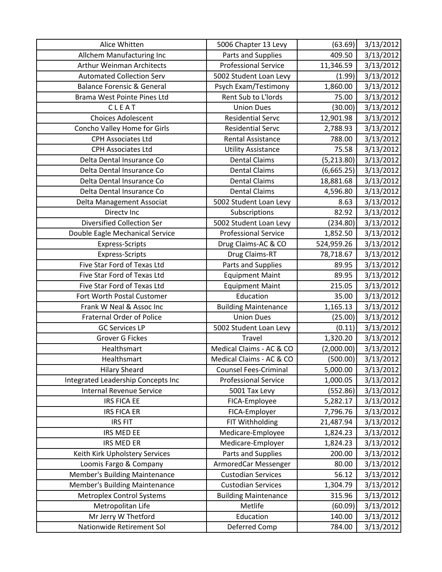| Alice Whitten                         | 5006 Chapter 13 Levy         | (63.69)     | 3/13/2012 |
|---------------------------------------|------------------------------|-------------|-----------|
| Allchem Manufacturing Inc             | Parts and Supplies           | 409.50      | 3/13/2012 |
| <b>Arthur Weinman Architects</b>      | <b>Professional Service</b>  | 11,346.59   | 3/13/2012 |
| <b>Automated Collection Serv</b>      | 5002 Student Loan Levy       | (1.99)      | 3/13/2012 |
| <b>Balance Forensic &amp; General</b> | Psych Exam/Testimony         | 1,860.00    | 3/13/2012 |
| Brama West Pointe Pines Ltd           | Rent Sub to L'Iords          | 75.00       | 3/13/2012 |
| CLEAT                                 | <b>Union Dues</b>            | (30.00)     | 3/13/2012 |
| <b>Choices Adolescent</b>             | <b>Residential Servc</b>     | 12,901.98   | 3/13/2012 |
| Concho Valley Home for Girls          | <b>Residential Servc</b>     | 2,788.93    | 3/13/2012 |
| <b>CPH Associates Ltd</b>             | <b>Rental Assistance</b>     | 788.00      | 3/13/2012 |
| <b>CPH Associates Ltd</b>             | <b>Utility Assistance</b>    | 75.58       | 3/13/2012 |
| Delta Dental Insurance Co             | <b>Dental Claims</b>         | (5, 213.80) | 3/13/2012 |
| Delta Dental Insurance Co             | <b>Dental Claims</b>         | (6,665.25)  | 3/13/2012 |
| Delta Dental Insurance Co             | <b>Dental Claims</b>         | 18,881.68   | 3/13/2012 |
| Delta Dental Insurance Co             | <b>Dental Claims</b>         | 4,596.80    | 3/13/2012 |
| Delta Management Associat             | 5002 Student Loan Levy       | 8.63        | 3/13/2012 |
| Directv Inc                           | Subscriptions                | 82.92       | 3/13/2012 |
| Diversified Collection Ser            | 5002 Student Loan Levy       | (234.80)    | 3/13/2012 |
| Double Eagle Mechanical Service       | <b>Professional Service</b>  | 1,852.50    | 3/13/2012 |
| <b>Express-Scripts</b>                | Drug Claims-AC & CO          | 524,959.26  | 3/13/2012 |
| <b>Express-Scripts</b>                | Drug Claims-RT               | 78,718.67   | 3/13/2012 |
| Five Star Ford of Texas Ltd           | Parts and Supplies           | 89.95       | 3/13/2012 |
| Five Star Ford of Texas Ltd           | <b>Equipment Maint</b>       | 89.95       | 3/13/2012 |
| Five Star Ford of Texas Ltd           | <b>Equipment Maint</b>       | 215.05      | 3/13/2012 |
| Fort Worth Postal Customer            | Education                    | 35.00       | 3/13/2012 |
| Frank W Neal & Assoc Inc              | <b>Building Maintenance</b>  | 1,165.13    | 3/13/2012 |
| <b>Fraternal Order of Police</b>      | <b>Union Dues</b>            | (25.00)     | 3/13/2012 |
| <b>GC Services LP</b>                 | 5002 Student Loan Levy       | (0.11)      | 3/13/2012 |
| <b>Grover G Fickes</b>                | Travel                       | 1,320.20    | 3/13/2012 |
| Healthsmart                           | Medical Claims - AC & CO     | (2,000.00)  | 3/13/2012 |
| Healthsmart                           | Medical Claims - AC & CO     | (500.00)    | 3/13/2012 |
| <b>Hilary Sheard</b>                  | <b>Counsel Fees-Criminal</b> | 5,000.00    | 3/13/2012 |
| Integrated Leadership Concepts Inc    | <b>Professional Service</b>  | 1,000.05    | 3/13/2012 |
| <b>Internal Revenue Service</b>       | 5001 Tax Levy                | (552.86)    | 3/13/2012 |
| <b>IRS FICA EE</b>                    | FICA-Employee                | 5,282.17    | 3/13/2012 |
| <b>IRS FICA ER</b>                    | FICA-Employer                | 7,796.76    | 3/13/2012 |
| <b>IRS FIT</b>                        | FIT Withholding              | 21,487.94   | 3/13/2012 |
| IRS MED EE                            | Medicare-Employee            | 1,824.23    | 3/13/2012 |
| <b>IRS MED ER</b>                     | Medicare-Employer            | 1,824.23    | 3/13/2012 |
| Keith Kirk Upholstery Services        | Parts and Supplies           | 200.00      | 3/13/2012 |
| Loomis Fargo & Company                | ArmoredCar Messenger         | 80.00       | 3/13/2012 |
| <b>Member's Building Maintenance</b>  | <b>Custodian Services</b>    | 56.12       | 3/13/2012 |
| <b>Member's Building Maintenance</b>  | <b>Custodian Services</b>    | 1,304.79    | 3/13/2012 |
| <b>Metroplex Control Systems</b>      | <b>Building Maintenance</b>  | 315.96      | 3/13/2012 |
| Metropolitan Life                     | Metlife                      | (60.09)     | 3/13/2012 |
| Mr Jerry W Thetford                   | Education                    | 140.00      | 3/13/2012 |
| Nationwide Retirement Sol             | Deferred Comp                | 784.00      | 3/13/2012 |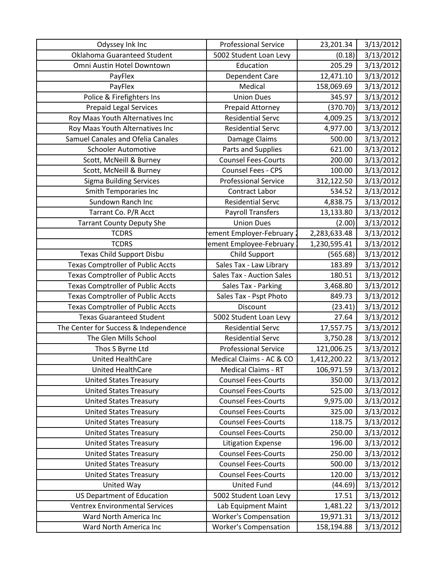| Odyssey Ink Inc                          | <b>Professional Service</b>      | 23,201.34    | 3/13/2012 |
|------------------------------------------|----------------------------------|--------------|-----------|
| Oklahoma Guaranteed Student              | 5002 Student Loan Levy           | (0.18)       | 3/13/2012 |
| Omni Austin Hotel Downtown               | Education                        | 205.29       | 3/13/2012 |
| PayFlex                                  | <b>Dependent Care</b>            | 12,471.10    | 3/13/2012 |
| PayFlex                                  | Medical                          | 158,069.69   | 3/13/2012 |
| Police & Firefighters Ins                | <b>Union Dues</b>                | 345.97       | 3/13/2012 |
| <b>Prepaid Legal Services</b>            | Prepaid Attorney                 | (370.70)     | 3/13/2012 |
| Roy Maas Youth Alternatives Inc          | <b>Residential Servc</b>         | 4,009.25     | 3/13/2012 |
| Roy Maas Youth Alternatives Inc          | <b>Residential Servc</b>         | 4,977.00     | 3/13/2012 |
| Samuel Canales and Ofelia Canales        | Damage Claims                    | 500.00       | 3/13/2012 |
| <b>Schooler Automotive</b>               | Parts and Supplies               | 621.00       | 3/13/2012 |
| Scott, McNeill & Burney                  | <b>Counsel Fees-Courts</b>       | 200.00       | 3/13/2012 |
| Scott, McNeill & Burney                  | Counsel Fees - CPS               | 100.00       | 3/13/2012 |
| <b>Sigma Building Services</b>           | <b>Professional Service</b>      | 312,122.50   | 3/13/2012 |
| Smith Temporaries Inc                    | <b>Contract Labor</b>            | 534.52       | 3/13/2012 |
| Sundown Ranch Inc                        | <b>Residential Servc</b>         | 4,838.75     | 3/13/2012 |
| Tarrant Co. P/R Acct                     | <b>Payroll Transfers</b>         | 13,133.80    | 3/13/2012 |
| <b>Tarrant County Deputy She</b>         | <b>Union Dues</b>                | (2.00)       | 3/13/2012 |
| <b>TCDRS</b>                             | ement Employer-February          | 2,283,633.48 | 3/13/2012 |
| <b>TCDRS</b>                             | ement Employee-February          | 1,230,595.41 | 3/13/2012 |
| <b>Texas Child Support Disbu</b>         | <b>Child Support</b>             | (565.68)     | 3/13/2012 |
| <b>Texas Comptroller of Public Accts</b> | Sales Tax - Law Library          | 183.89       | 3/13/2012 |
| <b>Texas Comptroller of Public Accts</b> | <b>Sales Tax - Auction Sales</b> | 180.51       | 3/13/2012 |
| <b>Texas Comptroller of Public Accts</b> | Sales Tax - Parking              | 3,468.80     | 3/13/2012 |
| <b>Texas Comptroller of Public Accts</b> | Sales Tax - Pspt Photo           | 849.73       | 3/13/2012 |
| <b>Texas Comptroller of Public Accts</b> | Discount                         | (23.41)      | 3/13/2012 |
| <b>Texas Guaranteed Student</b>          | 5002 Student Loan Levy           | 27.64        | 3/13/2012 |
| The Center for Success & Independence    | <b>Residential Servc</b>         | 17,557.75    | 3/13/2012 |
| The Glen Mills School                    | <b>Residential Servc</b>         | 3,750.28     | 3/13/2012 |
| Thos S Byrne Ltd                         | <b>Professional Service</b>      | 121,006.25   | 3/13/2012 |
| <b>United HealthCare</b>                 | Medical Claims - AC & CO         | 1,412,200.22 | 3/13/2012 |
| United HealthCare                        | <b>Medical Claims - RT</b>       | 106,971.59   | 3/13/2012 |
| <b>United States Treasury</b>            | <b>Counsel Fees-Courts</b>       | 350.00       | 3/13/2012 |
| <b>United States Treasury</b>            | <b>Counsel Fees-Courts</b>       | 525.00       | 3/13/2012 |
| <b>United States Treasury</b>            | <b>Counsel Fees-Courts</b>       | 9,975.00     | 3/13/2012 |
| <b>United States Treasury</b>            | <b>Counsel Fees-Courts</b>       | 325.00       | 3/13/2012 |
| <b>United States Treasury</b>            | <b>Counsel Fees-Courts</b>       | 118.75       | 3/13/2012 |
| <b>United States Treasury</b>            | <b>Counsel Fees-Courts</b>       | 250.00       | 3/13/2012 |
| <b>United States Treasury</b>            | <b>Litigation Expense</b>        | 196.00       | 3/13/2012 |
| <b>United States Treasury</b>            | <b>Counsel Fees-Courts</b>       | 250.00       | 3/13/2012 |
| <b>United States Treasury</b>            | <b>Counsel Fees-Courts</b>       | 500.00       | 3/13/2012 |
| <b>United States Treasury</b>            | <b>Counsel Fees-Courts</b>       | 120.00       | 3/13/2012 |
| United Way                               | <b>United Fund</b>               | (44.69)      | 3/13/2012 |
| <b>US Department of Education</b>        | 5002 Student Loan Levy           | 17.51        | 3/13/2012 |
| <b>Ventrex Environmental Services</b>    | Lab Equipment Maint              | 1,481.22     | 3/13/2012 |
| Ward North America Inc                   | <b>Worker's Compensation</b>     | 19,971.31    | 3/13/2012 |
| Ward North America Inc                   | <b>Worker's Compensation</b>     | 158,194.88   | 3/13/2012 |